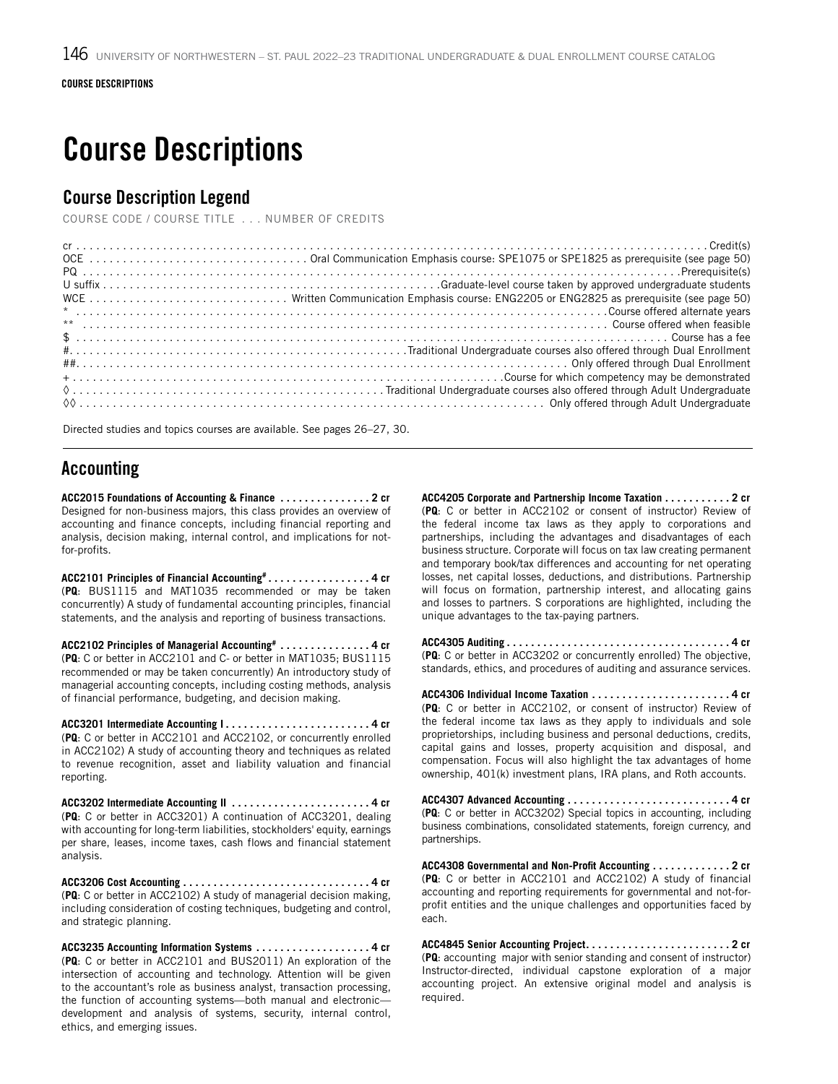COURSE DESCRIPTIONS COURSE DESCRIPTIONS

# Course Descriptions

# Course Description Legend

COURSE CODE / COURSE TITLE. . . NUMBER OF CREDITS

Directed studies and topics courses are available. See pages 26–27, 30.

### Accounting

ACC2015 Foundations of Accounting & Finance ...............2 cr Designed for non-business majors, this class provides an overview of accounting and finance concepts, including financial reporting and analysis, decision making, internal control, and implications for notfor-profits.

**ACC2101 Principles of Financial Accounting# . 4 cr** (**PQ**: BUS1115 and MAT1035 recommended or may be taken concurrently) A study of fundamental accounting principles, financial statements, and the analysis and reporting of business transactions.

ACC2102 Principles of Managerial Accounting<sup>#</sup> ...............4 cr (**PQ**: C or better in ACC2101 and C- or better in MAT1035; BUS1115 recommended or may be taken concurrently) An introductory study of managerial accounting concepts, including costing methods, analysis of financial performance, budgeting, and decision making.

**ACC3201 Intermediate Accounting I.............................4 cr** (**PQ**: C or better in ACC2101 and ACC2102, or concurrently enrolled in ACC2102) A study of accounting theory and techniques as related to revenue recognition, asset and liability valuation and financial reporting.

ACC3202 Intermediate Accounting II .......................... 4 cr (**PQ**: C or better in ACC3201) A continuation of ACC3201, dealing with accounting for long-term liabilities, stockholders' equity, earnings per share, leases, income taxes, cash flows and financial statement analysis.

**ACC3206 Cost Accounting. . 4 cr** (**PQ**: C or better in ACC2102) A study of managerial decision making, including consideration of costing techniques, budgeting and control, and strategic planning.

ACC3235 Accounting Information Systems . . . . . . . . . . . . . . . . . 4 cr (**PQ**: C or better in ACC2101 and BUS2011) An exploration of the intersection of accounting and technology. Attention will be given to the accountant's role as business analyst, transaction processing, the function of accounting systems—both manual and electronic development and analysis of systems, security, internal control, ethics, and emerging issues.

ACC4205 Corporate and Partnership Income Taxation . . . . . . . . . . 2 cr (**PQ**: C or better in ACC2102 or consent of instructor) Review of the federal income tax laws as they apply to corporations and partnerships, including the advantages and disadvantages of each business structure. Corporate will focus on tax law creating permanent and temporary book/tax differences and accounting for net operating losses, net capital losses, deductions, and distributions. Partnership will focus on formation, partnership interest, and allocating gains and losses to partners. S corporations are highlighted, including the unique advantages to the tax-paying partners.

**ACC4305 Auditing. . 4 cr** (**PQ**: C or better in ACC3202 or concurrently enrolled) The objective, standards, ethics, and procedures of auditing and assurance services.

**ACC4306 Individual Income Taxation. . 4 cr** (**PQ**: C or better in ACC2102, or consent of instructor) Review of the federal income tax laws as they apply to individuals and sole proprietorships, including business and personal deductions, credits, capital gains and losses, property acquisition and disposal, and compensation. Focus will also highlight the tax advantages of home ownership, 401(k) investment plans, IRA plans, and Roth accounts.

**ACC4307 Advanced Accounting. . 4 cr** (**PQ**: C or better in ACC3202) Special topics in accounting, including business combinations, consolidated statements, foreign currency, and partnerships.

ACC4308 Governmental and Non-Profit Accounting . . . . . . . . . . . . 2 cr (**PQ**: C or better in ACC2101 and ACC2102) A study of financial accounting and reporting requirements for governmental and not-forprofit entities and the unique challenges and opportunities faced by each.

**ACC4845 Senior Accounting Project. . 2 cr** (**PQ**: accounting major with senior standing and consent of instructor) Instructor-directed, individual capstone exploration of a major accounting project. An extensive original model and analysis is required.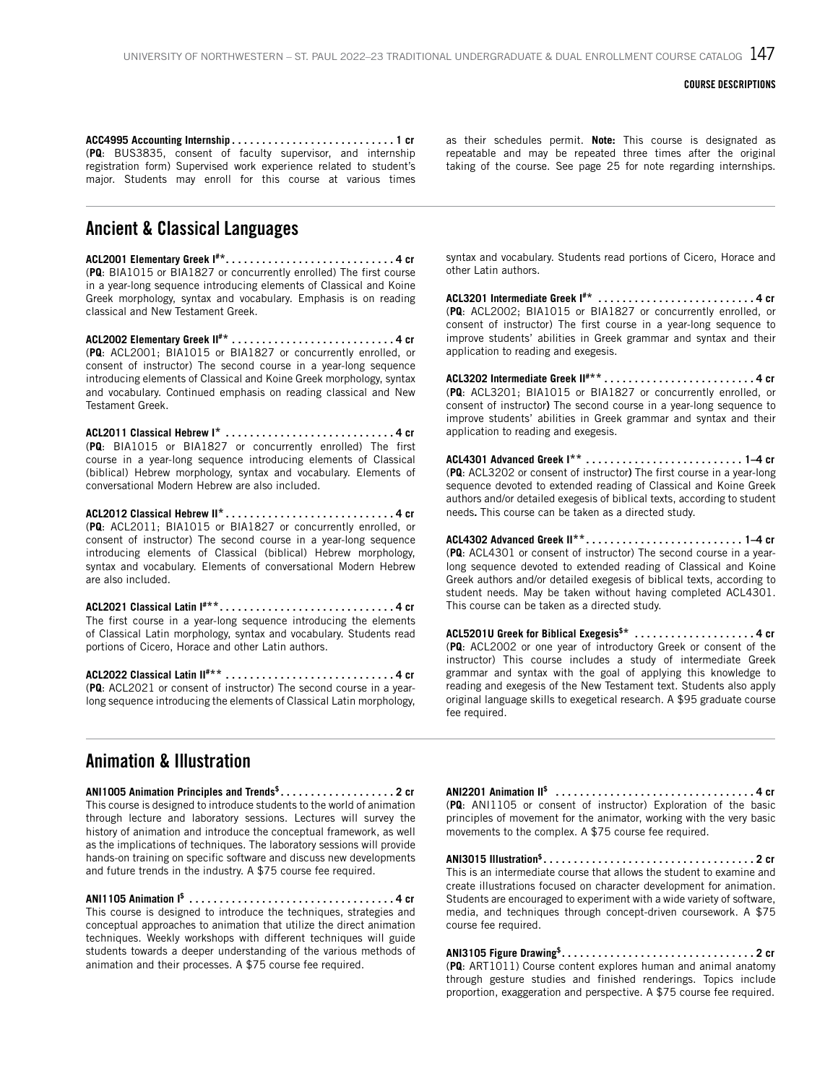ACC4995 Accounting Internship.................................1 cr (**PQ**: BUS3835, consent of faculty supervisor, and internship registration form) Supervised work experience related to student's major. Students may enroll for this course at various times as their schedules permit. **Note:** This course is designated as repeatable and may be repeated three times after the original taking of the course. See page 25 for note regarding internships.

# Ancient & Classical Languages

**ACL2001 Elementary Greek I# \*. . 4 cr** (**PQ**: BIA1015 or BIA1827 or concurrently enrolled) The first course in a year-long sequence introducing elements of Classical and Koine Greek morphology, syntax and vocabulary. Emphasis is on reading classical and New Testament Greek.

**ACL2002 Elementary Greek II# \*. . 4 cr** (**PQ**: ACL2001; BIA1015 or BIA1827 or concurrently enrolled, or consent of instructor) The second course in a year-long sequence introducing elements of Classical and Koine Greek morphology, syntax and vocabulary. Continued emphasis on reading classical and New Testament Greek.

**ACL2011 Classical Hebrew I\*. . 4 cr** (**PQ**: BIA1015 or BIA1827 or concurrently enrolled) The first course in a year-long sequence introducing elements of Classical (biblical) Hebrew morphology, syntax and vocabulary. Elements of conversational Modern Hebrew are also included.

**ACL2012 Classical Hebrew II\*...............................4 cr** (**PQ**: ACL2011; BIA1015 or BIA1827 or concurrently enrolled, or consent of instructor) The second course in a year-long sequence introducing elements of Classical (biblical) Hebrew morphology, syntax and vocabulary. Elements of conversational Modern Hebrew are also included.

**ACL2021 Classical Latin I# \*\*. . 4 cr** The first course in a year-long sequence introducing the elements of Classical Latin morphology, syntax and vocabulary. Students read portions of Cicero, Horace and other Latin authors.

**ACL2022 Classical Latin II# \*\*. . 4 cr** (**PQ**: ACL2021 or consent of instructor) The second course in a yearlong sequence introducing the elements of Classical Latin morphology, syntax and vocabulary. Students read portions of Cicero, Horace and other Latin authors.

**ACL3201 Intermediate Greek I# \*. . 4 cr** (**PQ**: ACL2002; BIA1015 or BIA1827 or concurrently enrolled, or consent of instructor) The first course in a year-long sequence to improve students' abilities in Greek grammar and syntax and their application to reading and exegesis.

**ACL3202 Intermediate Greek II<sup>#\*\*</sup>..........................4 cr** (**PQ**: ACL3201; BIA1015 or BIA1827 or concurrently enrolled, or consent of instructor**)** The second course in a year-long sequence to improve students' abilities in Greek grammar and syntax and their application to reading and exegesis.

**ACL4301 Advanced Greek I\*\*. . . 1–4 cr** (**PQ**: ACL3202 or consent of instructor**)** The first course in a year-long sequence devoted to extended reading of Classical and Koine Greek authors and/or detailed exegesis of biblical texts, according to student needs**.** This course can be taken as a directed study.

**ACL4302 Advanced Greek II\*\*. . . 1–4 cr** (**PQ**: ACL4301 or consent of instructor) The second course in a yearlong sequence devoted to extended reading of Classical and Koine Greek authors and/or detailed exegesis of biblical texts, according to student needs. May be taken without having completed ACL4301. This course can be taken as a directed study.

**ACL5201U Greek for Biblical Exegesis\$ \*. . 4 cr** (**PQ**: ACL2002 or one year of introductory Greek or consent of the instructor) This course includes a study of intermediate Greek grammar and syntax with the goal of applying this knowledge to reading and exegesis of the New Testament text. Students also apply original language skills to exegetical research. A \$95 graduate course fee required.

### Animation & Illustration

**ANI1005 Animation Principles and Trends\$ . 2 cr** This course is designed to introduce students to the world of animation through lecture and laboratory sessions. Lectures will survey the history of animation and introduce the conceptual framework, as well as the implications of techniques. The laboratory sessions will provide hands-on training on specific software and discuss new developments and future trends in the industry. A \$75 course fee required.

**ANI1105 Animation I\$. . 4 cr** This course is designed to introduce the techniques, strategies and conceptual approaches to animation that utilize the direct animation techniques. Weekly workshops with different techniques will guide students towards a deeper understanding of the various methods of animation and their processes. A \$75 course fee required.

**ANI2201 Animation II\$. . 4 cr** (**PQ**: ANI1105 or consent of instructor) Exploration of the basic principles of movement for the animator, working with the very basic movements to the complex. A \$75 course fee required.

**ANI3015 Illustration\$ . 2 cr** This is an intermediate course that allows the student to examine and create illustrations focused on character development for animation. Students are encouraged to experiment with a wide variety of software, media, and techniques through concept-driven coursework. A \$75 course fee required.

**ANI3105 Figure Drawing\$ . 2 cr** (**PQ**: ART1011) Course content explores human and animal anatomy through gesture studies and finished renderings. Topics include proportion, exaggeration and perspective. A \$75 course fee required.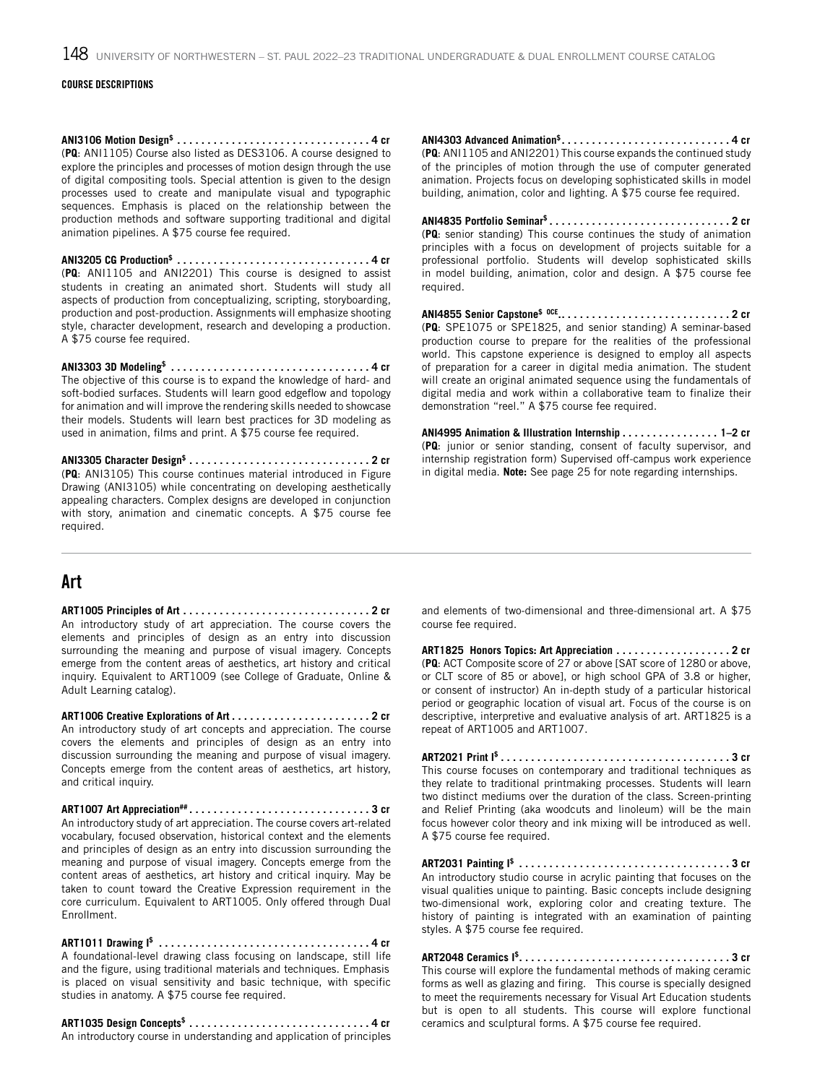**ANI3106 Motion Design\$. . 4 cr** (**PQ**: ANI1105) Course also listed as DES3106. A course designed to explore the principles and processes of motion design through the use of digital compositing tools. Special attention is given to the design processes used to create and manipulate visual and typographic sequences. Emphasis is placed on the relationship between the production methods and software supporting traditional and digital animation pipelines. A \$75 course fee required.

**ANI3205 CG Production\$. . 4 cr** (**PQ**: ANI1105 and ANI2201) This course is designed to assist students in creating an animated short. Students will study all aspects of production from conceptualizing, scripting, storyboarding, production and post-production. Assignments will emphasize shooting style, character development, research and developing a production. A \$75 course fee required.

**ANI3303 3D Modeling\$. . 4 cr** The objective of this course is to expand the knowledge of hard- and soft-bodied surfaces. Students will learn good edgeflow and topology for animation and will improve the rendering skills needed to showcase their models. Students will learn best practices for 3D modeling as used in animation, films and print. A \$75 course fee required.

**ANI3305 Character Design\$. . 2 cr** (**PQ**: ANI3105) This course continues material introduced in Figure Drawing (ANI3105) while concentrating on developing aesthetically appealing characters. Complex designs are developed in conjunction with story, animation and cinematic concepts. A \$75 course fee required.

**ANI4303 Advanced Animation\$ . 4 cr** (**PQ**: ANI1105 and ANI2201) This course expands the continued study of the principles of motion through the use of computer generated animation. Projects focus on developing sophisticated skills in model building, animation, color and lighting. A \$75 course fee required.

**ANI4835 Portfolio Seminar\$ . 2 cr** (**PQ**: senior standing) This course continues the study of animation principles with a focus on development of projects suitable for a professional portfolio. Students will develop sophisticated skills in model building, animation, color and design. A \$75 course fee required.

**ANI4855 Senior Capstone\$ OCE.. . 2 cr** (**PQ**: SPE1075 or SPE1825, and senior standing) A seminar-based production course to prepare for the realities of the professional world. This capstone experience is designed to employ all aspects of preparation for a career in digital media animation. The student will create an original animated sequence using the fundamentals of digital media and work within a collaborative team to finalize their demonstration "reel." A \$75 course fee required.

**ANI4995 Animation & Illustration Internship. . . 1–2 cr** (**PQ**: junior or senior standing, consent of faculty supervisor, and internship registration form) Supervised off-campus work experience in digital media. **Note:** See page 25 for note regarding internships.

### Art

**ART1005 Principles of Art. . 2 cr** An introductory study of art appreciation. The course covers the elements and principles of design as an entry into discussion surrounding the meaning and purpose of visual imagery. Concepts emerge from the content areas of aesthetics, art history and critical inquiry. Equivalent to ART1009 (see College of Graduate, Online & Adult Learning catalog).

ART1006 Creative Explorations of Art................................2 cr An introductory study of art concepts and appreciation. The course covers the elements and principles of design as an entry into discussion surrounding the meaning and purpose of visual imagery. Concepts emerge from the content areas of aesthetics, art history, and critical inquiry.

**ART1007 Art Appreciation**##..................................3 cr An introductory study of art appreciation. The course covers art-related vocabulary, focused observation, historical context and the elements and principles of design as an entry into discussion surrounding the meaning and purpose of visual imagery. Concepts emerge from the content areas of aesthetics, art history and critical inquiry. May be taken to count toward the Creative Expression requirement in the core curriculum. Equivalent to ART1005. Only offered through Dual Enrollment.

**ART1011 Drawing I\$. . 4 cr** A foundational-level drawing class focusing on landscape, still life and the figure, using traditional materials and techniques. Emphasis is placed on visual sensitivity and basic technique, with specific studies in anatomy. A \$75 course fee required.

**ART1035 Design Concepts\$. . 4 cr** An introductory course in understanding and application of principles and elements of two-dimensional and three-dimensional art. A \$75 course fee required.

ART1825 Honors Topics: Art Appreciation . . . . . . . . . . . . . . . . . 2 cr (**PQ**: ACT Composite score of 27 or above [SAT score of 1280 or above, or CLT score of 85 or above], or high school GPA of 3.8 or higher, or consent of instructor) An in-depth study of a particular historical period or geographic location of visual art. Focus of the course is on descriptive, interpretive and evaluative analysis of art. ART1825 is a repeat of ART1005 and ART1007.

**ART2021 Print I\$ . 3 cr** This course focuses on contemporary and traditional techniques as they relate to traditional printmaking processes. Students will learn two distinct mediums over the duration of the class. Screen-printing and Relief Printing (aka woodcuts and linoleum) will be the main focus however color theory and ink mixing will be introduced as well. A \$75 course fee required.

**ART2031 Painting I\$. . 3 cr** An introductory studio course in acrylic painting that focuses on the visual qualities unique to painting. Basic concepts include designing two-dimensional work, exploring color and creating texture. The history of painting is integrated with an examination of painting styles. A \$75 course fee required.

**ART2048 Ceramics I\$ . 3 cr** This course will explore the fundamental methods of making ceramic forms as well as glazing and firing. This course is specially designed to meet the requirements necessary for Visual Art Education students but is open to all students. This course will explore functional ceramics and sculptural forms. A \$75 course fee required.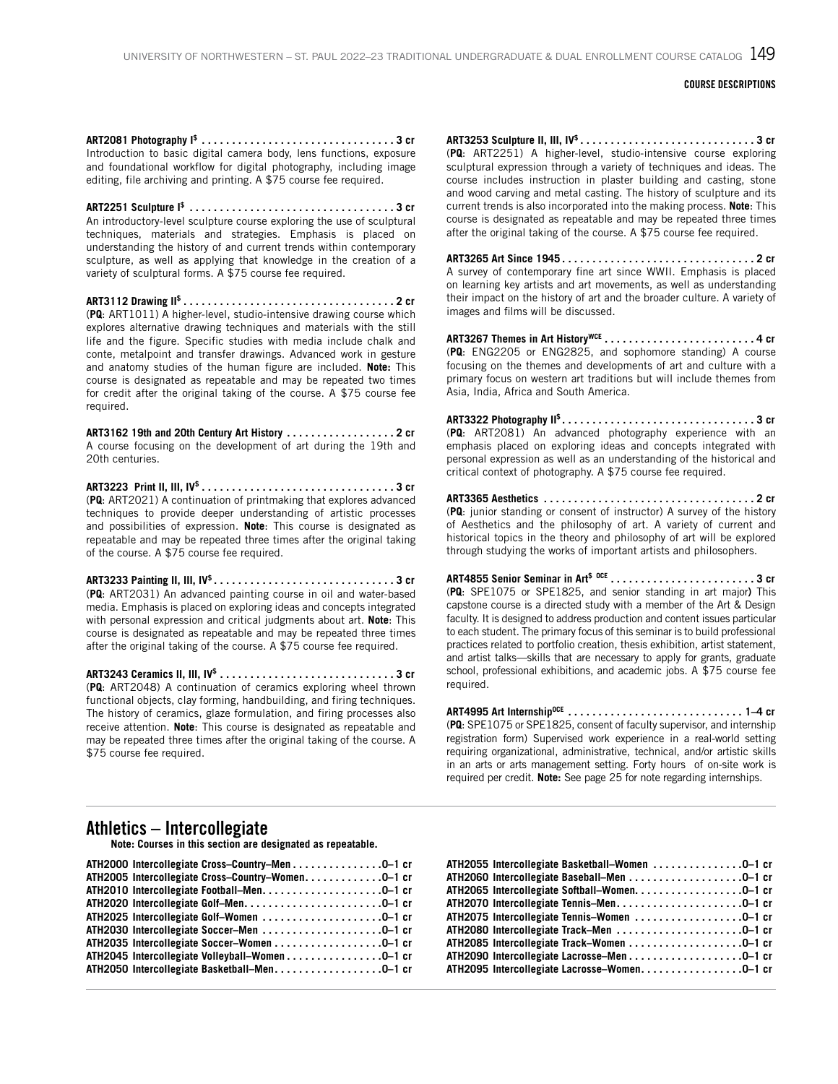**ART2081 Photography I\$. . 3 cr** Introduction to basic digital camera body, lens functions, exposure and foundational workflow for digital photography, including image editing, file archiving and printing. A \$75 course fee required.

**ART2251 Sculpture I\$. . 3 cr** An introductory-level sculpture course exploring the use of sculptural techniques, materials and strategies. Emphasis is placed on understanding the history of and current trends within contemporary sculpture, as well as applying that knowledge in the creation of a variety of sculptural forms. A \$75 course fee required.

**ART3112 Drawing II\$ . 2 cr** (**PQ**: ART1011) A higher-level, studio-intensive drawing course which explores alternative drawing techniques and materials with the still life and the figure. Specific studies with media include chalk and conte, metalpoint and transfer drawings. Advanced work in gesture and anatomy studies of the human figure are included. **Note:** This course is designated as repeatable and may be repeated two times for credit after the original taking of the course. A \$75 course fee required.

**ART3162 19th and 20th Century Art History .................... 2 cr** A course focusing on the development of art during the 19th and 20th centuries.

**ART3223 Print II, III, IV\$ . 3 cr** (**PQ**: ART2021) A continuation of printmaking that explores advanced techniques to provide deeper understanding of artistic processes and possibilities of expression. **Note**: This course is designated as repeatable and may be repeated three times after the original taking of the course. A \$75 course fee required.

**ART3233 Painting II, III, IV\$ . 3 cr** (**PQ**: ART2031) An advanced painting course in oil and water-based media. Emphasis is placed on exploring ideas and concepts integrated with personal expression and critical judgments about art. **Note**: This course is designated as repeatable and may be repeated three times after the original taking of the course. A \$75 course fee required.

**ART3243 Ceramics II, III, IV\$. . 3 cr** (**PQ**: ART2048) A continuation of ceramics exploring wheel thrown functional objects, clay forming, handbuilding, and firing techniques. The history of ceramics, glaze formulation, and firing processes also receive attention. **Note**: This course is designated as repeatable and may be repeated three times after the original taking of the course. A \$75 course fee required.

#### **ART3253 Sculpture II, III, IV\$ . 3 cr** (**PQ**: ART2251) A higher-level, studio-intensive course exploring sculptural expression through a variety of techniques and ideas. The course includes instruction in plaster building and casting, stone and wood carving and metal casting. The history of sculpture and its current trends is also incorporated into the making process. **Note**: This course is designated as repeatable and may be repeated three times after the original taking of the course. A \$75 course fee required.

**ART3265 Art Since 1945. . 2 cr** A survey of contemporary fine art since WWII. Emphasis is placed on learning key artists and art movements, as well as understanding their impact on the history of art and the broader culture. A variety of images and films will be discussed.

ART3267 Themes in Art History<sup>WCE</sup>..........................4 cr (**PQ**: ENG2205 or ENG2825, and sophomore standing) A course focusing on the themes and developments of art and culture with a primary focus on western art traditions but will include themes from Asia, India, Africa and South America.

**ART3322 Photography II\$ . 3 cr** (**PQ**: ART2081) An advanced photography experience with an emphasis placed on exploring ideas and concepts integrated with personal expression as well as an understanding of the historical and critical context of photography. A \$75 course fee required.

**ART3365 Aesthetics. . 2 cr** (**PQ**: junior standing or consent of instructor) A survey of the history of Aesthetics and the philosophy of art. A variety of current and historical topics in the theory and philosophy of art will be explored through studying the works of important artists and philosophers.

ART4855 Senior Seminar in Art<sup>\$ OCE</sup> ..........................3 cr (**PQ**: SPE1075 or SPE1825, and senior standing in art major**)** This capstone course is a directed study with a member of the Art & Design faculty. It is designed to address production and content issues particular to each student. The primary focus of this seminar is to build professional practices related to portfolio creation, thesis exhibition, artist statement, and artist talks—skills that are necessary to apply for grants, graduate school, professional exhibitions, and academic jobs. A \$75 course fee required.

**ART4995 Art InternshipOCE. . . 1–4 cr** (**PQ**: SPE1075 or SPE1825, consent of faculty supervisor, and internship registration form) Supervised work experience in a real-world setting requiring organizational, administrative, technical, and/or artistic skills in an arts or arts management setting. Forty hours of on-site work is required per credit. **Note:** See page 25 for note regarding internships.

### Athletics – Intercollegiate

**Note: Courses in this section are designated as repeatable.**

| ATH2000 Intercollegiate Cross-Country-Men0-1 cr     |  |
|-----------------------------------------------------|--|
| ATH2005 Intercollegiate Cross-Country-Women. 0-1 cr |  |
|                                                     |  |
| ATH2020 Intercollegiate Golf-Men0-1 cr              |  |
| ATH2025 Intercollegiate Golf-Women 0-1 cr           |  |
| ATH2030 Intercollegiate Soccer-Men 0-1 cr           |  |
| ATH2035 Intercollegiate Soccer-Women 0–1 cr         |  |
| ATH2045 Intercollegiate Volleyball-Women0-1 cr      |  |
| ATH2050 Intercollegiate Basketball-Men0-1 cr        |  |
|                                                     |  |

|  | ATH2055 Intercollegiate Basketball-Women 0-1 cr |  |
|--|-------------------------------------------------|--|
|  |                                                 |  |
|  | ATH2065 Intercollegiate Softball–Women. 0–1 cr  |  |
|  | ATH2070 Intercollegiate Tennis-Men0-1 cr        |  |
|  | ATH2075 Intercollegiate Tennis-Women 0-1 cr     |  |
|  | ATH2080 Intercollegiate Track–Men 0–1 cr        |  |
|  | ATH2085 Intercollegiate Track-Women 0-1 cr      |  |
|  | ATH2090 Intercollegiate Lacrosse-Men0-1 cr      |  |
|  | ATH2095 Intercollegiate Lacrosse-Women0–1 cr    |  |
|  |                                                 |  |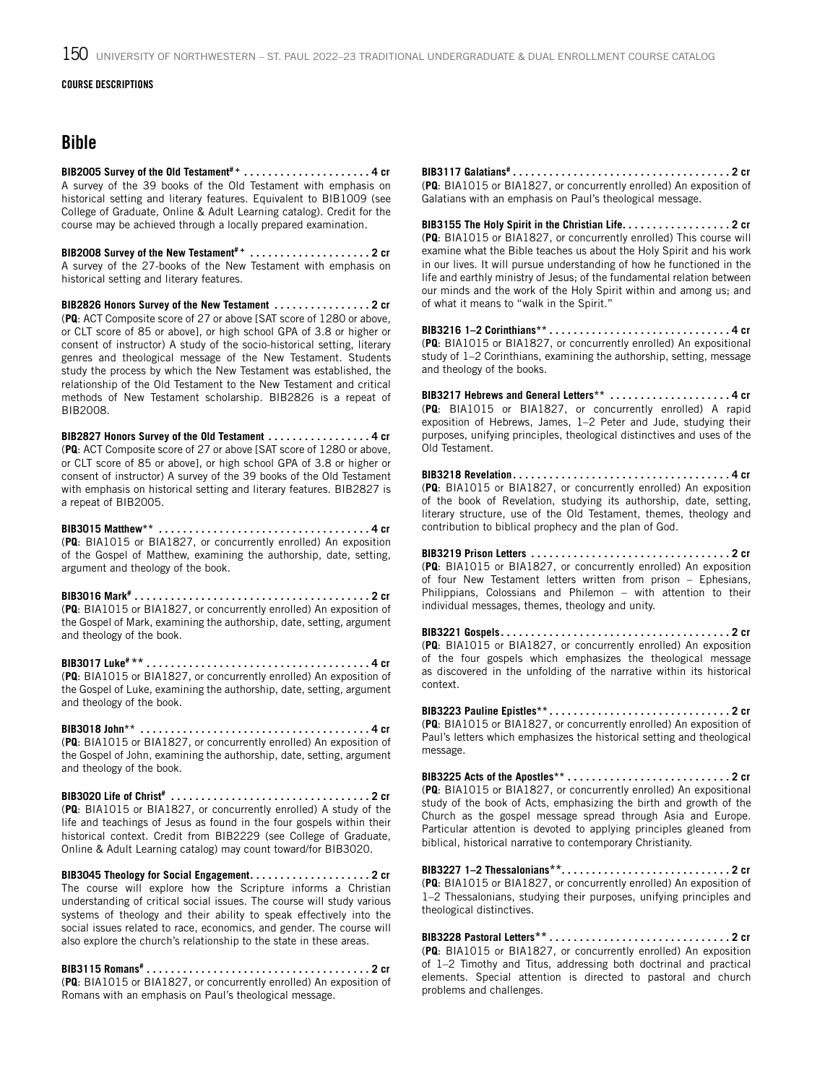### Bible

**BIB2005 Survey of the Old Testament# + ......................4 cr** A survey of the 39 books of the Old Testament with emphasis on historical setting and literary features. Equivalent to BIB1009 (see College of Graduate, Online & Adult Learning catalog). Credit for the course may be achieved through a locally prepared examination.

**BIB2008 Survey of the New Testament# + ...................... 2 cr** A survey of the 27-books of the New Testament with emphasis on historical setting and literary features.

**BIB2826 Honors Survey of the New Testament ................. 2 cr** (**PQ**: ACT Composite score of 27 or above [SAT score of 1280 or above, or CLT score of 85 or above], or high school GPA of 3.8 or higher or consent of instructor) A study of the socio-historical setting, literary genres and theological message of the New Testament. Students study the process by which the New Testament was established, the relationship of the Old Testament to the New Testament and critical methods of New Testament scholarship. BIB2826 is a repeat of BIB2008.

BIB2827 Honors Survey of the Old Testament . . . . . . . . . . . . . . . 4 cr (**PQ**: ACT Composite score of 27 or above [SAT score of 1280 or above, or CLT score of 85 or above], or high school GPA of 3.8 or higher or consent of instructor) A survey of the 39 books of the Old Testament with emphasis on historical setting and literary features. BIB2827 is a repeat of BIB2005.

**BIB3015 Matthew\*\*. . 4 cr** (**PQ**: BIA1015 or BIA1827, or concurrently enrolled) An exposition of the Gospel of Matthew, examining the authorship, date, setting, argument and theology of the book.

**BIB3016 Mark#. . 2 cr** (**PQ**: BIA1015 or BIA1827, or concurrently enrolled) An exposition of the Gospel of Mark, examining the authorship, date, setting, argument and theology of the book.

**BIB3017 Luke# \*\*. . 4 cr** (**PQ**: BIA1015 or BIA1827, or concurrently enrolled) An exposition of the Gospel of Luke, examining the authorship, date, setting, argument and theology of the book.

**BIB3018 John\*\*. . 4 cr** (**PQ**: BIA1015 or BIA1827, or concurrently enrolled) An exposition of the Gospel of John, examining the authorship, date, setting, argument and theology of the book.

**BIB3020 Life of Christ#. . 2 cr** (**PQ**: BIA1015 or BIA1827, or concurrently enrolled) A study of the life and teachings of Jesus as found in the four gospels within their historical context. Credit from BIB2229 (see College of Graduate, Online & Adult Learning catalog) may count toward/for BIB3020.

**BIB3045 Theology for Social Engagement. . 2 cr** The course will explore how the Scripture informs a Christian understanding of critical social issues. The course will study various systems of theology and their ability to speak effectively into the social issues related to race, economics, and gender. The course will also explore the church's relationship to the state in these areas.

**BIB3115 Romans#. . 2 cr** (**PQ**: BIA1015 or BIA1827, or concurrently enrolled) An exposition of Romans with an emphasis on Paul's theological message.

**BIB3117 Galatians# . 2 cr** (**PQ**: BIA1015 or BIA1827, or concurrently enrolled) An exposition of Galatians with an emphasis on Paul's theological message.

**BIB3155 The Holy Spirit in the Christian Life. . . . . . . . . . . . . . . . . 2 cr** (**PQ**: BIA1015 or BIA1827, or concurrently enrolled) This course will examine what the Bible teaches us about the Holy Spirit and his work in our lives. It will pursue understanding of how he functioned in the life and earthly ministry of Jesus; of the fundamental relation between our minds and the work of the Holy Spirit within and among us; and of what it means to "walk in the Spirit."

**BIB3216 1–2 Corinthians\*\*. . 4 cr** (**PQ**: BIA1015 or BIA1827, or concurrently enrolled) An expositional study of 1–2 Corinthians, examining the authorship, setting, message and theology of the books.

BIB3217 Hebrews and General Letters<sup>\*\*</sup> .....................4 cr (**PQ**: BIA1015 or BIA1827, or concurrently enrolled) A rapid exposition of Hebrews, James, 1–2 Peter and Jude, studying their purposes, unifying principles, theological distinctives and uses of the Old Testament.

**BIB3218 Revelation. . 4 cr** (**PQ**: BIA1015 or BIA1827, or concurrently enrolled) An exposition of the book of Revelation, studying its authorship, date, setting, literary structure, use of the Old Testament, themes, theology and contribution to biblical prophecy and the plan of God.

**BIB3219 Prison Letters. . 2 cr** (**PQ**: BIA1015 or BIA1827, or concurrently enrolled) An exposition of four New Testament letters written from prison – Ephesians, Philippians, Colossians and Philemon – with attention to their individual messages, themes, theology and unity.

**BIB3221 Gospels. . 2 cr** (**PQ**: BIA1015 or BIA1827, or concurrently enrolled) An exposition of the four gospels which emphasizes the theological message as discovered in the unfolding of the narrative within its historical context.

**BIB3223 Pauline Epistles\*\*. . 2 cr** (**PQ**: BIA1015 or BIA1827, or concurrently enrolled) An exposition of Paul's letters which emphasizes the historical setting and theological message.

**BIB3225 Acts of the Apostles\*\*. . 2 cr** (**PQ**: BIA1015 or BIA1827, or concurrently enrolled) An expositional study of the book of Acts, emphasizing the birth and growth of the Church as the gospel message spread through Asia and Europe. Particular attention is devoted to applying principles gleaned from biblical, historical narrative to contemporary Christianity.

**BIB3227 1–2 Thessalonians\*\*. . . . . . . . . . . . . . . . . . . . . . . . . . . . 2 cr** (**PQ**: BIA1015 or BIA1827, or concurrently enrolled) An exposition of 1–2 Thessalonians, studying their purposes, unifying principles and theological distinctives.

**BIB3228 Pastoral Letters\*\*. . 2 cr** (**PQ**: BIA1015 or BIA1827, or concurrently enrolled) An exposition of 1–2 Timothy and Titus, addressing both doctrinal and practical elements. Special attention is directed to pastoral and church problems and challenges.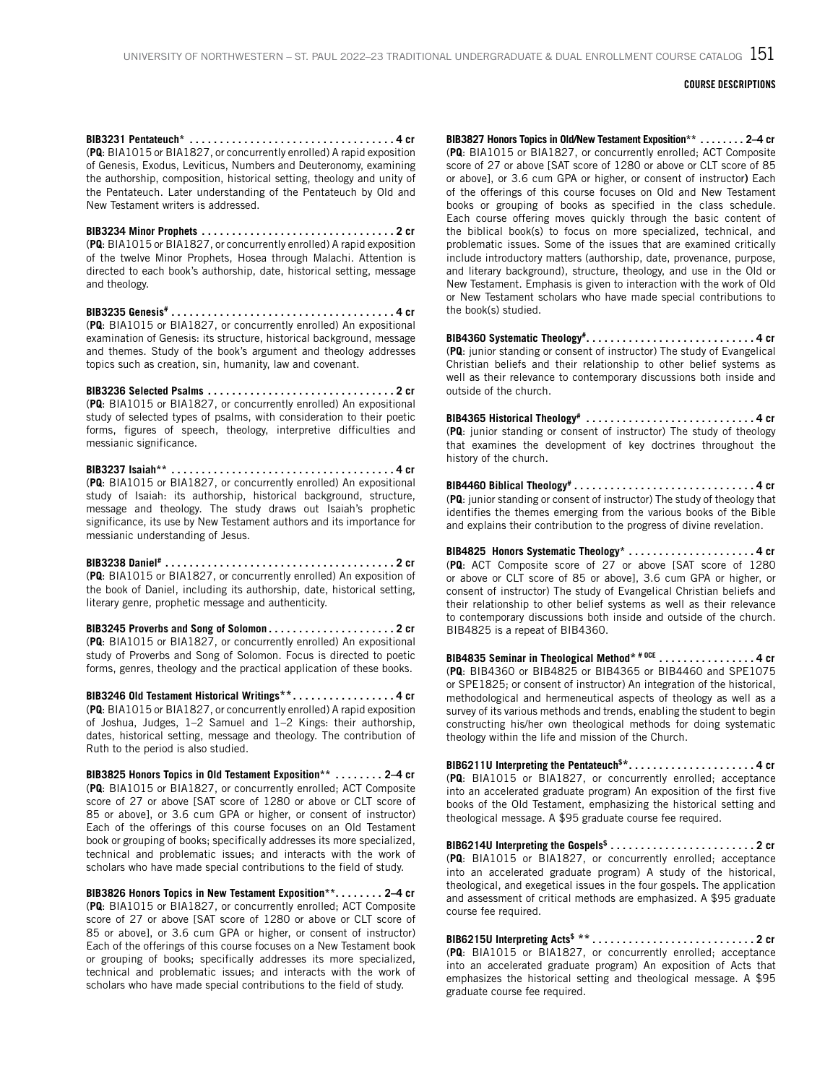**BIB3231 Pentateuch\*. . 4 cr** (**PQ**: BIA1015 or BIA1827, or concurrently enrolled) A rapid exposition of Genesis, Exodus, Leviticus, Numbers and Deuteronomy, examining the authorship, composition, historical setting, theology and unity of the Pentateuch. Later understanding of the Pentateuch by Old and New Testament writers is addressed.

**BIB3234 Minor Prophets. . 2 cr** (**PQ**: BIA1015 or BIA1827, or concurrently enrolled) A rapid exposition of the twelve Minor Prophets, Hosea through Malachi. Attention is directed to each book's authorship, date, historical setting, message and theology.

**BIB3235 Genesis#. . 4 cr** (**PQ**: BIA1015 or BIA1827, or concurrently enrolled) An expositional examination of Genesis: its structure, historical background, message and themes. Study of the book's argument and theology addresses topics such as creation, sin, humanity, law and covenant.

**BIB3236 Selected Psalms. . 2 cr** (**PQ**: BIA1015 or BIA1827, or concurrently enrolled) An expositional study of selected types of psalms, with consideration to their poetic forms, figures of speech, theology, interpretive difficulties and messianic significance.

**BIB3237 Isaiah\*\*. . 4 cr** (**PQ**: BIA1015 or BIA1827, or concurrently enrolled) An expositional study of Isaiah: its authorship, historical background, structure, message and theology. The study draws out Isaiah's prophetic significance, its use by New Testament authors and its importance for messianic understanding of Jesus.

**BIB3238 Daniel#. . 2 cr** (**PQ**: BIA1015 or BIA1827, or concurrently enrolled) An exposition of the book of Daniel, including its authorship, date, historical setting, literary genre, prophetic message and authenticity.

BIB3245 Proverbs and Song of Solomon............................2 cr (**PQ**: BIA1015 or BIA1827, or concurrently enrolled) An expositional study of Proverbs and Song of Solomon. Focus is directed to poetic forms, genres, theology and the practical application of these books.

BIB3246 Old Testament Historical Writings<sup>\*\*</sup>..................4 cr (**PQ**: BIA1015 or BIA1827, or concurrently enrolled) A rapid exposition of Joshua, Judges, 1–2 Samuel and 1–2 Kings: their authorship, dates, historical setting, message and theology. The contribution of Ruth to the period is also studied.

**BIB3825 Honors Topics in Old Testament Exposition\*\*. . . 2–4 cr**  (**PQ**: BIA1015 or BIA1827, or concurrently enrolled; ACT Composite score of 27 or above [SAT score of 1280 or above or CLT score of 85 or above], or 3.6 cum GPA or higher, or consent of instructor) Each of the offerings of this course focuses on an Old Testament book or grouping of books; specifically addresses its more specialized, technical and problematic issues; and interacts with the work of scholars who have made special contributions to the field of study.

**BIB3826 Honors Topics in New Testament Exposition\*\*. . . 2–4 cr** (**PQ**: BIA1015 or BIA1827, or concurrently enrolled; ACT Composite score of 27 or above [SAT score of 1280 or above or CLT score of 85 or above], or 3.6 cum GPA or higher, or consent of instructor) Each of the offerings of this course focuses on a New Testament book or grouping of books; specifically addresses its more specialized, technical and problematic issues; and interacts with the work of scholars who have made special contributions to the field of study.

**BIB3827 Honors Topics in Old/New Testament Exposition\*\*. . . 2–4 cr** (**PQ**: BIA1015 or BIA1827, or concurrently enrolled; ACT Composite score of 27 or above [SAT score of 1280 or above or CLT score of 85 or above], or 3.6 cum GPA or higher, or consent of instructor**)** Each of the offerings of this course focuses on Old and New Testament books or grouping of books as specified in the class schedule. Each course offering moves quickly through the basic content of the biblical book(s) to focus on more specialized, technical, and problematic issues. Some of the issues that are examined critically include introductory matters (authorship, date, provenance, purpose, and literary background), structure, theology, and use in the Old or New Testament. Emphasis is given to interaction with the work of Old or New Testament scholars who have made special contributions to the book(s) studied.

**BIB4360 Systematic Theology# . 4 cr** (**PQ**: junior standing or consent of instructor) The study of Evangelical Christian beliefs and their relationship to other belief systems as well as their relevance to contemporary discussions both inside and outside of the church.

**BIB4365 Historical Theology#. . 4 cr** (**PQ**: junior standing or consent of instructor) The study of theology that examines the development of key doctrines throughout the history of the church.

**BIB4460 Biblical Theology# . 4 cr** (**PQ**: junior standing or consent of instructor) The study of theology that identifies the themes emerging from the various books of the Bible and explains their contribution to the progress of divine revelation.

**BIB4825 Honors Systematic Theology\*. . 4 cr** (**PQ**: ACT Composite score of 27 or above [SAT score of 1280 or above or CLT score of 85 or above], 3.6 cum GPA or higher, or consent of instructor) The study of Evangelical Christian beliefs and their relationship to other belief systems as well as their relevance to contemporary discussions both inside and outside of the church. BIB4825 is a repeat of BIB4360.

BIB4835 Seminar in Theological Method<sup>\* # OCE</sup> . . . . . . . . . . . . . . . 4 cr (**PQ**: BIB4360 or BIB4825 or BIB4365 or BIB4460 and SPE1075 or SPE1825; or consent of instructor) An integration of the historical, methodological and hermeneutical aspects of theology as well as a survey of its various methods and trends, enabling the student to begin constructing his/her own theological methods for doing systematic theology within the life and mission of the Church.

BIB6211U Interpreting the Pentateuch<sup>\$\*</sup>......................4 cr (**PQ**: BIA1015 or BIA1827, or concurrently enrolled; acceptance into an accelerated graduate program) An exposition of the first five books of the Old Testament, emphasizing the historical setting and theological message. A \$95 graduate course fee required.

**BIB6214U Interpreting the Gospels\$. . 2 cr** (**PQ**: BIA1015 or BIA1827, or concurrently enrolled; acceptance into an accelerated graduate program) A study of the historical, theological, and exegetical issues in the four gospels. The application and assessment of critical methods are emphasized. A \$95 graduate course fee required.

**BIB6215U Interpreting Acts\$ \*\*. . 2 cr** (**PQ**: BIA1015 or BIA1827, or concurrently enrolled; acceptance into an accelerated graduate program) An exposition of Acts that emphasizes the historical setting and theological message. A \$95 graduate course fee required.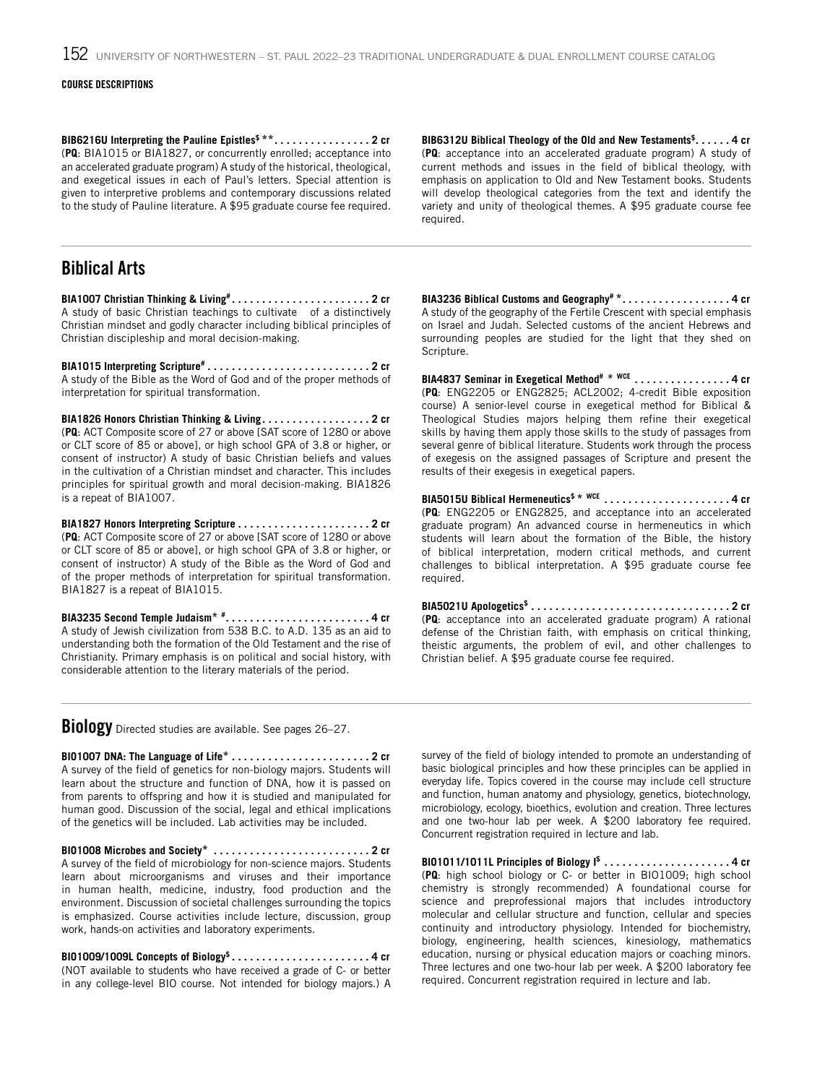**BIB6216U Interpreting the Pauline Epistles<sup>\$</sup> \*\*................2 cr** (**PQ**: BIA1015 or BIA1827, or concurrently enrolled; acceptance into an accelerated graduate program) A study of the historical, theological, and exegetical issues in each of Paul's letters. Special attention is given to interpretive problems and contemporary discussions related to the study of Pauline literature. A \$95 graduate course fee required.

**BIB6312U Biblical Theology of the Old and New Testaments<sup>\$</sup>......4 cr** (**PQ**: acceptance into an accelerated graduate program) A study of current methods and issues in the field of biblical theology, with emphasis on application to Old and New Testament books. Students will develop theological categories from the text and identify the variety and unity of theological themes. A \$95 graduate course fee required.

### Biblical Arts

**BIA1007 Christian Thinking & Living# . 2 cr** A study of basic Christian teachings to cultivate of a distinctively Christian mindset and godly character including biblical principles of Christian discipleship and moral decision-making.

**BIA1015 Interpreting Scripture# . 2 cr** A study of the Bible as the Word of God and of the proper methods of interpretation for spiritual transformation.

**BIA1826 Honors Christian Thinking & Living...................... 2 cr** (**PQ**: ACT Composite score of 27 or above [SAT score of 1280 or above or CLT score of 85 or above], or high school GPA of 3.8 or higher, or consent of instructor) A study of basic Christian beliefs and values in the cultivation of a Christian mindset and character. This includes principles for spiritual growth and moral decision-making. BIA1826 is a repeat of BIA1007.

**BIA1827 Honors Interpreting Scripture........................... 2 cr** (**PQ**: ACT Composite score of 27 or above [SAT score of 1280 or above or CLT score of 85 or above], or high school GPA of 3.8 or higher, or consent of instructor) A study of the Bible as the Word of God and of the proper methods of interpretation for spiritual transformation. BIA1827 is a repeat of BIA1015.

**BIA3235 Second Temple Judaism\* # . 4 cr** A study of Jewish civilization from 538 B.C. to A.D. 135 as an aid to understanding both the formation of the Old Testament and the rise of Christianity. Primary emphasis is on political and social history, with considerable attention to the literary materials of the period.

BIA3236 Biblical Customs and Geography<sup>#</sup>\*...................4 cr A study of the geography of the Fertile Crescent with special emphasis on Israel and Judah. Selected customs of the ancient Hebrews and surrounding peoples are studied for the light that they shed on Scripture.

**BIA4837 Seminar in Exegetical Method**# \* WCE . . . . . . . . . . . . . . 4 cr (**PQ**: ENG2205 or ENG2825; ACL2002; 4-credit Bible exposition course) A senior-level course in exegetical method for Biblical & Theological Studies majors helping them refine their exegetical skills by having them apply those skills to the study of passages from several genre of biblical literature. Students work through the process of exegesis on the assigned passages of Scripture and present the results of their exegesis in exegetical papers.

BIA5015U Biblical Hermeneutics<sup>\$ \* WCE</sup> ......................4 cr (**PQ**: ENG2205 or ENG2825, and acceptance into an accelerated graduate program) An advanced course in hermeneutics in which students will learn about the formation of the Bible, the history of biblical interpretation, modern critical methods, and current challenges to biblical interpretation. A \$95 graduate course fee required.

**BIA5021U Apologetics\$. . 2 cr** (**PQ**: acceptance into an accelerated graduate program) A rational defense of the Christian faith, with emphasis on critical thinking, theistic arguments, the problem of evil, and other challenges to Christian belief. A \$95 graduate course fee required.

### Biology Directed studies are available. See pages 26-27.

**BIO1007 DNA: The Language of Life\*............................. 2 cr** A survey of the field of genetics for non-biology majors. Students will learn about the structure and function of DNA, how it is passed on from parents to offspring and how it is studied and manipulated for human good. Discussion of the social, legal and ethical implications of the genetics will be included. Lab activities may be included.

**BIO1008 Microbes and Society\*. . 2 cr** A survey of the field of microbiology for non-science majors. Students learn about microorganisms and viruses and their importance in human health, medicine, industry, food production and the environment. Discussion of societal challenges surrounding the topics is emphasized. Course activities include lecture, discussion, group work, hands-on activities and laboratory experiments.

**BIO1009/1009L Concepts of Biology\$ . 4 cr** (NOT available to students who have received a grade of C- or better in any college-level BIO course. Not intended for biology majors.) A survey of the field of biology intended to promote an understanding of basic biological principles and how these principles can be applied in everyday life. Topics covered in the course may include cell structure and function, human anatomy and physiology, genetics, biotechnology, microbiology, ecology, bioethics, evolution and creation. Three lectures and one two-hour lab per week. A \$200 laboratory fee required. Concurrent registration required in lecture and lab.

**BIO1011/1011L Principles of Biology I<sup>\$</sup> ......................4 cr** (**PQ**: high school biology or C- or better in BIO1009; high school chemistry is strongly recommended) A foundational course for science and preprofessional majors that includes introductory molecular and cellular structure and function, cellular and species continuity and introductory physiology. Intended for biochemistry, biology, engineering, health sciences, kinesiology, mathematics education, nursing or physical education majors or coaching minors. Three lectures and one two-hour lab per week. A \$200 laboratory fee required. Concurrent registration required in lecture and lab.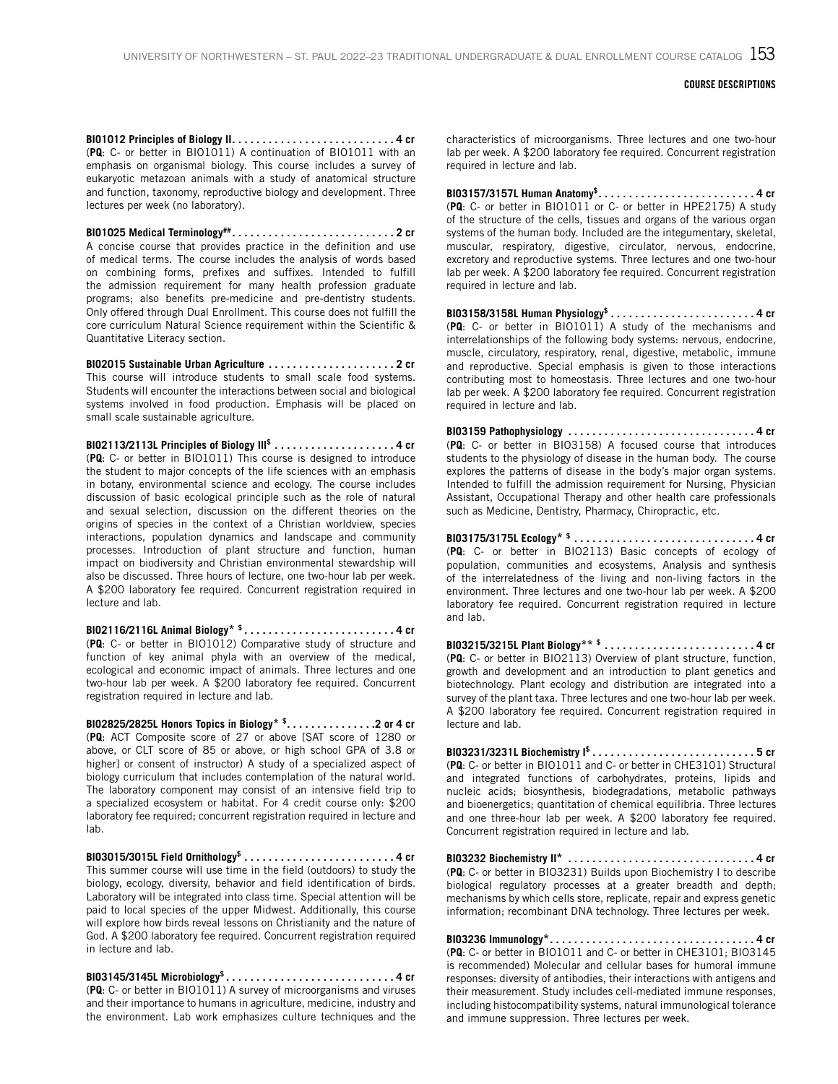**BIO1012 Principles of Biology II. . 4 cr** (**PQ**: C- or better in BIO1011) A continuation of BIO1011 with an emphasis on organismal biology. This course includes a survey of eukaryotic metazoan animals with a study of anatomical structure and function, taxonomy, reproductive biology and development. Three lectures per week (no laboratory).

**BIO1025 Medical Terminology##. . 2 cr** A concise course that provides practice in the definition and use of medical terms. The course includes the analysis of words based on combining forms, prefixes and suffixes. Intended to fulfill the admission requirement for many health profession graduate programs; also benefits pre-medicine and pre-dentistry students. Only offered through Dual Enrollment. This course does not fulfill the core curriculum Natural Science requirement within the Scientific & Quantitative Literacy section.

**BIO2015 Sustainable Urban Agriculture. . 2 cr** This course will introduce students to small scale food systems. Students will encounter the interactions between social and biological systems involved in food production. Emphasis will be placed on small scale sustainable agriculture.

**BIO2113/2113L Principles of Biology III<sup>\$</sup> .....................4 cr** (**PQ**: C- or better in BIO1011) This course is designed to introduce the student to major concepts of the life sciences with an emphasis in botany, environmental science and ecology. The course includes discussion of basic ecological principle such as the role of natural and sexual selection, discussion on the different theories on the origins of species in the context of a Christian worldview, species interactions, population dynamics and landscape and community processes. Introduction of plant structure and function, human impact on biodiversity and Christian environmental stewardship will also be discussed. Three hours of lecture, one two-hour lab per week. A \$200 laboratory fee required. Concurrent registration required in lecture and lab.

**BIO2116/2116L Animal Biology\* \$ . 4 cr** (**PQ**: C- or better in BIO1012) Comparative study of structure and function of key animal phyla with an overview of the medical, ecological and economic impact of animals. Three lectures and one two-hour lab per week. A \$200 laboratory fee required. Concurrent registration required in lecture and lab.

**BIO2825/2825L Honors Topics in Biology\* \$ . .2 or 4 cr** (**PQ**: ACT Composite score of 27 or above [SAT score of 1280 or above, or CLT score of 85 or above, or high school GPA of 3.8 or higher] or consent of instructor) A study of a specialized aspect of biology curriculum that includes contemplation of the natural world. The laboratory component may consist of an intensive field trip to a specialized ecosystem or habitat. For 4 credit course only: \$200 laboratory fee required; concurrent registration required in lecture and lab.

**BIO3015/3015L Field Ornithology\$. . 4 cr** This summer course will use time in the field (outdoors) to study the biology, ecology, diversity, behavior and field identification of birds. Laboratory will be integrated into class time. Special attention will be paid to local species of the upper Midwest. Additionally, this course will explore how birds reveal lessons on Christianity and the nature of God. A \$200 laboratory fee required. Concurrent registration required in lecture and lab.

**BIO3145/3145L Microbiology\$ . 4 cr** (**PQ**: C- or better in BIO1011) A survey of microorganisms and viruses and their importance to humans in agriculture, medicine, industry and the environment. Lab work emphasizes culture techniques and the characteristics of microorganisms. Three lectures and one two-hour lab per week. A \$200 laboratory fee required. Concurrent registration required in lecture and lab.

**BIO3157/3157L Human Anatomy\$ . 4 cr** (**PQ**: C- or better in BIO1011 or C- or better in HPE2175) A study of the structure of the cells, tissues and organs of the various organ systems of the human body. Included are the integumentary, skeletal, muscular, respiratory, digestive, circulator, nervous, endocrine, excretory and reproductive systems. Three lectures and one two-hour lab per week. A \$200 laboratory fee required. Concurrent registration required in lecture and lab.

**BIO3158/3158L Human Physiology\$ . 4 cr** (**PQ**: C- or better in BIO1011) A study of the mechanisms and interrelationships of the following body systems: nervous, endocrine, muscle, circulatory, respiratory, renal, digestive, metabolic, immune and reproductive. Special emphasis is given to those interactions contributing most to homeostasis. Three lectures and one two-hour lab per week. A \$200 laboratory fee required. Concurrent registration required in lecture and lab.

**BIO3159 Pathophysiology. . 4 cr** (**PQ**: C- or better in BIO3158) A focused course that introduces students to the physiology of disease in the human body. The course explores the patterns of disease in the body's major organ systems. Intended to fulfill the admission requirement for Nursing, Physician Assistant, Occupational Therapy and other health care professionals such as Medicine, Dentistry, Pharmacy, Chiropractic, etc.

**BIO3175/3175L Ecology\* \$. . 4 cr** (**PQ**: C- or better in BIO2113) Basic concepts of ecology of population, communities and ecosystems, Analysis and synthesis of the interrelatedness of the living and non-living factors in the environment. Three lectures and one two-hour lab per week. A \$200 laboratory fee required. Concurrent registration required in lecture and lab.

**BIO3215/3215L Plant Biology\*\* \$. . 4 cr** (**PQ**: C- or better in BIO2113) Overview of plant structure, function, growth and development and an introduction to plant genetics and biotechnology. Plant ecology and distribution are integrated into a survey of the plant taxa. Three lectures and one two-hour lab per week. A \$200 laboratory fee required. Concurrent registration required in lecture and lab.

**BIO3231/3231L Biochemistry I\$ . 5 cr** (**PQ**: C- or better in BIO1011 and C- or better in CHE3101) Structural and integrated functions of carbohydrates, proteins, lipids and nucleic acids; biosynthesis, biodegradations, metabolic pathways and bioenergetics; quantitation of chemical equilibria. Three lectures and one three-hour lab per week. A \$200 laboratory fee required. Concurrent registration required in lecture and lab.

**BIO3232 Biochemistry II\*. . 4 cr** (**PQ**: C- or better in BIO3231) Builds upon Biochemistry I to describe biological regulatory processes at a greater breadth and depth; mechanisms by which cells store, replicate, repair and express genetic information; recombinant DNA technology. Three lectures per week.

**BIO3236 Immunology\*. . 4 cr** (**PQ**: C- or better in BIO1011 and C- or better in CHE3101; BIO3145 is recommended) Molecular and cellular bases for humoral immune responses: diversity of antibodies, their interactions with antigens and their measurement. Study includes cell-mediated immune responses, including histocompatibility systems, natural immunological tolerance and immune suppression. Three lectures per week.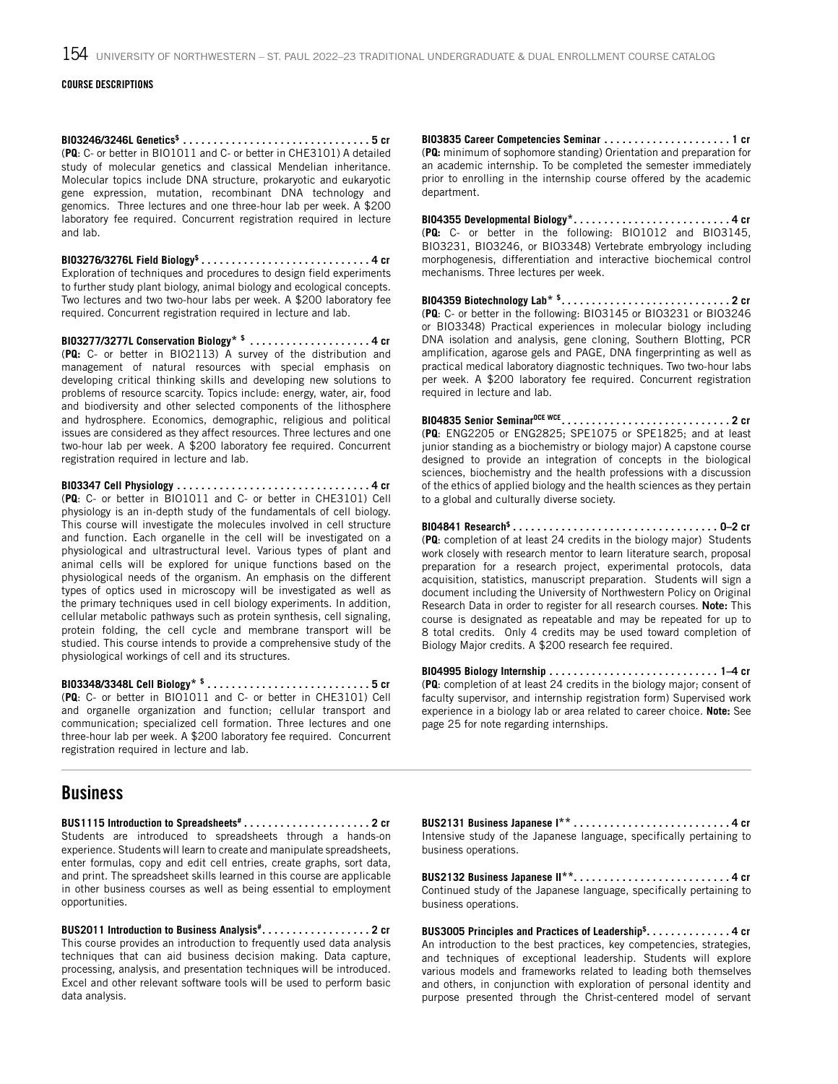**BIO3246/3246L Genetics\$. . 5 cr** (**PQ**: C- or better in BIO1011 and C- or better in CHE3101) A detailed study of molecular genetics and classical Mendelian inheritance. Molecular topics include DNA structure, prokaryotic and eukaryotic gene expression, mutation, recombinant DNA technology and genomics. Three lectures and one three-hour lab per week. A \$200 laboratory fee required. Concurrent registration required in lecture and lab.

**BIO3276/3276L Field Biology\$ . 4 cr** Exploration of techniques and procedures to design field experiments to further study plant biology, animal biology and ecological concepts. Two lectures and two two-hour labs per week. A \$200 laboratory fee required. Concurrent registration required in lecture and lab.

**BIO3277/3277L Conservation Biology**\* \$ ......................4 cr (**PQ**: C- or better in BIO2113) A survey of the distribution and management of natural resources with special emphasis on developing critical thinking skills and developing new solutions to problems of resource scarcity. Topics include: energy, water, air, food and biodiversity and other selected components of the lithosphere and hydrosphere. Economics, demographic, religious and political issues are considered as they affect resources. Three lectures and one two-hour lab per week. A \$200 laboratory fee required. Concurrent registration required in lecture and lab.

**BIO3347 Cell Physiology. . 4 cr** (**PQ**: C- or better in BIO1011 and C- or better in CHE3101) Cell physiology is an in-depth study of the fundamentals of cell biology. This course will investigate the molecules involved in cell structure and function. Each organelle in the cell will be investigated on a physiological and ultrastructural level. Various types of plant and animal cells will be explored for unique functions based on the physiological needs of the organism. An emphasis on the different types of optics used in microscopy will be investigated as well as the primary techniques used in cell biology experiments. In addition, cellular metabolic pathways such as protein synthesis, cell signaling, protein folding, the cell cycle and membrane transport will be studied. This course intends to provide a comprehensive study of the physiological workings of cell and its structures.

**BIO3348/3348L Cell Biology\* \$. . 5 cr** (**PQ**: C- or better in BIO1011 and C- or better in CHE3101) Cell and organelle organization and function; cellular transport and communication; specialized cell formation. Three lectures and one three-hour lab per week. A \$200 laboratory fee required. Concurrent registration required in lecture and lab.

**BIO3835 Career Competencies Seminar. . 1 cr** (**PQ:** minimum of sophomore standing) Orientation and preparation for an academic internship. To be completed the semester immediately prior to enrolling in the internship course offered by the academic department.

BI04355 Developmental Biology\*............................4 cr (**PQ:** C- or better in the following: BIO1012 and BIO3145, BIO3231, BIO3246, or BIO3348) Vertebrate embryology including morphogenesis, differentiation and interactive biochemical control mechanisms. Three lectures per week.

**BIO4359 Biotechnology Lab\* \$ . 2 cr** (**PQ**: C- or better in the following: BIO3145 or BIO3231 or BIO3246 or BIO3348) Practical experiences in molecular biology including DNA isolation and analysis, gene cloning, Southern Blotting, PCR amplification, agarose gels and PAGE, DNA fingerprinting as well as practical medical laboratory diagnostic techniques. Two two-hour labs per week. A \$200 laboratory fee required. Concurrent registration required in lecture and lab.

**BIO4835 Senior SeminarOCE WCE. . 2 cr** (**PQ**: ENG2205 or ENG2825; SPE1075 or SPE1825; and at least junior standing as a biochemistry or biology major) A capstone course designed to provide an integration of concepts in the biological sciences, biochemistry and the health professions with a discussion of the ethics of applied biology and the health sciences as they pertain to a global and culturally diverse society.

**BIO4841 Research\$ . . 0–2 cr** (**PQ**: completion of at least 24 credits in the biology major) Students work closely with research mentor to learn literature search, proposal preparation for a research project, experimental protocols, data acquisition, statistics, manuscript preparation. Students will sign a document including the University of Northwestern Policy on Original Research Data in order to register for all research courses. Note: This course is designated as repeatable and may be repeated for up to 8 total credits. Only 4 credits may be used toward completion of Biology Major credits. A \$200 research fee required.

**BIO4995 Biology Internship. . . 1–4 cr** (**PQ**: completion of at least 24 credits in the biology major; consent of faculty supervisor, and internship registration form) Supervised work experience in a biology lab or area related to career choice. **Note:** See page 25 for note regarding internships.

### **Business**

**BUS1115 Introduction to Spreadsheets# . 2 cr** Students are introduced to spreadsheets through a hands-on experience. Students will learn to create and manipulate spreadsheets, enter formulas, copy and edit cell entries, create graphs, sort data, and print. The spreadsheet skills learned in this course are applicable in other business courses as well as being essential to employment opportunities.

**BUS2011 Introduction to Business Analysis# . 2 cr** This course provides an introduction to frequently used data analysis techniques that can aid business decision making. Data capture, processing, analysis, and presentation techniques will be introduced. Excel and other relevant software tools will be used to perform basic data analysis.

**BUS2131 Business Japanese I\*\*.............................4 cr** Intensive study of the Japanese language, specifically pertaining to business operations.

**BUS2132 Business Japanese II\*\*. . . . . . . . . . . . . . . . . . . . . . . . . . 4 cr** Continued study of the Japanese language, specifically pertaining to business operations.

BUS3005 Principles and Practices of Leadership<sup>\$</sup>. . . . . . . . . . . . . 4 cr An introduction to the best practices, key competencies, strategies, and techniques of exceptional leadership. Students will explore various models and frameworks related to leading both themselves and others, in conjunction with exploration of personal identity and purpose presented through the Christ-centered model of servant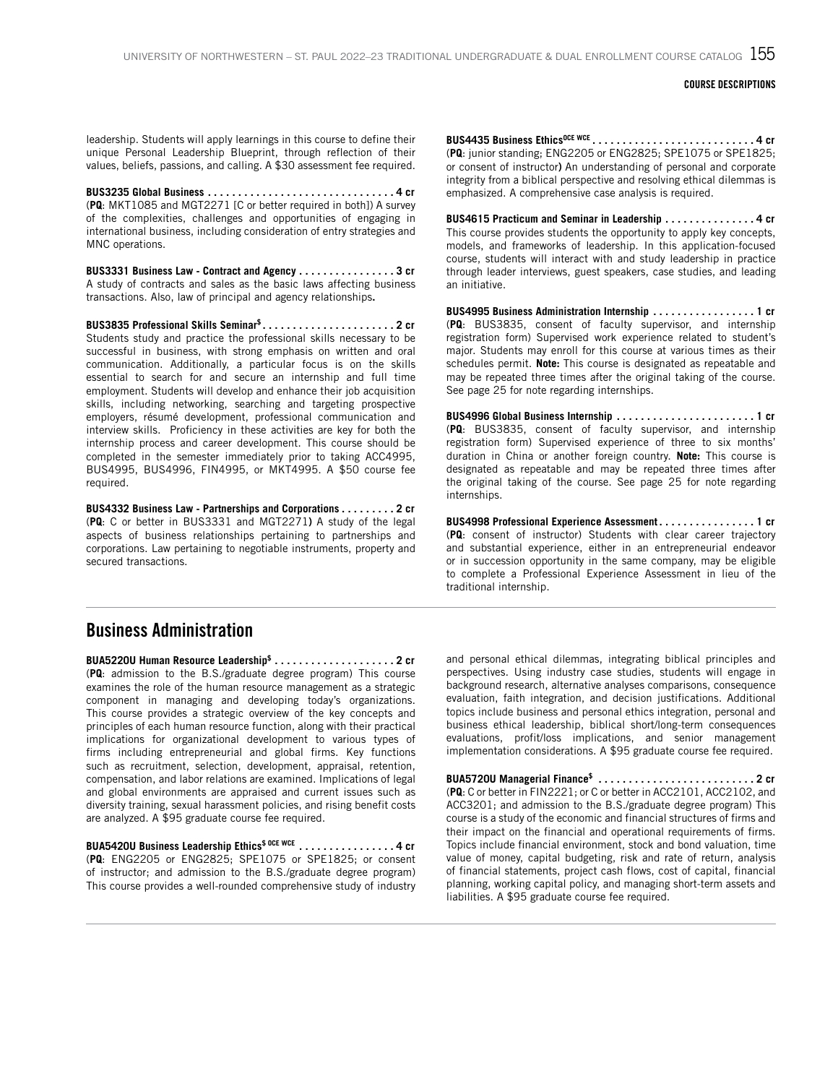leadership. Students will apply learnings in this course to define their unique Personal Leadership Blueprint, through reflection of their values, beliefs, passions, and calling. A \$30 assessment fee required.

**BUS3235 Global Business. . 4 cr** (**PQ**: MKT1085 and MGT2271 [C or better required in both]) A survey of the complexities, challenges and opportunities of engaging in international business, including consideration of entry strategies and MNC operations.

BUS3331 Business Law - Contract and Agency . . . . . . . . . . . . . . . 3 cr A study of contracts and sales as the basic laws affecting business transactions. Also, law of principal and agency relationships**.**

**BUS3835 Professional Skills Seminar\$ . 2 cr** Students study and practice the professional skills necessary to be successful in business, with strong emphasis on written and oral communication. Additionally, a particular focus is on the skills essential to search for and secure an internship and full time employment. Students will develop and enhance their job acquisition skills, including networking, searching and targeting prospective employers, résumé development, professional communication and interview skills. Proficiency in these activities are key for both the internship process and career development. This course should be completed in the semester immediately prior to taking ACC4995, BUS4995, BUS4996, FIN4995, or MKT4995. A \$50 course fee required.

**BUS4332 Business Law - Partnerships and Corporations . . . . . . . . . 2 cr** (**PQ**: C or better in BUS3331 and MGT2271**)** A study of the legal aspects of business relationships pertaining to partnerships and corporations. Law pertaining to negotiable instruments, property and secured transactions.

BUS4435 Business Ethics<sup>oce WCE</sup>............................4 cr (**PQ**: junior standing; ENG2205 or ENG2825; SPE1075 or SPE1825; or consent of instructor**)** An understanding of personal and corporate integrity from a biblical perspective and resolving ethical dilemmas is emphasized. A comprehensive case analysis is required.

**BUS4615 Practicum and Seminar in Leadership ............... 4 cr** This course provides students the opportunity to apply key concepts, models, and frameworks of leadership. In this application-focused course, students will interact with and study leadership in practice through leader interviews, guest speakers, case studies, and leading an initiative.

**BUS4995 Business Administration Internship .................. 1 cr** (**PQ**: BUS3835, consent of faculty supervisor, and internship registration form) Supervised work experience related to student's major. Students may enroll for this course at various times as their schedules permit. **Note:** This course is designated as repeatable and may be repeated three times after the original taking of the course. See page 25 for note regarding internships.

**BUS4996 Global Business Internship. . 1 cr** (**PQ**: BUS3835, consent of faculty supervisor, and internship registration form) Supervised experience of three to six months' duration in China or another foreign country. **Note:** This course is designated as repeatable and may be repeated three times after the original taking of the course. See page 25 for note regarding internships.

BUS4998 Professional Experience Assessment.................1 cr (**PQ**: consent of instructor) Students with clear career trajectory and substantial experience, either in an entrepreneurial endeavor or in succession opportunity in the same company, may be eligible to complete a Professional Experience Assessment in lieu of the traditional internship.

### Business Administration

**BUA5220U Human Resource Leadership<sup>\$</sup>............................2 cr** (**PQ**: admission to the B.S./graduate degree program) This course examines the role of the human resource management as a strategic component in managing and developing today's organizations. This course provides a strategic overview of the key concepts and principles of each human resource function, along with their practical implications for organizational development to various types of firms including entrepreneurial and global firms. Key functions such as recruitment, selection, development, appraisal, retention, compensation, and labor relations are examined. Implications of legal and global environments are appraised and current issues such as diversity training, sexual harassment policies, and rising benefit costs are analyzed. A \$95 graduate course fee required.

BUA5420U Business Leadership Ethics<sup>\$ OCE WCE</sup> . . . . . . . . . . . . . . . 4 cr (**PQ**: ENG2205 or ENG2825; SPE1075 or SPE1825; or consent of instructor; and admission to the B.S./graduate degree program) This course provides a well-rounded comprehensive study of industry and personal ethical dilemmas, integrating biblical principles and perspectives. Using industry case studies, students will engage in background research, alternative analyses comparisons, consequence evaluation, faith integration, and decision justifications. Additional topics include business and personal ethics integration, personal and business ethical leadership, biblical short/long-term consequences evaluations, profit/loss implications, and senior management implementation considerations. A \$95 graduate course fee required.

**BUA5720U Managerial Finance\$. . 2 cr** (**PQ**: C or better in FIN2221; or C or better in ACC2101, ACC2102, and ACC3201; and admission to the B.S./graduate degree program) This course is a study of the economic and financial structures of firms and their impact on the financial and operational requirements of firms. Topics include financial environment, stock and bond valuation, time value of money, capital budgeting, risk and rate of return, analysis of financial statements, project cash flows, cost of capital, financial planning, working capital policy, and managing short-term assets and liabilities. A \$95 graduate course fee required.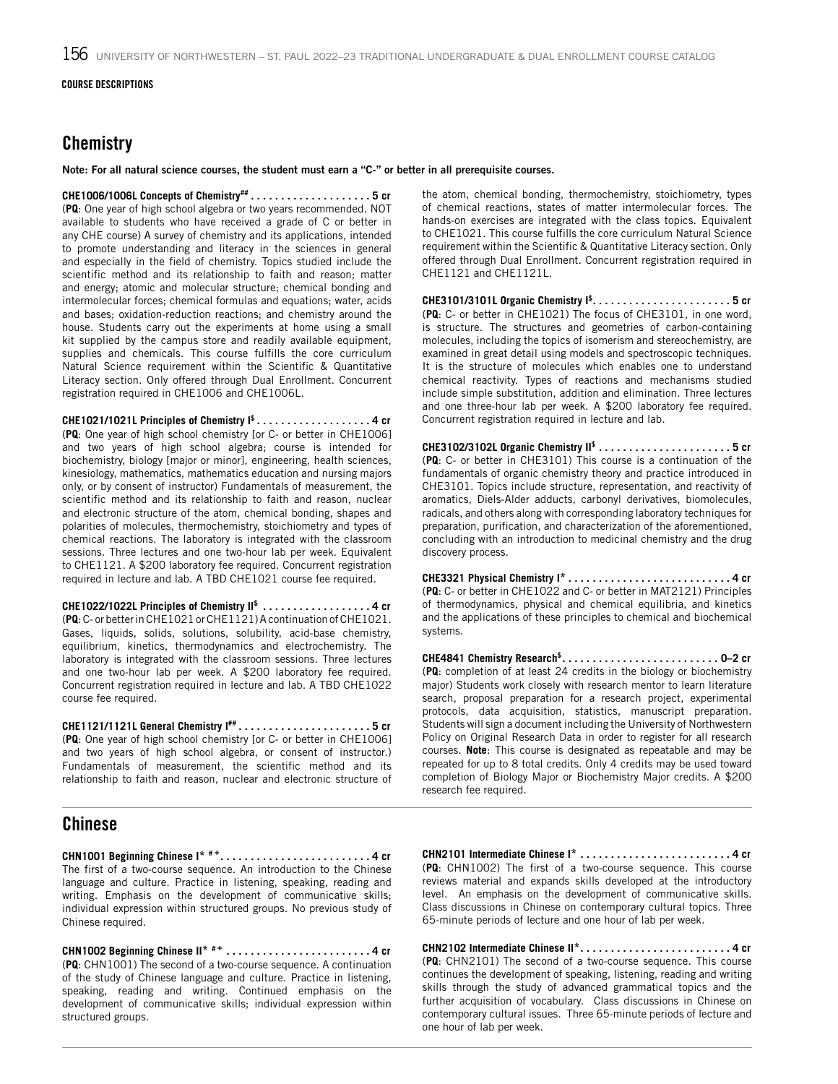### **Chemistry**

Note: For all natural science courses, the student must earn a "C-" or better in all prerequisite courses.

**CHE1006/1006L Concepts of Chemistry##. . 5 cr** (**PQ**: One year of high school algebra or two years recommended. NOT available to students who have received a grade of C or better in any CHE course) A survey of chemistry and its applications, intended to promote understanding and literacy in the sciences in general and especially in the field of chemistry. Topics studied include the scientific method and its relationship to faith and reason; matter and energy; atomic and molecular structure; chemical bonding and intermolecular forces; chemical formulas and equations; water, acids and bases; oxidation-reduction reactions; and chemistry around the house. Students carry out the experiments at home using a small kit supplied by the campus store and readily available equipment, supplies and chemicals. This course fulfills the core curriculum Natural Science requirement within the Scientific & Quantitative Literacy section. Only offered through Dual Enrollment. Concurrent registration required in CHE1006 and CHE1006L.

**CHE1021/1021L Principles of Chemistry I\$ . 4 cr** (**PQ**: One year of high school chemistry [or C- or better in CHE1006] and two years of high school algebra; course is intended for biochemistry, biology [major or minor], engineering, health sciences, kinesiology, mathematics, mathematics education and nursing majors only, or by consent of instructor) Fundamentals of measurement, the scientific method and its relationship to faith and reason, nuclear and electronic structure of the atom, chemical bonding, shapes and polarities of molecules, thermochemistry, stoichiometry and types of chemical reactions. The laboratory is integrated with the classroom sessions. Three lectures and one two-hour lab per week. Equivalent to CHE1121. A \$200 laboratory fee required. Concurrent registration required in lecture and lab. A TBD CHE1021 course fee required.

**CHE1022/1022L Principles of Chemistry II<sup>\$</sup> ...................4 cr** (**PQ**: C- or better in CHE1021 or CHE1121)A continuation of CHE1021. Gases, liquids, solids, solutions, solubility, acid-base chemistry, equilibrium, kinetics, thermodynamics and electrochemistry. The laboratory is integrated with the classroom sessions. Three lectures and one two-hour lab per week. A \$200 laboratory fee required. Concurrent registration required in lecture and lab. A TBD CHE1022 course fee required.

**CHE1121/1121L General Chemistry I##. . 5 cr** (**PQ**: One year of high school chemistry [or C- or better in CHE1006] and two years of high school algebra, or consent of instructor.) Fundamentals of measurement, the scientific method and its relationship to faith and reason, nuclear and electronic structure of

### Chinese

**CHN1001 Beginning Chinese I\* # +.............................4 cr** The first of a two-course sequence. An introduction to the Chinese language and culture. Practice in listening, speaking, reading and writing. Emphasis on the development of communicative skills; individual expression within structured groups. No previous study of Chinese required.

**CHN1002 Beginning Chinese II\* # +. . 4 cr** (**PQ**: CHN1001) The second of a two-course sequence. A continuation of the study of Chinese language and culture. Practice in listening, speaking, reading and writing. Continued emphasis on the development of communicative skills; individual expression within structured groups.

the atom, chemical bonding, thermochemistry, stoichiometry, types of chemical reactions, states of matter intermolecular forces. The hands-on exercises are integrated with the class topics. Equivalent to CHE1021. This course fulfills the core curriculum Natural Science requirement within the Scientific & Quantitative Literacy section. Only offered through Dual Enrollment. Concurrent registration required in CHE1121 and CHE1121L.

**CHE3101/3101L Organic Chemistry I\$ . 5 cr** (**PQ**: C- or better in CHE1021) The focus of CHE3101, in one word, is structure. The structures and geometries of carbon-containing molecules, including the topics of isomerism and stereochemistry, are examined in great detail using models and spectroscopic techniques. It is the structure of molecules which enables one to understand chemical reactivity. Types of reactions and mechanisms studied include simple substitution, addition and elimination. Three lectures and one three-hour lab per week. A \$200 laboratory fee required. Concurrent registration required in lecture and lab.

**CHE3102/3102L Organic Chemistry II<sup>\$</sup> .........................5 cr** (**PQ**: C- or better in CHE3101) This course is a continuation of the fundamentals of organic chemistry theory and practice introduced in CHE3101. Topics include structure, representation, and reactivity of aromatics, Diels-Alder adducts, carbonyl derivatives, biomolecules, radicals, and others along with corresponding laboratory techniques for preparation, purification, and characterization of the aforementioned, concluding with an introduction to medicinal chemistry and the drug discovery process.

**CHE3321 Physical Chemistry I\*..............................4 cr** (**PQ**: C- or better in CHE1022 and C- or better in MAT2121) Principles of thermodynamics, physical and chemical equilibria, and kinetics and the applications of these principles to chemical and biochemical systems.

**CHE4841 Chemistry Research\$ . . 0–2 cr** (**PQ**: completion of at least 24 credits in the biology or biochemistry major) Students work closely with research mentor to learn literature search, proposal preparation for a research project, experimental protocols, data acquisition, statistics, manuscript preparation. Students will sign a document including the University of Northwestern Policy on Original Research Data in order to register for all research courses. **Note**: This course is designated as repeatable and may be repeated for up to 8 total credits. Only 4 credits may be used toward completion of Biology Major or Biochemistry Major credits. A \$200 research fee required.

**CHN2101 Intermediate Chinese I\*. . 4 cr** (**PQ**: CHN1002) The first of a two-course sequence. This course reviews material and expands skills developed at the introductory level. An emphasis on the development of communicative skills. Class discussions in Chinese on contemporary cultural topics. Three 65-minute periods of lecture and one hour of lab per week.

CHN2102 Intermediate Chinese II\*...............................4 cr (**PQ**: CHN2101) The second of a two-course sequence. This course continues the development of speaking, listening, reading and writing skills through the study of advanced grammatical topics and the further acquisition of vocabulary. Class discussions in Chinese on contemporary cultural issues. Three 65-minute periods of lecture and one hour of lab per week.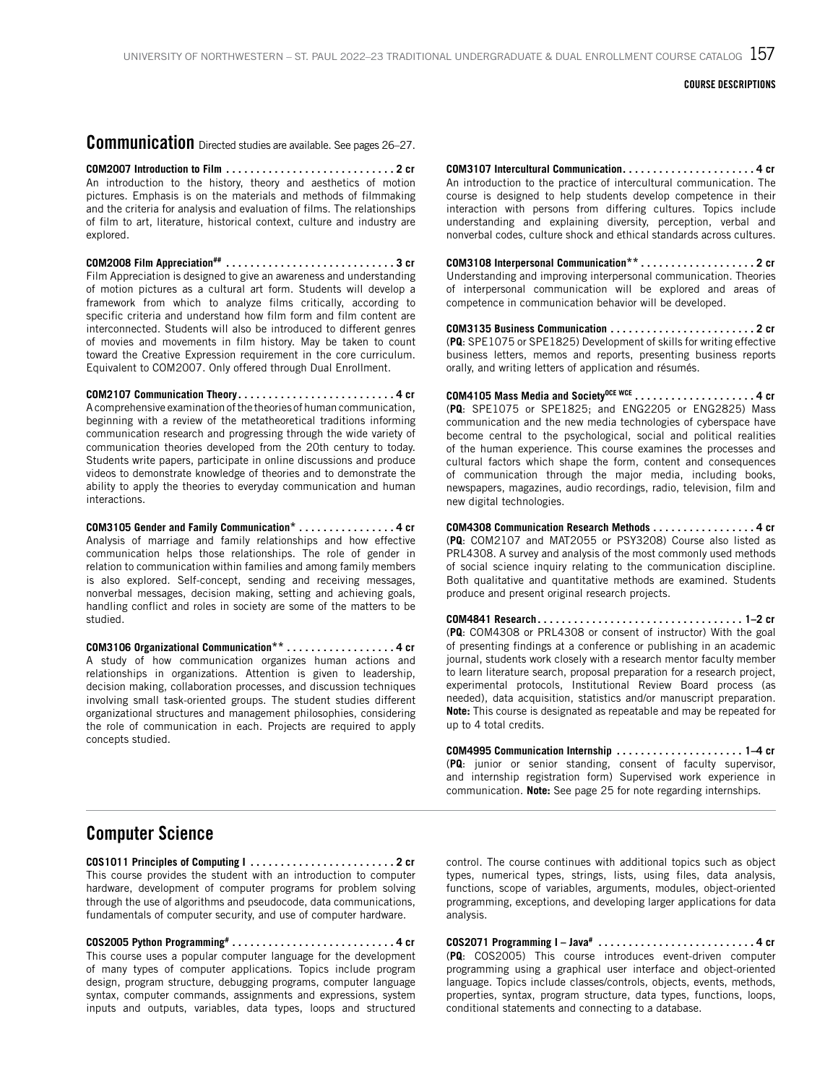### Communication Directed studies are available. See pages 26-27.

**COM2007 Introduction to Film. . 2 cr** An introduction to the history, theory and aesthetics of motion pictures. Emphasis is on the materials and methods of filmmaking and the criteria for analysis and evaluation of films. The relationships of film to art, literature, historical context, culture and industry are explored.

**COM2008 Film Appreciation##. . 3 cr** Film Appreciation is designed to give an awareness and understanding of motion pictures as a cultural art form. Students will develop a framework from which to analyze films critically, according to specific criteria and understand how film form and film content are interconnected. Students will also be introduced to different genres of movies and movements in film history. May be taken to count toward the Creative Expression requirement in the core curriculum. Equivalent to COM2007. Only offered through Dual Enrollment.

**COM2107 Communication Theory...............................4 cr** A comprehensive examination of the theories of human communication, beginning with a review of the metatheoretical traditions informing communication research and progressing through the wide variety of communication theories developed from the 20th century to today. Students write papers, participate in online discussions and produce videos to demonstrate knowledge of theories and to demonstrate the ability to apply the theories to everyday communication and human interactions.

COM3105 Gender and Family Communication<sup>\*</sup> . . . . . . . . . . . . . . 4 cr Analysis of marriage and family relationships and how effective communication helps those relationships. The role of gender in relation to communication within families and among family members is also explored. Self-concept, sending and receiving messages, nonverbal messages, decision making, setting and achieving goals, handling conflict and roles in society are some of the matters to be studied.

COM3106 Organizational Communication<sup>\*\*</sup>..................4 cr A study of how communication organizes human actions and relationships in organizations. Attention is given to leadership, decision making, collaboration processes, and discussion techniques involving small task-oriented groups. The student studies different organizational structures and management philosophies, considering the role of communication in each. Projects are required to apply concepts studied.

**COM3107 Intercultural Communication. . 4 cr** An introduction to the practice of intercultural communication. The course is designed to help students develop competence in their interaction with persons from differing cultures. Topics include understanding and explaining diversity, perception, verbal and nonverbal codes, culture shock and ethical standards across cultures.

COM3108 Interpersonal Communication<sup>\*\*</sup>..................2 cr Understanding and improving interpersonal communication. Theories of interpersonal communication will be explored and areas of competence in communication behavior will be developed.

**COM3135 Business Communication. . 2 cr** (**PQ**: SPE1075 or SPE1825) Development of skills for writing effective business letters, memos and reports, presenting business reports orally, and writing letters of application and résumés.

COM4105 Mass Media and Society<sup>oce WCE</sup> .....................4 cr (**PQ**: SPE1075 or SPE1825; and ENG2205 or ENG2825) Mass communication and the new media technologies of cyberspace have become central to the psychological, social and political realities of the human experience. This course examines the processes and cultural factors which shape the form, content and consequences of communication through the major media, including books, newspapers, magazines, audio recordings, radio, television, film and new digital technologies.

**COM4308 Communication Research Methods . . . . . . . . . . . . . . . . 4 cr** (**PQ**: COM2107 and MAT2055 or PSY3208) Course also listed as PRL4308. A survey and analysis of the most commonly used methods of social science inquiry relating to the communication discipline. Both qualitative and quantitative methods are examined. Students produce and present original research projects.

**COM4841 Research. . . 1–2 cr** (**PQ**: COM4308 or PRL4308 or consent of instructor) With the goal of presenting findings at a conference or publishing in an academic journal, students work closely with a research mentor faculty member to learn literature search, proposal preparation for a research project, experimental protocols, Institutional Review Board process (as needed), data acquisition, statistics and/or manuscript preparation. **Note:** This course is designated as repeatable and may be repeated for up to 4 total credits.

**COM4995 Communication Internship. . . 1–4 cr** (**PQ**: junior or senior standing, consent of faculty supervisor, and internship registration form) Supervised work experience in communication. **Note:** See page 25 for note regarding internships.

### Computer Science

**COS1011 Principles of Computing I. . 2 cr** This course provides the student with an introduction to computer hardware, development of computer programs for problem solving through the use of algorithms and pseudocode, data communications, fundamentals of computer security, and use of computer hardware.

**COS2005 Python Programming#. . 4 cr** This course uses a popular computer language for the development of many types of computer applications. Topics include program design, program structure, debugging programs, computer language syntax, computer commands, assignments and expressions, system inputs and outputs, variables, data types, loops and structured

control. The course continues with additional topics such as object types, numerical types, strings, lists, using files, data analysis, functions, scope of variables, arguments, modules, object-oriented programming, exceptions, and developing larger applications for data analysis.

**COS2071 Programming I – Java#. . 4 cr** (**PQ**: COS2005) This course introduces event-driven computer programming using a graphical user interface and object-oriented language. Topics include classes/controls, objects, events, methods, properties, syntax, program structure, data types, functions, loops, conditional statements and connecting to a database.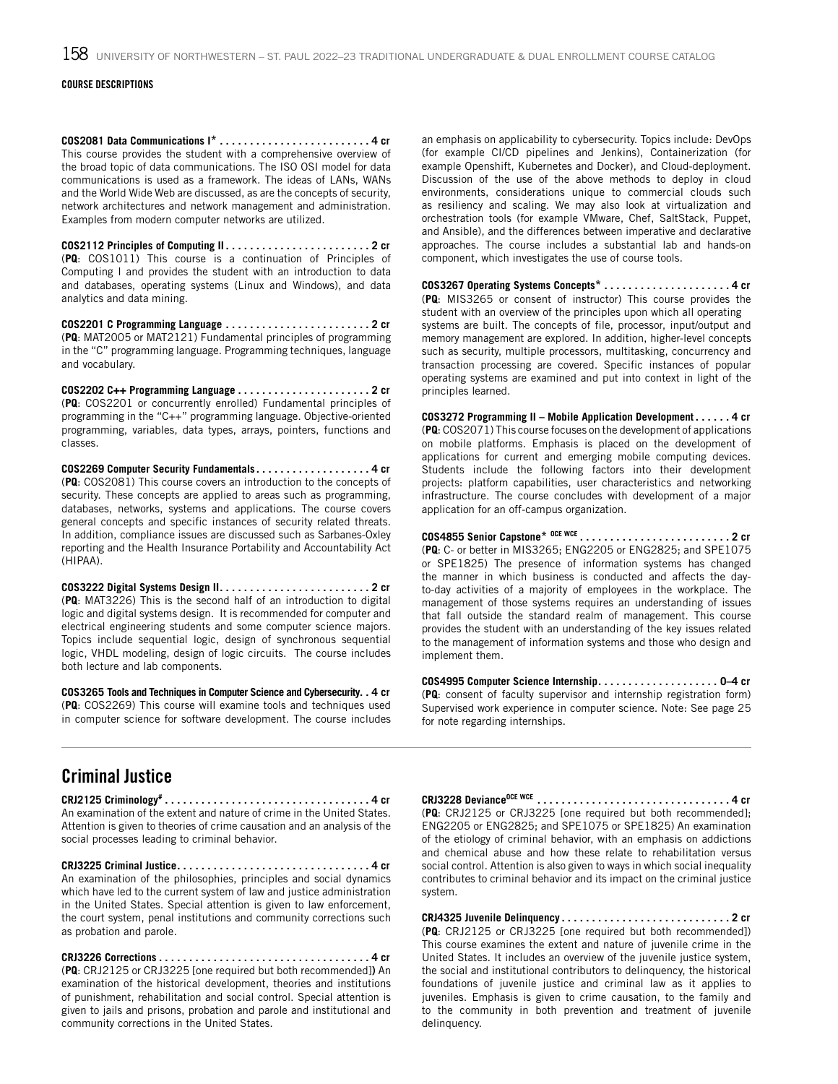**COS2081 Data Communications I\*.............................4 cr** This course provides the student with a comprehensive overview of the broad topic of data communications. The ISO OSI model for data communications is used as a framework. The ideas of LANs, WANs and the World Wide Web are discussed, as are the concepts of security, network architectures and network management and administration. Examples from modern computer networks are utilized.

**COS2112 Principles of Computing II. . 2 cr** (**PQ**: COS1011) This course is a continuation of Principles of Computing I and provides the student with an introduction to data and databases, operating systems (Linux and Windows), and data analytics and data mining.

**COS2201 C Programming Language. . 2 cr** (**PQ**: MAT2005 or MAT2121) Fundamental principles of programming in the "C" programming language. Programming techniques, language and vocabulary.

**COS2202 C++ Programming Language. . 2 cr** (**PQ**: COS2201 or concurrently enrolled) Fundamental principles of programming in the "C++" programming language. Objective-oriented programming, variables, data types, arrays, pointers, functions and classes.

**COS2269 Computer Security Fundamentals....................4 cr** (**PQ**: COS2081) This course covers an introduction to the concepts of security. These concepts are applied to areas such as programming, databases, networks, systems and applications. The course covers general concepts and specific instances of security related threats. In addition, compliance issues are discussed such as Sarbanes-Oxley reporting and the Health Insurance Portability and Accountability Act (HIPAA).

**COS3222 Digital Systems Design II. . 2 cr** (**PQ**: MAT3226) This is the second half of an introduction to digital logic and digital systems design. It is recommended for computer and electrical engineering students and some computer science majors. Topics include sequential logic, design of synchronous sequential logic, VHDL modeling, design of logic circuits. The course includes both lecture and lab components.

**COS3265 Tools and Techniques in Computer Science and Cybersecurity. . 4 cr** (**PQ**: COS2269) This course will examine tools and techniques used in computer science for software development. The course includes an emphasis on applicability to cybersecurity. Topics include: DevOps (for example CI/CD pipelines and Jenkins), Containerization (for example Openshift, Kubernetes and Docker), and Cloud-deployment. Discussion of the use of the above methods to deploy in cloud environments, considerations unique to commercial clouds such as resiliency and scaling. We may also look at virtualization and orchestration tools (for example VMware, Chef, SaltStack, Puppet, and Ansible), and the differences between imperative and declarative approaches. The course includes a substantial lab and hands-on component, which investigates the use of course tools.

COS3267 Operating Systems Concepts<sup>\*</sup>....................4 cr (**PQ**: MIS3265 or consent of instructor) This course provides the student with an overview of the principles upon which all operating systems are built. The concepts of file, processor, input/output and memory management are explored. In addition, higher-level concepts such as security, multiple processors, multitasking, concurrency and transaction processing are covered. Specific instances of popular operating systems are examined and put into context in light of the principles learned.

**COS3272 Programming II - Mobile Application Development...... 4 cr** (**PQ**: COS2071) This course focuses on the development of applications on mobile platforms. Emphasis is placed on the development of applications for current and emerging mobile computing devices. Students include the following factors into their development projects: platform capabilities, user characteristics and networking infrastructure. The course concludes with development of a major application for an off-campus organization.

**COS4855 Senior Capstone\* OCE WCE. . 2 cr**  (**PQ**: C- or better in MIS3265; ENG2205 or ENG2825; and SPE1075 or SPE1825) The presence of information systems has changed the manner in which business is conducted and affects the dayto-day activities of a majority of employees in the workplace. The management of those systems requires an understanding of issues that fall outside the standard realm of management. This course provides the student with an understanding of the key issues related to the management of information systems and those who design and implement them.

**COS4995 Computer Science Internship. . . 0–4 cr**  (**PQ**: consent of faculty supervisor and internship registration form) Supervised work experience in computer science. Note: See page 25 for note regarding internships.

### Criminal Justice

**CRJ2125 Criminology# . 4 cr** An examination of the extent and nature of crime in the United States. Attention is given to theories of crime causation and an analysis of the social processes leading to criminal behavior.

**CRJ3225 Criminal Justice. . 4 cr** An examination of the philosophies, principles and social dynamics which have led to the current system of law and justice administration in the United States. Special attention is given to law enforcement, the court system, penal institutions and community corrections such as probation and parole.

**CRJ3226 Corrections. . 4 cr** (**PQ**: CRJ2125 or CRJ3225 [one required but both recommended]**)** An examination of the historical development, theories and institutions of punishment, rehabilitation and social control. Special attention is given to jails and prisons, probation and parole and institutional and community corrections in the United States.

**CRJ3228 DevianceOCE WCE. . 4 cr**  (**PQ**: CRJ2125 or CRJ3225 [one required but both recommended]; ENG2205 or ENG2825; and SPE1075 or SPE1825) An examination of the etiology of criminal behavior, with an emphasis on addictions and chemical abuse and how these relate to rehabilitation versus social control. Attention is also given to ways in which social inequality contributes to criminal behavior and its impact on the criminal justice system.

**CRJ4325 Juvenile Delinquency. . 2 cr** (**PQ**: CRJ2125 or CRJ3225 [one required but both recommended]) This course examines the extent and nature of juvenile crime in the United States. It includes an overview of the juvenile justice system, the social and institutional contributors to delinquency, the historical foundations of juvenile justice and criminal law as it applies to juveniles. Emphasis is given to crime causation, to the family and to the community in both prevention and treatment of juvenile delinquency.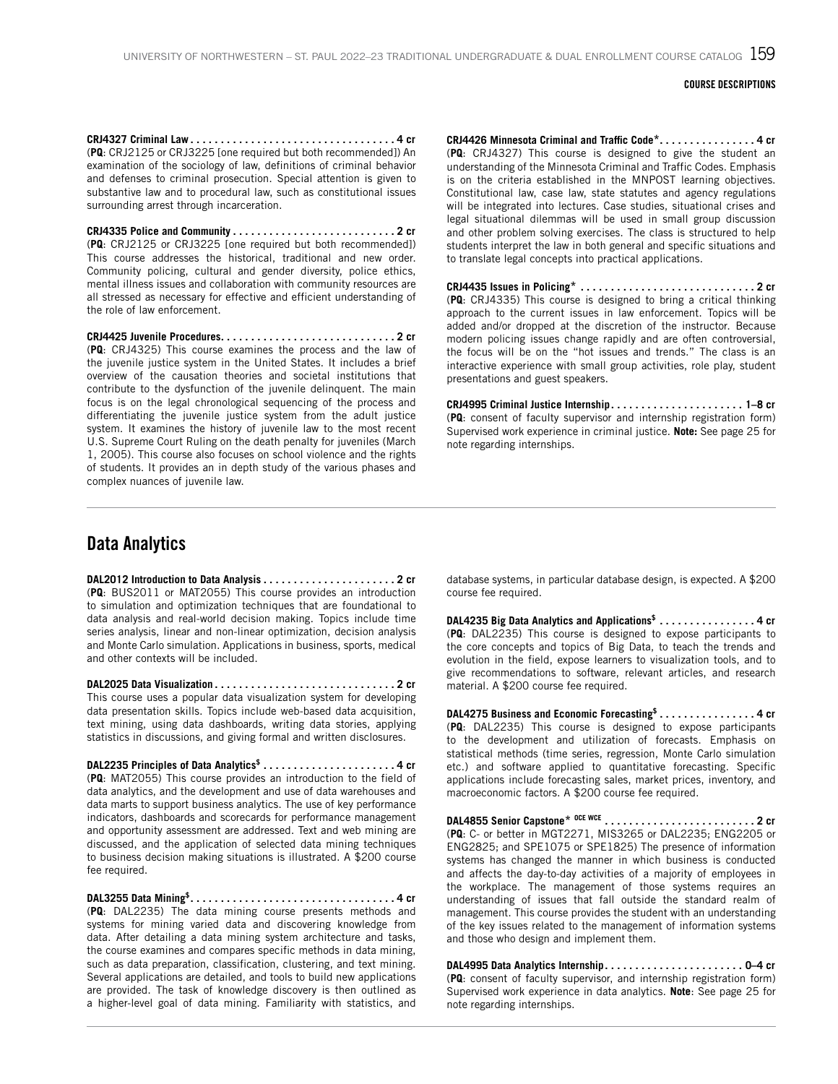**CRJ4327 Criminal Law. . 4 cr** (**PQ**: CRJ2125 or CRJ3225 [one required but both recommended]) An examination of the sociology of law, definitions of criminal behavior and defenses to criminal prosecution. Special attention is given to substantive law and to procedural law, such as constitutional issues surrounding arrest through incarceration.

**CRJ4335 Police and Community. . 2 cr**

(**PQ**: CRJ2125 or CRJ3225 [one required but both recommended]) This course addresses the historical, traditional and new order. Community policing, cultural and gender diversity, police ethics, mental illness issues and collaboration with community resources are all stressed as necessary for effective and efficient understanding of the role of law enforcement.

**CRJ4425 Juvenile Procedures. . 2 cr** (**PQ**: CRJ4325) This course examines the process and the law of the juvenile justice system in the United States. It includes a brief overview of the causation theories and societal institutions that contribute to the dysfunction of the juvenile delinquent. The main focus is on the legal chronological sequencing of the process and differentiating the juvenile justice system from the adult justice system. It examines the history of juvenile law to the most recent U.S. Supreme Court Ruling on the death penalty for juveniles (March 1, 2005). This course also focuses on school violence and the rights of students. It provides an in depth study of the various phases and complex nuances of juvenile law.

**CRJ4426 Minnesota Criminal and Traffic Code\*................4 cr** (**PQ**: CRJ4327) This course is designed to give the student an understanding of the Minnesota Criminal and Traffic Codes. Emphasis is on the criteria established in the MNPOST learning objectives. Constitutional law, case law, state statutes and agency regulations will be integrated into lectures. Case studies, situational crises and legal situational dilemmas will be used in small group discussion and other problem solving exercises. The class is structured to help students interpret the law in both general and specific situations and to translate legal concepts into practical applications.

**CRJ4435 Issues in Policing\*. . 2 cr** (**PQ**: CRJ4335) This course is designed to bring a critical thinking approach to the current issues in law enforcement. Topics will be added and/or dropped at the discretion of the instructor. Because modern policing issues change rapidly and are often controversial, the focus will be on the "hot issues and trends." The class is an interactive experience with small group activities, role play, student presentations and guest speakers.

**CRJ4995 Criminal Justice Internship. . . 1–8 cr** (**PQ**: consent of faculty supervisor and internship registration form) Supervised work experience in criminal justice. **Note:** See page 25 for note regarding internships.

### Data Analytics

**DAL2012 Introduction to Data Analysis. . 2 cr** (**PQ**: BUS2011 or MAT2055) This course provides an introduction to simulation and optimization techniques that are foundational to data analysis and real-world decision making. Topics include time series analysis, linear and non-linear optimization, decision analysis and Monte Carlo simulation. Applications in business, sports, medical and other contexts will be included.

**DAL2025 Data Visualization. . 2 cr** This course uses a popular data visualization system for developing data presentation skills. Topics include web-based data acquisition, text mining, using data dashboards, writing data stories, applying statistics in discussions, and giving formal and written disclosures.

**DAL2235 Principles of Data Analytics\$. . 4 cr** (**PQ**: MAT2055) This course provides an introduction to the field of data analytics, and the development and use of data warehouses and data marts to support business analytics. The use of key performance indicators, dashboards and scorecards for performance management and opportunity assessment are addressed. Text and web mining are discussed, and the application of selected data mining techniques to business decision making situations is illustrated. A \$200 course fee required.

**DAL3255 Data Mining\$ . 4 cr** (**PQ**: DAL2235) The data mining course presents methods and systems for mining varied data and discovering knowledge from data. After detailing a data mining system architecture and tasks, the course examines and compares specific methods in data mining, such as data preparation, classification, clustering, and text mining. Several applications are detailed, and tools to build new applications are provided. The task of knowledge discovery is then outlined as a higher-level goal of data mining. Familiarity with statistics, and

database systems, in particular database design, is expected. A \$200 course fee required.

**DAL4235 Big Data Analytics and Applications<sup>\$</sup> ................4 cr** (**PQ**: DAL2235) This course is designed to expose participants to the core concepts and topics of Big Data, to teach the trends and evolution in the field, expose learners to visualization tools, and to give recommendations to software, relevant articles, and research material. A \$200 course fee required.

**DAL4275 Business and Economic Forecasting<sup>\$</sup> . . . . . . . . . . . . . . . 4 cr** (**PQ**: DAL2235) This course is designed to expose participants to the development and utilization of forecasts. Emphasis on statistical methods (time series, regression, Monte Carlo simulation etc.) and software applied to quantitative forecasting. Specific applications include forecasting sales, market prices, inventory, and macroeconomic factors. A \$200 course fee required.

**DAL4855 Senior Capstone\* OCE WCE. . 2 cr** (**PQ**: C- or better in MGT2271, MIS3265 or DAL2235; ENG2205 or ENG2825; and SPE1075 or SPE1825) The presence of information systems has changed the manner in which business is conducted and affects the day-to-day activities of a majority of employees in the workplace. The management of those systems requires an understanding of issues that fall outside the standard realm of management. This course provides the student with an understanding of the key issues related to the management of information systems and those who design and implement them.

**DAL4995 Data Analytics Internship. . . 0–4 cr** (**PQ**: consent of faculty supervisor, and internship registration form) Supervised work experience in data analytics. **Note**: See page 25 for note regarding internships.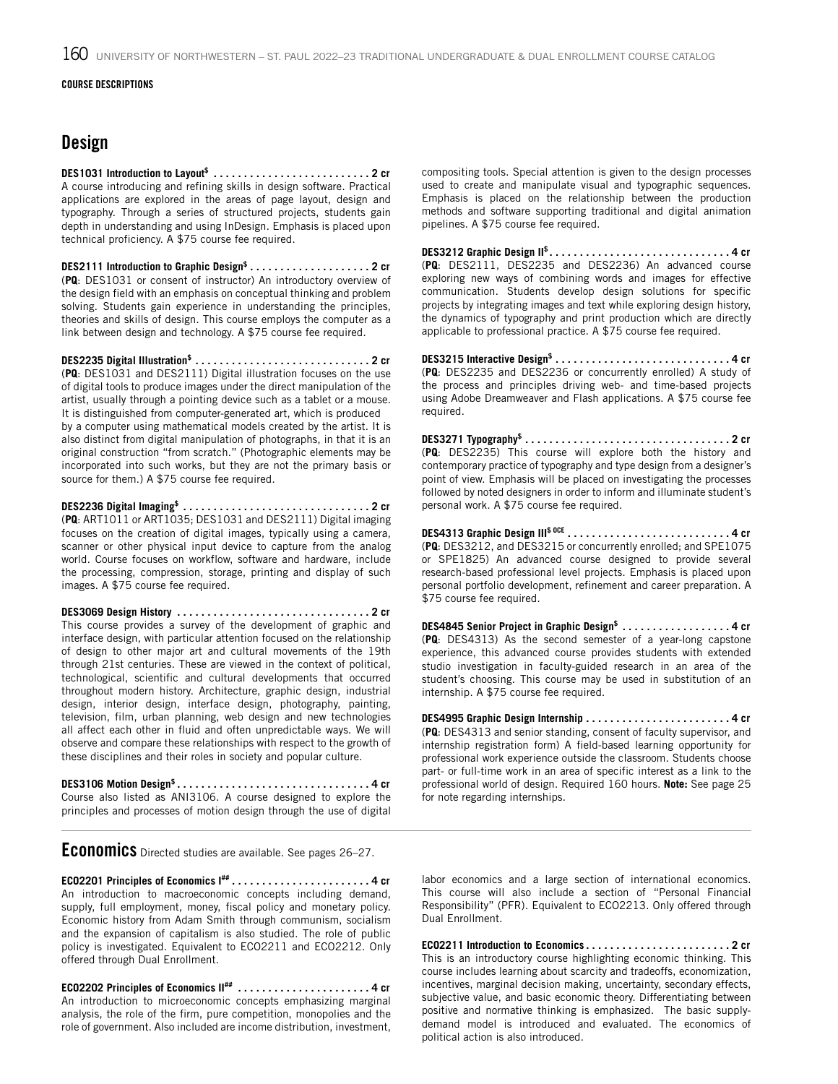### **Design**

**DES1031 Introduction to Layout<sup>\$</sup> ..................................2 cr** A course introducing and refining skills in design software. Practical applications are explored in the areas of page layout, design and typography. Through a series of structured projects, students gain depth in understanding and using InDesign. Emphasis is placed upon technical proficiency. A \$75 course fee required.

**DES2111 Introduction to Graphic Design\$ . 2 cr** (**PQ**: DES1031 or consent of instructor) An introductory overview of the design field with an emphasis on conceptual thinking and problem solving. Students gain experience in understanding the principles, theories and skills of design. This course employs the computer as a link between design and technology. A \$75 course fee required.

**DES2235 Digital Illustration\$. . 2 cr** (**PQ**: DES1031 and DES2111) Digital illustration focuses on the use of digital tools to produce images under the direct manipulation of the artist, usually through a pointing device such as a tablet or a mouse. It is distinguished from computer-generated art, which is produced by a computer using mathematical models created by the artist. It is also distinct from digital manipulation of photographs, in that it is an original construction "from scratch." (Photographic elements may be incorporated into such works, but they are not the primary basis or source for them.) A \$75 course fee required.

**DES2236 Digital Imaging\$. . 2 cr** (**PQ**: ART1011 or ART1035; DES1031 and DES2111) Digital imaging focuses on the creation of digital images, typically using a camera, scanner or other physical input device to capture from the analog world. Course focuses on workflow, software and hardware, include the processing, compression, storage, printing and display of such images. A \$75 course fee required.

**DES3069 Design History. . 2 cr** This course provides a survey of the development of graphic and interface design, with particular attention focused on the relationship of design to other major art and cultural movements of the 19th through 21st centuries. These are viewed in the context of political, technological, scientific and cultural developments that occurred throughout modern history. Architecture, graphic design, industrial design, interior design, interface design, photography, painting, television, film, urban planning, web design and new technologies all affect each other in fluid and often unpredictable ways. We will observe and compare these relationships with respect to the growth of these disciplines and their roles in society and popular culture.

**DES3106 Motion Design\$ . 4 cr** Course also listed as ANI3106. A course designed to explore the principles and processes of motion design through the use of digital

**Economics** Directed studies are available. See pages 26–27.

**ECO2201 Principles of Economics I##. . 4 cr** An introduction to macroeconomic concepts including demand, supply, full employment, money, fiscal policy and monetary policy. Economic history from Adam Smith through communism, socialism and the expansion of capitalism is also studied. The role of public policy is investigated. Equivalent to ECO2211 and ECO2212. Only offered through Dual Enrollment.

**EC02202 Principles of Economics II<sup>##</sup> .......................4 cr** An introduction to microeconomic concepts emphasizing marginal analysis, the role of the firm, pure competition, monopolies and the role of government. Also included are income distribution, investment,

compositing tools. Special attention is given to the design processes used to create and manipulate visual and typographic sequences. Emphasis is placed on the relationship between the production methods and software supporting traditional and digital animation pipelines. A \$75 course fee required.

**DES3212 Graphic Design II\$ . 4 cr** (**PQ**: DES2111, DES2235 and DES2236) An advanced course exploring new ways of combining words and images for effective communication. Students develop design solutions for specific projects by integrating images and text while exploring design history, the dynamics of typography and print production which are directly applicable to professional practice. A \$75 course fee required.

**DES3215 Interactive Design<sup>\$</sup> .................................4 cr** (**PQ**: DES2235 and DES2236 or concurrently enrolled) A study of the process and principles driving web- and time-based projects using Adobe Dreamweaver and Flash applications. A \$75 course fee required.

**DES3271 Typography\$. . 2 cr** (**PQ**: DES2235) This course will explore both the history and contemporary practice of typography and type design from a designer's point of view. Emphasis will be placed on investigating the processes followed by noted designers in order to inform and illuminate student's personal work. A \$75 course fee required.

DES4313 Graphic Design III<sup>\$ OCE</sup> .............................4 cr (**PQ**: DES3212, and DES3215 or concurrently enrolled; and SPE1075 or SPE1825) An advanced course designed to provide several research-based professional level projects. Emphasis is placed upon personal portfolio development, refinement and career preparation. A \$75 course fee required.

**DES4845 Senior Project in Graphic Design<sup>\$</sup> ...................4 cr** (**PQ**: DES4313) As the second semester of a year-long capstone experience, this advanced course provides students with extended studio investigation in faculty-guided research in an area of the student's choosing. This course may be used in substitution of an internship. A \$75 course fee required.

**DES4995 Graphic Design Internship ..........................4 cr** (**PQ**: DES4313 and senior standing, consent of faculty supervisor, and internship registration form) A field-based learning opportunity for professional work experience outside the classroom. Students choose part- or full-time work in an area of specific interest as a link to the professional world of design. Required 160 hours. **Note:** See page 25 for note regarding internships.

labor economics and a large section of international economics. This course will also include a section of "Personal Financial Responsibility" (PFR). Equivalent to ECO2213. Only offered through Dual Enrollment.

**ECO2211 Introduction to Economics............................ 2 cr** This is an introductory course highlighting economic thinking. This course includes learning about scarcity and tradeoffs, economization, incentives, marginal decision making, uncertainty, secondary effects, subjective value, and basic economic theory. Differentiating between positive and normative thinking is emphasized. The basic supplydemand model is introduced and evaluated. The economics of political action is also introduced.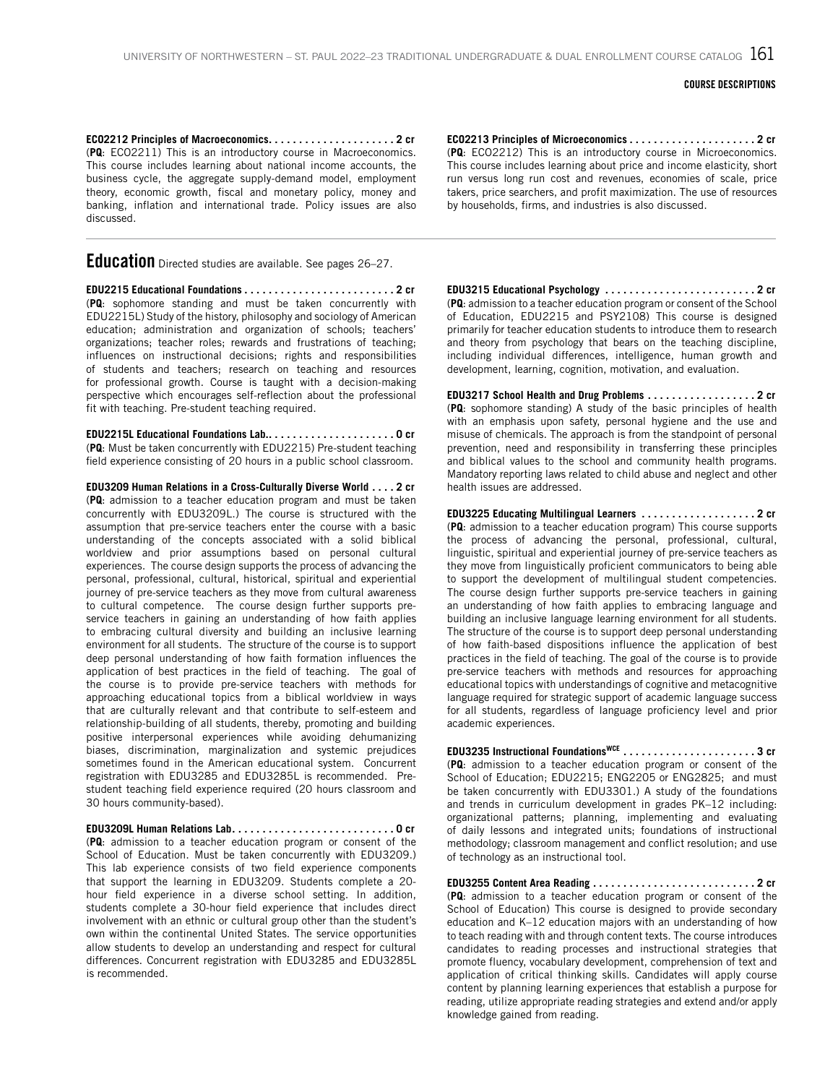**ECO2212 Principles of Macroeconomics. . 2 cr** (**PQ**: ECO2211) This is an introductory course in Macroeconomics. This course includes learning about national income accounts, the business cycle, the aggregate supply-demand model, employment theory, economic growth, fiscal and monetary policy, money and banking, inflation and international trade. Policy issues are also discussed.

Education Directed studies are available. See pages 26-27.

**EDU2215 Educational Foundations. . 2 cr** (**PQ**: sophomore standing and must be taken concurrently with EDU2215L) Study of the history, philosophy and sociology of American education; administration and organization of schools; teachers' organizations; teacher roles; rewards and frustrations of teaching; influences on instructional decisions; rights and responsibilities of students and teachers; research on teaching and resources for professional growth. Course is taught with a decision-making perspective which encourages self-reflection about the professional fit with teaching. Pre-student teaching required.

**EDU2215L Educational Foundations Lab.. . 0 cr** (**PQ**: Must be taken concurrently with EDU2215) Pre-student teaching field experience consisting of 20 hours in a public school classroom.

**EDU3209 Human Relations in a Cross-Culturally Diverse World . . . . 2 cr** (**PQ**: admission to a teacher education program and must be taken concurrently with EDU3209L.) The course is structured with the assumption that pre-service teachers enter the course with a basic understanding of the concepts associated with a solid biblical worldview and prior assumptions based on personal cultural experiences. The course design supports the process of advancing the personal, professional, cultural, historical, spiritual and experiential journey of pre-service teachers as they move from cultural awareness to cultural competence. The course design further supports preservice teachers in gaining an understanding of how faith applies to embracing cultural diversity and building an inclusive learning environment for all students. The structure of the course is to support deep personal understanding of how faith formation influences the application of best practices in the field of teaching. The goal of the course is to provide pre-service teachers with methods for approaching educational topics from a biblical worldview in ways that are culturally relevant and that contribute to self-esteem and relationship-building of all students, thereby, promoting and building positive interpersonal experiences while avoiding dehumanizing biases, discrimination, marginalization and systemic prejudices sometimes found in the American educational system. Concurrent registration with EDU3285 and EDU3285L is recommended. Prestudent teaching field experience required (20 hours classroom and 30 hours community-based).

**EDU3209L Human Relations Lab. . 0 cr** (**PQ**: admission to a teacher education program or consent of the School of Education. Must be taken concurrently with EDU3209.) This lab experience consists of two field experience components that support the learning in EDU3209. Students complete a 20 hour field experience in a diverse school setting. In addition, students complete a 30-hour field experience that includes direct involvement with an ethnic or cultural group other than the student's own within the continental United States. The service opportunities allow students to develop an understanding and respect for cultural differences. Concurrent registration with EDU3285 and EDU3285L is recommended.

**ECO2213 Principles of Microeconomics........................... 2 cr** (**PQ**: ECO2212) This is an introductory course in Microeconomics. This course includes learning about price and income elasticity, short run versus long run cost and revenues, economies of scale, price takers, price searchers, and profit maximization. The use of resources by households, firms, and industries is also discussed.

EDU3215 Educational Psychology ..................................2 cr (**PQ**: admission to a teacher education program or consent of the School of Education, EDU2215 and PSY2108) This course is designed primarily for teacher education students to introduce them to research and theory from psychology that bears on the teaching discipline, including individual differences, intelligence, human growth and development, learning, cognition, motivation, and evaluation.

**EDU3217 School Health and Drug Problems .................... 2 cr** (**PQ**: sophomore standing) A study of the basic principles of health with an emphasis upon safety, personal hygiene and the use and misuse of chemicals. The approach is from the standpoint of personal prevention, need and responsibility in transferring these principles and biblical values to the school and community health programs. Mandatory reporting laws related to child abuse and neglect and other health issues are addressed.

**EDU3225 Educating Multilingual Learners ..................... 2 cr** (**PQ**: admission to a teacher education program) This course supports the process of advancing the personal, professional, cultural, linguistic, spiritual and experiential journey of pre-service teachers as they move from linguistically proficient communicators to being able to support the development of multilingual student competencies. The course design further supports pre-service teachers in gaining an understanding of how faith applies to embracing language and building an inclusive language learning environment for all students. The structure of the course is to support deep personal understanding of how faith-based dispositions influence the application of best practices in the field of teaching. The goal of the course is to provide pre-service teachers with methods and resources for approaching educational topics with understandings of cognitive and metacognitive language required for strategic support of academic language success for all students, regardless of language proficiency level and prior academic experiences.

EDU3235 Instructional Foundations<sup>WCE</sup>.....................3 cr (**PQ**: admission to a teacher education program or consent of the School of Education; EDU2215; ENG2205 or ENG2825; and must be taken concurrently with EDU3301.) A study of the foundations and trends in curriculum development in grades PK–12 including: organizational patterns; planning, implementing and evaluating of daily lessons and integrated units; foundations of instructional methodology; classroom management and conflict resolution; and use of technology as an instructional tool.

**EDU3255 Content Area Reading. . 2 cr** (**PQ**: admission to a teacher education program or consent of the School of Education) This course is designed to provide secondary education and K–12 education majors with an understanding of how to teach reading with and through content texts. The course introduces candidates to reading processes and instructional strategies that promote fluency, vocabulary development, comprehension of text and application of critical thinking skills. Candidates will apply course content by planning learning experiences that establish a purpose for reading, utilize appropriate reading strategies and extend and/or apply knowledge gained from reading.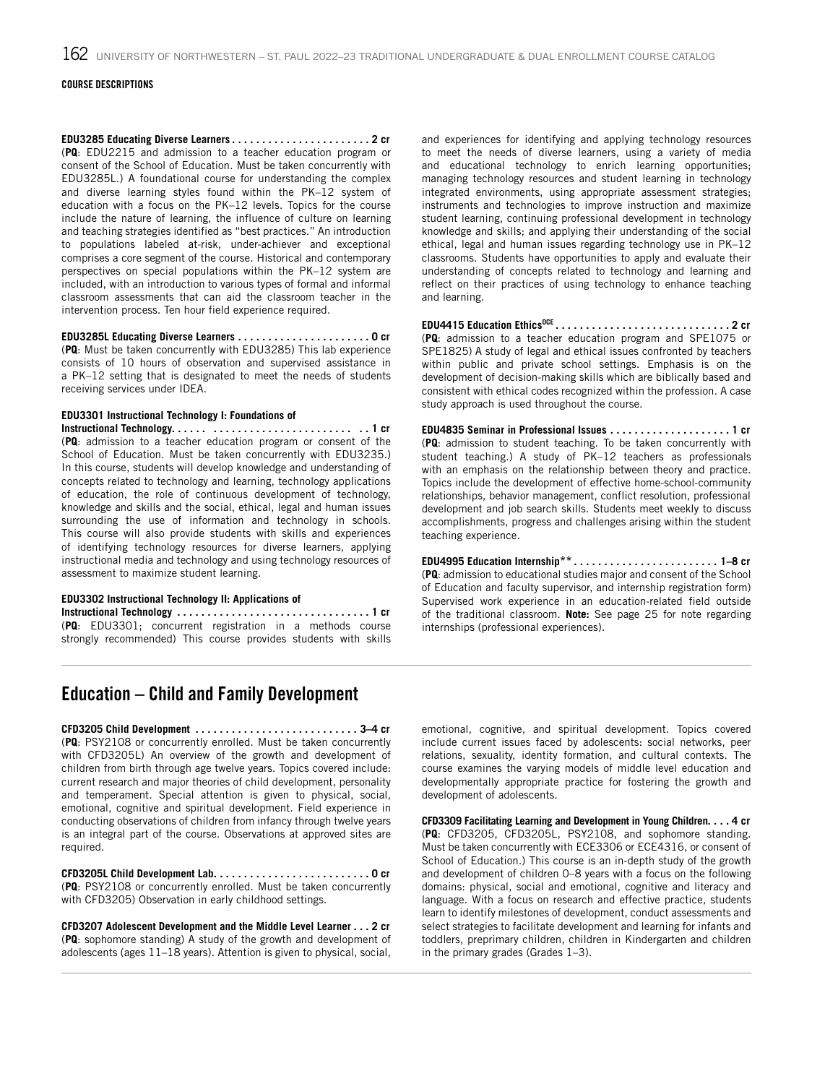EDU3285 Educating Diverse Learners...........................2 cr (**PQ**: EDU2215 and admission to a teacher education program or consent of the School of Education. Must be taken concurrently with EDU3285L.) A foundational course for understanding the complex and diverse learning styles found within the PK–12 system of education with a focus on the PK–12 levels. Topics for the course include the nature of learning, the influence of culture on learning and teaching strategies identified as "best practices." An introduction to populations labeled at-risk, under-achiever and exceptional comprises a core segment of the course. Historical and contemporary perspectives on special populations within the PK–12 system are included, with an introduction to various types of formal and informal classroom assessments that can aid the classroom teacher in the intervention process. Ten hour field experience required.

**EDU3285L Educating Diverse Learners. . 0 cr** (**PQ**: Must be taken concurrently with EDU3285) This lab experience consists of 10 hours of observation and supervised assistance in a PK–12 setting that is designated to meet the needs of students receiving services under IDEA.

#### **EDU3301 Instructional Technology I: Foundations of**

**Instructional Technology. . . . . . . . . . 1 cr** (**PQ**: admission to a teacher education program or consent of the School of Education. Must be taken concurrently with EDU3235.) In this course, students will develop knowledge and understanding of concepts related to technology and learning, technology applications of education, the role of continuous development of technology, knowledge and skills and the social, ethical, legal and human issues surrounding the use of information and technology in schools. This course will also provide students with skills and experiences of identifying technology resources for diverse learners, applying instructional media and technology and using technology resources of assessment to maximize student learning.

#### **EDU3302 Instructional Technology II: Applications of**

**Instructional Technology. . 1 cr** (**PQ**: EDU3301; concurrent registration in a methods course strongly recommended) This course provides students with skills

# Education – Child and Family Development

**CFD3205 Child Development. . . 3–4 cr** (**PQ**: PSY2108 or concurrently enrolled. Must be taken concurrently with CFD3205L) An overview of the growth and development of children from birth through age twelve years. Topics covered include: current research and major theories of child development, personality and temperament. Special attention is given to physical, social, emotional, cognitive and spiritual development. Field experience in conducting observations of children from infancy through twelve years is an integral part of the course. Observations at approved sites are required.

**CFD3205L Child Development Lab. . 0 cr** (**PQ**: PSY2108 or concurrently enrolled. Must be taken concurrently with CFD3205) Observation in early childhood settings.

**CFD3207 Adolescent Development and the Middle Level Learner. . 2 cr** (**PQ**: sophomore standing) A study of the growth and development of adolescents (ages 11–18 years). Attention is given to physical, social, and experiences for identifying and applying technology resources to meet the needs of diverse learners, using a variety of media and educational technology to enrich learning opportunities; managing technology resources and student learning in technology integrated environments, using appropriate assessment strategies; instruments and technologies to improve instruction and maximize student learning, continuing professional development in technology knowledge and skills; and applying their understanding of the social ethical, legal and human issues regarding technology use in PK–12 classrooms. Students have opportunities to apply and evaluate their understanding of concepts related to technology and learning and reflect on their practices of using technology to enhance teaching and learning.

EDU4415 Education Ethics<sup>oce</sup>...................................2 cr (**PQ**: admission to a teacher education program and SPE1075 or SPE1825) A study of legal and ethical issues confronted by teachers within public and private school settings. Emphasis is on the development of decision-making skills which are biblically based and consistent with ethical codes recognized within the profession. A case study approach is used throughout the course.

**EDU4835 Seminar in Professional Issues. . 1 cr** (**PQ**: admission to student teaching. To be taken concurrently with student teaching.) A study of PK–12 teachers as professionals with an emphasis on the relationship between theory and practice. Topics include the development of effective home-school-community relationships, behavior management, conflict resolution, professional development and job search skills. Students meet weekly to discuss accomplishments, progress and challenges arising within the student teaching experience.

**EDU4995 Education Internship\*\*. . . 1–8 cr** (**PQ**: admission to educational studies major and consent of the School of Education and faculty supervisor, and internship registration form) Supervised work experience in an education-related field outside of the traditional classroom. **Note:** See page 25 for note regarding internships (professional experiences).

emotional, cognitive, and spiritual development. Topics covered include current issues faced by adolescents: social networks, peer relations, sexuality, identity formation, and cultural contexts. The course examines the varying models of middle level education and developmentally appropriate practice for fostering the growth and development of adolescents.

**CFD3309 Facilitating Learning and Development in Young Children. . . . 4 cr** (**PQ**: CFD3205, CFD3205L, PSY2108, and sophomore standing. Must be taken concurrently with ECE3306 or ECE4316, or consent of School of Education.) This course is an in-depth study of the growth and development of children 0–8 years with a focus on the following domains: physical, social and emotional, cognitive and literacy and language. With a focus on research and effective practice, students learn to identify milestones of development, conduct assessments and select strategies to facilitate development and learning for infants and toddlers, preprimary children, children in Kindergarten and children in the primary grades (Grades 1–3).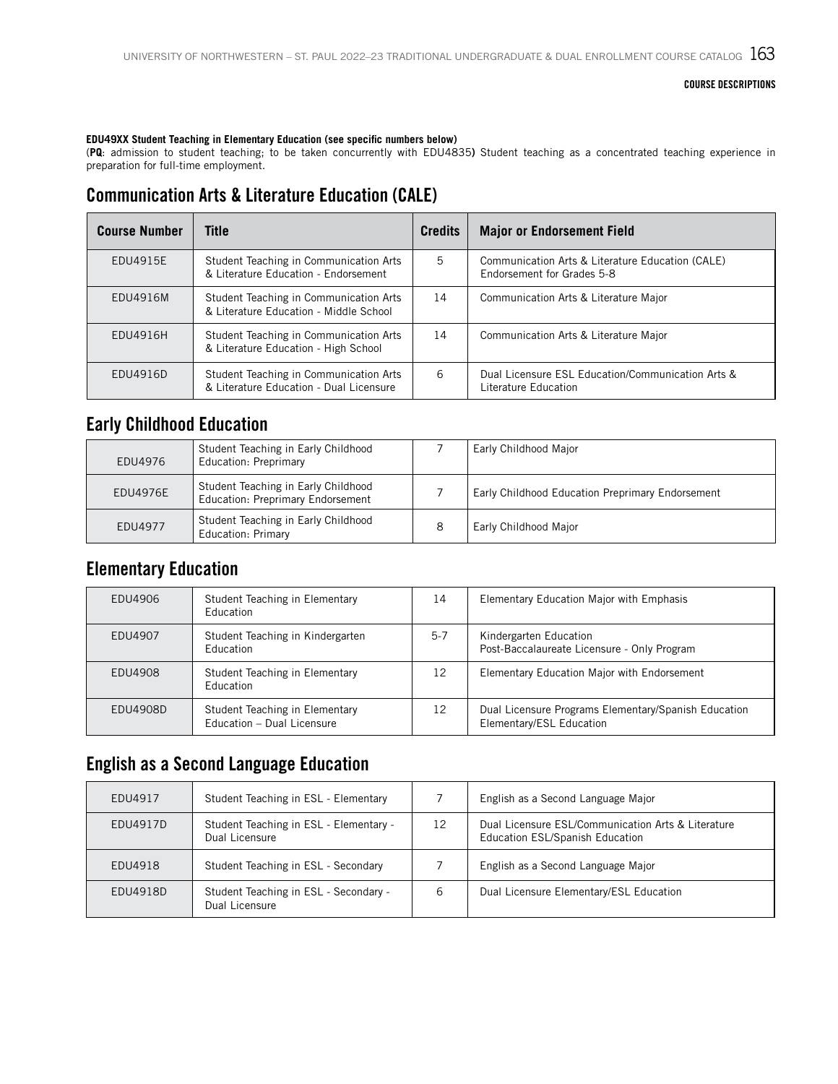### **EDU49XX Student Teaching in Elementary Education (see specific numbers below)**

(**PQ**: admission to student teaching; to be taken concurrently with EDU4835**)** Student teaching as a concentrated teaching experience in preparation for full-time employment.

# Communication Arts & Literature Education (CALE)

| <b>Course Number</b> | <b>Title</b>                                                                      | <b>Credits</b> | <b>Major or Endorsement Field</b>                                              |
|----------------------|-----------------------------------------------------------------------------------|----------------|--------------------------------------------------------------------------------|
| EDU4915E             | Student Teaching in Communication Arts<br>& Literature Education - Endorsement    | 5              | Communication Arts & Literature Education (CALE)<br>Endorsement for Grades 5-8 |
| EDU4916M             | Student Teaching in Communication Arts<br>& Literature Education - Middle School  | 14             | Communication Arts & Literature Major                                          |
| <b>FDU4916H</b>      | Student Teaching in Communication Arts<br>& Literature Education - High School    | 14             | Communication Arts & Literature Major                                          |
| EDU4916D             | Student Teaching in Communication Arts<br>& Literature Education - Dual Licensure | 6              | Dual Licensure ESL Education/Communication Arts &<br>Literature Education      |

# Early Childhood Education

| EDU4976         | Student Teaching in Early Childhood<br><b>Education: Preprimary</b>             |   | Early Childhood Major                            |
|-----------------|---------------------------------------------------------------------------------|---|--------------------------------------------------|
| <b>EDU4976E</b> | Student Teaching in Early Childhood<br><b>Education: Preprimary Endorsement</b> |   | Early Childhood Education Preprimary Endorsement |
| EDU4977         | Student Teaching in Early Childhood<br><b>Education: Primary</b>                | 8 | Early Childhood Major                            |

# Elementary Education

| EDU4906  | Student Teaching in Elementary<br>Education                  | 14      | Elementary Education Major with Emphasis                                         |
|----------|--------------------------------------------------------------|---------|----------------------------------------------------------------------------------|
| EDU4907  | Student Teaching in Kindergarten<br>Education                | $5 - 7$ | Kindergarten Education<br>Post-Baccalaureate Licensure - Only Program            |
| EDU4908  | Student Teaching in Elementary<br>Education                  | 12      | Elementary Education Major with Endorsement                                      |
| EDU4908D | Student Teaching in Elementary<br>Education - Dual Licensure | 12      | Dual Licensure Programs Elementary/Spanish Education<br>Elementary/ESL Education |

# English as a Second Language Education

| EDU4917  | Student Teaching in ESL - Elementary                     |    | English as a Second Language Major                                                    |
|----------|----------------------------------------------------------|----|---------------------------------------------------------------------------------------|
| EDU4917D | Student Teaching in ESL - Elementary -<br>Dual Licensure | 12 | Dual Licensure ESL/Communication Arts & Literature<br>Education ESL/Spanish Education |
| EDU4918  | Student Teaching in ESL - Secondary                      |    | English as a Second Language Major                                                    |
| EDU4918D | Student Teaching in ESL - Secondary -<br>Dual Licensure  | 6  | Dual Licensure Elementary/ESL Education                                               |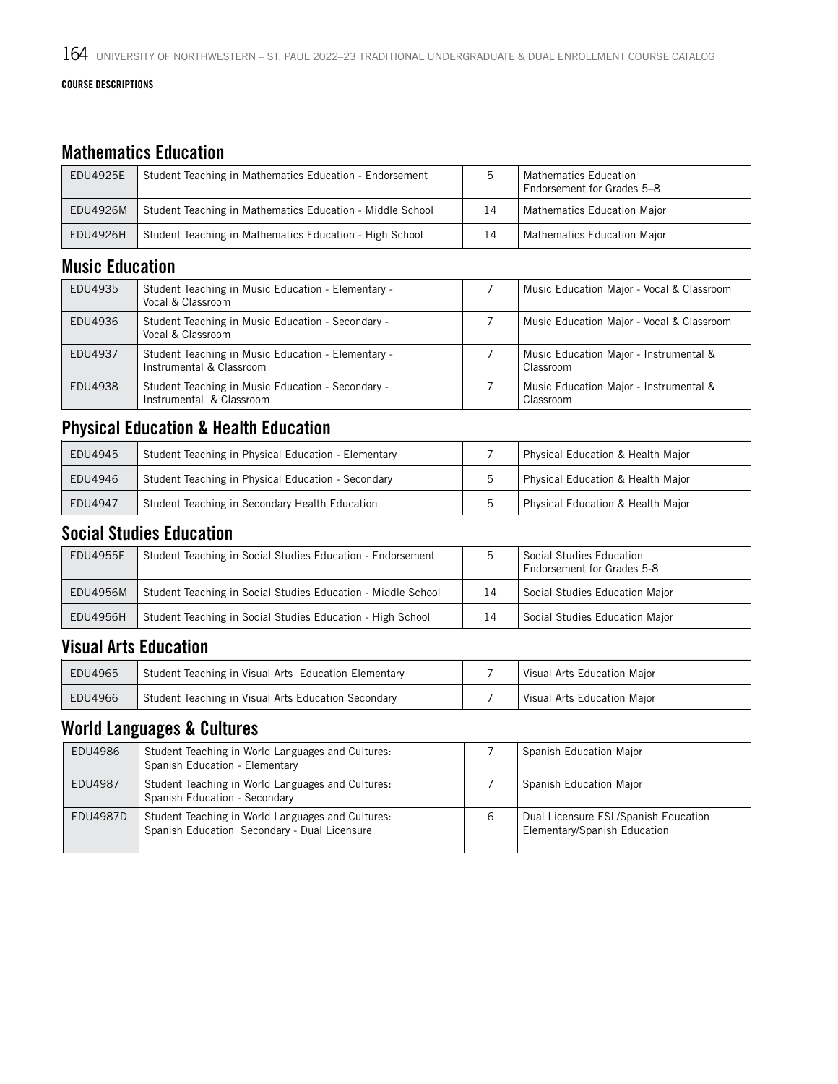# Mathematics Education

| <b>EDU4925E</b> | Student Teaching in Mathematics Education - Endorsement   | 'n | <b>Mathematics Education</b><br>Endorsement for Grades 5-8 |
|-----------------|-----------------------------------------------------------|----|------------------------------------------------------------|
| EDU4926M        | Student Teaching in Mathematics Education - Middle School | 14 | Mathematics Education Major                                |
| EDU4926H        | Student Teaching in Mathematics Education - High School   | 14 | Mathematics Education Major                                |

# Music Education

| EDU4935 | Student Teaching in Music Education - Elementary -<br>Vocal & Classroom        | Music Education Major - Vocal & Classroom           |
|---------|--------------------------------------------------------------------------------|-----------------------------------------------------|
| EDU4936 | Student Teaching in Music Education - Secondary -<br>Vocal & Classroom         | Music Education Major - Vocal & Classroom           |
| EDU4937 | Student Teaching in Music Education - Elementary -<br>Instrumental & Classroom | Music Education Major - Instrumental &<br>Classroom |
| EDU4938 | Student Teaching in Music Education - Secondary -<br>Instrumental & Classroom  | Music Education Major - Instrumental &<br>Classroom |

# Physical Education & Health Education

| EDU4945 | Student Teaching in Physical Education - Elementary |   | <b>Physical Education &amp; Health Major</b> |
|---------|-----------------------------------------------------|---|----------------------------------------------|
| EDU4946 | Student Teaching in Physical Education - Secondary  | b | <b>Physical Education &amp; Health Major</b> |
| EDU4947 | Student Teaching in Secondary Health Education      |   | <b>Physical Education &amp; Health Major</b> |

# Social Studies Education

| <b>EDU4955E</b> | Student Teaching in Social Studies Education - Endorsement   |    | Social Studies Education<br>Endorsement for Grades 5-8 |
|-----------------|--------------------------------------------------------------|----|--------------------------------------------------------|
| EDU4956M        | Student Teaching in Social Studies Education - Middle School | 14 | Social Studies Education Major                         |
| EDU4956H        | Student Teaching in Social Studies Education - High School   | 14 | Social Studies Education Major                         |

# Visual Arts Education

| EDU4965 | Student Teaching in Visual Arts Education Elementary | Visual Arts Education Major |
|---------|------------------------------------------------------|-----------------------------|
| EDU4966 | Student Teaching in Visual Arts Education Secondary  | Visual Arts Education Maior |

# World Languages & Cultures

| EDU4986  | Student Teaching in World Languages and Cultures:<br>Spanish Education - Elementary               |   | Spanish Education Major                                              |
|----------|---------------------------------------------------------------------------------------------------|---|----------------------------------------------------------------------|
| EDU4987  | Student Teaching in World Languages and Cultures:<br>Spanish Education - Secondary                |   | Spanish Education Major                                              |
| EDU4987D | Student Teaching in World Languages and Cultures:<br>Spanish Education Secondary - Dual Licensure | b | Dual Licensure ESL/Spanish Education<br>Elementary/Spanish Education |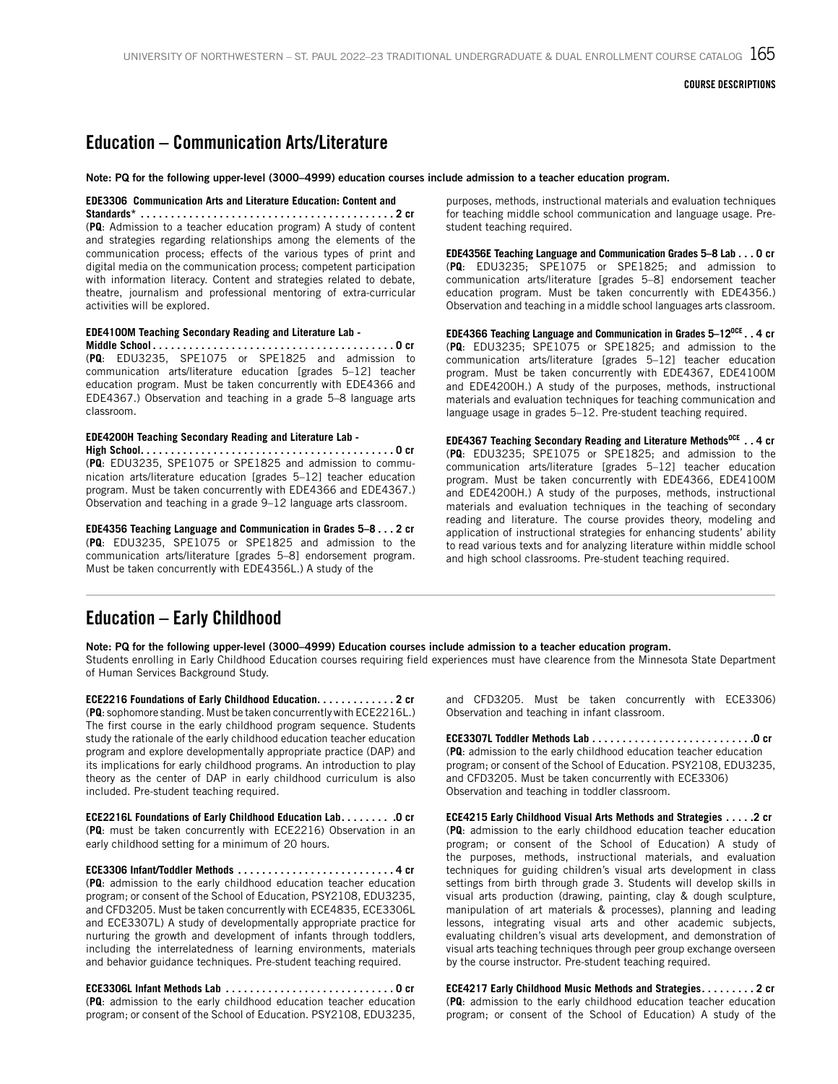# Education – Communication Arts/Literature

Note: PQ for the following upper-level (3000–4999) education courses include admission to a teacher education program.

#### **EDE3306 Communication Arts and Literature Education: Content and**

**Standards\*. . 2 cr** (**PQ**: Admission to a teacher education program) A study of content and strategies regarding relationships among the elements of the communication process; effects of the various types of print and digital media on the communication process; competent participation with information literacy. Content and strategies related to debate, theatre, journalism and professional mentoring of extra-curricular activities will be explored.

### **EDE4100M Teaching Secondary Reading and Literature Lab -**

**Middle School. . 0 cr** (**PQ**: EDU3235, SPE1075 or SPE1825 and admission to communication arts/literature education [grades 5–12] teacher education program. Must be taken concurrently with EDE4366 and EDE4367.) Observation and teaching in a grade 5–8 language arts classroom.

#### **EDE4200H Teaching Secondary Reading and Literature Lab -**

**High School. . 0 cr** (**PQ**: EDU3235, SPE1075 or SPE1825 and admission to communication arts/literature education [grades 5–12] teacher education program. Must be taken concurrently with EDE4366 and EDE4367.) Observation and teaching in a grade 9–12 language arts classroom.

**EDE4356 Teaching Language and Communication in Grades 5–8. . 2 cr** (**PQ**: EDU3235, SPE1075 or SPE1825 and admission to the communication arts/literature [grades 5–8] endorsement program. Must be taken concurrently with EDE4356L.) A study of the

purposes, methods, instructional materials and evaluation techniques for teaching middle school communication and language usage. Prestudent teaching required.

**EDE4356E Teaching Language and Communication Grades 5-8 Lab... O cr** (**PQ**: EDU3235; SPE1075 or SPE1825; and admission to communication arts/literature [grades 5–8] endorsement teacher education program. Must be taken concurrently with EDE4356.) Observation and teaching in a middle school languages arts classroom.

EDE4366 Teaching Language and Communication in Grades 5-12<sup>oce</sup>.. 4 cr (**PQ**: EDU3235; SPE1075 or SPE1825; and admission to the communication arts/literature [grades 5–12] teacher education program. Must be taken concurrently with EDE4367, EDE4100M and EDE4200H.) A study of the purposes, methods, instructional materials and evaluation techniques for teaching communication and language usage in grades 5–12. Pre-student teaching required.

**EDE4367 Teaching Secondary Reading and Literature Methods<sup>oce</sup>..4 cr** (**PQ**: EDU3235; SPE1075 or SPE1825; and admission to the communication arts/literature [grades 5–12] teacher education program. Must be taken concurrently with EDE4366, EDE4100M and EDE4200H.) A study of the purposes, methods, instructional materials and evaluation techniques in the teaching of secondary reading and literature. The course provides theory, modeling and application of instructional strategies for enhancing students' ability to read various texts and for analyzing literature within middle school and high school classrooms. Pre-student teaching required.

### Education – Early Childhood

Note: PQ for the following upper-level (3000–4999) Education courses include admission to a teacher education program.

Students enrolling in Early Childhood Education courses requiring field experiences must have clearence from the Minnesota State Department of Human Services Background Study.

**ECE2216 Foundations of Early Childhood Education. . . . . . . . . . . . 2 cr** (**PQ**: sophomore standing. Must be taken concurrently with ECE2216L.) The first course in the early childhood program sequence. Students study the rationale of the early childhood education teacher education program and explore developmentally appropriate practice (DAP) and its implications for early childhood programs. An introduction to play theory as the center of DAP in early childhood curriculum is also included. Pre-student teaching required.

**ECE2216L Foundations of Early Childhood Education Lab. . . .0 cr** (**PQ**: must be taken concurrently with ECE2216) Observation in an early childhood setting for a minimum of 20 hours.

**ECE3306 Infant/Toddler Methods. . 4 cr** (**PQ**: admission to the early childhood education teacher education program; or consent of the School of Education, PSY2108, EDU3235, and CFD3205. Must be taken concurrently with ECE4835, ECE3306L and ECE3307L) A study of developmentally appropriate practice for nurturing the growth and development of infants through toddlers, including the interrelatedness of learning environments, materials and behavior guidance techniques. Pre-student teaching required.

**ECE3306L Infant Methods Lab. . 0 cr** (**PQ**: admission to the early childhood education teacher education program; or consent of the School of Education. PSY2108, EDU3235,

and CFD3205. Must be taken concurrently with ECE3306) Observation and teaching in infant classroom.

**ECE3307L Toddler Methods Lab. . 0 cr** (**PQ**: admission to the early childhood education teacher education program; or consent of the School of Education. PSY2108, EDU3235, and CFD3205. Must be taken concurrently with ECE3306) Observation and teaching in toddler classroom.

**ECE4215 Early Childhood Visual Arts Methods and Strategies .....2 cr** (**PQ**: admission to the early childhood education teacher education program; or consent of the School of Education) A study of the purposes, methods, instructional materials, and evaluation techniques for guiding children's visual arts development in class settings from birth through grade 3. Students will develop skills in visual arts production (drawing, painting, clay & dough sculpture, manipulation of art materials & processes), planning and leading lessons, integrating visual arts and other academic subjects, evaluating children's visual arts development, and demonstration of visual arts teaching techniques through peer group exchange overseen by the course instructor. Pre-student teaching required.

**ECE4217 Early Childhood Music Methods and Strategies......... 2 cr** (**PQ**: admission to the early childhood education teacher education program; or consent of the School of Education) A study of the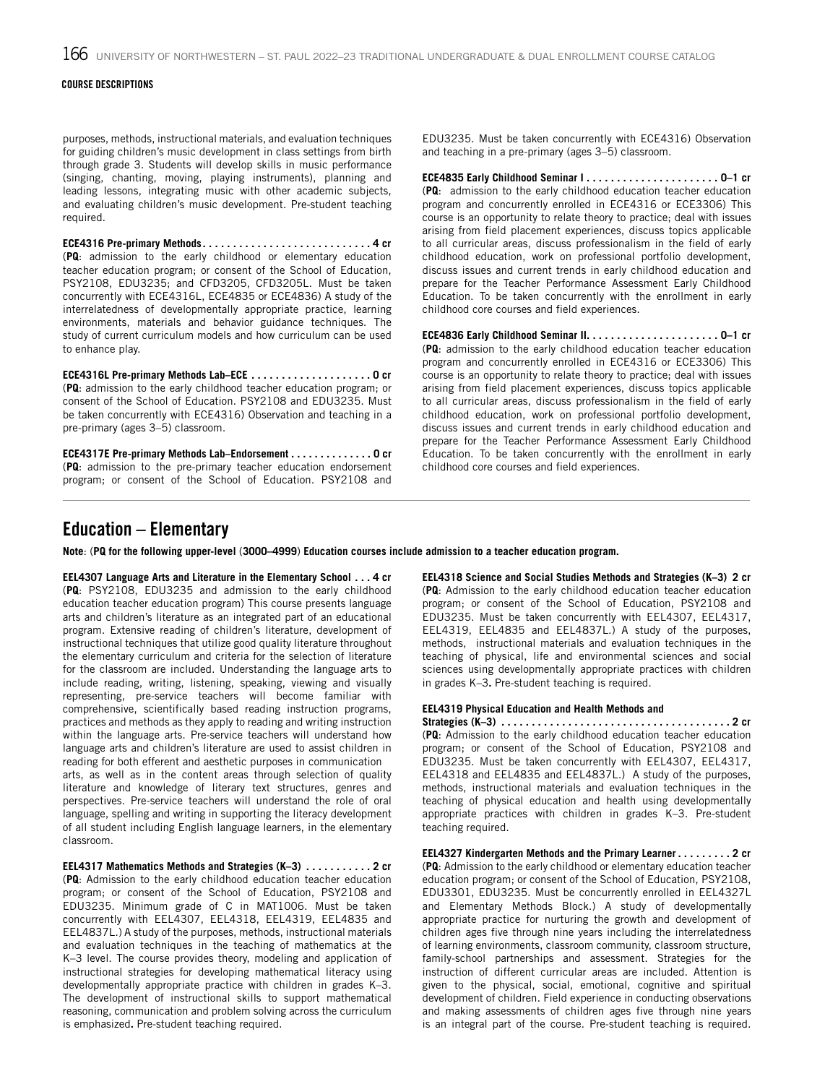purposes, methods, instructional materials, and evaluation techniques for guiding children's music development in class settings from birth through grade 3. Students will develop skills in music performance (singing, chanting, moving, playing instruments), planning and leading lessons, integrating music with other academic subjects, and evaluating children's music development. Pre-student teaching required.

**ECE4316 Pre-primary Methods.................................. 4 cr** (**PQ**: admission to the early childhood or elementary education teacher education program; or consent of the School of Education, PSY2108, EDU3235; and CFD3205, CFD3205L. Must be taken concurrently with ECE4316L, ECE4835 or ECE4836) A study of the interrelatedness of developmentally appropriate practice, learning environments, materials and behavior guidance techniques. The study of current curriculum models and how curriculum can be used to enhance play.

**ECE4316L Pre-primary Methods Lab–ECE ..................... O cr** (**PQ**: admission to the early childhood teacher education program; or consent of the School of Education. PSY2108 and EDU3235. Must be taken concurrently with ECE4316) Observation and teaching in a pre-primary (ages 3–5) classroom.

**ECE4317E Pre-primary Methods Lab–Endorsement . . . . . . . . . . . . . . 0 cr** (**PQ**: admission to the pre-primary teacher education endorsement program; or consent of the School of Education. PSY2108 and

EDU3235. Must be taken concurrently with ECE4316) Observation and teaching in a pre-primary (ages 3–5) classroom.

**ECE4835 Early Childhood Seminar I. . . 0–1 cr** (**PQ**: admission to the early childhood education teacher education program and concurrently enrolled in ECE4316 or ECE3306) This course is an opportunity to relate theory to practice; deal with issues arising from field placement experiences, discuss topics applicable to all curricular areas, discuss professionalism in the field of early childhood education, work on professional portfolio development, discuss issues and current trends in early childhood education and prepare for the Teacher Performance Assessment Early Childhood Education. To be taken concurrently with the enrollment in early childhood core courses and field experiences.

**ECE4836 Early Childhood Seminar II. . . 0–1 cr** (**PQ**: admission to the early childhood education teacher education program and concurrently enrolled in ECE4316 or ECE3306) This course is an opportunity to relate theory to practice; deal with issues arising from field placement experiences, discuss topics applicable to all curricular areas, discuss professionalism in the field of early childhood education, work on professional portfolio development, discuss issues and current trends in early childhood education and prepare for the Teacher Performance Assessment Early Childhood Education. To be taken concurrently with the enrollment in early childhood core courses and field experiences.

### Education – Elementary

**Note**: (**PQ for the following upper-level** (**3000–4999**) **Education courses include admission to a teacher education program.**

**EEL4307 Language Arts and Literature in the Elementary School. . 4 cr** (**PQ**: PSY2108, EDU3235 and admission to the early childhood education teacher education program) This course presents language arts and children's literature as an integrated part of an educational program. Extensive reading of children's literature, development of instructional techniques that utilize good quality literature throughout the elementary curriculum and criteria for the selection of literature for the classroom are included. Understanding the language arts to include reading, writing, listening, speaking, viewing and visually representing, pre-service teachers will become familiar with comprehensive, scientifically based reading instruction programs, practices and methods as they apply to reading and writing instruction within the language arts. Pre-service teachers will understand how language arts and children's literature are used to assist children in reading for both efferent and aesthetic purposes in communication

arts, as well as in the content areas through selection of quality literature and knowledge of literary text structures, genres and perspectives. Pre-service teachers will understand the role of oral language, spelling and writing in supporting the literacy development of all student including English language learners, in the elementary classroom.

**EEL4317 Mathematics Methods and Strategies (K-3) ........... 2 cr** (**PQ**: Admission to the early childhood education teacher education program; or consent of the School of Education, PSY2108 and EDU3235. Minimum grade of C in MAT1006. Must be taken concurrently with EEL4307, EEL4318, EEL4319, EEL4835 and EEL4837L.) A study of the purposes, methods, instructional materials and evaluation techniques in the teaching of mathematics at the K–3 level. The course provides theory, modeling and application of instructional strategies for developing mathematical literacy using developmentally appropriate practice with children in grades K–3. The development of instructional skills to support mathematical reasoning, communication and problem solving across the curriculum is emphasized**.** Pre-student teaching required.

**EEL4318 Science and Social Studies Methods and Strategies (K–3) 2 cr** (**PQ**: Admission to the early childhood education teacher education program; or consent of the School of Education, PSY2108 and EDU3235. Must be taken concurrently with EEL4307, EEL4317, EEL4319, EEL4835 and EEL4837L.) A study of the purposes, methods, instructional materials and evaluation techniques in the teaching of physical, life and environmental sciences and social sciences using developmentally appropriate practices with children in grades K–3**.** Pre-student teaching is required.

#### **EEL4319 Physical Education and Health Methods and**

**Strategies (K–3). . 2 cr** (**PQ**: Admission to the early childhood education teacher education program; or consent of the School of Education, PSY2108 and EDU3235. Must be taken concurrently with EEL4307, EEL4317, EEL4318 and EEL4835 and EEL4837L.) A study of the purposes, methods, instructional materials and evaluation techniques in the teaching of physical education and health using developmentally appropriate practices with children in grades K–3. Pre-student teaching required.

**EEL4327 Kindergarten Methods and the Primary Learner......... 2 cr** (**PQ**: Admission to the early childhood or elementary education teacher education program; or consent of the School of Education, PSY2108, EDU3301, EDU3235. Must be concurrently enrolled in EEL4327L and Elementary Methods Block.) A study of developmentally appropriate practice for nurturing the growth and development of children ages five through nine years including the interrelatedness of learning environments, classroom community, classroom structure, family-school partnerships and assessment. Strategies for the instruction of different curricular areas are included. Attention is given to the physical, social, emotional, cognitive and spiritual development of children. Field experience in conducting observations and making assessments of children ages five through nine years is an integral part of the course. Pre-student teaching is required.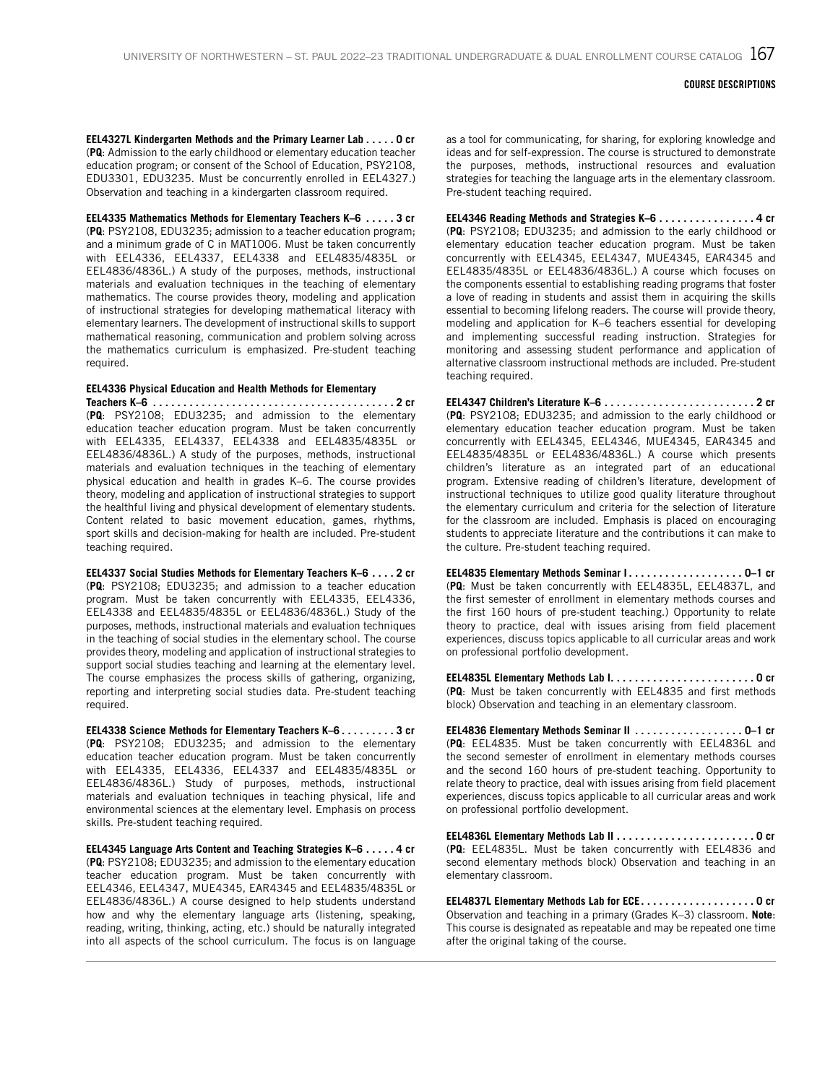**EEL4327L Kindergarten Methods and the Primary Learner Lab..... O cr** (**PQ**: Admission to the early childhood or elementary education teacher education program; or consent of the School of Education, PSY2108, EDU3301, EDU3235. Must be concurrently enrolled in EEL4327.) Observation and teaching in a kindergarten classroom required.

**EEL4335 Mathematics Methods for Elementary Teachers K-6 .....3 cr** (**PQ**: PSY2108, EDU3235; admission to a teacher education program; and a minimum grade of C in MAT1006. Must be taken concurrently with EEL4336, EEL4337, EEL4338 and EEL4835/4835L or EEL4836/4836L.) A study of the purposes, methods, instructional materials and evaluation techniques in the teaching of elementary mathematics. The course provides theory, modeling and application of instructional strategies for developing mathematical literacy with elementary learners. The development of instructional skills to support mathematical reasoning, communication and problem solving across the mathematics curriculum is emphasized. Pre-student teaching required.

#### **EEL4336 Physical Education and Health Methods for Elementary**

**Teachers K–6. . 2 cr** (**PQ**: PSY2108; EDU3235; and admission to the elementary education teacher education program. Must be taken concurrently with EEL4335, EEL4337, EEL4338 and EEL4835/4835L or EEL4836/4836L.) A study of the purposes, methods, instructional materials and evaluation techniques in the teaching of elementary physical education and health in grades K–6. The course provides theory, modeling and application of instructional strategies to support the healthful living and physical development of elementary students. Content related to basic movement education, games, rhythms, sport skills and decision-making for health are included. Pre-student teaching required.

**EEL4337 Social Studies Methods for Elementary Teachers K-6 .... 2 cr** (**PQ**: PSY2108; EDU3235; and admission to a teacher education program. Must be taken concurrently with EEL4335, EEL4336, EEL4338 and EEL4835/4835L or EEL4836/4836L.) Study of the purposes, methods, instructional materials and evaluation techniques in the teaching of social studies in the elementary school. The course provides theory, modeling and application of instructional strategies to support social studies teaching and learning at the elementary level. The course emphasizes the process skills of gathering, organizing, reporting and interpreting social studies data. Pre-student teaching required.

**EEL4338 Science Methods for Elementary Teachers K-6.........3 cr** (**PQ**: PSY2108; EDU3235; and admission to the elementary education teacher education program. Must be taken concurrently with EEL4335, EEL4336, EEL4337 and EEL4835/4835L or EEL4836/4836L.) Study of purposes, methods, instructional materials and evaluation techniques in teaching physical, life and environmental sciences at the elementary level. Emphasis on process skills. Pre-student teaching required.

**EEL4345 Language Arts Content and Teaching Strategies K-6..... 4 cr** (**PQ**: PSY2108; EDU3235; and admission to the elementary education teacher education program. Must be taken concurrently with EEL4346, EEL4347, MUE4345, EAR4345 and EEL4835/4835L or EEL4836/4836L.) A course designed to help students understand how and why the elementary language arts (listening, speaking, reading, writing, thinking, acting, etc.) should be naturally integrated into all aspects of the school curriculum. The focus is on language

as a tool for communicating, for sharing, for exploring knowledge and ideas and for self-expression. The course is structured to demonstrate the purposes, methods, instructional resources and evaluation strategies for teaching the language arts in the elementary classroom. Pre-student teaching required.

**EEL4346 Reading Methods and Strategies K-6................4 cr** (**PQ**: PSY2108; EDU3235; and admission to the early childhood or elementary education teacher education program. Must be taken concurrently with EEL4345, EEL4347, MUE4345, EAR4345 and EEL4835/4835L or EEL4836/4836L.) A course which focuses on the components essential to establishing reading programs that foster a love of reading in students and assist them in acquiring the skills essential to becoming lifelong readers. The course will provide theory, modeling and application for K–6 teachers essential for developing and implementing successful reading instruction. Strategies for monitoring and assessing student performance and application of alternative classroom instructional methods are included. Pre-student teaching required.

**EEL4347 Children's Literature K–6. . 2 cr** (**PQ**: PSY2108; EDU3235; and admission to the early childhood or elementary education teacher education program. Must be taken concurrently with EEL4345, EEL4346, MUE4345, EAR4345 and EEL4835/4835L or EEL4836/4836L.) A course which presents children's literature as an integrated part of an educational program. Extensive reading of children's literature, development of instructional techniques to utilize good quality literature throughout the elementary curriculum and criteria for the selection of literature for the classroom are included. Emphasis is placed on encouraging students to appreciate literature and the contributions it can make to the culture. Pre-student teaching required.

**EEL4835 Elementary Methods Seminar I. . . 0–1 cr** (**PQ**: Must be taken concurrently with EEL4835L, EEL4837L, and the first semester of enrollment in elementary methods courses and the first 160 hours of pre-student teaching.) Opportunity to relate theory to practice, deal with issues arising from field placement experiences, discuss topics applicable to all curricular areas and work on professional portfolio development.

**EEL4835L Elementary Methods Lab I. . 0 cr** (**PQ**: Must be taken concurrently with EEL4835 and first methods block) Observation and teaching in an elementary classroom.

**EEL4836 Elementary Methods Seminar II. . . 0–1 cr** (**PQ**: EEL4835. Must be taken concurrently with EEL4836L and the second semester of enrollment in elementary methods courses and the second 160 hours of pre-student teaching. Opportunity to relate theory to practice, deal with issues arising from field placement experiences, discuss topics applicable to all curricular areas and work on professional portfolio development.

**EEL4836L Elementary Methods Lab II......................... O cr** (**PQ**: EEL4835L. Must be taken concurrently with EEL4836 and second elementary methods block) Observation and teaching in an elementary classroom.

**EEL4837L Elementary Methods Lab for ECE..................... O cr** Observation and teaching in a primary (Grades K–3) classroom. **Note**: This course is designated as repeatable and may be repeated one time after the original taking of the course.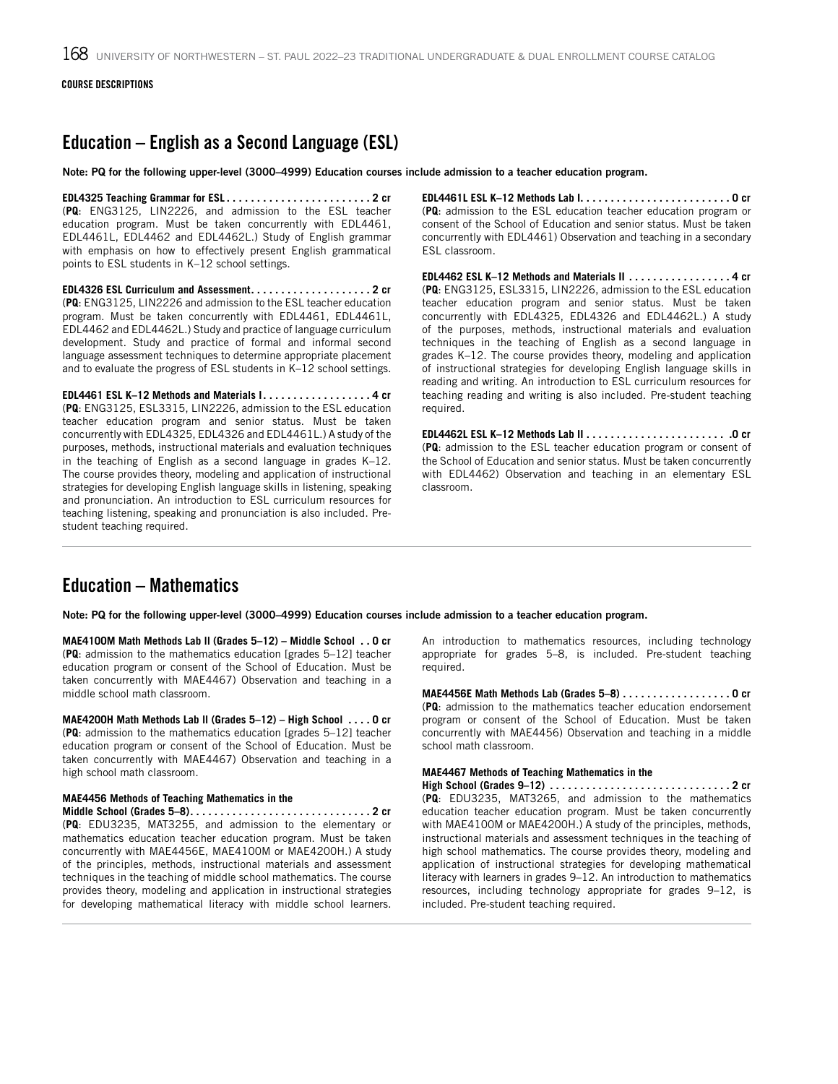### Education – English as a Second Language (ESL)

Note: PQ for the following upper-level (3000–4999) Education courses include admission to a teacher education program.

**EDL4325 Teaching Grammar for ESL............................... 2 cr** (**PQ**: ENG3125, LIN2226, and admission to the ESL teacher education program. Must be taken concurrently with EDL4461, EDL4461L, EDL4462 and EDL4462L.) Study of English grammar with emphasis on how to effectively present English grammatical points to ESL students in K–12 school settings.

**EDL4326 ESL Curriculum and Assessment. . 2 cr** (**PQ**: ENG3125, LIN2226 and admission to the ESL teacher education program. Must be taken concurrently with EDL4461, EDL4461L, EDL4462 and EDL4462L.) Study and practice of language curriculum development. Study and practice of formal and informal second language assessment techniques to determine appropriate placement and to evaluate the progress of ESL students in K–12 school settings.

**EDL4461 ESL K–12 Methods and Materials I. . . . . . . . . . . . . . . . . 4 cr** (**PQ**: ENG3125, ESL3315, LIN2226, admission to the ESL education teacher education program and senior status. Must be taken concurrently with EDL4325, EDL4326 and EDL4461L.) A study of the purposes, methods, instructional materials and evaluation techniques in the teaching of English as a second language in grades K–12. The course provides theory, modeling and application of instructional strategies for developing English language skills in listening, speaking and pronunciation. An introduction to ESL curriculum resources for teaching listening, speaking and pronunciation is also included. Prestudent teaching required.

**EDL4461L ESL K–12 Methods Lab I. . 0 cr**  (**PQ**: admission to the ESL education teacher education program or consent of the School of Education and senior status. Must be taken concurrently with EDL4461) Observation and teaching in a secondary ESL classroom.

**EDL4462 ESL K-12 Methods and Materials II . . . . . . . . . . . . . . . . 4 cr** (**PQ**: ENG3125, ESL3315, LIN2226, admission to the ESL education teacher education program and senior status. Must be taken concurrently with EDL4325, EDL4326 and EDL4462L.) A study of the purposes, methods, instructional materials and evaluation techniques in the teaching of English as a second language in grades K–12. The course provides theory, modeling and application of instructional strategies for developing English language skills in reading and writing. An introduction to ESL curriculum resources for teaching reading and writing is also included. Pre-student teaching required.

**EDL4462L ESL K–12 Methods Lab II. . . .0 cr**  (**PQ**: admission to the ESL teacher education program or consent of the School of Education and senior status. Must be taken concurrently with EDL4462) Observation and teaching in an elementary ESL classroom.

### Education – Mathematics

Note: PQ for the following upper-level (3000–4999) Education courses include admission to a teacher education program.

**MAE4100M Math Methods Lab ll (Grades 5–12) – Middle School. . 0 cr** (**PQ**: admission to the mathematics education [grades 5–12] teacher education program or consent of the School of Education. Must be taken concurrently with MAE4467) Observation and teaching in a middle school math classroom.

**MAE4200H Math Methods Lab II (Grades 5-12) - High School ... O cr** (**PQ**: admission to the mathematics education [grades 5–12] teacher education program or consent of the School of Education. Must be taken concurrently with MAE4467) Observation and teaching in a high school math classroom.

#### **MAE4456 Methods of Teaching Mathematics in the**

**Middle School (Grades 5–8). . 2 cr** (**PQ**: EDU3235, MAT3255, and admission to the elementary or mathematics education teacher education program. Must be taken concurrently with MAE4456E, MAE4100M or MAE4200H.) A study of the principles, methods, instructional materials and assessment techniques in the teaching of middle school mathematics. The course provides theory, modeling and application in instructional strategies for developing mathematical literacy with middle school learners.

An introduction to mathematics resources, including technology appropriate for grades 5–8, is included. Pre-student teaching required.

**MAE4456E Math Methods Lab (Grades 5-8) . . . . . . . . . . . . . . . . . 0 cr** (**PQ**: admission to the mathematics teacher education endorsement program or consent of the School of Education. Must be taken concurrently with MAE4456) Observation and teaching in a middle school math classroom.

#### **MAE4467 Methods of Teaching Mathematics in the**

**High School (Grades 9–12). . 2 cr** (**PQ**: EDU3235, MAT3265, and admission to the mathematics education teacher education program. Must be taken concurrently with MAE4100M or MAE4200H.) A study of the principles, methods, instructional materials and assessment techniques in the teaching of high school mathematics. The course provides theory, modeling and application of instructional strategies for developing mathematical literacy with learners in grades 9–12. An introduction to mathematics resources, including technology appropriate for grades 9–12, is included. Pre-student teaching required.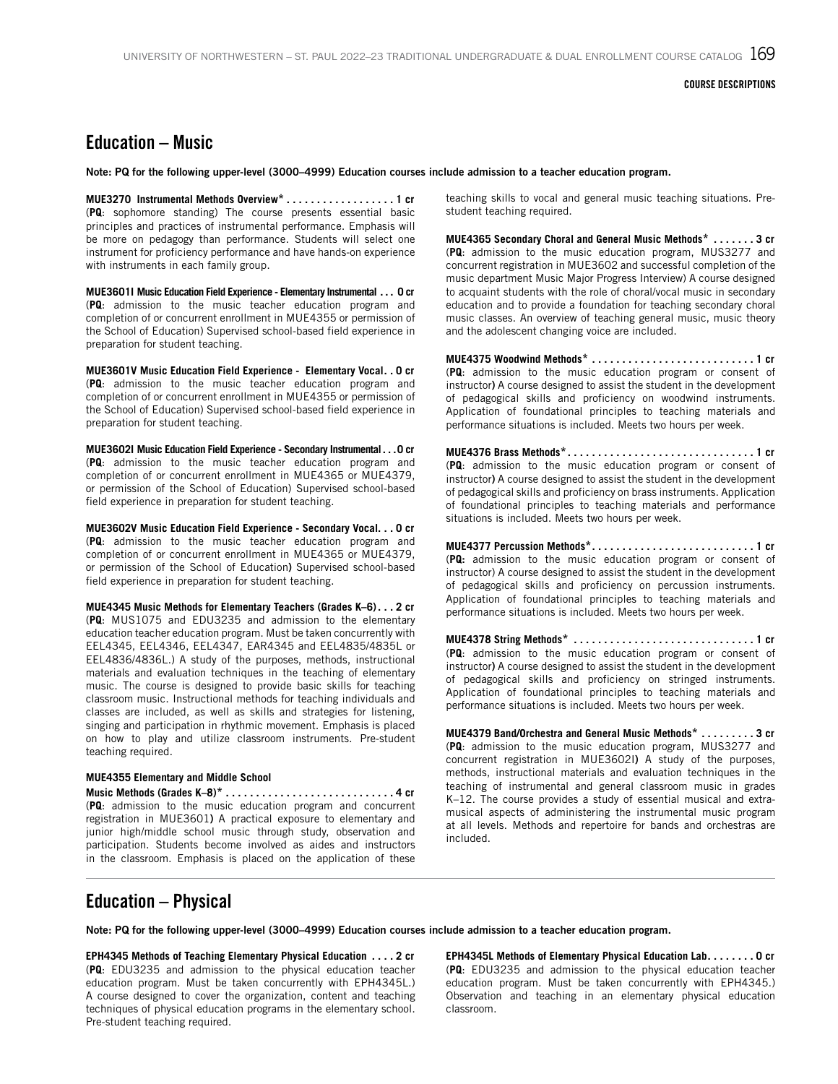### Education – Music

Note: PQ for the following upper-level (3000–4999) Education courses include admission to a teacher education program.

**MUE3270** Instrumental Methods Overview<sup>\*</sup> . . . . . . . . . . . . . . . . 1 cr (**PQ**: sophomore standing) The course presents essential basic principles and practices of instrumental performance. Emphasis will be more on pedagogy than performance. Students will select one instrument for proficiency performance and have hands-on experience with instruments in each family group.

**MUE3601I Music Education Field Experience - Elementary Instrumental. . . 0 cr**  (**PQ**: admission to the music teacher education program and completion of or concurrent enrollment in MUE4355 or permission of the School of Education) Supervised school-based field experience in preparation for student teaching.

**MUE3601V Music Education Field Experience - Elementary Vocal. . 0 cr** (**PQ**: admission to the music teacher education program and completion of or concurrent enrollment in MUE4355 or permission of the School of Education) Supervised school-based field experience in preparation for student teaching.

**MUE3602I Music Education Field Experience - Secondary Instrumental. . 0 cr**  (**PQ**: admission to the music teacher education program and completion of or concurrent enrollment in MUE4365 or MUE4379, or permission of the School of Education) Supervised school-based field experience in preparation for student teaching.

**MUE3602V Music Education Field Experience - Secondary Vocal. . . 0 cr** (**PQ**: admission to the music teacher education program and completion of or concurrent enrollment in MUE4365 or MUE4379, or permission of the School of Education**)** Supervised school-based field experience in preparation for student teaching.

**MUE4345 Music Methods for Elementary Teachers (Grades K–6). . 2 cr** (**PQ**: MUS1075 and EDU3235 and admission to the elementary education teacher education program. Must be taken concurrently with EEL4345, EEL4346, EEL4347, EAR4345 and EEL4835/4835L or EEL4836/4836L.) A study of the purposes, methods, instructional materials and evaluation techniques in the teaching of elementary music. The course is designed to provide basic skills for teaching classroom music. Instructional methods for teaching individuals and classes are included, as well as skills and strategies for listening, singing and participation in rhythmic movement. Emphasis is placed on how to play and utilize classroom instruments. Pre-student teaching required.

### **MUE4355 Elementary and Middle School**

**Music Methods (Grades K–8)\* ................................... 4 cr** (**PQ**: admission to the music education program and concurrent registration in MUE3601**)** A practical exposure to elementary and junior high/middle school music through study, observation and participation. Students become involved as aides and instructors in the classroom. Emphasis is placed on the application of these

teaching skills to vocal and general music teaching situations. Prestudent teaching required.

**MUE4365 Secondary Choral and General Music Methods\* .......3 cr** (**PQ**: admission to the music education program, MUS3277 and concurrent registration in MUE3602 and successful completion of the music department Music Major Progress Interview) A course designed to acquaint students with the role of choral/vocal music in secondary education and to provide a foundation for teaching secondary choral music classes. An overview of teaching general music, music theory and the adolescent changing voice are included.

**MUE4375 Woodwind Methods\*. . 1 cr** (**PQ**: admission to the music education program or consent of instructor**)** A course designed to assist the student in the development of pedagogical skills and proficiency on woodwind instruments. Application of foundational principles to teaching materials and performance situations is included. Meets two hours per week.

**MUE4376 Brass Methods\*. . 1 cr** (**PQ**: admission to the music education program or consent of instructor**)** A course designed to assist the student in the development of pedagogical skills and proficiency on brass instruments. Application of foundational principles to teaching materials and performance situations is included. Meets two hours per week.

**MUE4377 Percussion Methods\*. . 1 cr** (**PQ**: admission to the music education program or consent of instructor) A course designed to assist the student in the development of pedagogical skills and proficiency on percussion instruments. Application of foundational principles to teaching materials and performance situations is included. Meets two hours per week.

**MUE4378 String Methods\*. . 1 cr** (**PQ**: admission to the music education program or consent of instructor**)** A course designed to assist the student in the development of pedagogical skills and proficiency on stringed instruments. Application of foundational principles to teaching materials and performance situations is included. Meets two hours per week.

**MUE4379 Band/Orchestra and General Music Methods\*** . . . . . . . . . 3 cr (**PQ**: admission to the music education program, MUS3277 and concurrent registration in MUE3602I**)** A study of the purposes, methods, instructional materials and evaluation techniques in the teaching of instrumental and general classroom music in grades K–12. The course provides a study of essential musical and extramusical aspects of administering the instrumental music program at all levels. Methods and repertoire for bands and orchestras are included.

# Education – Physical

Note: PQ for the following upper-level (3000–4999) Education courses include admission to a teacher education program.

**EPH4345 Methods of Teaching Elementary Physical Education. . 2 cr** (**PQ**: EDU3235 and admission to the physical education teacher education program. Must be taken concurrently with EPH4345L.) A course designed to cover the organization, content and teaching techniques of physical education programs in the elementary school. Pre-student teaching required.

**EPH4345L Methods of Elementary Physical Education Lab........ O cr** (**PQ**: EDU3235 and admission to the physical education teacher education program. Must be taken concurrently with EPH4345.) Observation and teaching in an elementary physical education classroom.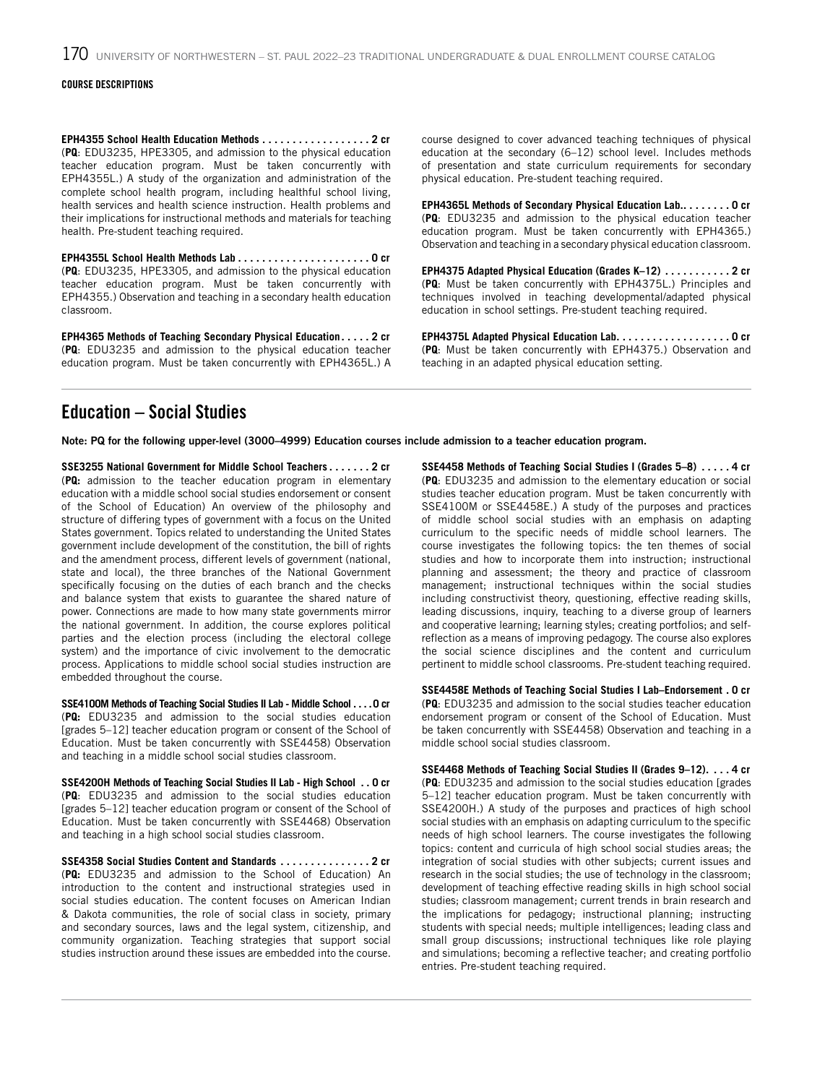**EPH4355 School Health Education Methods .................... 2 cr** (**PQ**: EDU3235, HPE3305, and admission to the physical education teacher education program. Must be taken concurrently with EPH4355L.) A study of the organization and administration of the complete school health program, including healthful school living, health services and health science instruction. Health problems and their implications for instructional methods and materials for teaching health. Pre-student teaching required.

**EPH4355L School Health Methods Lab....................... O cr** (**PQ**: EDU3235, HPE3305, and admission to the physical education teacher education program. Must be taken concurrently with EPH4355.) Observation and teaching in a secondary health education classroom.

**EPH4365 Methods of Teaching Secondary Physical Education.....2 cr** (**PQ**: EDU3235 and admission to the physical education teacher education program. Must be taken concurrently with EPH4365L.) A course designed to cover advanced teaching techniques of physical education at the secondary (6–12) school level. Includes methods of presentation and state curriculum requirements for secondary physical education. Pre-student teaching required.

**EPH4365L Methods of Secondary Physical Education Lab......... O cr** (**PQ**: EDU3235 and admission to the physical education teacher education program. Must be taken concurrently with EPH4365.) Observation and teaching in a secondary physical education classroom.

**EPH4375 Adapted Physical Education (Grades K-12) ........... 2 cr** (**PQ**: Must be taken concurrently with EPH4375L.) Principles and techniques involved in teaching developmental/adapted physical education in school settings. Pre-student teaching required.

**EPH4375L Adapted Physical Education Lab. . . . . . . . . . . . . . . . . 0 cr** (**PQ**: Must be taken concurrently with EPH4375.) Observation and teaching in an adapted physical education setting.

### Education – Social Studies

Note: PQ for the following upper-level (3000–4999) Education courses include admission to a teacher education program.

**SSE3255 National Government for Middle School Teachers....... 2 cr** (**PQ:** admission to the teacher education program in elementary education with a middle school social studies endorsement or consent of the School of Education) An overview of the philosophy and structure of differing types of government with a focus on the United States government. Topics related to understanding the United States government include development of the constitution, the bill of rights and the amendment process, different levels of government (national, state and local), the three branches of the National Government specifically focusing on the duties of each branch and the checks and balance system that exists to guarantee the shared nature of power. Connections are made to how many state governments mirror the national government. In addition, the course explores political parties and the election process (including the electoral college system) and the importance of civic involvement to the democratic process. Applications to middle school social studies instruction are embedded throughout the course.

**SSE4100M Methods of Teaching Social Studies II Lab - Middle School... . 0 cr** (**PQ:** EDU3235 and admission to the social studies education [grades 5–12] teacher education program or consent of the School of Education. Must be taken concurrently with SSE4458) Observation and teaching in a middle school social studies classroom.

**SSE4200H Methods of Teaching Social Studies II Lab - High School. . . 0 cr**  (**PQ**: EDU3235 and admission to the social studies education [grades 5–12] teacher education program or consent of the School of Education. Must be taken concurrently with SSE4468) Observation and teaching in a high school social studies classroom.

**SSE4358 Social Studies Content and Standards................ 2 cr** (**PQ:** EDU3235 and admission to the School of Education) An introduction to the content and instructional strategies used in social studies education. The content focuses on American Indian & Dakota communities, the role of social class in society, primary and secondary sources, laws and the legal system, citizenship, and community organization. Teaching strategies that support social studies instruction around these issues are embedded into the course.

SSE4458 Methods of Teaching Social Studies I (Grades 5-8) . . . . . 4 cr (**PQ**: EDU3235 and admission to the elementary education or social studies teacher education program. Must be taken concurrently with SSE4100M or SSE4458E.) A study of the purposes and practices of middle school social studies with an emphasis on adapting curriculum to the specific needs of middle school learners. The course investigates the following topics: the ten themes of social studies and how to incorporate them into instruction; instructional planning and assessment; the theory and practice of classroom management; instructional techniques within the social studies including constructivist theory, questioning, effective reading skills, leading discussions, inquiry, teaching to a diverse group of learners and cooperative learning; learning styles; creating portfolios; and selfreflection as a means of improving pedagogy. The course also explores the social science disciplines and the content and curriculum pertinent to middle school classrooms. Pre-student teaching required.

**SSE4458E Methods of Teaching Social Studies I Lab–Endorsement. 0 cr** (**PQ**: EDU3235 and admission to the social studies teacher education endorsement program or consent of the School of Education. Must be taken concurrently with SSE4458) Observation and teaching in a middle school social studies classroom.

SSE4468 Methods of Teaching Social Studies II (Grades 9-12). . . . 4 cr (**PQ**: EDU3235 and admission to the social studies education [grades 5–12] teacher education program. Must be taken concurrently with SSE4200H.) A study of the purposes and practices of high school social studies with an emphasis on adapting curriculum to the specific needs of high school learners. The course investigates the following topics: content and curricula of high school social studies areas; the integration of social studies with other subjects; current issues and research in the social studies; the use of technology in the classroom; development of teaching effective reading skills in high school social studies; classroom management; current trends in brain research and the implications for pedagogy; instructional planning; instructing students with special needs; multiple intelligences; leading class and small group discussions; instructional techniques like role playing and simulations; becoming a reflective teacher; and creating portfolio entries. Pre-student teaching required.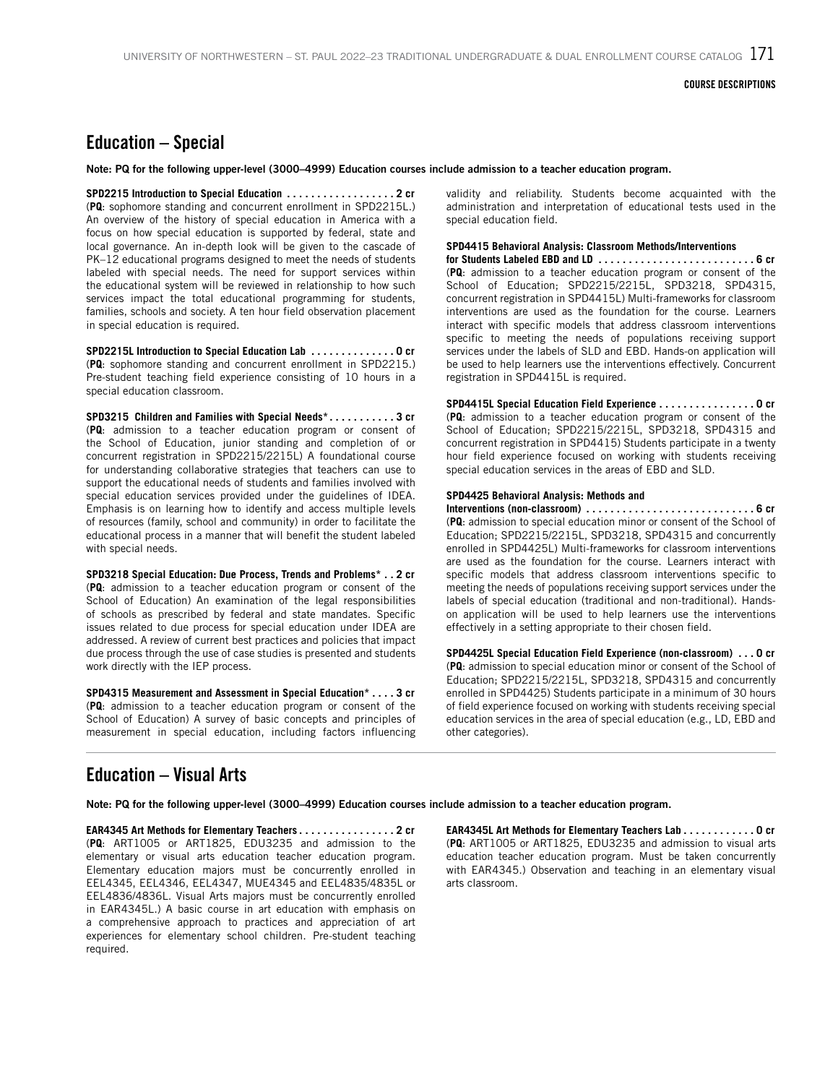# Education – Special

Note: PQ for the following upper-level (3000–4999) Education courses include admission to a teacher education program.

**SPD2215 Introduction to Special Education ..................... 2 cr** (**PQ**: sophomore standing and concurrent enrollment in SPD2215L.) An overview of the history of special education in America with a focus on how special education is supported by federal, state and local governance. An in-depth look will be given to the cascade of PK–12 educational programs designed to meet the needs of students labeled with special needs. The need for support services within the educational system will be reviewed in relationship to how such services impact the total educational programming for students, families, schools and society. A ten hour field observation placement in special education is required.

**SPD2215L Introduction to Special Education Lab............... O cr** (**PQ**: sophomore standing and concurrent enrollment in SPD2215.) Pre-student teaching field experience consisting of 10 hours in a special education classroom.

**SPD3215 Children and Families with Special Needs\*..........3 cr** (**PQ**: admission to a teacher education program or consent of the School of Education, junior standing and completion of or concurrent registration in SPD2215/2215L) A foundational course for understanding collaborative strategies that teachers can use to support the educational needs of students and families involved with special education services provided under the guidelines of IDEA. Emphasis is on learning how to identify and access multiple levels of resources (family, school and community) in order to facilitate the educational process in a manner that will benefit the student labeled with special needs.

**SPD3218 Special Education: Due Process, Trends and Problems\*. . 2 cr** (**PQ**: admission to a teacher education program or consent of the School of Education) An examination of the legal responsibilities of schools as prescribed by federal and state mandates. Specific issues related to due process for special education under IDEA are addressed. A review of current best practices and policies that impact due process through the use of case studies is presented and students work directly with the IEP process.

**SPD4315 Measurement and Assessment in Special Education\*....3 cr** (**PQ**: admission to a teacher education program or consent of the School of Education) A survey of basic concepts and principles of measurement in special education, including factors influencing validity and reliability. Students become acquainted with the administration and interpretation of educational tests used in the special education field.

#### **SPD4415 Behavioral Analysis: Classroom Methods/Interventions**

**for Students Labeled EBD and LD. . 6 cr** (**PQ**: admission to a teacher education program or consent of the School of Education; SPD2215/2215L, SPD3218, SPD4315, concurrent registration in SPD4415L) Multi-frameworks for classroom interventions are used as the foundation for the course. Learners interact with specific models that address classroom interventions specific to meeting the needs of populations receiving support services under the labels of SLD and EBD. Hands-on application will be used to help learners use the interventions effectively. Concurrent registration in SPD4415L is required.

**SPD4415L Special Education Field Experience ................ O cr** (**PQ**: admission to a teacher education program or consent of the School of Education; SPD2215/2215L, SPD3218, SPD4315 and concurrent registration in SPD4415) Students participate in a twenty hour field experience focused on working with students receiving special education services in the areas of EBD and SLD.

### **SPD4425 Behavioral Analysis: Methods and**

**Interventions (non-classroom). . 6 cr** (**PQ**: admission to special education minor or consent of the School of Education; SPD2215/2215L, SPD3218, SPD4315 and concurrently enrolled in SPD4425L) Multi-frameworks for classroom interventions are used as the foundation for the course. Learners interact with specific models that address classroom interventions specific to meeting the needs of populations receiving support services under the labels of special education (traditional and non-traditional). Handson application will be used to help learners use the interventions effectively in a setting appropriate to their chosen field.

### **SPD4425L Special Education Field Experience (non-classroom) . . . 0 cr**

(**PQ**: admission to special education minor or consent of the School of Education; SPD2215/2215L, SPD3218, SPD4315 and concurrently enrolled in SPD4425) Students participate in a minimum of 30 hours of field experience focused on working with students receiving special education services in the area of special education (e.g., LD, EBD and other categories).

### Education – Visual Arts

Note: PQ for the following upper-level (3000–4999) Education courses include admission to a teacher education program.

**EAR4345 Art Methods for Elementary Teachers................. 2 cr** (**PQ**: ART1005 or ART1825, EDU3235 and admission to the elementary or visual arts education teacher education program. Elementary education majors must be concurrently enrolled in EEL4345, EEL4346, EEL4347, MUE4345 and EEL4835/4835L or EEL4836/4836L. Visual Arts majors must be concurrently enrolled in EAR4345L.) A basic course in art education with emphasis on a comprehensive approach to practices and appreciation of art experiences for elementary school children. Pre-student teaching required.

**EAR4345L Art Methods for Elementary Teachers Lab............ O cr** (**PQ**: ART1005 or ART1825, EDU3235 and admission to visual arts education teacher education program. Must be taken concurrently with EAR4345.) Observation and teaching in an elementary visual arts classroom.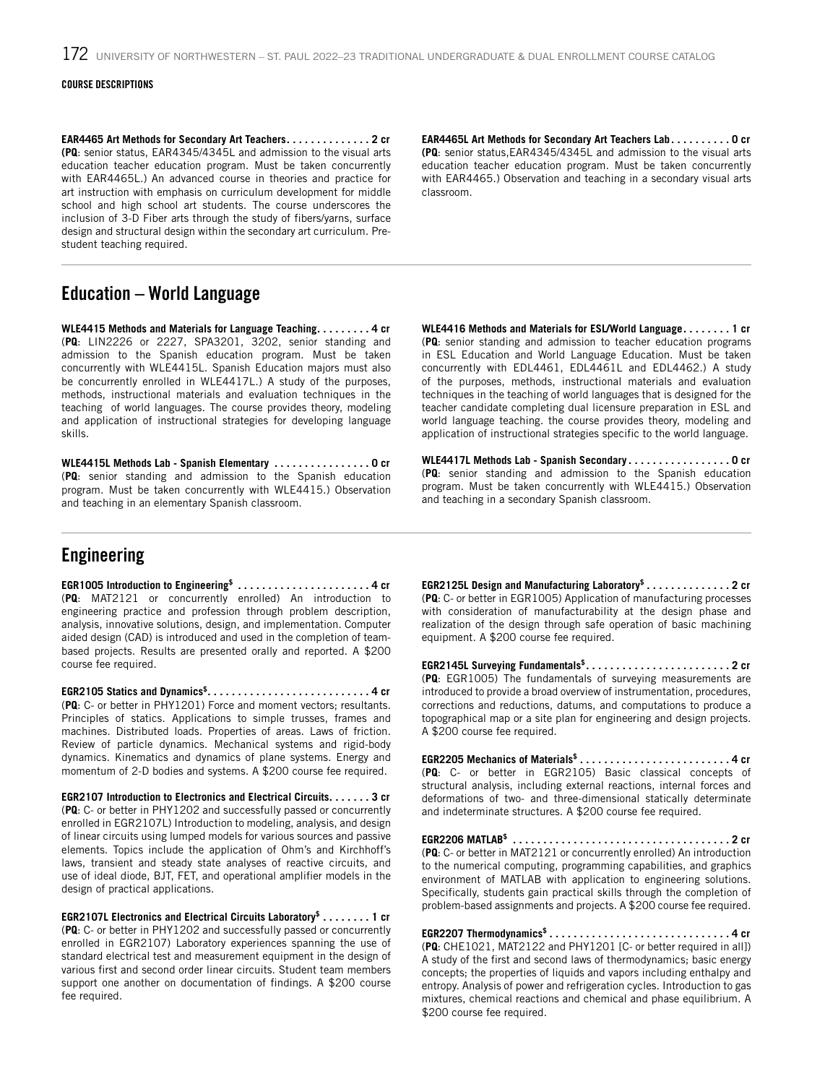**EAR4465 Art Methods for Secondary Art Teachers............... 2 cr (PQ**: senior status, EAR4345/4345L and admission to the visual arts education teacher education program. Must be taken concurrently with EAR4465L.) An advanced course in theories and practice for art instruction with emphasis on curriculum development for middle school and high school art students. The course underscores the inclusion of 3-D Fiber arts through the study of fibers/yarns, surface design and structural design within the secondary art curriculum. Prestudent teaching required.

**EAR4465L Art Methods for Secondary Art Teachers Lab.......... O cr (PQ**: senior status,EAR4345/4345L and admission to the visual arts education teacher education program. Must be taken concurrently with EAR4465.) Observation and teaching in a secondary visual arts classroom.

### Education – World Language

**WLE4415 Methods and Materials for Language Teaching......... 4 cr** (**PQ**: LIN2226 or 2227, SPA3201, 3202, senior standing and admission to the Spanish education program. Must be taken concurrently with WLE4415L. Spanish Education majors must also be concurrently enrolled in WLE4417L.) A study of the purposes, methods, instructional materials and evaluation techniques in the teaching of world languages. The course provides theory, modeling and application of instructional strategies for developing language skills.

WLE4415L Methods Lab - Spanish Elementary . . . . . . . . . . . . . . . 0 cr (**PQ**: senior standing and admission to the Spanish education program. Must be taken concurrently with WLE4415.) Observation and teaching in an elementary Spanish classroom.

WLE4416 Methods and Materials for ESL/World Language........ 1 cr (**PQ**: senior standing and admission to teacher education programs in ESL Education and World Language Education. Must be taken concurrently with EDL4461, EDL4461L and EDL4462.) A study of the purposes, methods, instructional materials and evaluation techniques in the teaching of world languages that is designed for the teacher candidate completing dual licensure preparation in ESL and world language teaching. the course provides theory, modeling and application of instructional strategies specific to the world language.

WLE4417L Methods Lab - Spanish Secondary.................0 cr (**PQ**: senior standing and admission to the Spanish education program. Must be taken concurrently with WLE4415.) Observation and teaching in a secondary Spanish classroom.

### Engineering

EGR1005 Introduction to Engineering<sup>\$</sup> .......................4 cr (**PQ**: MAT2121 or concurrently enrolled) An introduction to engineering practice and profession through problem description, analysis, innovative solutions, design, and implementation. Computer aided design (CAD) is introduced and used in the completion of team‐ based projects. Results are presented orally and reported. A \$200 course fee required.

**EGR2105 Statics and Dynamics\$ . 4 cr** (**PQ**: C- or better in PHY1201) Force and moment vectors; resultants. Principles of statics. Applications to simple trusses, frames and machines. Distributed loads. Properties of areas. Laws of friction. Review of particle dynamics. Mechanical systems and rigid-body dynamics. Kinematics and dynamics of plane systems. Energy and momentum of 2-D bodies and systems. A \$200 course fee required.

**EGR2107 Introduction to Electronics and Electrical Circuits.......3 cr** (**PQ**: C- or better in PHY1202 and successfully passed or concurrently enrolled in EGR2107L) Introduction to modeling, analysis, and design of linear circuits using lumped models for various sources and passive elements. Topics include the application of Ohm's and Kirchhoff's laws, transient and steady state analyses of reactive circuits, and use of ideal diode, BJT, FET, and operational amplifier models in the design of practical applications.

**EGR2107L Electronics and Electrical Circuits Laboratory<sup>\$</sup> .......1 cr** (**PQ**: C- or better in PHY1202 and successfully passed or concurrently enrolled in EGR2107) Laboratory experiences spanning the use of standard electrical test and measurement equipment in the design of various first and second order linear circuits. Student team members support one another on documentation of findings. A \$200 course fee required.

**EGR2125L Design and Manufacturing Laboratory\$ . 2 cr** (**PQ**: C- or better in EGR1005) Application of manufacturing processes with consideration of manufacturability at the design phase and realization of the design through safe operation of basic machining equipment. A \$200 course fee required.

**EGR2145L Surveying Fundamentals\$ . 2 cr** (**PQ**: EGR1005) The fundamentals of surveying measurements are introduced to provide a broad overview of instrumentation, procedures, corrections and reductions, datums, and computations to produce a topographical map or a site plan for engineering and design projects. A \$200 course fee required.

**EGR2205 Mechanics of Materials\$ . 4 cr** (**PQ**: C- or better in EGR2105) Basic classical concepts of structural analysis, including external reactions, internal forces and deformations of two- and three-dimensional statically determinate and indeterminate structures. A \$200 course fee required.

**EGR2206 MATLAB\$. . 2 cr** (**PQ**: C- or better in MAT2121 or concurrently enrolled) An introduction to the numerical computing, programming capabilities, and graphics environment of MATLAB with application to engineering solutions. Specifically, students gain practical skills through the completion of problem-based assignments and projects. A \$200 course fee required.

**EGR2207 Thermodynamics\$ . 4 cr** (**PQ**: CHE1021, MAT2122 and PHY1201 [C- or better required in all]) A study of the first and second laws of thermodynamics; basic energy concepts; the properties of liquids and vapors including enthalpy and entropy. Analysis of power and refrigeration cycles. Introduction to gas mixtures, chemical reactions and chemical and phase equilibrium. A \$200 course fee required.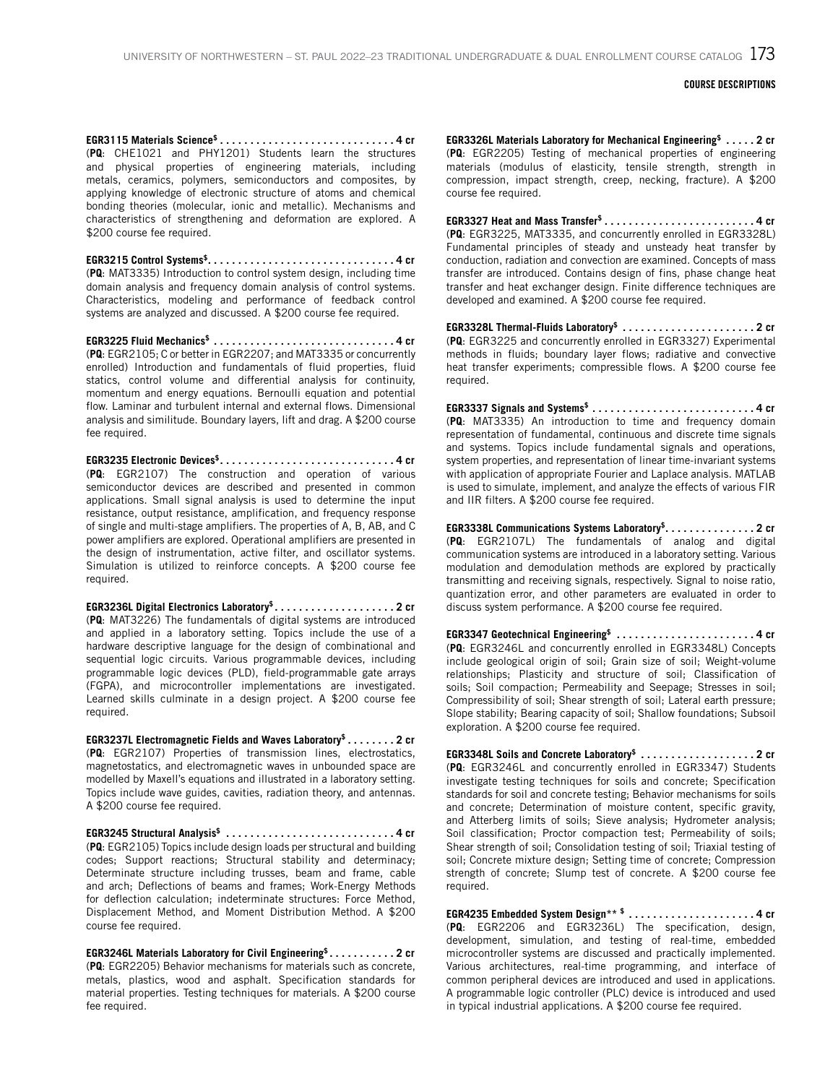**EGR3115 Materials Science\$ . 4 cr** (**PQ**: CHE1021 and PHY1201) Students learn the structures and physical properties of engineering materials, including metals, ceramics, polymers, semiconductors and composites, by applying knowledge of electronic structure of atoms and chemical bonding theories (molecular, ionic and metallic). Mechanisms and characteristics of strengthening and deformation are explored. A \$200 course fee required.

**EGR3215 Control Systems\$ . 4 cr** (**PQ**: MAT3335) Introduction to control system design, including time domain analysis and frequency domain analysis of control systems. Characteristics, modeling and performance of feedback control systems are analyzed and discussed. A \$200 course fee required.

**EGR3225 Fluid Mechanics\$. . 4 cr**  (**PQ**: EGR2105; C or better in EGR2207; and MAT3335 or concurrently enrolled) Introduction and fundamentals of fluid properties, fluid statics, control volume and differential analysis for continuity, momentum and energy equations. Bernoulli equation and potential flow. Laminar and turbulent internal and external flows. Dimensional analysis and similitude. Boundary layers, lift and drag. A \$200 course fee required.

**EGR3235 Electronic Devices\$ . 4 cr** (**PQ**: EGR2107) The construction and operation of various semiconductor devices are described and presented in common applications. Small signal analysis is used to determine the input resistance, output resistance, amplification, and frequency response of single and multi-stage amplifiers. The properties of A, B, AB, and C power amplifiers are explored. Operational amplifiers are presented in the design of instrumentation, active filter, and oscillator systems. Simulation is utilized to reinforce concepts. A \$200 course fee required.

**EGR3236L Digital Electronics Laboratory\$ . 2 cr** (**PQ**: MAT3226) The fundamentals of digital systems are introduced and applied in a laboratory setting. Topics include the use of a hardware descriptive language for the design of combinational and sequential logic circuits. Various programmable devices, including programmable logic devices (PLD), field-programmable gate arrays (FGPA), and microcontroller implementations are investigated. Learned skills culminate in a design project. A \$200 course fee required.

**EGR3237L Electromagnetic Fields and Waves Laboratory\$ . 2 cr** (**PQ**: EGR2107) Properties of transmission lines, electrostatics, magnetostatics, and electromagnetic waves in unbounded space are modelled by Maxell's equations and illustrated in a laboratory setting. Topics include wave guides, cavities, radiation theory, and antennas. A \$200 course fee required.

**EGR3245 Structural Analysis\$. . 4 cr** (**PQ**: EGR2105) Topics include design loads per structural and building codes; Support reactions; Structural stability and determinacy; Determinate structure including trusses, beam and frame, cable and arch; Deflections of beams and frames; Work-Energy Methods for deflection calculation; indeterminate structures: Force Method, Displacement Method, and Moment Distribution Method. A \$200 course fee required.

**EGR3246L Materials Laboratory for Civil Engineering\$ . 2 cr** (**PQ**: EGR2205) Behavior mechanisms for materials such as concrete, metals, plastics, wood and asphalt. Specification standards for material properties. Testing techniques for materials. A \$200 course fee required.

**EGR3326L Materials Laboratory for Mechanical Engineering<sup>\$</sup> .....2 cr** (**PQ**: EGR2205) Testing of mechanical properties of engineering materials (modulus of elasticity, tensile strength, strength in compression, impact strength, creep, necking, fracture). A \$200 course fee required.

**EGR3327 Heat and Mass Transfer\$ . 4 cr** (**PQ**: EGR3225, MAT3335, and concurrently enrolled in EGR3328L) Fundamental principles of steady and unsteady heat transfer by conduction, radiation and convection are examined. Concepts of mass transfer are introduced. Contains design of fins, phase change heat transfer and heat exchanger design. Finite difference techniques are developed and examined. A \$200 course fee required.

**EGR3328L Thermal-Fluids Laboratory\$. . 2 cr** (**PQ**: EGR3225 and concurrently enrolled in EGR3327) Experimental methods in fluids; boundary layer flows; radiative and convective heat transfer experiments; compressible flows. A \$200 course fee required.

**EGR3337 Signals and Systems<sup>\$</sup> ..............................4 cr** (**PQ**: MAT3335) An introduction to time and frequency domain representation of fundamental, continuous and discrete time signals and systems. Topics include fundamental signals and operations, system properties, and representation of linear time-invariant systems with application of appropriate Fourier and Laplace analysis. MATLAB is used to simulate, implement, and analyze the effects of various FIR and IIR filters. A \$200 course fee required.

**EGR3338L Communications Systems Laboratory\$ . 2 cr** (**PQ**: EGR2107L) The fundamentals of analog and digital communication systems are introduced in a laboratory setting. Various modulation and demodulation methods are explored by practically transmitting and receiving signals, respectively. Signal to noise ratio, quantization error, and other parameters are evaluated in order to discuss system performance. A \$200 course fee required.

**EGR3347 Geotechnical Engineering<sup>\$</sup> .......................4 cr** (**PQ**: EGR3246L and concurrently enrolled in EGR3348L) Concepts include geological origin of soil; Grain size of soil; Weight-volume relationships; Plasticity and structure of soil; Classification of soils; Soil compaction; Permeability and Seepage; Stresses in soil; Compressibility of soil; Shear strength of soil; Lateral earth pressure; Slope stability; Bearing capacity of soil; Shallow foundations; Subsoil exploration. A \$200 course fee required.

**EGR3348L Soils and Concrete Laboratory<sup>\$</sup> ........................... 2 cr** (**PQ**: EGR3246L and concurrently enrolled in EGR3347) Students investigate testing techniques for soils and concrete; Specification standards for soil and concrete testing; Behavior mechanisms for soils and concrete; Determination of moisture content, specific gravity, and Atterberg limits of soils; Sieve analysis; Hydrometer analysis; Soil classification; Proctor compaction test; Permeability of soils; Shear strength of soil; Consolidation testing of soil; Triaxial testing of soil; Concrete mixture design; Setting time of concrete; Compression strength of concrete; Slump test of concrete. A \$200 course fee required.

**EGR4235 Embedded System Design\*\* \$ ......................4 cr** (**PQ**: EGR2206 and EGR3236L) The specification, design, development, simulation, and testing of real-time, embedded microcontroller systems are discussed and practically implemented. Various architectures, real-time programming, and interface of common peripheral devices are introduced and used in applications. A programmable logic controller (PLC) device is introduced and used in typical industrial applications. A \$200 course fee required.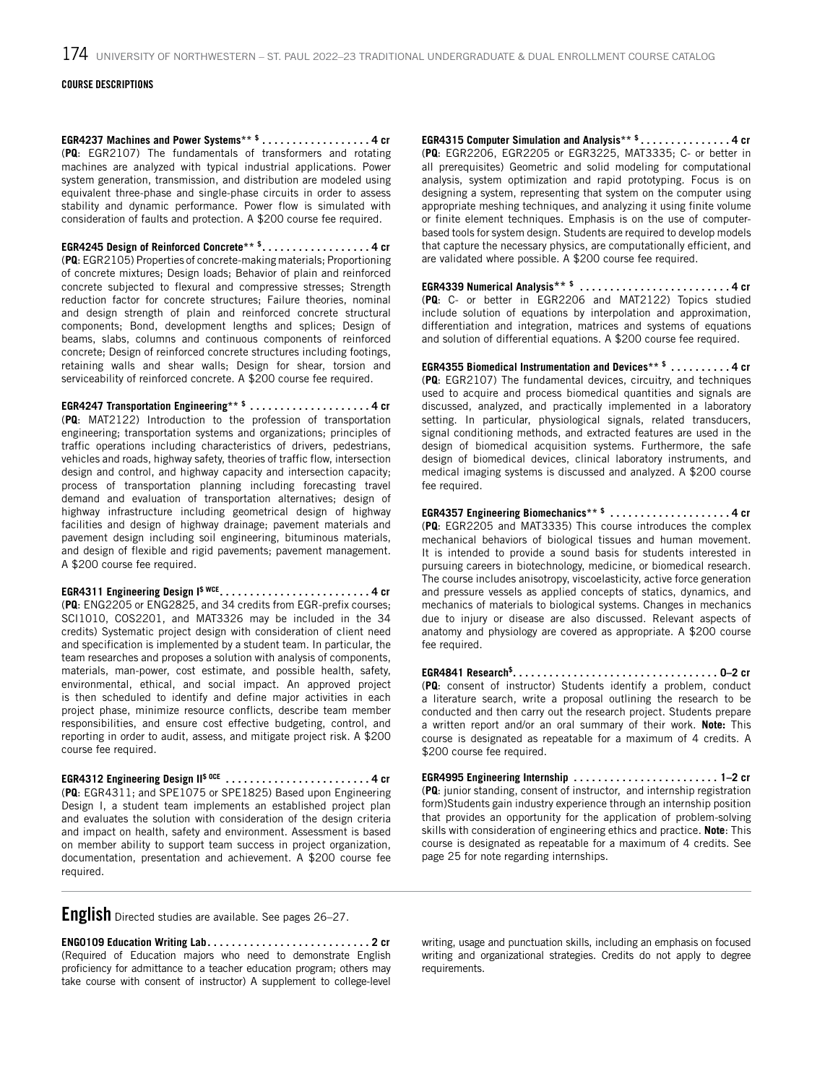**EGR4237 Machines and Power Systems**\*\* \$ . . . . . . . . . . . . . . . . 4 cr (**PQ**: EGR2107) The fundamentals of transformers and rotating machines are analyzed with typical industrial applications. Power system generation, transmission, and distribution are modeled using equivalent three-phase and single-phase circuits in order to assess stability and dynamic performance. Power flow is simulated with consideration of faults and protection. A \$200 course fee required.

**EGR4245 Design of Reinforced Concrete\*\* \$ . 4 cr** (**PQ**: EGR2105) Properties of concrete-making materials; Proportioning of concrete mixtures; Design loads; Behavior of plain and reinforced concrete subjected to flexural and compressive stresses; Strength reduction factor for concrete structures; Failure theories, nominal and design strength of plain and reinforced concrete structural components; Bond, development lengths and splices; Design of beams, slabs, columns and continuous components of reinforced concrete; Design of reinforced concrete structures including footings, retaining walls and shear walls; Design for shear, torsion and serviceability of reinforced concrete. A \$200 course fee required.

**EGR4247 Transportation Engineering\*\* \$. . 4 cr** (**PQ**: MAT2122) Introduction to the profession of transportation engineering; transportation systems and organizations; principles of traffic operations including characteristics of drivers, pedestrians, vehicles and roads, highway safety, theories of traffic flow, intersection design and control, and highway capacity and intersection capacity; process of transportation planning including forecasting travel demand and evaluation of transportation alternatives; design of highway infrastructure including geometrical design of highway facilities and design of highway drainage; pavement materials and pavement design including soil engineering, bituminous materials, and design of flexible and rigid pavements; pavement management. A \$200 course fee required.

#### EGR4311 Engineering Design I<sup>\$ WCE</sup>...........................4 cr

(**PQ**: ENG2205 or ENG2825, and 34 credits from EGR-prefix courses; SCI1010, COS2201, and MAT3326 may be included in the 34 credits) Systematic project design with consideration of client need and specification is implemented by a student team. In particular, the team researches and proposes a solution with analysis of components, materials, man-power, cost estimate, and possible health, safety, environmental, ethical, and social impact. An approved project is then scheduled to identify and define major activities in each project phase, minimize resource conflicts, describe team member responsibilities, and ensure cost effective budgeting, control, and reporting in order to audit, assess, and mitigate project risk. A \$200 course fee required.

**EGR4312 Engineering Design II<sup>\$ OCE</sup>..........................4 cr** (**PQ**: EGR4311; and SPE1075 or SPE1825) Based upon Engineering Design I, a student team implements an established project plan and evaluates the solution with consideration of the design criteria and impact on health, safety and environment. Assessment is based on member ability to support team success in project organization, documentation, presentation and achievement. A \$200 course fee required.

**EGR4315 Computer Simulation and Analysis\*\* \$ . 4 cr** (**PQ**: EGR2206, EGR2205 or EGR3225, MAT3335; C- or better in all prerequisites) Geometric and solid modeling for computational analysis, system optimization and rapid prototyping. Focus is on designing a system, representing that system on the computer using appropriate meshing techniques, and analyzing it using finite volume or finite element techniques. Emphasis is on the use of computerbased tools for system design. Students are required to develop models that capture the necessary physics, are computationally efficient, and are validated where possible. A \$200 course fee required.

**EGR4339 Numerical Analysis\*\* \$ ............................. 4 cr** (**PQ**: C- or better in EGR2206 and MAT2122) Topics studied include solution of equations by interpolation and approximation, differentiation and integration, matrices and systems of equations and solution of differential equations. A \$200 course fee required.

**EGR4355 Biomedical Instrumentation and Devices\*\* \$ ......... 4 cr** (**PQ**: EGR2107) The fundamental devices, circuitry, and techniques used to acquire and process biomedical quantities and signals are discussed, analyzed, and practically implemented in a laboratory setting. In particular, physiological signals, related transducers, signal conditioning methods, and extracted features are used in the design of biomedical acquisition systems. Furthermore, the safe design of biomedical devices, clinical laboratory instruments, and medical imaging systems is discussed and analyzed. A \$200 course fee required.

**EGR4357 Engineering Biomechanics\*\* \$ . 4 cr** (**PQ**: EGR2205 and MAT3335) This course introduces the complex mechanical behaviors of biological tissues and human movement. It is intended to provide a sound basis for students interested in pursuing careers in biotechnology, medicine, or biomedical research. The course includes anisotropy, viscoelasticity, active force generation and pressure vessels as applied concepts of statics, dynamics, and mechanics of materials to biological systems. Changes in mechanics due to injury or disease are also discussed. Relevant aspects of anatomy and physiology are covered as appropriate. A \$200 course fee required.

**EGR4841 Research\$ . . 0–2 cr** (**PQ**: consent of instructor) Students identify a problem, conduct a literature search, write a proposal outlining the research to be conducted and then carry out the research project. Students prepare a written report and/or an oral summary of their work. **Note:** This course is designated as repeatable for a maximum of 4 credits. A \$200 course fee required.

**EGR4995 Engineering Internship. . . 1–2 cr** (**PQ**: junior standing, consent of instructor, and internship registration form)Students gain industry experience through an internship position that provides an opportunity for the application of problem-solving skills with consideration of engineering ethics and practice. **Note**: This course is designated as repeatable for a maximum of 4 credits. See page 25 for note regarding internships.

**English** Directed studies are available. See pages 26–27.

**ENG0109 Education Writing Lab.................................. 2 cr** (Required of Education majors who need to demonstrate English proficiency for admittance to a teacher education program; others may take course with consent of instructor) A supplement to college-level writing, usage and punctuation skills, including an emphasis on focused writing and organizational strategies. Credits do not apply to degree requirements.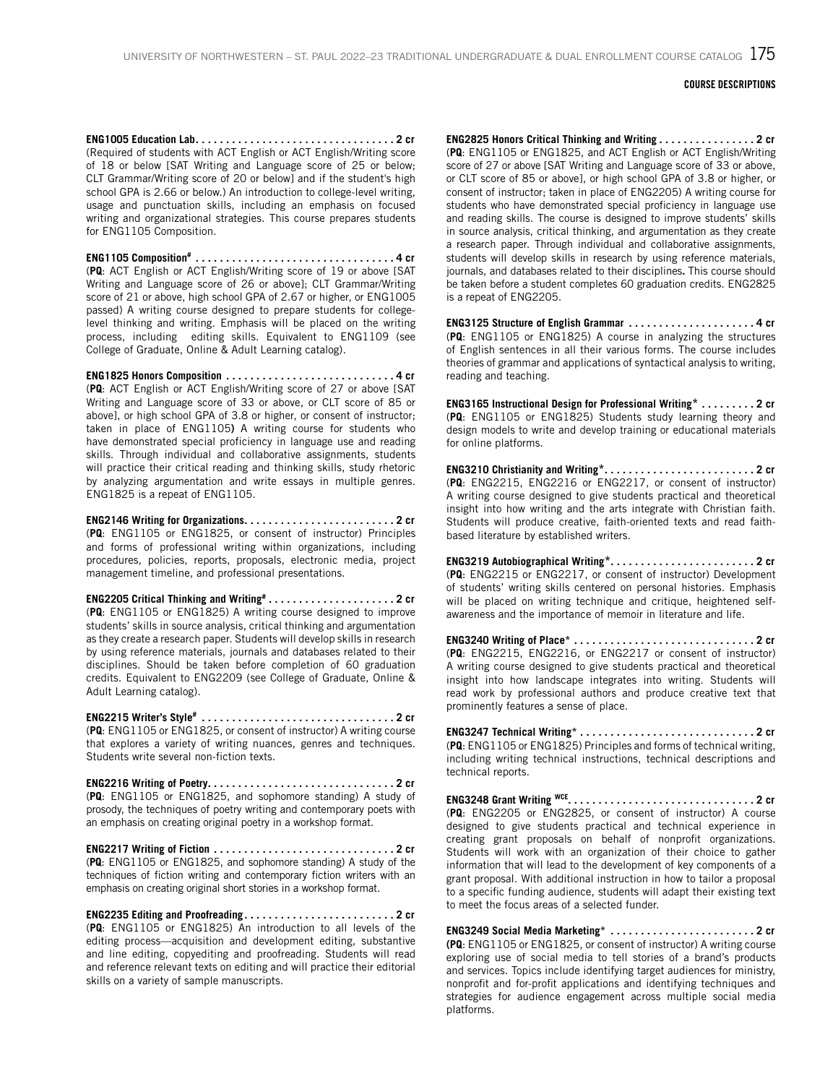**ENG1005 Education Lab. . 2 cr** (Required of students with ACT English or ACT English/Writing score of 18 or below [SAT Writing and Language score of 25 or below; CLT Grammar/Writing score of 20 or below] and if the student's high school GPA is 2.66 or below.) An introduction to college-level writing, usage and punctuation skills, including an emphasis on focused writing and organizational strategies. This course prepares students for ENG1105 Composition.

**ENG1105 Composition#. . 4 cr** (**PQ**: ACT English or ACT English/Writing score of 19 or above [SAT Writing and Language score of 26 or above]; CLT Grammar/Writing score of 21 or above, high school GPA of 2.67 or higher, or ENG1005 passed) A writing course designed to prepare students for collegelevel thinking and writing. Emphasis will be placed on the writing process, including editing skills. Equivalent to ENG1109 (see College of Graduate, Online & Adult Learning catalog).

**ENG1825 Honors Composition ................................4 cr** (**PQ**: ACT English or ACT English/Writing score of 27 or above [SAT Writing and Language score of 33 or above, or CLT score of 85 or above], or high school GPA of 3.8 or higher, or consent of instructor; taken in place of ENG1105**)** A writing course for students who have demonstrated special proficiency in language use and reading skills. Through individual and collaborative assignments, students will practice their critical reading and thinking skills, study rhetoric by analyzing argumentation and write essays in multiple genres. ENG1825 is a repeat of ENG1105.

**ENG2146 Writing for Organizations. . 2 cr** (**PQ**: ENG1105 or ENG1825, or consent of instructor) Principles and forms of professional writing within organizations, including procedures, policies, reports, proposals, electronic media, project management timeline, and professional presentations.

**ENG2205 Critical Thinking and Writing# . 2 cr** (**PQ**: ENG1105 or ENG1825) A writing course designed to improve students' skills in source analysis, critical thinking and argumentation as they create a research paper. Students will develop skills in research by using reference materials, journals and databases related to their disciplines. Should be taken before completion of 60 graduation credits. Equivalent to ENG2209 (see College of Graduate, Online & Adult Learning catalog).

**ENG2215 Writer's Style#. . 2 cr** (**PQ**: ENG1105 or ENG1825, or consent of instructor) A writing course that explores a variety of writing nuances, genres and techniques. Students write several non-fiction texts.

**ENG2216 Writing of Poetry. . 2 cr** (**PQ**: ENG1105 or ENG1825, and sophomore standing) A study of prosody, the techniques of poetry writing and contemporary poets with an emphasis on creating original poetry in a workshop format.

**ENG2217 Writing of Fiction. . 2 cr** (**PQ**: ENG1105 or ENG1825, and sophomore standing) A study of the techniques of fiction writing and contemporary fiction writers with an emphasis on creating original short stories in a workshop format.

**ENG2235 Editing and Proofreading................................ 2 cr** (**PQ**: ENG1105 or ENG1825) An introduction to all levels of the editing process—acquisition and development editing, substantive and line editing, copyediting and proofreading. Students will read and reference relevant texts on editing and will practice their editorial skills on a variety of sample manuscripts.

**ENG2825 Honors Critical Thinking and Writing..................... 2 cr** (**PQ**: ENG1105 or ENG1825, and ACT English or ACT English/Writing score of 27 or above [SAT Writing and Language score of 33 or above, or CLT score of 85 or above], or high school GPA of 3.8 or higher, or consent of instructor; taken in place of ENG2205) A writing course for students who have demonstrated special proficiency in language use and reading skills. The course is designed to improve students' skills in source analysis, critical thinking, and argumentation as they create a research paper. Through individual and collaborative assignments, students will develop skills in research by using reference materials, journals, and databases related to their disciplines**.** This course should be taken before a student completes 60 graduation credits. ENG2825 is a repeat of ENG2205.

**ENG3125 Structure of English Grammar** .......................4 cr (**PQ**: ENG1105 or ENG1825) A course in analyzing the structures of English sentences in all their various forms. The course includes theories of grammar and applications of syntactical analysis to writing, reading and teaching.

**ENG3165 Instructional Design for Professional Writing\*.........2 cr** (**PQ**: ENG1105 or ENG1825) Students study learning theory and design models to write and develop training or educational materials for online platforms.

**ENG3210 Christianity and Writing\*...............................2 cr** (**PQ**: ENG2215, ENG2216 or ENG2217, or consent of instructor) A writing course designed to give students practical and theoretical insight into how writing and the arts integrate with Christian faith. Students will produce creative, faith-oriented texts and read faithbased literature by established writers.

ENG3219 Autobiographical Writing\*...............................2 cr (**PQ**: ENG2215 or ENG2217, or consent of instructor) Development of students' writing skills centered on personal histories. Emphasis will be placed on writing technique and critique, heightened selfawareness and the importance of memoir in literature and life.

**ENG3240 Writing of Place\*. . 2 cr** (**PQ**: ENG2215, ENG2216, or ENG2217 or consent of instructor) A writing course designed to give students practical and theoretical insight into how landscape integrates into writing. Students will read work by professional authors and produce creative text that prominently features a sense of place.

**ENG3247 Technical Writing\*. . 2 cr** (**PQ**: ENG1105 or ENG1825) Principles and forms of technical writing, including writing technical instructions, technical descriptions and technical reports.

**ENG3248 Grant Writing WCE. . . . . . . . . . . . . . . . . . . . . . . . . . . . . . . 2 cr** (**PQ**: ENG2205 or ENG2825, or consent of instructor) A course designed to give students practical and technical experience in creating grant proposals on behalf of nonprofit organizations. Students will work with an organization of their choice to gather information that will lead to the development of key components of a grant proposal. With additional instruction in how to tailor a proposal to a specific funding audience, students will adapt their existing text to meet the focus areas of a selected funder.

**ENG3249 Social Media Marketing\*. . 2 cr (PQ**: ENG1105 or ENG1825, or consent of instructor) A writing course exploring use of social media to tell stories of a brand's products and services. Topics include identifying target audiences for ministry, nonprofit and for-profit applications and identifying techniques and strategies for audience engagement across multiple social media platforms.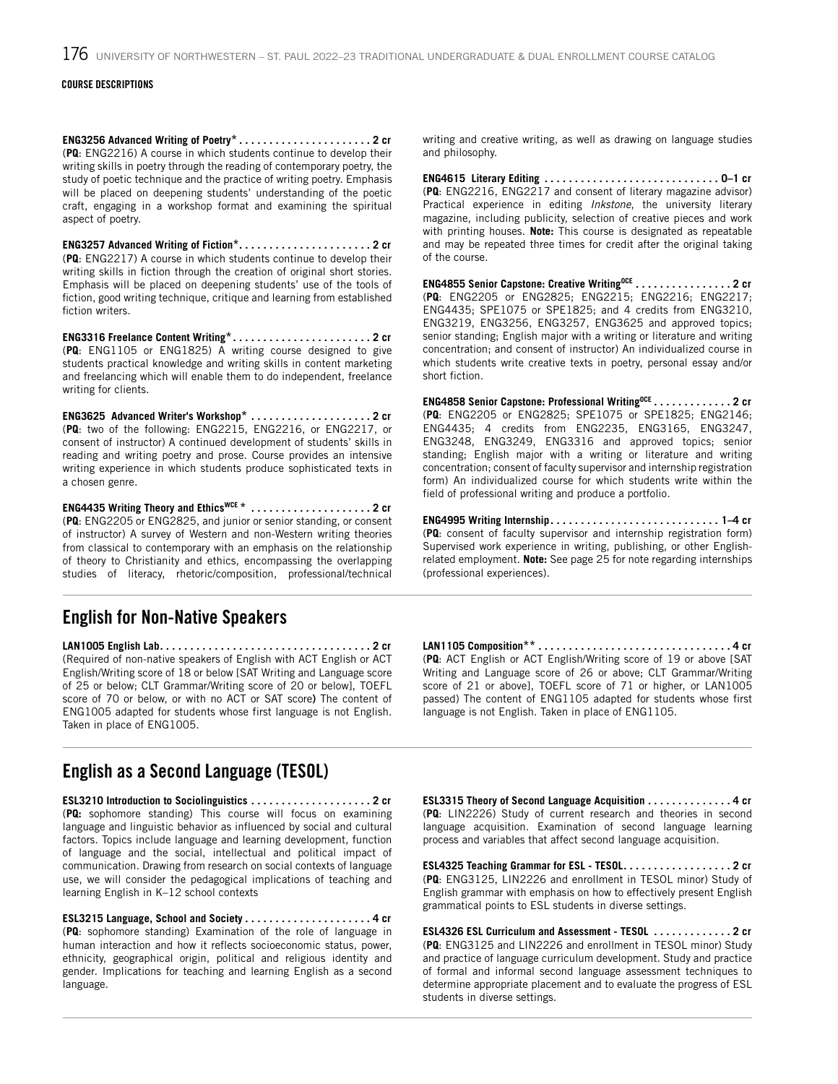**ENG3256 Advanced Writing of Poetry**\*................................ 2 cr (**PQ**: ENG2216) A course in which students continue to develop their writing skills in poetry through the reading of contemporary poetry, the study of poetic technique and the practice of writing poetry. Emphasis will be placed on deepening students' understanding of the poetic craft, engaging in a workshop format and examining the spiritual aspect of poetry.

**ENG3257 Advanced Writing of Fiction\*............................ 2 cr** (**PQ**: ENG2217) A course in which students continue to develop their writing skills in fiction through the creation of original short stories. Emphasis will be placed on deepening students' use of the tools of fiction, good writing technique, critique and learning from established fiction writers.

**ENG3316 Freelance Content Writing\*. . 2 cr** (**PQ**: ENG1105 or ENG1825) A writing course designed to give students practical knowledge and writing skills in content marketing and freelancing which will enable them to do independent, freelance writing for clients.

ENG3625 Advanced Writer's Workshop\* . . . . . . . . . . . . . . . . . . 2 cr (**PQ**: two of the following: ENG2215, ENG2216, or ENG2217, or consent of instructor) A continued development of students' skills in reading and writing poetry and prose. Course provides an intensive writing experience in which students produce sophisticated texts in a chosen genre.

**ENG4435 Writing Theory and Ethics<sup>WCE \*</sup> ......................... 2 cr** (**PQ**: ENG2205 or ENG2825, and junior or senior standing, or consent of instructor) A survey of Western and non-Western writing theories from classical to contemporary with an emphasis on the relationship of theory to Christianity and ethics, encompassing the overlapping studies of literacy, rhetoric/composition, professional/technical

writing and creative writing, as well as drawing on language studies and philosophy.

**ENG4615 Literary Editing. . . 0–1 cr** (**PQ**: ENG2216, ENG2217 and consent of literary magazine advisor) Practical experience in editing *Inkstone*, the university literary magazine, including publicity, selection of creative pieces and work with printing houses. **Note:** This course is designated as repeatable and may be repeated three times for credit after the original taking of the course.

ENG4855 Senior Capstone: Creative Writing<sup>oce</sup> . . . . . . . . . . . . . . 2 cr (**PQ**: ENG2205 or ENG2825; ENG2215; ENG2216; ENG2217; ENG4435; SPE1075 or SPE1825; and 4 credits from ENG3210, ENG3219, ENG3256, ENG3257, ENG3625 and approved topics; senior standing; English major with a writing or literature and writing concentration; and consent of instructor) An individualized course in which students write creative texts in poetry, personal essay and/or short fiction.

**ENG4858 Senior Capstone: Professional Writing<sup>oce</sup>.............2 cr** (**PQ**: ENG2205 or ENG2825; SPE1075 or SPE1825; ENG2146; ENG4435; 4 credits from ENG2235, ENG3165, ENG3247, ENG3248, ENG3249, ENG3316 and approved topics; senior standing; English major with a writing or literature and writing concentration; consent of faculty supervisor and internship registration form) An individualized course for which students write within the field of professional writing and produce a portfolio.

**ENG4995 Writing Internship. . . 1–4 cr** (**PQ**: consent of faculty supervisor and internship registration form) Supervised work experience in writing, publishing, or other Englishrelated employment. **Note:** See page 25 for note regarding internships (professional experiences).

### English for Non-Native Speakers

**LAN1005 English Lab. . 2 cr** (Required of non-native speakers of English with ACT English or ACT English/Writing score of 18 or below [SAT Writing and Language score of 25 or below; CLT Grammar/Writing score of 20 or below], TOEFL score of 70 or below, or with no ACT or SAT score**)** The content of ENG1005 adapted for students whose first language is not English. Taken in place of ENG1005.

### English as a Second Language (TESOL)

**ESL3210 Introduction to Sociolinguistics.......................... 2 cr** (**PQ:** sophomore standing) This course will focus on examining language and linguistic behavior as influenced by social and cultural factors. Topics include language and learning development, function of language and the social, intellectual and political impact of communication. Drawing from research on social contexts of language use, we will consider the pedagogical implications of teaching and learning English in K–12 school contexts

**ESL3215 Language, School and Society. . 4 cr**  (**PQ**: sophomore standing) Examination of the role of language in human interaction and how it reflects socioeconomic status, power, ethnicity, geographical origin, political and religious identity and gender. Implications for teaching and learning English as a second language.

**LAN1105 Composition\*\*. . 4 cr** (**PQ**: ACT English or ACT English/Writing score of 19 or above [SAT Writing and Language score of 26 or above; CLT Grammar/Writing score of 21 or above], TOEFL score of 71 or higher, or LAN1005 passed) The content of ENG1105 adapted for students whose first language is not English. Taken in place of ENG1105.

**ESL3315 Theory of Second Language Acquisition ............... 4 cr** (**PQ**: LIN2226) Study of current research and theories in second language acquisition. Examination of second language learning process and variables that affect second language acquisition.

**ESL4325 Teaching Grammar for ESL - TESOL..................... 2 cr** (**PQ**: ENG3125, LIN2226 and enrollment in TESOL minor) Study of English grammar with emphasis on how to effectively present English grammatical points to ESL students in diverse settings.

**ESL4326 ESL Curriculum and Assessment - TESOL ............. 2 cr** (**PQ**: ENG3125 and LIN2226 and enrollment in TESOL minor) Study and practice of language curriculum development. Study and practice of formal and informal second language assessment techniques to determine appropriate placement and to evaluate the progress of ESL students in diverse settings.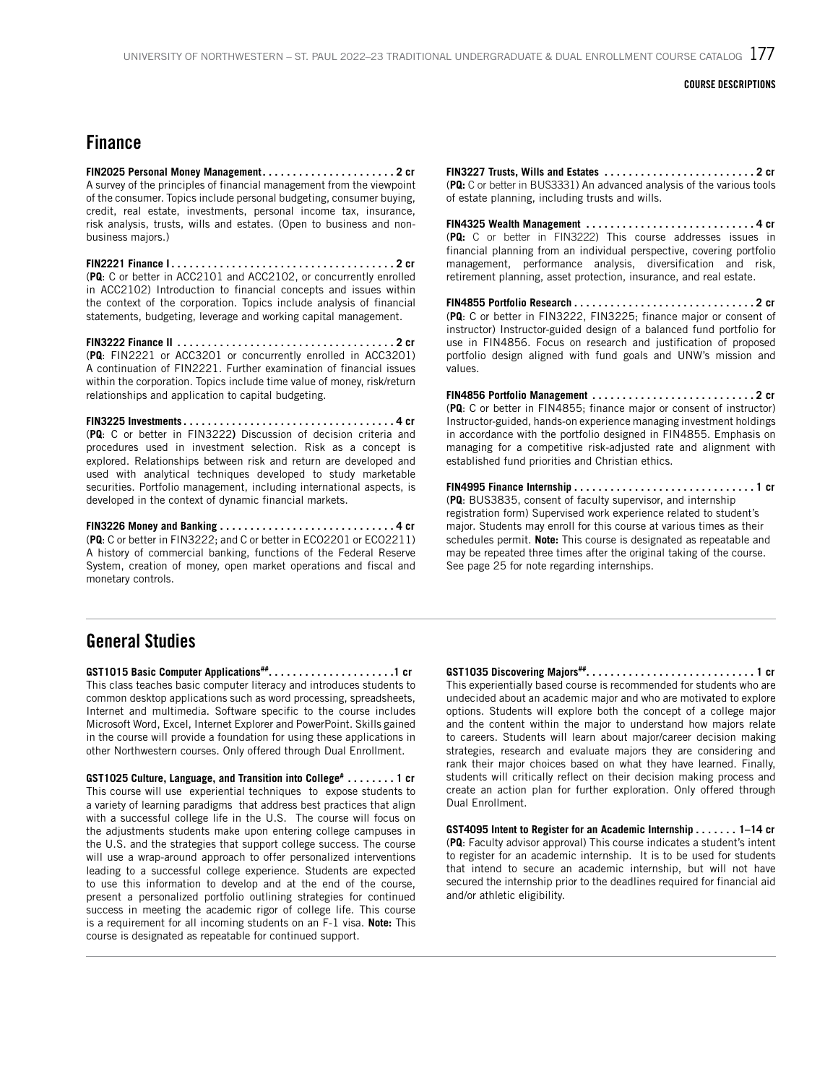### Finance

**FIN2025 Personal Money Management. . 2 cr** A survey of the principles of financial management from the viewpoint of the consumer. Topics include personal budgeting, consumer buying, credit, real estate, investments, personal income tax, insurance, risk analysis, trusts, wills and estates. (Open to business and nonbusiness majors.)

**FIN2221 Finance I. . 2 cr** (**PQ**: C or better in ACC2101 and ACC2102, or concurrently enrolled in ACC2102) Introduction to financial concepts and issues within the context of the corporation. Topics include analysis of financial statements, budgeting, leverage and working capital management.

**FIN3222 Finance II. . 2 cr** (**PQ**: FIN2221 or ACC3201 or concurrently enrolled in ACC3201) A continuation of FIN2221. Further examination of financial issues within the corporation. Topics include time value of money, risk/return relationships and application to capital budgeting.

**FIN3225 Investments. . 4 cr** (**PQ**: C or better in FIN3222**)** Discussion of decision criteria and procedures used in investment selection. Risk as a concept is explored. Relationships between risk and return are developed and used with analytical techniques developed to study marketable securities. Portfolio management, including international aspects, is developed in the context of dynamic financial markets.

**FIN3226 Money and Banking. . 4 cr** (**PQ**: C or better in FIN3222; and C or better in ECO2201 or ECO2211) A history of commercial banking, functions of the Federal Reserve System, creation of money, open market operations and fiscal and monetary controls.

**FIN3227 Trusts, Wills and Estates. . 2 cr** (**PQ:** C or better in BUS3331) An advanced analysis of the various tools of estate planning, including trusts and wills.

**FIN4325 Wealth Management ...............................4 cr** (**PQ:** C or better in FIN3222) This course addresses issues in financial planning from an individual perspective, covering portfolio management, performance analysis, diversification and risk, retirement planning, asset protection, insurance, and real estate.

**FIN4855 Portfolio Research. . 2 cr** (**PQ**: C or better in FIN3222, FIN3225; finance major or consent of instructor) Instructor-guided design of a balanced fund portfolio for use in FIN4856. Focus on research and justification of proposed portfolio design aligned with fund goals and UNW's mission and values.

**FIN4856 Portfolio Management. . 2 cr** (**PQ**: C or better in FIN4855; finance major or consent of instructor) Instructor-guided, hands-on experience managing investment holdings in accordance with the portfolio designed in FIN4855. Emphasis on managing for a competitive risk-adjusted rate and alignment with established fund priorities and Christian ethics.

**FIN4995 Finance Internship. . 1 cr** (**PQ**: BUS3835, consent of faculty supervisor, and internship registration form) Supervised work experience related to student's major. Students may enroll for this course at various times as their schedules permit. **Note:** This course is designated as repeatable and may be repeated three times after the original taking of the course. See page 25 for note regarding internships.

### General Studies

GST1015 Basic Computer Applications<sup>##</sup>.......................1 cr This class teaches basic computer literacy and introduces students to common desktop applications such as word processing, spreadsheets, Internet and multimedia. Software specific to the course includes Microsoft Word, Excel, Internet Explorer and PowerPoint. Skills gained in the course will provide a foundation for using these applications in other Northwestern courses. Only offered through Dual Enrollment.

GST1025 Culture, Language, and Transition into College<sup>#</sup> . . . . . . . . 1 cr This course will use experiential techniques to expose students to a variety of learning paradigms that address best practices that align with a successful college life in the U.S. The course will focus on the adjustments students make upon entering college campuses in the U.S. and the strategies that support college success. The course will use a wrap-around approach to offer personalized interventions leading to a successful college experience. Students are expected to use this information to develop and at the end of the course, present a personalized portfolio outlining strategies for continued success in meeting the academic rigor of college life. This course is a requirement for all incoming students on an F-1 visa. **Note:** This course is designated as repeatable for continued support.

GST1035 Discovering Majors<sup>##</sup>...............................1 cr This experientially based course is recommended for students who are undecided about an academic major and who are motivated to explore options. Students will explore both the concept of a college major and the content within the major to understand how majors relate to careers. Students will learn about major/career decision making strategies, research and evaluate majors they are considering and rank their major choices based on what they have learned. Finally, students will critically reflect on their decision making process and create an action plan for further exploration. Only offered through Dual Enrollment.

**GST4095 Intent to Register for an Academic Internship. . . 1–14 cr** (**PQ**: Faculty advisor approval) This course indicates a student's intent to register for an academic internship. It is to be used for students that intend to secure an academic internship, but will not have secured the internship prior to the deadlines required for financial aid and/or athletic eligibility.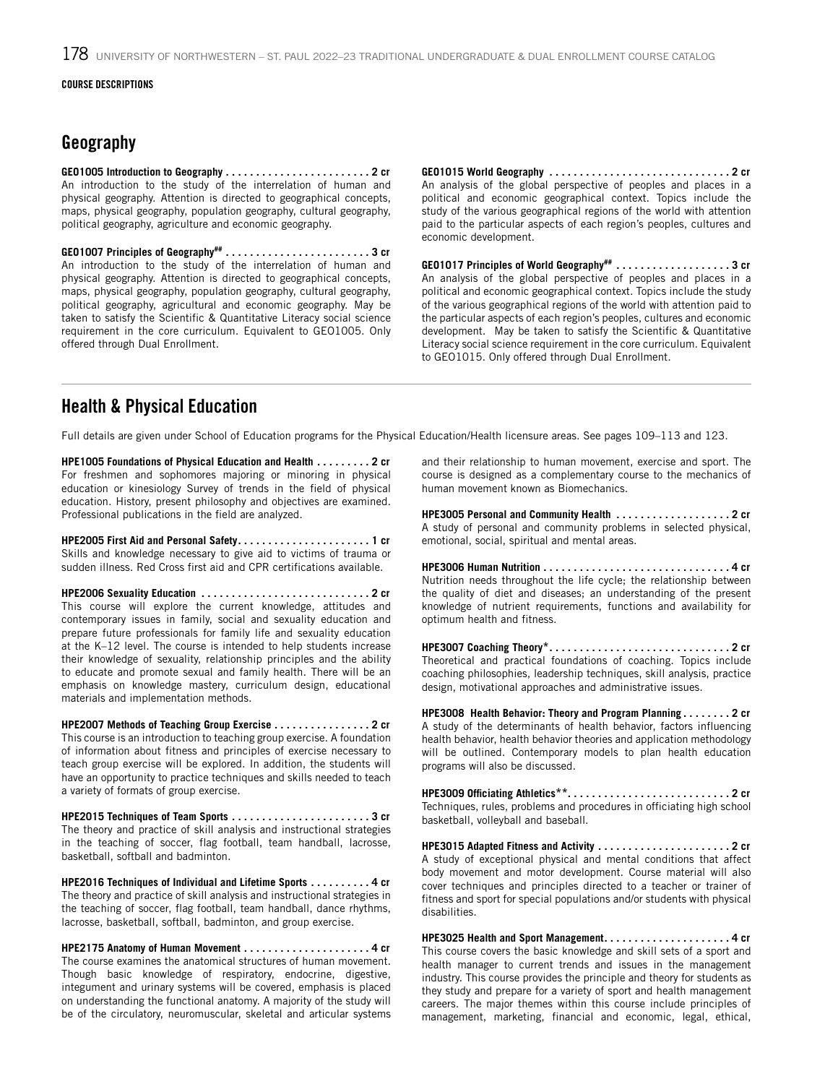### Geography

**GEO1005 Introduction to Geography. . 2 cr** An introduction to the study of the interrelation of human and physical geography. Attention is directed to geographical concepts, maps, physical geography, population geography, cultural geography, political geography, agriculture and economic geography.

**GEO1007 Principles of Geography##. . 3 cr** An introduction to the study of the interrelation of human and physical geography. Attention is directed to geographical concepts, maps, physical geography, population geography, cultural geography, political geography, agricultural and economic geography. May be taken to satisfy the Scientific & Quantitative Literacy social science requirement in the core curriculum. Equivalent to GEO1005. Only offered through Dual Enrollment.

**GEO1015 World Geography. . 2 cr** An analysis of the global perspective of peoples and places in a political and economic geographical context. Topics include the study of the various geographical regions of the world with attention paid to the particular aspects of each region's peoples, cultures and economic development.

GEO1017 Principles of World Geography<sup>##</sup> . . . . . . . . . . . . . . . . . 3 cr An analysis of the global perspective of peoples and places in a political and economic geographical context. Topics include the study of the various geographical regions of the world with attention paid to the particular aspects of each region's peoples, cultures and economic development. May be taken to satisfy the Scientific & Quantitative Literacy social science requirement in the core curriculum. Equivalent to GEO1015. Only offered through Dual Enrollment.

### Health & Physical Education

Full details are given under School of Education programs for the Physical Education/Health licensure areas. See pages 109–113 and 123.

**HPE1005 Foundations of Physical Education and Health ......... 2 cr** For freshmen and sophomores majoring or minoring in physical education or kinesiology Survey of trends in the field of physical education. History, present philosophy and objectives are examined. Professional publications in the field are analyzed.

**HPE2005 First Aid and Personal Safety. . 1 cr** Skills and knowledge necessary to give aid to victims of trauma or sudden illness. Red Cross first aid and CPR certifications available.

**HPE2006 Sexuality Education. . 2 cr** This course will explore the current knowledge, attitudes and contemporary issues in family, social and sexuality education and prepare future professionals for family life and sexuality education at the K–12 level. The course is intended to help students increase their knowledge of sexuality, relationship principles and the ability to educate and promote sexual and family health. There will be an emphasis on knowledge mastery, curriculum design, educational materials and implementation methods.

**HPE2007 Methods of Teaching Group Exercise ................... 2 cr** This course is an introduction to teaching group exercise. A foundation of information about fitness and principles of exercise necessary to teach group exercise will be explored. In addition, the students will have an opportunity to practice techniques and skills needed to teach a variety of formats of group exercise.

**HPE2015 Techniques of Team Sports ........................3 cr** The theory and practice of skill analysis and instructional strategies in the teaching of soccer, flag football, team handball, lacrosse, basketball, softball and badminton.

**HPE2016 Techniques of Individual and Lifetime Sports .......... 4 cr** The theory and practice of skill analysis and instructional strategies in the teaching of soccer, flag football, team handball, dance rhythms, lacrosse, basketball, softball, badminton, and group exercise.

**HPE2175 Anatomy of Human Movement. . 4 cr** The course examines the anatomical structures of human movement. Though basic knowledge of respiratory, endocrine, digestive, integument and urinary systems will be covered, emphasis is placed on understanding the functional anatomy. A majority of the study will be of the circulatory, neuromuscular, skeletal and articular systems and their relationship to human movement, exercise and sport. The course is designed as a complementary course to the mechanics of human movement known as Biomechanics.

**HPE3005 Personal and Community Health ..................... 2 cr** A study of personal and community problems in selected physical, emotional, social, spiritual and mental areas.

**HPE3006 Human Nutrition. . 4 cr** Nutrition needs throughout the life cycle; the relationship between the quality of diet and diseases; an understanding of the present knowledge of nutrient requirements, functions and availability for optimum health and fitness.

**HPE3007 Coaching Theory\*. . 2 cr** Theoretical and practical foundations of coaching. Topics include coaching philosophies, leadership techniques, skill analysis, practice design, motivational approaches and administrative issues.

**HPE3008 Health Behavior: Theory and Program Planning........2 cr** A study of the determinants of health behavior, factors influencing health behavior, health behavior theories and application methodology will be outlined. Contemporary models to plan health education programs will also be discussed.

**HPE3009 Officiating Athletics\*\*. . . . . . . . . . . . . . . . . . . . . . . . . . . 2 cr** Techniques, rules, problems and procedures in officiating high school basketball, volleyball and baseball.

**HPE3015 Adapted Fitness and Activity ......................... 2 cr** A study of exceptional physical and mental conditions that affect body movement and motor development. Course material will also cover techniques and principles directed to a teacher or trainer of fitness and sport for special populations and/or students with physical disabilities.

**HPE3025 Health and Sport Management. . 4 cr** This course covers the basic knowledge and skill sets of a sport and health manager to current trends and issues in the management industry. This course provides the principle and theory for students as they study and prepare for a variety of sport and health management careers. The major themes within this course include principles of management, marketing, financial and economic, legal, ethical,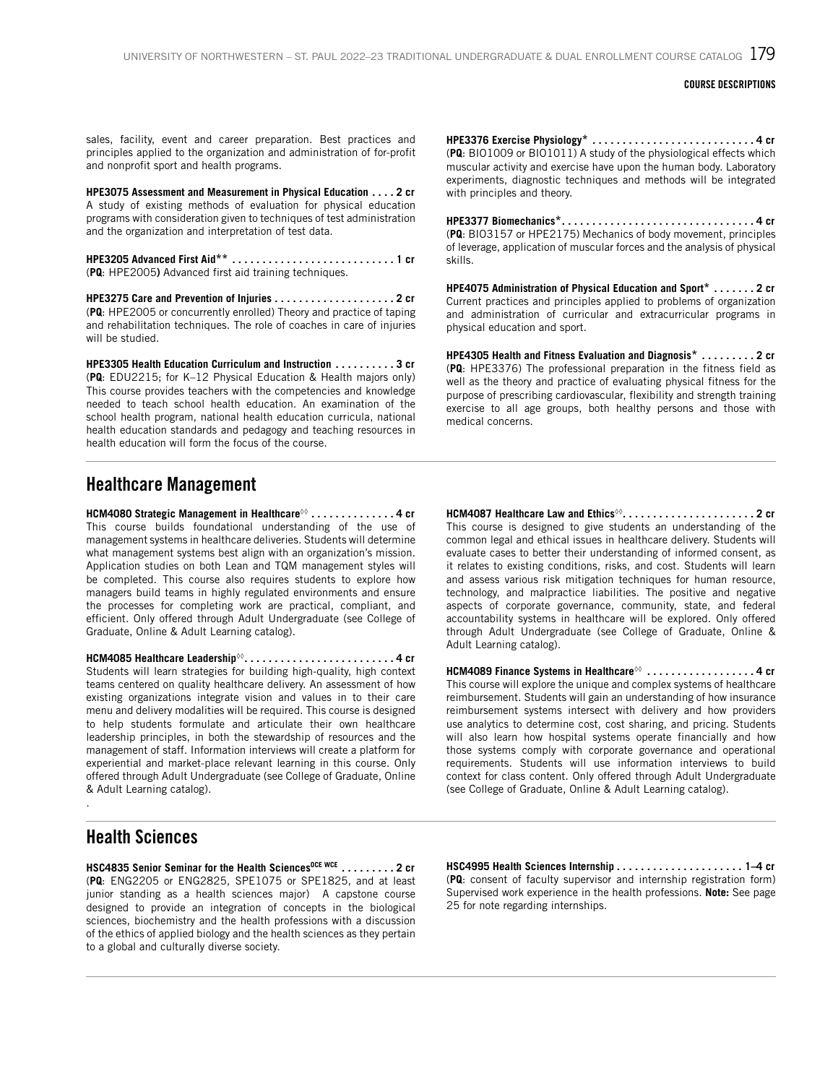sales, facility, event and career preparation. Best practices and principles applied to the organization and administration of for-profit and nonprofit sport and health programs.

**HPE3075 Assessment and Measurement in Physical Education. . 2 cr** A study of existing methods of evaluation for physical education programs with consideration given to techniques of test administration and the organization and interpretation of test data.

**HPE3205 Advanced First Aid\*\*. . 1 cr** (**PQ**: HPE2005**)** Advanced first aid training techniques.

**HPE3275 Care and Prevention of Injuries. . 2 cr** (**PQ**: HPE2005 or concurrently enrolled) Theory and practice of taping and rehabilitation techniques. The role of coaches in care of injuries will be studied.

**HPE3305 Health Education Curriculum and Instruction . . . . . . . . . 3 cr** (**PQ**: EDU2215; for K–12 Physical Education & Health majors only) This course provides teachers with the competencies and knowledge needed to teach school health education. An examination of the school health program, national health education curricula, national health education standards and pedagogy and teaching resources in health education will form the focus of the course.

### Healthcare Management

**HCM4080 Strategic Management in Healthcare<sup>◊◊</sup> . . . . . . . . . . . . . 4 cr** This course builds foundational understanding of the use of management systems in healthcare deliveries. Students will determine what management systems best align with an organization's mission. Application studies on both Lean and TQM management styles will be completed. This course also requires students to explore how managers build teams in highly regulated environments and ensure the processes for completing work are practical, compliant, and efficient. Only offered through Adult Undergraduate (see College of Graduate, Online & Adult Learning catalog).

**HCM4085 Healthcare Leadership**◊◊**. 4 cr** Students will learn strategies for building high-quality, high context teams centered on quality healthcare delivery. An assessment of how existing organizations integrate vision and values in to their care menu and delivery modalities will be required. This course is designed to help students formulate and articulate their own healthcare leadership principles, in both the stewardship of resources and the management of staff. Information interviews will create a platform for experiential and market-place relevant learning in this course. Only offered through Adult Undergraduate (see College of Graduate, Online & Adult Learning catalog).

**HPE3376 Exercise Physiology\*** ...............................4 cr (**PQ**: BIO1009 or BIO1011) A study of the physiological effects which muscular activity and exercise have upon the human body. Laboratory experiments, diagnostic techniques and methods will be integrated with principles and theory.

**HPE3377 Biomechanics\*. . 4 cr** (**PQ**: BIO3157 or HPE2175) Mechanics of body movement, principles of leverage, application of muscular forces and the analysis of physical skills.

**HPE4075 Administration of Physical Education and Sport\*** . . . . . . . 2 cr Current practices and principles applied to problems of organization and administration of curricular and extracurricular programs in physical education and sport.

**HPE4305 Health and Fitness Evaluation and Diagnosis\*** . . . . . . . . . 2 cr (**PQ**: HPE3376) The professional preparation in the fitness field as well as the theory and practice of evaluating physical fitness for the purpose of prescribing cardiovascular, flexibility and strength training exercise to all age groups, both healthy persons and those with medical concerns.

**HCM4087 Healthcare Law and Ethics**◊◊**. 2 cr** This course is designed to give students an understanding of the common legal and ethical issues in healthcare delivery. Students will evaluate cases to better their understanding of informed consent, as it relates to existing conditions, risks, and cost. Students will learn and assess various risk mitigation techniques for human resource, technology, and malpractice liabilities. The positive and negative aspects of corporate governance, community, state, and federal accountability systems in healthcare will be explored. Only offered through Adult Undergraduate (see College of Graduate, Online & Adult Learning catalog).

**HCM4089 Finance Systems in Healthcare<sup>◊◊</sup> . . . . . . . . . . . . . . . . 4 cr** This course will explore the unique and complex systems of healthcare reimbursement. Students will gain an understanding of how insurance reimbursement systems intersect with delivery and how providers use analytics to determine cost, cost sharing, and pricing. Students will also learn how hospital systems operate financially and how those systems comply with corporate governance and operational requirements. Students will use information interviews to build context for class content. Only offered through Adult Undergraduate (see College of Graduate, Online & Adult Learning catalog).

### Health Sciences

.

HSC4835 Senior Seminar for the Health Sciences<sup>oce WCE</sup>.........2 cr (**PQ**: ENG2205 or ENG2825, SPE1075 or SPE1825, and at least junior standing as a health sciences major) A capstone course designed to provide an integration of concepts in the biological sciences, biochemistry and the health professions with a discussion of the ethics of applied biology and the health sciences as they pertain to a global and culturally diverse society.

**HSC4995 Health Sciences Internship. . . 1–4 cr** (**PQ**: consent of faculty supervisor and internship registration form) Supervised work experience in the health professions. **Note:** See page 25 for note regarding internships.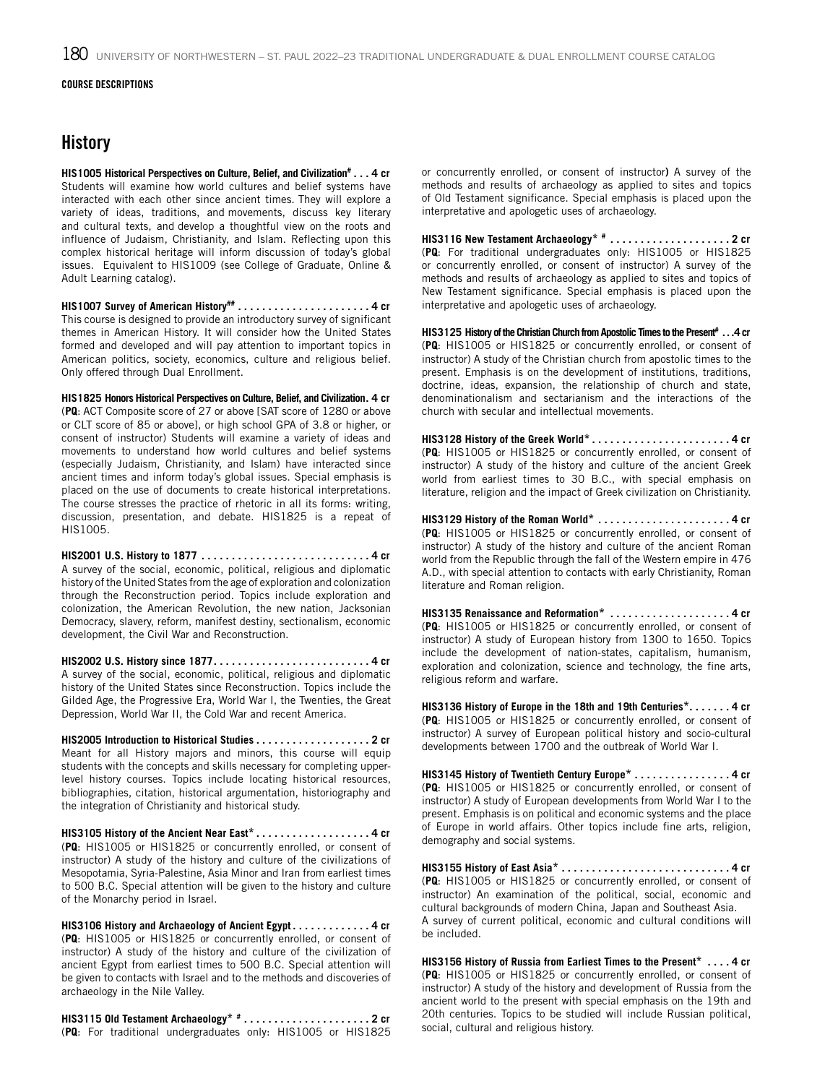### **History**

**HIS1005 Historical Perspectives on Culture, Belief, and Civilization# . 4 cr** Students will examine how world cultures and belief systems have interacted with each other since ancient times. They will explore a variety of ideas, traditions, and movements, discuss key literary and cultural texts, and develop a thoughtful view on the roots and influence of Judaism, Christianity, and Islam. Reflecting upon this complex historical heritage will inform discussion of today's global issues. Equivalent to HIS1009 (see College of Graduate, Online & Adult Learning catalog).

**HIS1007 Survey of American History##. . 4 cr** This course is designed to provide an introductory survey of significant themes in American History. It will consider how the United States formed and developed and will pay attention to important topics in American politics, society, economics, culture and religious belief. Only offered through Dual Enrollment.

**HIS1825 Honors Historical Perspectives on Culture, Belief, and Civilization. 4 cr** (**PQ**: ACT Composite score of 27 or above [SAT score of 1280 or above or CLT score of 85 or above], or high school GPA of 3.8 or higher, or consent of instructor) Students will examine a variety of ideas and movements to understand how world cultures and belief systems (especially Judaism, Christianity, and Islam) have interacted since ancient times and inform today's global issues. Special emphasis is placed on the use of documents to create historical interpretations. The course stresses the practice of rhetoric in all its forms: writing, discussion, presentation, and debate. HIS1825 is a repeat of HIS1005.

**HIS2001 U.S. History to 1877. . 4 cr** A survey of the social, economic, political, religious and diplomatic history of the United States from the age of exploration and colonization through the Reconstruction period. Topics include exploration and colonization, the American Revolution, the new nation, Jacksonian Democracy, slavery, reform, manifest destiny, sectionalism, economic development, the Civil War and Reconstruction.

**HIS2002 U.S. History since 1877. . 4 cr** A survey of the social, economic, political, religious and diplomatic history of the United States since Reconstruction. Topics include the Gilded Age, the Progressive Era, World War I, the Twenties, the Great Depression, World War II, the Cold War and recent America.

HIS2005 Introduction to Historical Studies . . . . . . . . . . . . . . . . . . 2 cr Meant for all History majors and minors, this course will equip students with the concepts and skills necessary for completing upperlevel history courses. Topics include locating historical resources, bibliographies, citation, historical argumentation, historiography and the integration of Christianity and historical study.

HIS3105 History of the Ancient Near East\*......................4 cr (**PQ**: HIS1005 or HIS1825 or concurrently enrolled, or consent of instructor) A study of the history and culture of the civilizations of Mesopotamia, Syria-Palestine, Asia Minor and Iran from earliest times to 500 B.C. Special attention will be given to the history and culture of the Monarchy period in Israel.

HIS3106 History and Archaeology of Ancient Egypt.............4 cr (**PQ**: HIS1005 or HIS1825 or concurrently enrolled, or consent of instructor) A study of the history and culture of the civilization of ancient Egypt from earliest times to 500 B.C. Special attention will be given to contacts with Israel and to the methods and discoveries of archaeology in the Nile Valley.

**HIS3115 Old Testament Archaeology\* #. . 2 cr** (**PQ**: For traditional undergraduates only: HIS1005 or HIS1825 or concurrently enrolled, or consent of instructor**)** A survey of the methods and results of archaeology as applied to sites and topics of Old Testament significance. Special emphasis is placed upon the interpretative and apologetic uses of archaeology.

**HIS3116 New Testament Archaeology\* #. . 2 cr** (**PQ**: For traditional undergraduates only: HIS1005 or HIS1825 or concurrently enrolled, or consent of instructor) A survey of the methods and results of archaeology as applied to sites and topics of New Testament significance. Special emphasis is placed upon the interpretative and apologetic uses of archaeology.

HIS3125 History of the Christian Church from Apostolic Times to the Present<sup>#</sup> . . . 4 cr (**PQ**: HIS1005 or HIS1825 or concurrently enrolled, or consent of instructor) A study of the Christian church from apostolic times to the present. Emphasis is on the development of institutions, traditions, doctrine, ideas, expansion, the relationship of church and state, denominationalism and sectarianism and the interactions of the church with secular and intellectual movements.

**HIS3128 History of the Greek World\*.........................4 cr** (**PQ**: HIS1005 or HIS1825 or concurrently enrolled, or consent of instructor) A study of the history and culture of the ancient Greek world from earliest times to 30 B.C., with special emphasis on literature, religion and the impact of Greek civilization on Christianity.

**HIS3129 History of the Roman World\*. . 4 cr** (**PQ**: HIS1005 or HIS1825 or concurrently enrolled, or consent of instructor) A study of the history and culture of the ancient Roman world from the Republic through the fall of the Western empire in 476 A.D., with special attention to contacts with early Christianity, Roman literature and Roman religion.

HIS3135 Renaissance and Reformation<sup>\*</sup> .....................4 cr (**PQ**: HIS1005 or HIS1825 or concurrently enrolled, or consent of instructor) A study of European history from 1300 to 1650. Topics include the development of nation-states, capitalism, humanism, exploration and colonization, science and technology, the fine arts, religious reform and warfare.

HIS3136 History of Europe in the 18th and 19th Centuries\*. . . . . . . 4 cr (**PQ**: HIS1005 or HIS1825 or concurrently enrolled, or consent of instructor) A survey of European political history and socio-cultural developments between 1700 and the outbreak of World War I.

HIS3145 History of Twentieth Century Europe<sup>\*</sup>................4 cr (**PQ**: HIS1005 or HIS1825 or concurrently enrolled, or consent of instructor) A study of European developments from World War I to the present. Emphasis is on political and economic systems and the place of Europe in world affairs. Other topics include fine arts, religion, demography and social systems.

**HIS3155 History of East Asia\*. . 4 cr** (**PQ**: HIS1005 or HIS1825 or concurrently enrolled, or consent of instructor) An examination of the political, social, economic and cultural backgrounds of modern China, Japan and Southeast Asia. A survey of current political, economic and cultural conditions will be included.

HIS3156 History of Russia from Earliest Times to the Present<sup>\*</sup> . . . . 4 cr (**PQ**: HIS1005 or HIS1825 or concurrently enrolled, or consent of instructor) A study of the history and development of Russia from the ancient world to the present with special emphasis on the 19th and 20th centuries. Topics to be studied will include Russian political, social, cultural and religious history.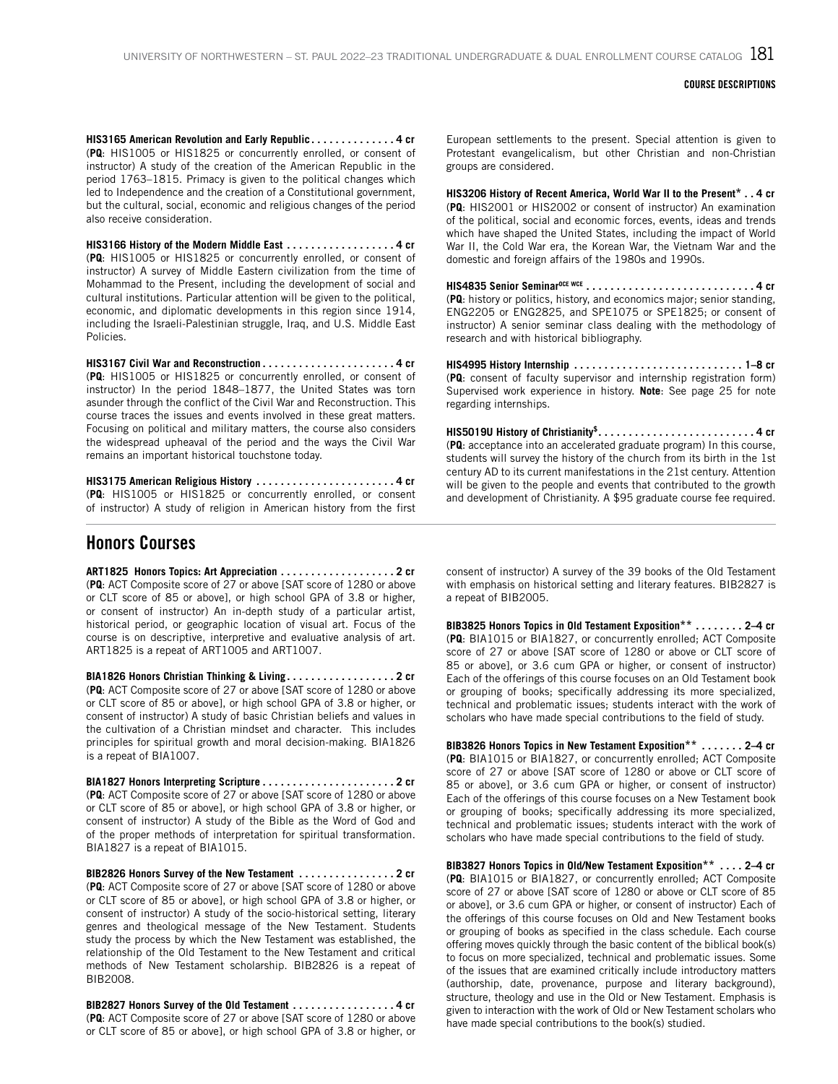**HIS3165 American Revolution and Early Republic...............4 cr** (**PQ**: HIS1005 or HIS1825 or concurrently enrolled, or consent of instructor) A study of the creation of the American Republic in the period 1763–1815. Primacy is given to the political changes which led to Independence and the creation of a Constitutional government, but the cultural, social, economic and religious changes of the period also receive consideration.

HIS3166 History of the Modern Middle East . . . . . . . . . . . . . . . . . 4 cr (**PQ**: HIS1005 or HIS1825 or concurrently enrolled, or consent of instructor) A survey of Middle Eastern civilization from the time of Mohammad to the Present, including the development of social and cultural institutions. Particular attention will be given to the political, economic, and diplomatic developments in this region since 1914, including the Israeli-Palestinian struggle, Iraq, and U.S. Middle East Policies.

**HIS3167 Civil War and Reconstruction. . 4 cr** (**PQ**: HIS1005 or HIS1825 or concurrently enrolled, or consent of instructor) In the period 1848–1877, the United States was torn asunder through the conflict of the Civil War and Reconstruction. This course traces the issues and events involved in these great matters. Focusing on political and military matters, the course also considers the widespread upheaval of the period and the ways the Civil War remains an important historical touchstone today.

**HIS3175 American Religious History. . 4 cr** (**PQ**: HIS1005 or HIS1825 or concurrently enrolled, or consent of instructor) A study of religion in American history from the first

### Honors Courses

ART1825 Honors Topics: Art Appreciation . . . . . . . . . . . . . . . . . 2 cr (**PQ**: ACT Composite score of 27 or above [SAT score of 1280 or above or CLT score of 85 or above], or high school GPA of 3.8 or higher, or consent of instructor) An in-depth study of a particular artist, historical period, or geographic location of visual art. Focus of the course is on descriptive, interpretive and evaluative analysis of art. ART1825 is a repeat of ART1005 and ART1007.

BIA1826 Honors Christian Thinking & Living. . . . . . . . . . . . . . . . . 2 cr (**PQ**: ACT Composite score of 27 or above [SAT score of 1280 or above or CLT score of 85 or above], or high school GPA of 3.8 or higher, or consent of instructor) A study of basic Christian beliefs and values in the cultivation of a Christian mindset and character. This includes principles for spiritual growth and moral decision-making. BIA1826 is a repeat of BIA1007.

**BIA1827 Honors Interpreting Scripture. . 2 cr** (**PQ**: ACT Composite score of 27 or above [SAT score of 1280 or above or CLT score of 85 or above], or high school GPA of 3.8 or higher, or consent of instructor) A study of the Bible as the Word of God and of the proper methods of interpretation for spiritual transformation. BIA1827 is a repeat of BIA1015.

BIB2826 Honors Survey of the New Testament . . . . . . . . . . . . . . . 2 cr (**PQ**: ACT Composite score of 27 or above [SAT score of 1280 or above or CLT score of 85 or above], or high school GPA of 3.8 or higher, or consent of instructor) A study of the socio-historical setting, literary genres and theological message of the New Testament. Students study the process by which the New Testament was established, the relationship of the Old Testament to the New Testament and critical methods of New Testament scholarship. BIB2826 is a repeat of BIB2008.

**BIB2827 Honors Survey of the Old Testament . . . . . . . . . . . . . . . . 4 cr** (**PQ**: ACT Composite score of 27 or above [SAT score of 1280 or above or CLT score of 85 or above], or high school GPA of 3.8 or higher, or

European settlements to the present. Special attention is given to Protestant evangelicalism, but other Christian and non-Christian groups are considered.

**HIS3206 History of Recent America, World War II to the Present\*. . 4 cr** (**PQ**: HIS2001 or HIS2002 or consent of instructor) An examination of the political, social and economic forces, events, ideas and trends which have shaped the United States, including the impact of World War II, the Cold War era, the Korean War, the Vietnam War and the domestic and foreign affairs of the 1980s and 1990s.

**HIS4835 Senior Seminar<sup>oce WCE</sup>.............................4 cr** (**PQ**: history or politics, history, and economics major; senior standing, ENG2205 or ENG2825, and SPE1075 or SPE1825; or consent of instructor) A senior seminar class dealing with the methodology of research and with historical bibliography.

**HIS4995 History Internship. . . 1–8 cr** (**PQ**: consent of faculty supervisor and internship registration form) Supervised work experience in history. **Note**: See page 25 for note regarding internships.

**HIS5019U History of Christianity\$ . 4 cr** (**PQ**: acceptance into an accelerated graduate program) In this course, students will survey the history of the church from its birth in the 1st century AD to its current manifestations in the 21st century. Attention will be given to the people and events that contributed to the growth and development of Christianity. A \$95 graduate course fee required.

consent of instructor) A survey of the 39 books of the Old Testament with emphasis on historical setting and literary features. BIB2827 is a repeat of BIB2005.

**BIB3825 Honors Topics in Old Testament Exposition\*\*. . . 2–4 cr** (**PQ**: BIA1015 or BIA1827, or concurrently enrolled; ACT Composite score of 27 or above [SAT score of 1280 or above or CLT score of 85 or above], or 3.6 cum GPA or higher, or consent of instructor) Each of the offerings of this course focuses on an Old Testament book or grouping of books; specifically addressing its more specialized, technical and problematic issues; students interact with the work of scholars who have made special contributions to the field of study.

**BIB3826 Honors Topics in New Testament Exposition\*\*. . . 2–4 cr**  (**PQ**: BIA1015 or BIA1827, or concurrently enrolled; ACT Composite score of 27 or above [SAT score of 1280 or above or CLT score of 85 or above], or 3.6 cum GPA or higher, or consent of instructor) Each of the offerings of this course focuses on a New Testament book or grouping of books; specifically addressing its more specialized, technical and problematic issues; students interact with the work of scholars who have made special contributions to the field of study.

**BIB3827 Honors Topics in Old/New Testament Exposition\*\*. . . 2–4 cr** (**PQ**: BIA1015 or BIA1827, or concurrently enrolled; ACT Composite score of 27 or above [SAT score of 1280 or above or CLT score of 85 or above], or 3.6 cum GPA or higher, or consent of instructor) Each of the offerings of this course focuses on Old and New Testament books or grouping of books as specified in the class schedule. Each course offering moves quickly through the basic content of the biblical book(s) to focus on more specialized, technical and problematic issues. Some of the issues that are examined critically include introductory matters (authorship, date, provenance, purpose and literary background), structure, theology and use in the Old or New Testament. Emphasis is given to interaction with the work of Old or New Testament scholars who have made special contributions to the book(s) studied.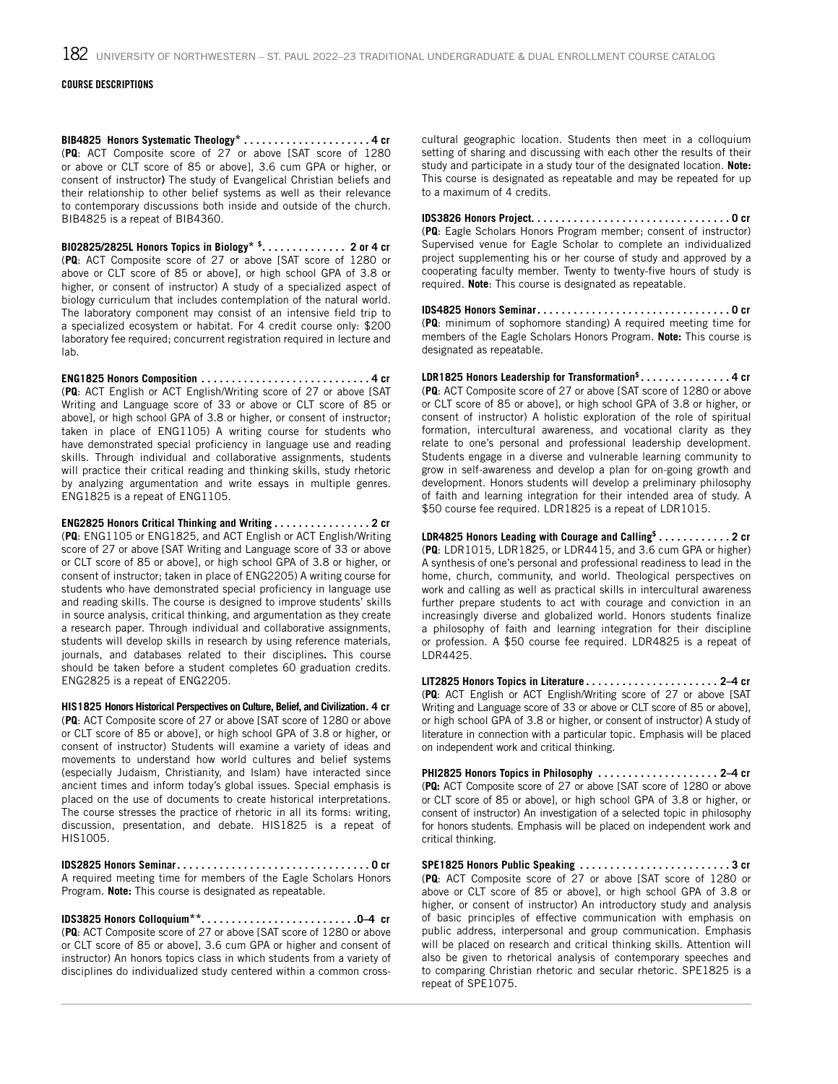**BIB4825 Honors Systematic Theology\*. . 4 cr** (**PQ**: ACT Composite score of 27 or above [SAT score of 1280 or above or CLT score of 85 or above], 3.6 cum GPA or higher, or consent of instructor**)** The study of Evangelical Christian beliefs and their relationship to other belief systems as well as their relevance to contemporary discussions both inside and outside of the church. BIB4825 is a repeat of BIB4360.

**BIO2825/2825L Honors Topics in Biology\* \$ . . 2 or 4 cr** (**PQ**: ACT Composite score of 27 or above [SAT score of 1280 or above or CLT score of 85 or above], or high school GPA of 3.8 or higher, or consent of instructor) A study of a specialized aspect of biology curriculum that includes contemplation of the natural world. The laboratory component may consist of an intensive field trip to a specialized ecosystem or habitat. For 4 credit course only: \$200 laboratory fee required; concurrent registration required in lecture and lab.

**ENG1825 Honors Composition ................................4 cr** (**PQ**: ACT English or ACT English/Writing score of 27 or above [SAT Writing and Language score of 33 or above or CLT score of 85 or above], or high school GPA of 3.8 or higher, or consent of instructor; taken in place of ENG1105) A writing course for students who have demonstrated special proficiency in language use and reading skills. Through individual and collaborative assignments, students will practice their critical reading and thinking skills, study rhetoric by analyzing argumentation and write essays in multiple genres. ENG1825 is a repeat of ENG1105.

**ENG2825 Honors Critical Thinking and Writing ................. 2 cr** (**PQ**: ENG1105 or ENG1825, and ACT English or ACT English/Writing score of 27 or above [SAT Writing and Language score of 33 or above or CLT score of 85 or above], or high school GPA of 3.8 or higher, or consent of instructor; taken in place of ENG2205) A writing course for students who have demonstrated special proficiency in language use and reading skills. The course is designed to improve students' skills in source analysis, critical thinking, and argumentation as they create a research paper. Through individual and collaborative assignments, students will develop skills in research by using reference materials, journals, and databases related to their disciplines**.** This course should be taken before a student completes 60 graduation credits. ENG2825 is a repeat of ENG2205.

**HIS1825 Honors Historical Perspectives on Culture, Belief, and Civilization. 4 cr** (**PQ**: ACT Composite score of 27 or above [SAT score of 1280 or above or CLT score of 85 or above], or high school GPA of 3.8 or higher, or consent of instructor) Students will examine a variety of ideas and movements to understand how world cultures and belief systems (especially Judaism, Christianity, and Islam) have interacted since ancient times and inform today's global issues. Special emphasis is placed on the use of documents to create historical interpretations. The course stresses the practice of rhetoric in all its forms: writing, discussion, presentation, and debate. HIS1825 is a repeat of HIS1005.

**IDS2825 Honors Seminar. . 0 cr** A required meeting time for members of the Eagle Scholars Honors Program. **Note:** This course is designated as repeatable.

**IDS3825 Honors Colloquium\*\*. . . . . . . . . . . . . . . . . . . . . . . . . .0–4 cr** (**PQ**: ACT Composite score of 27 or above [SAT score of 1280 or above or CLT score of 85 or above], 3.6 cum GPA or higher and consent of instructor) An honors topics class in which students from a variety of disciplines do individualized study centered within a common crosscultural geographic location. Students then meet in a colloquium setting of sharing and discussing with each other the results of their study and participate in a study tour of the designated location. **Note:** This course is designated as repeatable and may be repeated for up to a maximum of 4 credits.

**IDS3826 Honors Project. . 0 cr** (**PQ**: Eagle Scholars Honors Program member; consent of instructor) Supervised venue for Eagle Scholar to complete an individualized project supplementing his or her course of study and approved by a cooperating faculty member. Twenty to twenty-five hours of study is required. **Note**: This course is designated as repeatable.

**IDS4825 Honors Seminar. . 0 cr** (**PQ**: minimum of sophomore standing) A required meeting time for members of the Eagle Scholars Honors Program. **Note:** This course is designated as repeatable.

LDR1825 Honors Leadership for Transformation<sup>\$</sup>................ 4 cr (**PQ**: ACT Composite score of 27 or above [SAT score of 1280 or above or CLT score of 85 or above], or high school GPA of 3.8 or higher, or consent of instructor) A holistic exploration of the role of spiritual formation, intercultural awareness, and vocational clarity as they relate to one's personal and professional leadership development. Students engage in a diverse and vulnerable learning community to grow in self-awareness and develop a plan for on-going growth and development. Honors students will develop a preliminary philosophy of faith and learning integration for their intended area of study. A \$50 course fee required. LDR1825 is a repeat of LDR1015.

**LDR4825 Honors Leading with Courage and Calling\$ . 2 cr** (**PQ**: LDR1015, LDR1825, or LDR4415, and 3.6 cum GPA or higher) A synthesis of one's personal and professional readiness to lead in the home, church, community, and world. Theological perspectives on work and calling as well as practical skills in intercultural awareness further prepare students to act with courage and conviction in an increasingly diverse and globalized world. Honors students finalize a philosophy of faith and learning integration for their discipline or profession. A \$50 course fee required. LDR4825 is a repeat of LDR4425.

**LIT2825 Honors Topics in Literature. . . 2–4 cr** (**PQ**: ACT English or ACT English/Writing score of 27 or above [SAT Writing and Language score of 33 or above or CLT score of 85 or above], or high school GPA of 3.8 or higher, or consent of instructor) A study of literature in connection with a particular topic. Emphasis will be placed on independent work and critical thinking.

**PHI2825 Honors Topics in Philosophy. . . 2–4 cr** (**PQ:** ACT Composite score of 27 or above [SAT score of 1280 or above or CLT score of 85 or above], or high school GPA of 3.8 or higher, or consent of instructor) An investigation of a selected topic in philosophy for honors students. Emphasis will be placed on independent work and critical thinking.

SPE1825 Honors Public Speaking ............................3 cr (**PQ**: ACT Composite score of 27 or above [SAT score of 1280 or above or CLT score of 85 or above], or high school GPA of 3.8 or higher, or consent of instructor) An introductory study and analysis of basic principles of effective communication with emphasis on public address, interpersonal and group communication. Emphasis will be placed on research and critical thinking skills. Attention will also be given to rhetorical analysis of contemporary speeches and to comparing Christian rhetoric and secular rhetoric. SPE1825 is a repeat of SPE1075.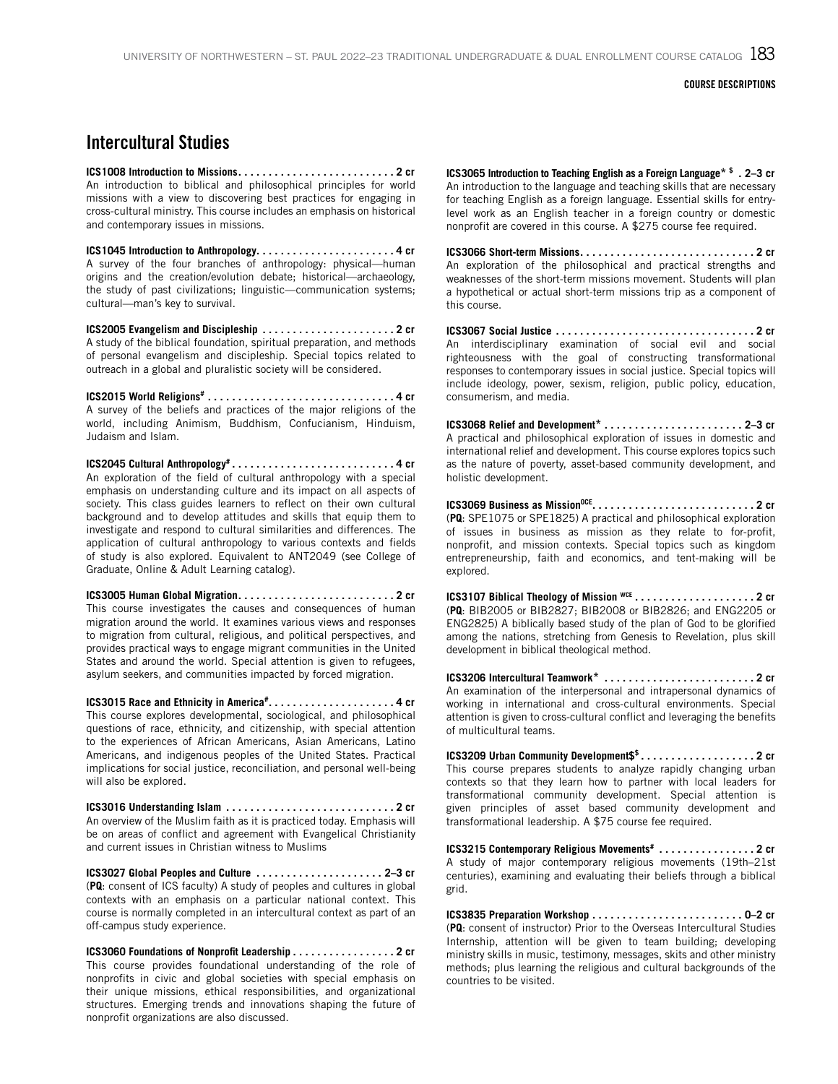### Intercultural Studies

**ICS1008 Introduction to Missions. . 2 cr** An introduction to biblical and philosophical principles for world missions with a view to discovering best practices for engaging in cross-cultural ministry. This course includes an emphasis on historical and contemporary issues in missions.

**ICS1045 Introduction to Anthropology........................4 cr** A survey of the four branches of anthropology: physical—human origins and the creation/evolution debate; historical—archaeology, the study of past civilizations; linguistic—communication systems; cultural—man's key to survival.

**ICS2005 Evangelism and Discipleship ........................... 2 cr** A study of the biblical foundation, spiritual preparation, and methods of personal evangelism and discipleship. Special topics related to outreach in a global and pluralistic society will be considered.

**ICS2015 World Religions#. . 4 cr** A survey of the beliefs and practices of the major religions of the world, including Animism, Buddhism, Confucianism, Hinduism, Judaism and Islam.

**ICS2045 Cultural Anthropology# . 4 cr** An exploration of the field of cultural anthropology with a special emphasis on understanding culture and its impact on all aspects of society. This class guides learners to reflect on their own cultural background and to develop attitudes and skills that equip them to investigate and respond to cultural similarities and differences. The application of cultural anthropology to various contexts and fields of study is also explored. Equivalent to ANT2049 (see College of Graduate, Online & Adult Learning catalog).

**ICS3005 Human Global Migration. . 2 cr** This course investigates the causes and consequences of human migration around the world. It examines various views and responses to migration from cultural, religious, and political perspectives, and provides practical ways to engage migrant communities in the United States and around the world. Special attention is given to refugees, asylum seekers, and communities impacted by forced migration.

**ICS3015 Race and Ethnicity in America# . 4 cr** This course explores developmental, sociological, and philosophical questions of race, ethnicity, and citizenship, with special attention to the experiences of African Americans, Asian Americans, Latino Americans, and indigenous peoples of the United States. Practical implications for social justice, reconciliation, and personal well-being will also be explored.

**ICS3016 Understanding Islam ................................... 2 cr** An overview of the Muslim faith as it is practiced today. Emphasis will be on areas of conflict and agreement with Evangelical Christianity and current issues in Christian witness to Muslims

**ICS3027 Global Peoples and Culture. . . 2–3 cr** (**PQ**: consent of ICS faculty) A study of peoples and cultures in global contexts with an emphasis on a particular national context. This course is normally completed in an intercultural context as part of an off-campus study experience.

**ICS3060 Foundations of Nonprofit Leadership . . . . . . . . . . . . . . . . 2 cr** This course provides foundational understanding of the role of nonprofits in civic and global societies with special emphasis on their unique missions, ethical responsibilities, and organizational structures. Emerging trends and innovations shaping the future of nonprofit organizations are also discussed.

**ICS3065 Introduction to Teaching English as a Foreign Language\* \$ . 2–3 cr** An introduction to the language and teaching skills that are necessary for teaching English as a foreign language. Essential skills for entrylevel work as an English teacher in a foreign country or domestic nonprofit are covered in this course. A \$275 course fee required.

**ICS3066 Short-term Missions. . 2 cr** An exploration of the philosophical and practical strengths and weaknesses of the short-term missions movement. Students will plan a hypothetical or actual short-term missions trip as a component of this course.

**ICS3067 Social Justice. . 2 cr** An interdisciplinary examination of social evil and social righteousness with the goal of constructing transformational responses to contemporary issues in social justice. Special topics will include ideology, power, sexism, religion, public policy, education, consumerism, and media.

**ICS3068 Relief and Development\*. . . 2–3 cr** A practical and philosophical exploration of issues in domestic and international relief and development. This course explores topics such as the nature of poverty, asset-based community development, and holistic development.

**ICS3069 Business as MissionOCE. . 2 cr** (**PQ**: SPE1075 or SPE1825) A practical and philosophical exploration of issues in business as mission as they relate to for-profit, nonprofit, and mission contexts. Special topics such as kingdom entrepreneurship, faith and economics, and tent-making will be explored.

**ICS3107 Biblical Theology of Mission WCE...................... 2 cr** (**PQ**: BIB2005 or BIB2827; BIB2008 or BIB2826; and ENG2205 or ENG2825) A biblically based study of the plan of God to be glorified among the nations, stretching from Genesis to Revelation, plus skill development in biblical theological method.

**ICS3206 Intercultural Teamwork\*** .................................2 cr An examination of the interpersonal and intrapersonal dynamics of working in international and cross-cultural environments. Special attention is given to cross-cultural conflict and leveraging the benefits of multicultural teams.

**ICS3209 Urban Community Development\$\$ . 2 cr** This course prepares students to analyze rapidly changing urban contexts so that they learn how to partner with local leaders for transformational community development. Special attention is given principles of asset based community development and transformational leadership. A \$75 course fee required.

**ICS3215 Contemporary Religious Movements#** . . . . . . . . . . . . . . 2 cr A study of major contemporary religious movements (19th–21st centuries), examining and evaluating their beliefs through a biblical grid.

**ICS3835 Preparation Workshop. . . 0–2 cr** (**PQ**: consent of instructor) Prior to the Overseas Intercultural Studies Internship, attention will be given to team building; developing ministry skills in music, testimony, messages, skits and other ministry methods; plus learning the religious and cultural backgrounds of the countries to be visited.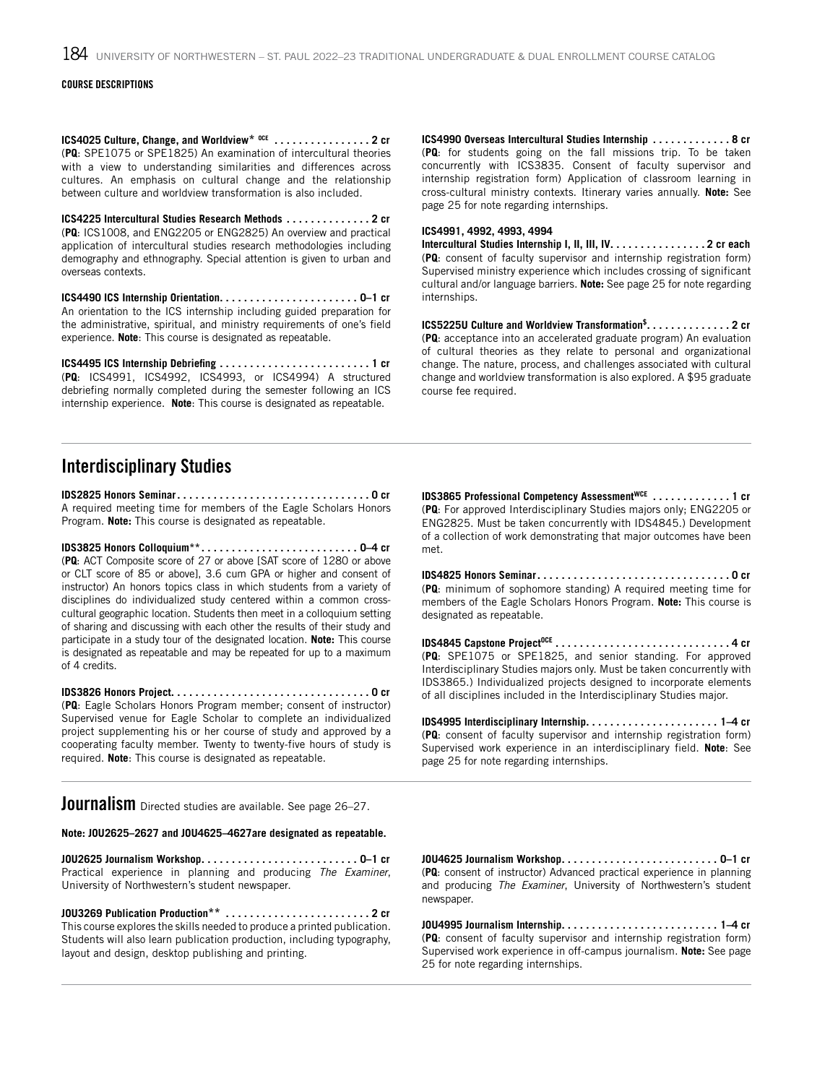**ICS4025 Culture, Change, and Worldview**\* OCE .................. 2 cr (**PQ**: SPE1075 or SPE1825) An examination of intercultural theories with a view to understanding similarities and differences across cultures. An emphasis on cultural change and the relationship between culture and worldview transformation is also included.

**ICS4225 Intercultural Studies Research Methods .............. 2 cr** (**PQ**: ICS1008, and ENG2205 or ENG2825) An overview and practical application of intercultural studies research methodologies including demography and ethnography. Special attention is given to urban and overseas contexts.

**ICS4490 ICS Internship Orientation. . . 0–1 cr** An orientation to the ICS internship including guided preparation for the administrative, spiritual, and ministry requirements of one's field experience. **Note**: This course is designated as repeatable.

**ICS4495 ICS Internship Debriefing ...............................1 cr** (**PQ**: ICS4991, ICS4992, ICS4993, or ICS4994) A structured debriefing normally completed during the semester following an ICS internship experience. **Note**: This course is designated as repeatable.

**ICS4990 Overseas Intercultural Studies Internship.............. 8 cr** (**PQ**: for students going on the fall missions trip. To be taken concurrently with ICS3835. Consent of faculty supervisor and internship registration form) Application of classroom learning in cross-cultural ministry contexts. Itinerary varies annually. **Note:** See page 25 for note regarding internships.

#### **ICS4991, 4992, 4993, 4994**

Intercultural Studies Internship I, II, III, IV. . . . . . . . . . . . . . . . 2 cr each (**PQ**: consent of faculty supervisor and internship registration form) Supervised ministry experience which includes crossing of significant cultural and/or language barriers. **Note:** See page 25 for note regarding internships.

**ICS5225U Culture and Worldview Transformation\$ . . . . . . . . . . . . . . 2 cr** (**PQ**: acceptance into an accelerated graduate program) An evaluation of cultural theories as they relate to personal and organizational change. The nature, process, and challenges associated with cultural change and worldview transformation is also explored. A \$95 graduate course fee required.

### Interdisciplinary Studies

**IDS2825 Honors Seminar. . 0 cr** A required meeting time for members of the Eagle Scholars Honors Program. **Note:** This course is designated as repeatable.

**IDS3825 Honors Colloquium\*\*. . . 0–4 cr** (**PQ**: ACT Composite score of 27 or above [SAT score of 1280 or above or CLT score of 85 or above], 3.6 cum GPA or higher and consent of instructor) An honors topics class in which students from a variety of disciplines do individualized study centered within a common crosscultural geographic location. Students then meet in a colloquium setting of sharing and discussing with each other the results of their study and participate in a study tour of the designated location. **Note:** This course is designated as repeatable and may be repeated for up to a maximum of 4 credits.

**IDS3826 Honors Project. . 0 cr** (**PQ**: Eagle Scholars Honors Program member; consent of instructor) Supervised venue for Eagle Scholar to complete an individualized project supplementing his or her course of study and approved by a cooperating faculty member. Twenty to twenty-five hours of study is required. **Note**: This course is designated as repeatable.

**IDS3865 Professional Competency Assessment WCE ............. 1 cr** (**PQ**: For approved Interdisciplinary Studies majors only; ENG2205 or ENG2825. Must be taken concurrently with IDS4845.) Development of a collection of work demonstrating that major outcomes have been met.

**IDS4825 Honors Seminar. . 0 cr** (**PQ**: minimum of sophomore standing) A required meeting time for members of the Eagle Scholars Honors Program. **Note:** This course is designated as repeatable.

**IDS4845 Capstone Project<sup>oce</sup>................................4 cr** (**PQ**: SPE1075 or SPE1825, and senior standing. For approved Interdisciplinary Studies majors only. Must be taken concurrently with IDS3865.) Individualized projects designed to incorporate elements of all disciplines included in the Interdisciplinary Studies major.

**IDS4995 Interdisciplinary Internship. . . 1–4 cr** (**PQ**: consent of faculty supervisor and internship registration form) Supervised work experience in an interdisciplinary field. **Note**: See page 25 for note regarding internships.

Journalism Directed studies are available. See page 26-27.

**Note: JOU2625–2627 and JOU4625–4627are designated as repeatable.**

**JOU2625 Journalism Workshop. . . 0–1 cr** Practical experience in planning and producing *The Examiner*, University of Northwestern's student newspaper.

**JOU3269 Publication Production\*\*** .................................2 cr This course explores the skills needed to produce a printed publication. Students will also learn publication production, including typography, layout and design, desktop publishing and printing.

**JOU4625 Journalism Workshop. . . 0–1 cr** (**PQ**: consent of instructor) Advanced practical experience in planning and producing *The Examiner*, University of Northwestern's student newspaper.

**JOU4995 Journalism Internship. . . 1–4 cr** (**PQ**: consent of faculty supervisor and internship registration form) Supervised work experience in off-campus journalism. **Note:** See page 25 for note regarding internships.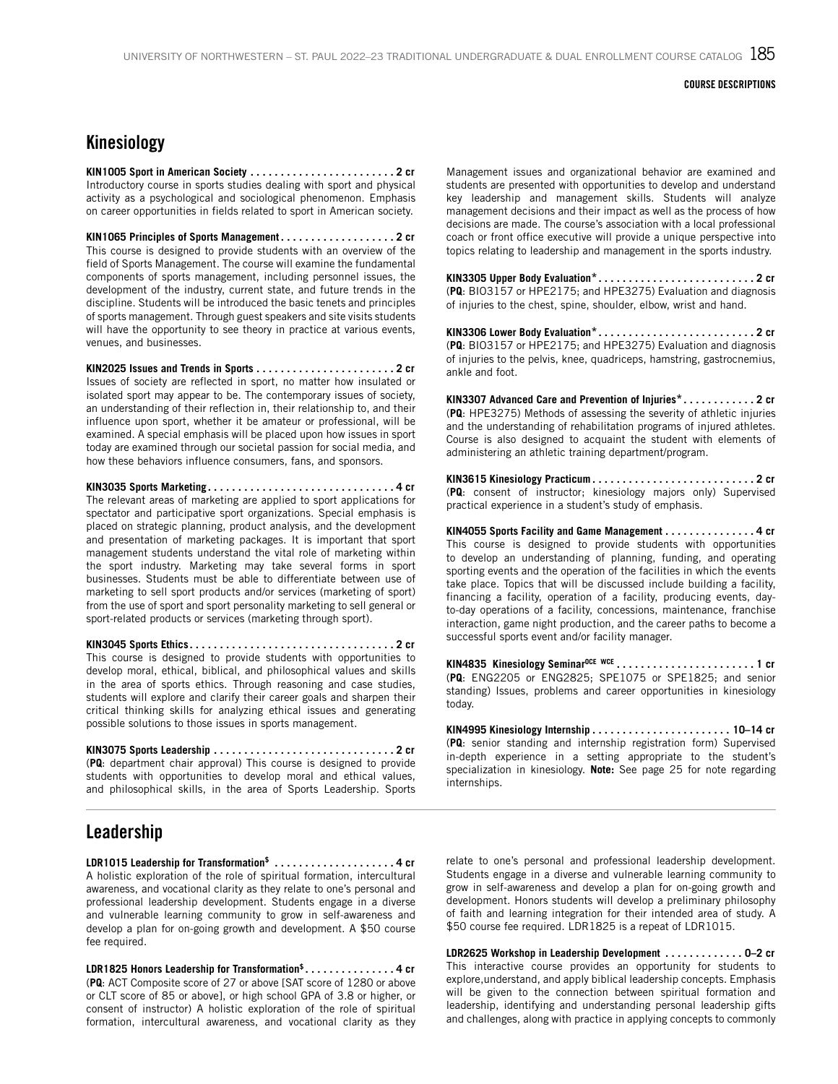# Kinesiology

**KIN1005 Sport in American Society. . 2 cr** Introductory course in sports studies dealing with sport and physical activity as a psychological and sociological phenomenon. Emphasis on career opportunities in fields related to sport in American society.

KIN1065 Principles of Sports Management...................2 cr This course is designed to provide students with an overview of the field of Sports Management. The course will examine the fundamental components of sports management, including personnel issues, the development of the industry, current state, and future trends in the discipline. Students will be introduced the basic tenets and principles of sports management. Through guest speakers and site visits students will have the opportunity to see theory in practice at various events, venues, and businesses.

**KIN2025 Issues and Trends in Sports. . 2 cr** Issues of society are reflected in sport, no matter how insulated or isolated sport may appear to be. The contemporary issues of society, an understanding of their reflection in, their relationship to, and their influence upon sport, whether it be amateur or professional, will be examined. A special emphasis will be placed upon how issues in sport today are examined through our societal passion for social media, and how these behaviors influence consumers, fans, and sponsors.

**KIN3035 Sports Marketing. . 4 cr** The relevant areas of marketing are applied to sport applications for spectator and participative sport organizations. Special emphasis is placed on strategic planning, product analysis, and the development and presentation of marketing packages. It is important that sport management students understand the vital role of marketing within the sport industry. Marketing may take several forms in sport businesses. Students must be able to differentiate between use of marketing to sell sport products and/or services (marketing of sport) from the use of sport and sport personality marketing to sell general or sport-related products or services (marketing through sport).

**KIN3045 Sports Ethics. . 2 cr** This course is designed to provide students with opportunities to develop moral, ethical, biblical, and philosophical values and skills in the area of sports ethics. Through reasoning and case studies, students will explore and clarify their career goals and sharpen their critical thinking skills for analyzing ethical issues and generating possible solutions to those issues in sports management.

**KIN3075 Sports Leadership. . 2 cr** (**PQ**: department chair approval) This course is designed to provide students with opportunities to develop moral and ethical values, and philosophical skills, in the area of Sports Leadership. Sports

Management issues and organizational behavior are examined and students are presented with opportunities to develop and understand key leadership and management skills. Students will analyze management decisions and their impact as well as the process of how decisions are made. The course's association with a local professional coach or front office executive will provide a unique perspective into topics relating to leadership and management in the sports industry.

**KIN3305 Upper Body Evaluation\*................................ 2 cr** (**PQ**: BIO3157 or HPE2175; and HPE3275) Evaluation and diagnosis of injuries to the chest, spine, shoulder, elbow, wrist and hand.

KIN3306 Lower Body Evaluation\*...............................2 cr (**PQ**: BIO3157 or HPE2175; and HPE3275) Evaluation and diagnosis of injuries to the pelvis, knee, quadriceps, hamstring, gastrocnemius, ankle and foot.

KIN3307 Advanced Care and Prevention of Injuries\*............2 cr (**PQ**: HPE3275) Methods of assessing the severity of athletic injuries and the understanding of rehabilitation programs of injured athletes. Course is also designed to acquaint the student with elements of administering an athletic training department/program.

**KIN3615 Kinesiology Practicum. . 2 cr** (**PQ**: consent of instructor; kinesiology majors only) Supervised practical experience in a student's study of emphasis.

KIN4055 Sports Facility and Game Management . . . . . . . . . . . . . . 4 cr This course is designed to provide students with opportunities to develop an understanding of planning, funding, and operating sporting events and the operation of the facilities in which the events take place. Topics that will be discussed include building a facility, financing a facility, operation of a facility, producing events, dayto-day operations of a facility, concessions, maintenance, franchise interaction, game night production, and the career paths to become a successful sports event and/or facility manager.

KIN4835 Kinesiology Seminar<sup>oce WCE</sup>.........................1 cr (**PQ**: ENG2205 or ENG2825; SPE1075 or SPE1825; and senior standing) Issues, problems and career opportunities in kinesiology today.

**KIN4995 Kinesiology Internship. . . 10–14 cr** (**PQ**: senior standing and internship registration form) Supervised in-depth experience in a setting appropriate to the student's specialization in kinesiology. **Note:** See page 25 for note regarding internships.

### Leadership

LDR1015 Leadership for Transformation<sup>\$</sup> ....................4 cr A holistic exploration of the role of spiritual formation, intercultural awareness, and vocational clarity as they relate to one's personal and professional leadership development. Students engage in a diverse and vulnerable learning community to grow in self-awareness and develop a plan for on-going growth and development. A \$50 course fee required.

LDR1825 Honors Leadership for Transformation<sup>\$</sup>...............4 cr (**PQ**: ACT Composite score of 27 or above [SAT score of 1280 or above or CLT score of 85 or above], or high school GPA of 3.8 or higher, or consent of instructor) A holistic exploration of the role of spiritual formation, intercultural awareness, and vocational clarity as they

relate to one's personal and professional leadership development. Students engage in a diverse and vulnerable learning community to grow in self-awareness and develop a plan for on-going growth and development. Honors students will develop a preliminary philosophy of faith and learning integration for their intended area of study. A \$50 course fee required. LDR1825 is a repeat of LDR1015.

**LDR2625 Workshop in Leadership Development. . . 0–2 cr** This interactive course provides an opportunity for students to explore,understand, and apply biblical leadership concepts. Emphasis will be given to the connection between spiritual formation and leadership, identifying and understanding personal leadership gifts and challenges, along with practice in applying concepts to commonly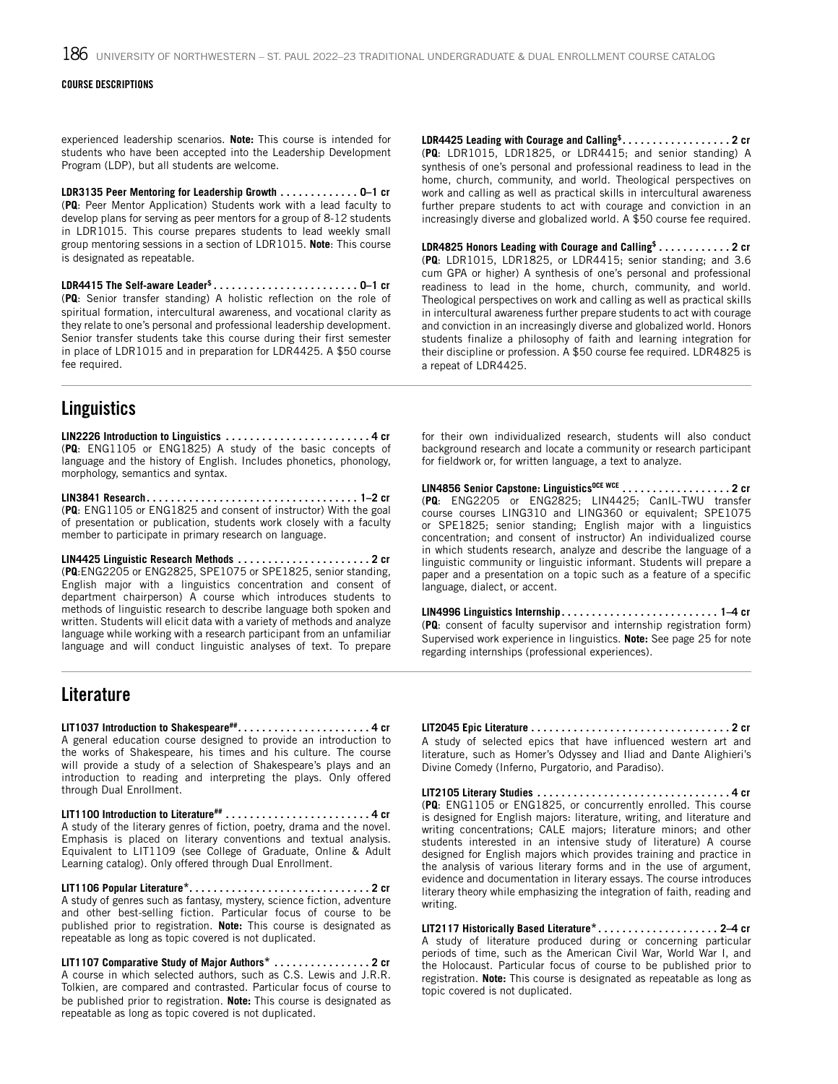experienced leadership scenarios. **Note:** This course is intended for students who have been accepted into the Leadership Development Program (LDP), but all students are welcome.

**LDR3135 Peer Mentoring for Leadership Growth. . . 0–1 cr** (**PQ**: Peer Mentor Application) Students work with a lead faculty to develop plans for serving as peer mentors for a group of 8-12 students in LDR1015. This course prepares students to lead weekly small group mentoring sessions in a section of LDR1015. **Note**: This course is designated as repeatable.

**LDR4415 The Self-aware Leader\$ . . 0–1 cr** (**PQ**: Senior transfer standing) A holistic reflection on the role of spiritual formation, intercultural awareness, and vocational clarity as they relate to one's personal and professional leadership development. Senior transfer students take this course during their first semester in place of LDR1015 and in preparation for LDR4425. A \$50 course fee required.

### **Linguistics**

**LIN2226 Introduction to Linguistics. . 4 cr** (**PQ**: ENG1105 or ENG1825) A study of the basic concepts of language and the history of English. Includes phonetics, phonology, morphology, semantics and syntax.

**LIN3841 Research. . . 1–2 cr** (**PQ**: ENG1105 or ENG1825 and consent of instructor) With the goal of presentation or publication, students work closely with a faculty member to participate in primary research on language.

**LIN4425 Linguistic Research Methods. . 2 cr** (**PQ**:ENG2205 or ENG2825, SPE1075 or SPE1825, senior standing, English major with a linguistics concentration and consent of department chairperson) A course which introduces students to methods of linguistic research to describe language both spoken and written. Students will elicit data with a variety of methods and analyze language while working with a research participant from an unfamiliar language and will conduct linguistic analyses of text. To prepare

**LDR4425 Leading with Courage and Calling\$ . 2 cr** (**PQ**: LDR1015, LDR1825, or LDR4415; and senior standing) A synthesis of one's personal and professional readiness to lead in the home, church, community, and world. Theological perspectives on work and calling as well as practical skills in intercultural awareness further prepare students to act with courage and conviction in an increasingly diverse and globalized world. A \$50 course fee required.

**LDR4825 Honors Leading with Courage and Calling\$ . 2 cr** (**PQ**: LDR1015, LDR1825, or LDR4415; senior standing; and 3.6 cum GPA or higher) A synthesis of one's personal and professional readiness to lead in the home, church, community, and world. Theological perspectives on work and calling as well as practical skills in intercultural awareness further prepare students to act with courage and conviction in an increasingly diverse and globalized world. Honors students finalize a philosophy of faith and learning integration for their discipline or profession. A \$50 course fee required. LDR4825 is a repeat of LDR4425.

for their own individualized research, students will also conduct background research and locate a community or research participant for fieldwork or, for written language, a text to analyze.

LIN4856 Senior Capstone: Linguistics<sup>oce wce</sup> . . . . . . . . . . . . . . . . . 2 cr (**PQ**: ENG2205 or ENG2825; LIN4425; CanIL-TWU transfer course courses LING310 and LING360 or equivalent; SPE1075 or SPE1825; senior standing; English major with a linguistics concentration; and consent of instructor) An individualized course in which students research, analyze and describe the language of a linguistic community or linguistic informant. Students will prepare a paper and a presentation on a topic such as a feature of a specific language, dialect, or accent.

**LIN4996 Linguistics Internship. . . 1–4 cr** (**PQ**: consent of faculty supervisor and internship registration form) Supervised work experience in linguistics. **Note:** See page 25 for note regarding internships (professional experiences).

### Literature

**LIT1037 Introduction to Shakespeare##. . 4 cr**  A general education course designed to provide an introduction to the works of Shakespeare, his times and his culture. The course will provide a study of a selection of Shakespeare's plays and an introduction to reading and interpreting the plays. Only offered through Dual Enrollment.

**LIT1100 Introduction to Literature##. . 4 cr** A study of the literary genres of fiction, poetry, drama and the novel. Emphasis is placed on literary conventions and textual analysis. Equivalent to LIT1109 (see College of Graduate, Online & Adult Learning catalog). Only offered through Dual Enrollment.

**LIT1106 Popular Literature\*. . 2 cr** A study of genres such as fantasy, mystery, science fiction, adventure and other best-selling fiction. Particular focus of course to be published prior to registration. **Note:** This course is designated as repeatable as long as topic covered is not duplicated.

LIT1107 Comparative Study of Major Authors\* . . . . . . . . . . . . . . . 2 cr A course in which selected authors, such as C.S. Lewis and J.R.R. Tolkien, are compared and contrasted. Particular focus of course to be published prior to registration. **Note:** This course is designated as repeatable as long as topic covered is not duplicated.

**LIT2045 Epic Literature. . 2 cr** A study of selected epics that have influenced western art and literature, such as Homer's Odyssey and Iliad and Dante Alighieri's Divine Comedy (Inferno, Purgatorio, and Paradiso).

**LIT2105 Literary Studies. . 4 cr** (**PQ**: ENG1105 or ENG1825, or concurrently enrolled. This course is designed for English majors: literature, writing, and literature and writing concentrations; CALE majors; literature minors; and other students interested in an intensive study of literature) A course designed for English majors which provides training and practice in the analysis of various literary forms and in the use of argument, evidence and documentation in literary essays. The course introduces literary theory while emphasizing the integration of faith, reading and writing.

**LIT2117 Historically Based Literature\*. . . 2–4 cr** A study of literature produced during or concerning particular periods of time, such as the American Civil War, World War I, and the Holocaust. Particular focus of course to be published prior to registration. **Note:** This course is designated as repeatable as long as topic covered is not duplicated.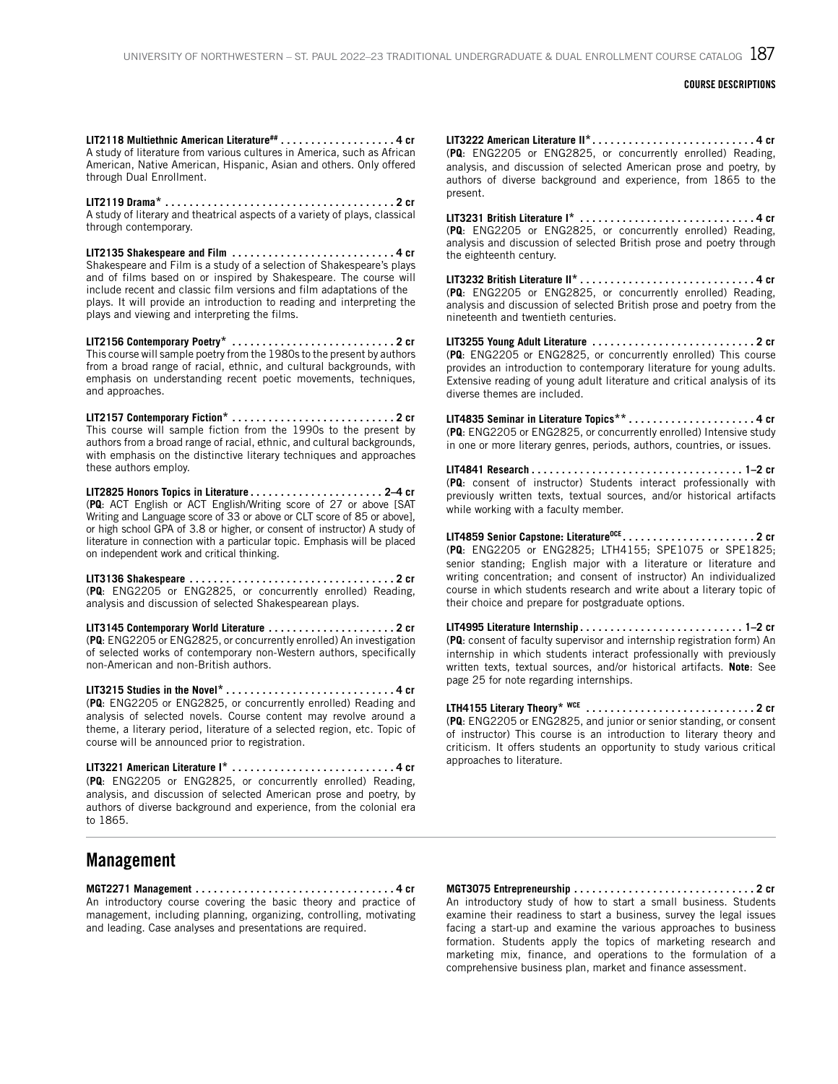**LIT2118 Multiethnic American Literature##. . 4 cr** A study of literature from various cultures in America, such as African American, Native American, Hispanic, Asian and others. Only offered through Dual Enrollment.

**LIT2119 Drama\*. . 2 cr** A study of literary and theatrical aspects of a variety of plays, classical through contemporary.

**LIT2135 Shakespeare and Film ................................4 cr** Shakespeare and Film is a study of a selection of Shakespeare's plays and of films based on or inspired by Shakespeare. The course will include recent and classic film versions and film adaptations of the plays. It will provide an introduction to reading and interpreting the plays and viewing and interpreting the films.

**LIT2156 Contemporary Poetry\*. . 2 cr** This course will sample poetry from the 1980s to the present by authors from a broad range of racial, ethnic, and cultural backgrounds, with emphasis on understanding recent poetic movements, techniques, and approaches.

**LIT2157 Contemporary Fiction\*. . 2 cr** This course will sample fiction from the 1990s to the present by authors from a broad range of racial, ethnic, and cultural backgrounds, with emphasis on the distinctive literary techniques and approaches these authors employ.

**LIT2825 Honors Topics in Literature. . . 2–4 cr** (**PQ**: ACT English or ACT English/Writing score of 27 or above [SAT Writing and Language score of 33 or above or CLT score of 85 or above], or high school GPA of 3.8 or higher, or consent of instructor) A study of literature in connection with a particular topic. Emphasis will be placed on independent work and critical thinking.

**LIT3136 Shakespeare. . 2 cr** (**PQ**: ENG2205 or ENG2825, or concurrently enrolled) Reading, analysis and discussion of selected Shakespearean plays.

**LIT3145 Contemporary World Literature. . 2 cr** (**PQ**: ENG2205 or ENG2825, or concurrently enrolled) An investigation of selected works of contemporary non-Western authors, specifically non-American and non-British authors.

**LIT3215 Studies in the Novel\*.................................4 cr** (**PQ**: ENG2205 or ENG2825, or concurrently enrolled) Reading and analysis of selected novels. Course content may revolve around a theme, a literary period, literature of a selected region, etc. Topic of course will be announced prior to registration.

**LIT3221 American Literature I\*. . 4 cr** (**PQ**: ENG2205 or ENG2825, or concurrently enrolled) Reading, analysis, and discussion of selected American prose and poetry, by authors of diverse background and experience, from the colonial era to 1865.

### Management

**MGT2271 Management. . 4 cr** An introductory course covering the basic theory and practice of management, including planning, organizing, controlling, motivating and leading. Case analyses and presentations are required.

LIT3222 American Literature II\*..............................4 cr (**PQ**: ENG2205 or ENG2825, or concurrently enrolled) Reading, analysis, and discussion of selected American prose and poetry, by authors of diverse background and experience, from 1865 to the present.

**LIT3231 British Literature I\*. . 4 cr** (**PQ**: ENG2205 or ENG2825, or concurrently enrolled) Reading, analysis and discussion of selected British prose and poetry through the eighteenth century.

**LIT3232 British Literature II\*. . 4 cr** (**PQ**: ENG2205 or ENG2825, or concurrently enrolled) Reading, analysis and discussion of selected British prose and poetry from the nineteenth and twentieth centuries.

**LIT3255 Young Adult Literature. . 2 cr** (**PQ**: ENG2205 or ENG2825, or concurrently enrolled) This course provides an introduction to contemporary literature for young adults. Extensive reading of young adult literature and critical analysis of its diverse themes are included.

LIT4835 Seminar in Literature Topics<sup>\*\*</sup>....................4 cr (**PQ**: ENG2205 or ENG2825, or concurrently enrolled) Intensive study in one or more literary genres, periods, authors, countries, or issues.

**LIT4841 Research. . . 1–2 cr** (**PQ**: consent of instructor) Students interact professionally with previously written texts, textual sources, and/or historical artifacts while working with a faculty member.

LIT4859 Senior Capstone: Literature<sup>oce</sup>............................2 cr (**PQ**: ENG2205 or ENG2825; LTH4155; SPE1075 or SPE1825; senior standing; English major with a literature or literature and writing concentration; and consent of instructor) An individualized course in which students research and write about a literary topic of their choice and prepare for postgraduate options.

**LIT4995 Literature Internship. . . 1–2 cr** (**PQ**: consent of faculty supervisor and internship registration form) An internship in which students interact professionally with previously written texts, textual sources, and/or historical artifacts. **Note**: See page 25 for note regarding internships.

**LTH4155 Literary Theory\* WCE. . 2 cr** (**PQ**: ENG2205 or ENG2825, and junior or senior standing, or consent of instructor) This course is an introduction to literary theory and criticism. It offers students an opportunity to study various critical approaches to literature.

**MGT3075 Entrepreneurship. . 2 cr** An introductory study of how to start a small business. Students examine their readiness to start a business, survey the legal issues facing a start-up and examine the various approaches to business formation. Students apply the topics of marketing research and marketing mix, finance, and operations to the formulation of a comprehensive business plan, market and finance assessment.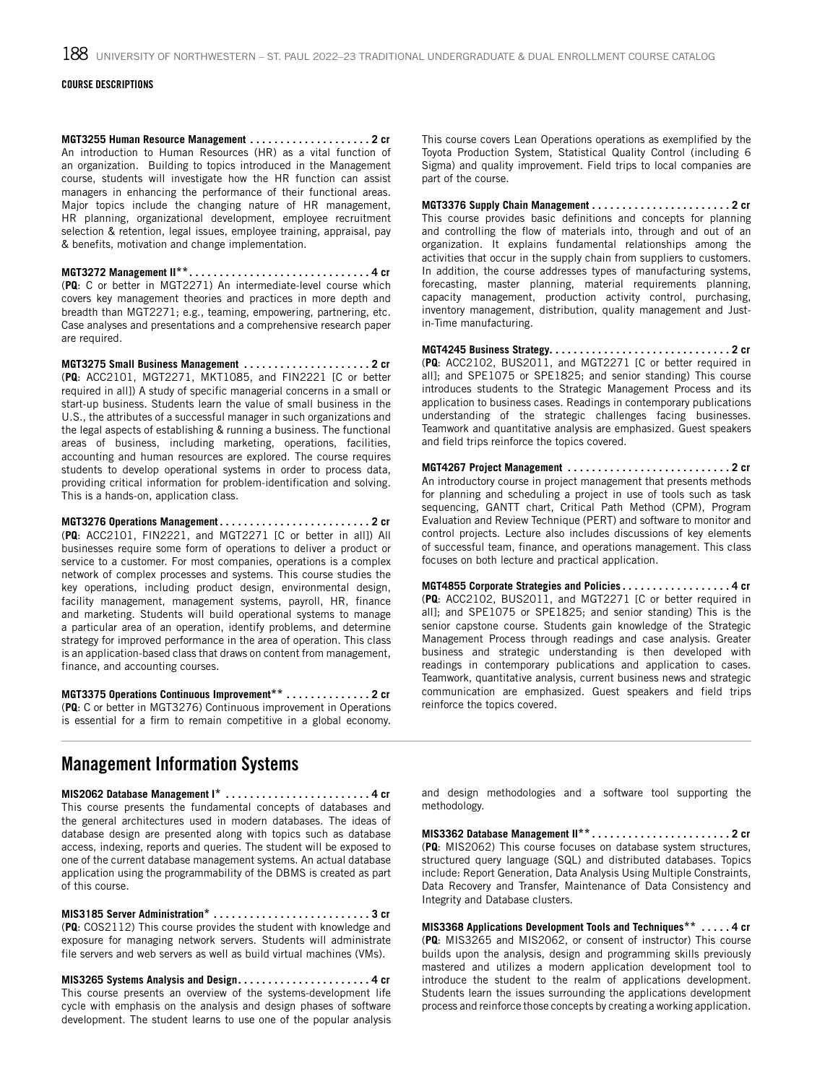**MGT3255 Human Resource Management ........................... 2 cr** An introduction to Human Resources (HR) as a vital function of an organization. Building to topics introduced in the Management course, students will investigate how the HR function can assist managers in enhancing the performance of their functional areas. Major topics include the changing nature of HR management, HR planning, organizational development, employee recruitment selection & retention, legal issues, employee training, appraisal, pay & benefits, motivation and change implementation.

**MGT3272 Management II\*\*. . 4 cr** (**PQ**: C or better in MGT2271) An intermediate-level course which covers key management theories and practices in more depth and breadth than MGT2271; e.g., teaming, empowering, partnering, etc. Case analyses and presentations and a comprehensive research paper are required.

**MGT3275 Small Business Management .......................... 2 cr** (**PQ**: ACC2101, MGT2271, MKT1085, and FIN2221 [C or better required in all]) A study of specific managerial concerns in a small or start-up business. Students learn the value of small business in the U.S., the attributes of a successful manager in such organizations and the legal aspects of establishing & running a business. The functional areas of business, including marketing, operations, facilities, accounting and human resources are explored. The course requires students to develop operational systems in order to process data, providing critical information for problem-identification and solving. This is a hands-on, application class.

**MGT3276 Operations Management. . 2 cr** (**PQ**: ACC2101, FIN2221, and MGT2271 [C or better in all]) All businesses require some form of operations to deliver a product or service to a customer. For most companies, operations is a complex network of complex processes and systems. This course studies the key operations, including product design, environmental design, facility management, management systems, payroll, HR, finance and marketing. Students will build operational systems to manage a particular area of an operation, identify problems, and determine strategy for improved performance in the area of operation. This class is an application-based class that draws on content from management, finance, and accounting courses.

**MGT3375 Operations Continuous Improvement\*\*** . . . . . . . . . . . . . 2 cr (**PQ**: C or better in MGT3276) Continuous improvement in Operations is essential for a firm to remain competitive in a global economy.

### Management Information Systems

**MIS2062 Database Management I\*** ............................4 cr This course presents the fundamental concepts of databases and the general architectures used in modern databases. The ideas of database design are presented along with topics such as database access, indexing, reports and queries. The student will be exposed to one of the current database management systems. An actual database application using the programmability of the DBMS is created as part of this course.

**MIS3185 Server Administration\*. . 3 cr** (**PQ**: COS2112) This course provides the student with knowledge and exposure for managing network servers. Students will administrate file servers and web servers as well as build virtual machines (VMs).

**MIS3265 Systems Analysis and Design. . 4 cr** This course presents an overview of the systems-development life cycle with emphasis on the analysis and design phases of software development. The student learns to use one of the popular analysis

This course covers Lean Operations operations as exemplified by the Toyota Production System, Statistical Quality Control (including 6 Sigma) and quality improvement. Field trips to local companies are part of the course.

**MGT3376 Supply Chain Management. . 2 cr** This course provides basic definitions and concepts for planning and controlling the flow of materials into, through and out of an organization. It explains fundamental relationships among the activities that occur in the supply chain from suppliers to customers. In addition, the course addresses types of manufacturing systems, forecasting, master planning, material requirements planning, capacity management, production activity control, purchasing, inventory management, distribution, quality management and Justin-Time manufacturing.

**MGT4245 Business Strategy. . 2 cr** (**PQ**: ACC2102, BUS2011, and MGT2271 [C or better required in all]; and SPE1075 or SPE1825; and senior standing) This course introduces students to the Strategic Management Process and its application to business cases. Readings in contemporary publications understanding of the strategic challenges facing businesses. Teamwork and quantitative analysis are emphasized. Guest speakers and field trips reinforce the topics covered.

**MGT4267 Project Management. . 2 cr** An introductory course in project management that presents methods for planning and scheduling a project in use of tools such as task sequencing, GANTT chart, Critical Path Method (CPM), Program Evaluation and Review Technique (PERT) and software to monitor and control projects. Lecture also includes discussions of key elements of successful team, finance, and operations management. This class focuses on both lecture and practical application.

MGT4855 Corporate Strategies and Policies...................4 cr (**PQ**: ACC2102, BUS2011, and MGT2271 [C or better required in all]; and SPE1075 or SPE1825; and senior standing) This is the senior capstone course. Students gain knowledge of the Strategic Management Process through readings and case analysis. Greater business and strategic understanding is then developed with readings in contemporary publications and application to cases. Teamwork, quantitative analysis, current business news and strategic communication are emphasized. Guest speakers and field trips reinforce the topics covered.

and design methodologies and a software tool supporting the methodology.

**MIS3362 Database Management II\*\*............................ 2 cr** (**PQ**: MIS2062) This course focuses on database system structures, structured query language (SQL) and distributed databases. Topics include: Report Generation, Data Analysis Using Multiple Constraints, Data Recovery and Transfer, Maintenance of Data Consistency and Integrity and Database clusters.

**MIS3368 Applications Development Tools and Techniques\*\*** . . . . . 4 cr (**PQ**: MIS3265 and MIS2062, or consent of instructor) This course builds upon the analysis, design and programming skills previously mastered and utilizes a modern application development tool to introduce the student to the realm of applications development. Students learn the issues surrounding the applications development process and reinforce those concepts by creating a working application.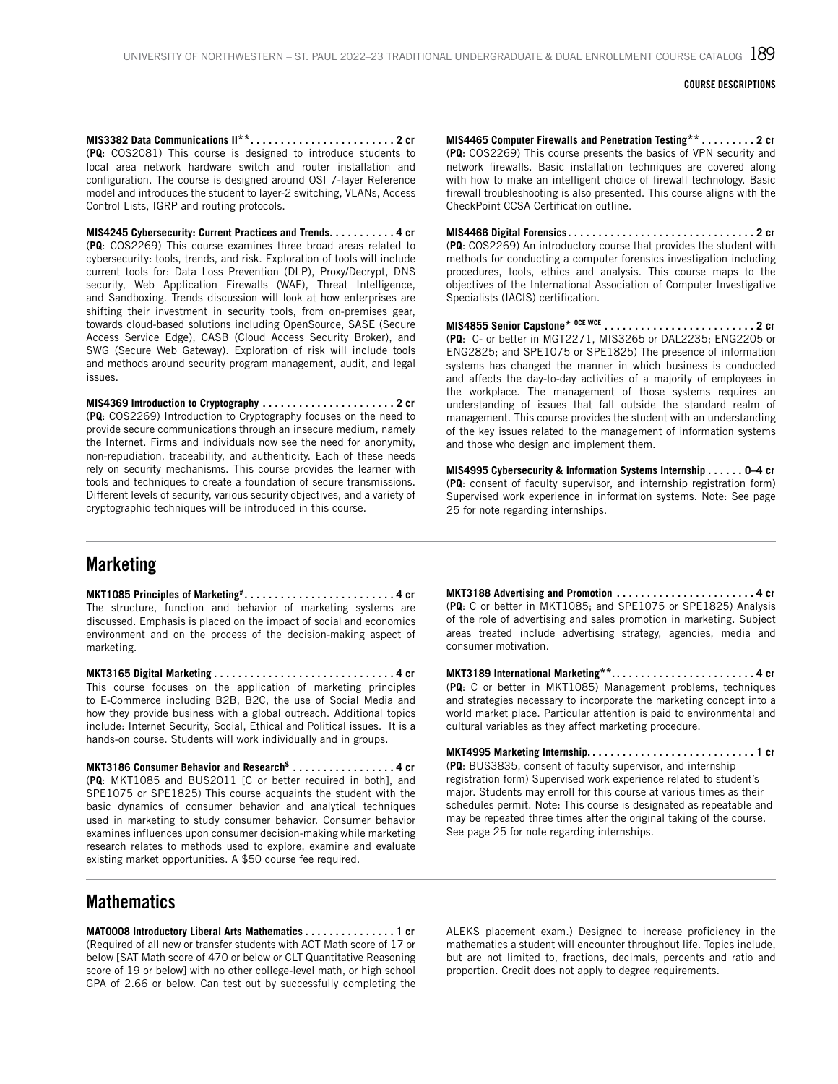**MIS3382 Data Communications II\*\*.............................. 2 cr** (**PQ**: COS2081) This course is designed to introduce students to local area network hardware switch and router installation and configuration. The course is designed around OSI 7-layer Reference model and introduces the student to layer-2 switching, VLANs, Access Control Lists, IGRP and routing protocols.

**MIS4245 Cybersecurity: Current Practices and Trends.......... 4 cr** (**PQ**: COS2269) This course examines three broad areas related to cybersecurity: tools, trends, and risk. Exploration of tools will include current tools for: Data Loss Prevention (DLP), Proxy/Decrypt, DNS security, Web Application Firewalls (WAF), Threat Intelligence, and Sandboxing. Trends discussion will look at how enterprises are shifting their investment in security tools, from on-premises gear, towards cloud-based solutions including OpenSource, SASE (Secure Access Service Edge), CASB (Cloud Access Security Broker), and SWG (Secure Web Gateway). Exploration of risk will include tools and methods around security program management, audit, and legal issues.

**MIS4369 Introduction to Cryptography. . 2 cr** (**PQ**: COS2269) Introduction to Cryptography focuses on the need to provide secure communications through an insecure medium, namely the Internet. Firms and individuals now see the need for anonymity, non-repudiation, traceability, and authenticity. Each of these needs rely on security mechanisms. This course provides the learner with tools and techniques to create a foundation of secure transmissions. Different levels of security, various security objectives, and a variety of cryptographic techniques will be introduced in this course.

**MIS4465 Computer Firewalls and Penetration Testing\*\*........2 cr** (**PQ**: COS2269) This course presents the basics of VPN security and network firewalls. Basic installation techniques are covered along with how to make an intelligent choice of firewall technology. Basic firewall troubleshooting is also presented. This course aligns with the CheckPoint CCSA Certification outline.

**MIS4466 Digital Forensics. . 2 cr** (**PQ**: COS2269) An introductory course that provides the student with methods for conducting a computer forensics investigation including procedures, tools, ethics and analysis. This course maps to the objectives of the International Association of Computer Investigative Specialists (IACIS) certification.

**MIS4855 Senior Capstone\* OCE WCE. . 2 cr** (**PQ**: C- or better in MGT2271, MIS3265 or DAL2235; ENG2205 or ENG2825; and SPE1075 or SPE1825) The presence of information systems has changed the manner in which business is conducted and affects the day-to-day activities of a majority of employees in the workplace. The management of those systems requires an understanding of issues that fall outside the standard realm of management. This course provides the student with an understanding of the key issues related to the management of information systems and those who design and implement them.

**MIS4995 Cybersecurity & Information Systems Internship. . . 0–4 cr** (**PQ**: consent of faculty supervisor, and internship registration form) Supervised work experience in information systems. Note: See page 25 for note regarding internships.

### **Marketing**

**MKT1085 Principles of Marketing# . 4 cr** The structure, function and behavior of marketing systems are discussed. Emphasis is placed on the impact of social and economics environment and on the process of the decision-making aspect of marketing.

**MKT3165 Digital Marketing..................................4 cr** This course focuses on the application of marketing principles to E-Commerce including B2B, B2C, the use of Social Media and how they provide business with a global outreach. Additional topics include: Internet Security, Social, Ethical and Political issues. It is a hands-on course. Students will work individually and in groups.

**MKT3186 Consumer Behavior and Research<sup>\$</sup> .................4 cr** (**PQ**: MKT1085 and BUS2011 [C or better required in both], and SPE1075 or SPE1825) This course acquaints the student with the basic dynamics of consumer behavior and analytical techniques used in marketing to study consumer behavior. Consumer behavior examines influences upon consumer decision-making while marketing research relates to methods used to explore, examine and evaluate existing market opportunities. A \$50 course fee required.

MKT3188 Advertising and Promotion ........................4 cr (**PQ**: C or better in MKT1085; and SPE1075 or SPE1825) Analysis of the role of advertising and sales promotion in marketing. Subject areas treated include advertising strategy, agencies, media and consumer motivation.

MKT3189 International Marketing\*\*...........................4 cr (**PQ**: C or better in MKT1085) Management problems, techniques and strategies necessary to incorporate the marketing concept into a world market place. Particular attention is paid to environmental and cultural variables as they affect marketing procedure.

**MKT4995 Marketing Internship.. . 1 cr** (**PQ**: BUS3835, consent of faculty supervisor, and internship registration form) Supervised work experience related to student's major. Students may enroll for this course at various times as their schedules permit. Note: This course is designated as repeatable and may be repeated three times after the original taking of the course. See page 25 for note regarding internships.

### **Mathematics**

**MAT0008 Introductory Liberal Arts Mathematics . . . . . . . . . . . . . . 1 cr** (Required of all new or transfer students with ACT Math score of 17 or below [SAT Math score of 470 or below or CLT Quantitative Reasoning score of 19 or below] with no other college-level math, or high school GPA of 2.66 or below. Can test out by successfully completing the

ALEKS placement exam.) Designed to increase proficiency in the mathematics a student will encounter throughout life. Topics include, but are not limited to, fractions, decimals, percents and ratio and proportion. Credit does not apply to degree requirements.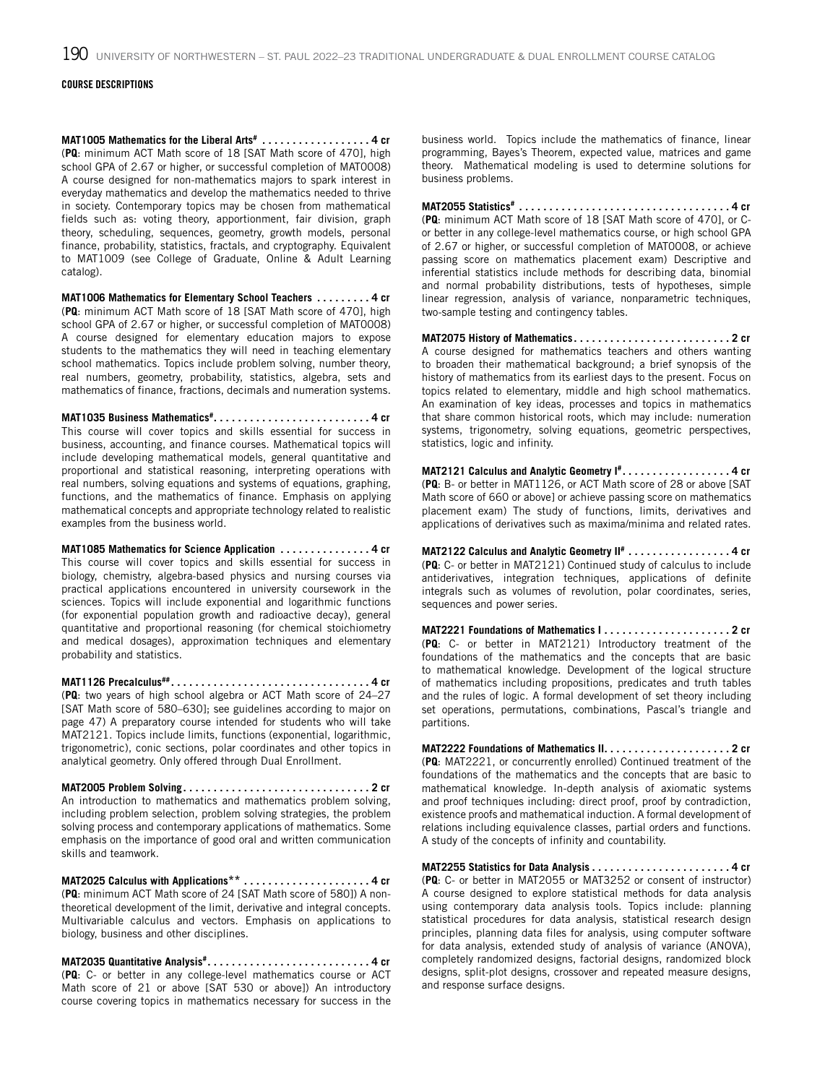#### **MAT1005 Mathematics for the Liberal Arts<sup>#</sup> ...................4 cr**

(**PQ**: minimum ACT Math score of 18 [SAT Math score of 470], high school GPA of 2.67 or higher, or successful completion of MAT0008) A course designed for non-mathematics majors to spark interest in everyday mathematics and develop the mathematics needed to thrive in society. Contemporary topics may be chosen from mathematical fields such as: voting theory, apportionment, fair division, graph theory, scheduling, sequences, geometry, growth models, personal finance, probability, statistics, fractals, and cryptography. Equivalent to MAT1009 (see College of Graduate, Online & Adult Learning catalog).

**MAT1006 Mathematics for Elementary School Teachers ......... 4 cr** (**PQ**: minimum ACT Math score of 18 [SAT Math score of 470], high school GPA of 2.67 or higher, or successful completion of MAT0008) A course designed for elementary education majors to expose students to the mathematics they will need in teaching elementary school mathematics. Topics include problem solving, number theory, real numbers, geometry, probability, statistics, algebra, sets and mathematics of finance, fractions, decimals and numeration systems.

**MAT1035 Business Mathematics# . 4 cr** This course will cover topics and skills essential for success in business, accounting, and finance courses. Mathematical topics will include developing mathematical models, general quantitative and proportional and statistical reasoning, interpreting operations with real numbers, solving equations and systems of equations, graphing, functions, and the mathematics of finance. Emphasis on applying mathematical concepts and appropriate technology related to realistic examples from the business world.

**MAT1085 Mathematics for Science Application ............... 4 cr** This course will cover topics and skills essential for success in biology, chemistry, algebra-based physics and nursing courses via practical applications encountered in university coursework in the sciences. Topics will include exponential and logarithmic functions (for exponential population growth and radioactive decay), general quantitative and proportional reasoning (for chemical stoichiometry and medical dosages), approximation techniques and elementary probability and statistics.

**MAT1126 Precalculus##. . 4 cr** (**PQ**: two years of high school algebra or ACT Math score of 24–27 [SAT Math score of 580–630]; see guidelines according to major on page 47) A preparatory course intended for students who will take MAT2121. Topics include limits, functions (exponential, logarithmic, trigonometric), conic sections, polar coordinates and other topics in analytical geometry. Only offered through Dual Enrollment.

**MAT2005 Problem Solving. . 2 cr** An introduction to mathematics and mathematics problem solving, including problem selection, problem solving strategies, the problem solving process and contemporary applications of mathematics. Some emphasis on the importance of good oral and written communication skills and teamwork.

MAT2025 Calculus with Applications<sup>\*\*</sup>......................4 cr (**PQ**: minimum ACT Math score of 24 [SAT Math score of 580]) A nontheoretical development of the limit, derivative and integral concepts. Multivariable calculus and vectors. Emphasis on applications to biology, business and other disciplines.

**MAT2035 Quantitative Analysis# . 4 cr** (**PQ**: C- or better in any college-level mathematics course or ACT Math score of 21 or above [SAT 530 or above]) An introductory course covering topics in mathematics necessary for success in the business world. Topics include the mathematics of finance, linear programming, Bayes's Theorem, expected value, matrices and game theory. Mathematical modeling is used to determine solutions for business problems.

**MAT2055 Statistics#. . 4 cr** (**PQ**: minimum ACT Math score of 18 [SAT Math score of 470], or Cor better in any college-level mathematics course, or high school GPA of 2.67 or higher, or successful completion of MAT0008, or achieve passing score on mathematics placement exam) Descriptive and inferential statistics include methods for describing data, binomial and normal probability distributions, tests of hypotheses, simple linear regression, analysis of variance, nonparametric techniques, two-sample testing and contingency tables.

**MAT2075 History of Mathematics............................... 2 cr** A course designed for mathematics teachers and others wanting to broaden their mathematical background; a brief synopsis of the history of mathematics from its earliest days to the present. Focus on topics related to elementary, middle and high school mathematics. An examination of key ideas, processes and topics in mathematics that share common historical roots, which may include: numeration systems, trigonometry, solving equations, geometric perspectives, statistics, logic and infinity.

**MAT2121 Calculus and Analytic Geometry I<sup>#</sup>...................4 cr** (**PQ**: B- or better in MAT1126, or ACT Math score of 28 or above [SAT Math score of 660 or above] or achieve passing score on mathematics placement exam) The study of functions, limits, derivatives and applications of derivatives such as maxima/minima and related rates.

**MAT2122 Calculus and Analytic Geometry II<sup>#</sup> .................4 cr** (**PQ**: C- or better in MAT2121) Continued study of calculus to include antiderivatives, integration techniques, applications of definite integrals such as volumes of revolution, polar coordinates, series, sequences and power series.

**MAT2221 Foundations of Mathematics I. . 2 cr** (**PQ**: C- or better in MAT2121) Introductory treatment of the foundations of the mathematics and the concepts that are basic to mathematical knowledge. Development of the logical structure of mathematics including propositions, predicates and truth tables and the rules of logic. A formal development of set theory including set operations, permutations, combinations, Pascal's triangle and partitions.

**MAT2222 Foundations of Mathematics II. . 2 cr** (**PQ**: MAT2221, or concurrently enrolled) Continued treatment of the foundations of the mathematics and the concepts that are basic to mathematical knowledge. In-depth analysis of axiomatic systems and proof techniques including: direct proof, proof by contradiction, existence proofs and mathematical induction. A formal development of relations including equivalence classes, partial orders and functions. A study of the concepts of infinity and countability.

MAT2255 Statistics for Data Analysis........................4 cr (**PQ**: C- or better in MAT2055 or MAT3252 or consent of instructor) A course designed to explore statistical methods for data analysis using contemporary data analysis tools. Topics include: planning statistical procedures for data analysis, statistical research design principles, planning data files for analysis, using computer software for data analysis, extended study of analysis of variance (ANOVA), completely randomized designs, factorial designs, randomized block designs, split-plot designs, crossover and repeated measure designs, and response surface designs.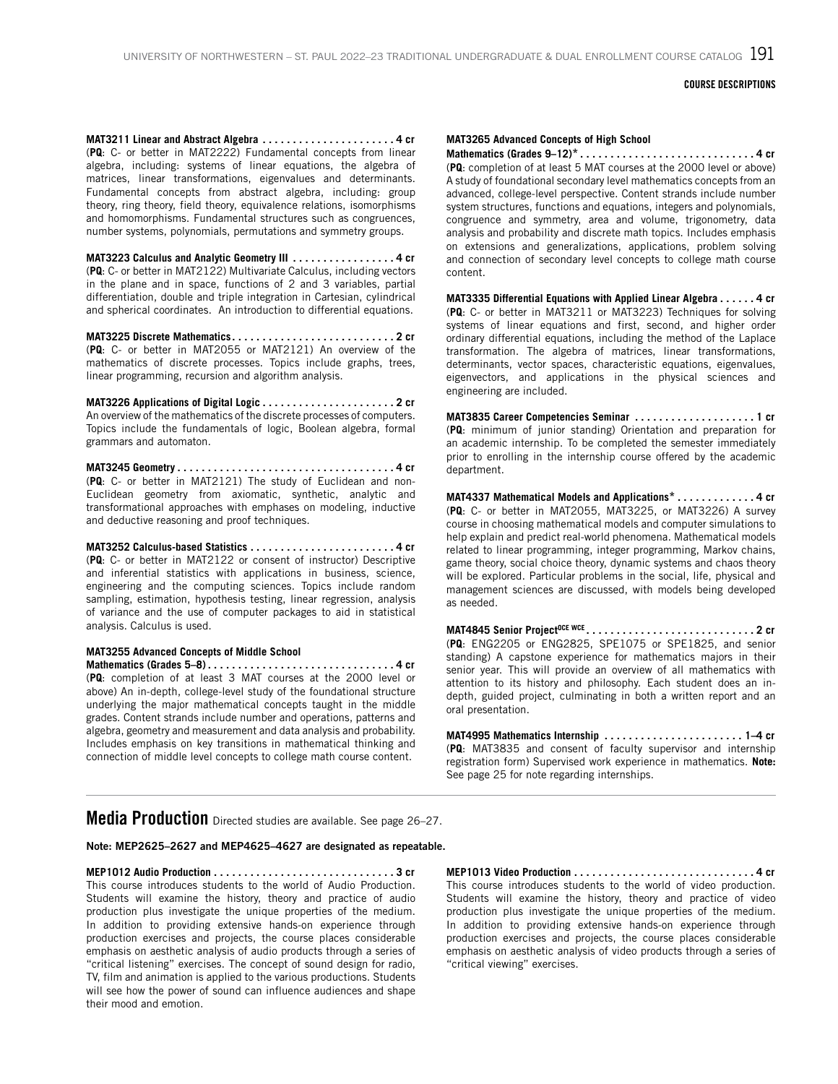**MAT3211 Linear and Abstract Algebra.............................4 cr** (**PQ**: C- or better in MAT2222) Fundamental concepts from linear algebra, including: systems of linear equations, the algebra of matrices, linear transformations, eigenvalues and determinants. Fundamental concepts from abstract algebra, including: group theory, ring theory, field theory, equivalence relations, isomorphisms and homomorphisms. Fundamental structures such as congruences, number systems, polynomials, permutations and symmetry groups.

**MAT3223 Calculus and Analytic Geometry III................... 4 cr** (**PQ**: C- or better in MAT2122) Multivariate Calculus, including vectors in the plane and in space, functions of 2 and 3 variables, partial differentiation, double and triple integration in Cartesian, cylindrical and spherical coordinates. An introduction to differential equations.

**MAT3225 Discrete Mathematics. . 2 cr** (**PQ**: C- or better in MAT2055 or MAT2121) An overview of the mathematics of discrete processes. Topics include graphs, trees, linear programming, recursion and algorithm analysis.

**MAT3226 Applications of Digital Logic. . 2 cr** An overview of the mathematics of the discrete processes of computers. Topics include the fundamentals of logic, Boolean algebra, formal grammars and automaton.

**MAT3245 Geometry. . 4 cr** (**PQ**: C- or better in MAT2121) The study of Euclidean and non-Euclidean geometry from axiomatic, synthetic, analytic and transformational approaches with emphases on modeling, inductive and deductive reasoning and proof techniques.

**MAT3252 Calculus-based Statistics. . 4 cr** (**PQ**: C- or better in MAT2122 or consent of instructor) Descriptive and inferential statistics with applications in business, science, engineering and the computing sciences. Topics include random sampling, estimation, hypothesis testing, linear regression, analysis of variance and the use of computer packages to aid in statistical analysis. Calculus is used.

#### **MAT3255 Advanced Concepts of Middle School**

**Mathematics (Grades 5–8). . 4 cr** (**PQ**: completion of at least 3 MAT courses at the 2000 level or above) An in-depth, college-level study of the foundational structure underlying the major mathematical concepts taught in the middle grades. Content strands include number and operations, patterns and algebra, geometry and measurement and data analysis and probability. Includes emphasis on key transitions in mathematical thinking and connection of middle level concepts to college math course content.

### **MAT3265 Advanced Concepts of High School**

**Mathematics (Grades 9–12)\*. . 4 cr** (**PQ**: completion of at least 5 MAT courses at the 2000 level or above) A study of foundational secondary level mathematics concepts from an advanced, college-level perspective. Content strands include number system structures, functions and equations, integers and polynomials, congruence and symmetry, area and volume, trigonometry, data analysis and probability and discrete math topics. Includes emphasis on extensions and generalizations, applications, problem solving and connection of secondary level concepts to college math course content.

**MAT3335 Differential Equations with Applied Linear Algebra...... 4 cr** (**PQ**: C- or better in MAT3211 or MAT3223) Techniques for solving systems of linear equations and first, second, and higher order ordinary differential equations, including the method of the Laplace transformation. The algebra of matrices, linear transformations, determinants, vector spaces, characteristic equations, eigenvalues, eigenvectors, and applications in the physical sciences and engineering are included.

MAT3835 Career Competencies Seminar ......................1 cr (**PQ**: minimum of junior standing) Orientation and preparation for an academic internship. To be completed the semester immediately prior to enrolling in the internship course offered by the academic department.

**MAT4337 Mathematical Models and Applications\*.............4 cr** (**PQ**: C- or better in MAT2055, MAT3225, or MAT3226) A survey course in choosing mathematical models and computer simulations to help explain and predict real-world phenomena. Mathematical models related to linear programming, integer programming, Markov chains, game theory, social choice theory, dynamic systems and chaos theory will be explored. Particular problems in the social, life, physical and management sciences are discussed, with models being developed as needed.

MAT4845 Senior Project<sup>oce WCE</sup>..................................2 cr (**PQ**: ENG2205 or ENG2825, SPE1075 or SPE1825, and senior standing) A capstone experience for mathematics majors in their senior year. This will provide an overview of all mathematics with attention to its history and philosophy. Each student does an indepth, guided project, culminating in both a written report and an oral presentation.

**MAT4995 Mathematics Internship. . . 1–4 cr** (**PQ**: MAT3835 and consent of faculty supervisor and internship registration form) Supervised work experience in mathematics. **Note:** See page 25 for note regarding internships.

Media Production Directed studies are available. See page 26-27.

Note: MEP2625–2627 and MEP4625–4627 are designated as repeatable.

**MEP1012 Audio Production. . 3 cr** This course introduces students to the world of Audio Production. Students will examine the history, theory and practice of audio production plus investigate the unique properties of the medium. In addition to providing extensive hands-on experience through production exercises and projects, the course places considerable emphasis on aesthetic analysis of audio products through a series of "critical listening" exercises. The concept of sound design for radio, TV, film and animation is applied to the various productions. Students will see how the power of sound can influence audiences and shape their mood and emotion.

**MEP1013 Video Production ...................................4 cr** This course introduces students to the world of video production. Students will examine the history, theory and practice of video production plus investigate the unique properties of the medium. In addition to providing extensive hands-on experience through production exercises and projects, the course places considerable emphasis on aesthetic analysis of video products through a series of "critical viewing" exercises.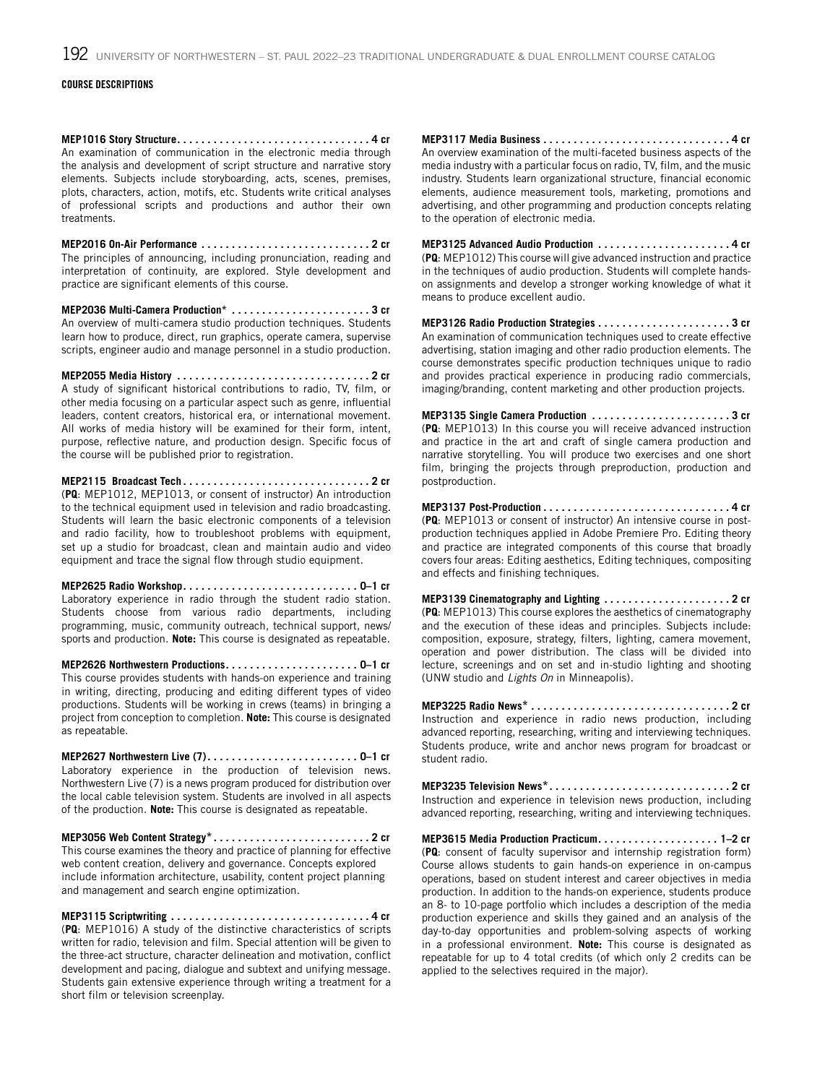**MEP1016 Story Structure. . 4 cr** An examination of communication in the electronic media through the analysis and development of script structure and narrative story elements. Subjects include storyboarding, acts, scenes, premises, plots, characters, action, motifs, etc. Students write critical analyses of professional scripts and productions and author their own treatments.

**MEP2016 On-Air Performance. . 2 cr** The principles of announcing, including pronunciation, reading and interpretation of continuity, are explored. Style development and practice are significant elements of this course.

**MEP2036 Multi-Camera Production\*** .........................3 cr An overview of multi-camera studio production techniques. Students learn how to produce, direct, run graphics, operate camera, supervise scripts, engineer audio and manage personnel in a studio production.

**MEP2055 Media History. . 2 cr** A study of significant historical contributions to radio, TV, film, or other media focusing on a particular aspect such as genre, influential leaders, content creators, historical era, or international movement. All works of media history will be examined for their form, intent, purpose, reflective nature, and production design. Specific focus of the course will be published prior to registration.

**MEP2115 Broadcast Tech. . 2 cr** (**PQ**: MEP1012, MEP1013, or consent of instructor) An introduction to the technical equipment used in television and radio broadcasting. Students will learn the basic electronic components of a television and radio facility, how to troubleshoot problems with equipment, set up a studio for broadcast, clean and maintain audio and video equipment and trace the signal flow through studio equipment.

**MEP2625 Radio Workshop. . . 0–1 cr** Laboratory experience in radio through the student radio station. Students choose from various radio departments, including programming, music, community outreach, technical support, news/ sports and production. **Note:** This course is designated as repeatable.

**MEP2626 Northwestern Productions. . . 0–1 cr** This course provides students with hands-on experience and training in writing, directing, producing and editing different types of video productions. Students will be working in crews (teams) in bringing a project from conception to completion. **Note:** This course is designated as repeatable.

**MEP2627 Northwestern Live (7). . . 0–1 cr** Laboratory experience in the production of television news. Northwestern Live (7) is a news program produced for distribution over the local cable television system. Students are involved in all aspects of the production. **Note:** This course is designated as repeatable.

**MEP3056 Web Content Strategy\*................................. 2 cr** This course examines the theory and practice of planning for effective web content creation, delivery and governance. Concepts explored include information architecture, usability, content project planning and management and search engine optimization.

**MEP3115 Scriptwriting. . 4 cr** (**PQ**: MEP1016) A study of the distinctive characteristics of scripts written for radio, television and film. Special attention will be given to the three-act structure, character delineation and motivation, conflict development and pacing, dialogue and subtext and unifying message. Students gain extensive experience through writing a treatment for a short film or television screenplay.

**MEP3117 Media Business. . 4 cr** An overview examination of the multi-faceted business aspects of the media industry with a particular focus on radio, TV, film, and the music industry. Students learn organizational structure, financial economic elements, audience measurement tools, marketing, promotions and advertising, and other programming and production concepts relating to the operation of electronic media.

**MEP3125 Advanced Audio Production ..........................4 cr** (**PQ**: MEP1012) This course will give advanced instruction and practice in the techniques of audio production. Students will complete handson assignments and develop a stronger working knowledge of what it means to produce excellent audio.

**MEP3126 Radio Production Strategies. . 3 cr** An examination of communication techniques used to create effective advertising, station imaging and other radio production elements. The course demonstrates specific production techniques unique to radio and provides practical experience in producing radio commercials, imaging/branding, content marketing and other production projects.

**MEP3135 Single Camera Production ...........................3 cr** (**PQ**: MEP1013) In this course you will receive advanced instruction and practice in the art and craft of single camera production and narrative storytelling. You will produce two exercises and one short film, bringing the projects through preproduction, production and postproduction.

**MEP3137 Post-Production. . 4 cr** (**PQ**: MEP1013 or consent of instructor) An intensive course in postproduction techniques applied in Adobe Premiere Pro. Editing theory and practice are integrated components of this course that broadly covers four areas: Editing aesthetics, Editing techniques, compositing and effects and finishing techniques.

**MEP3139 Cinematography and Lighting ........................ 2 cr** (**PQ**: MEP1013) This course explores the aesthetics of cinematography and the execution of these ideas and principles. Subjects include: composition, exposure, strategy, filters, lighting, camera movement, operation and power distribution. The class will be divided into lecture, screenings and on set and in-studio lighting and shooting (UNW studio and *Lights On* in Minneapolis).

**MEP3225 Radio News\*. . 2 cr** Instruction and experience in radio news production, including advanced reporting, researching, writing and interviewing techniques. Students produce, write and anchor news program for broadcast or student radio.

**MEP3235 Television News\*. . 2 cr** Instruction and experience in television news production, including advanced reporting, researching, writing and interviewing techniques.

**MEP3615 Media Production Practicum. . . 1–2 cr** (**PQ**: consent of faculty supervisor and internship registration form) Course allows students to gain hands-on experience in on-campus operations, based on student interest and career objectives in media production. In addition to the hands-on experience, students produce an 8- to 10-page portfolio which includes a description of the media production experience and skills they gained and an analysis of the day-to-day opportunities and problem-solving aspects of working in a professional environment. **Note:** This course is designated as repeatable for up to 4 total credits (of which only 2 credits can be applied to the selectives required in the major).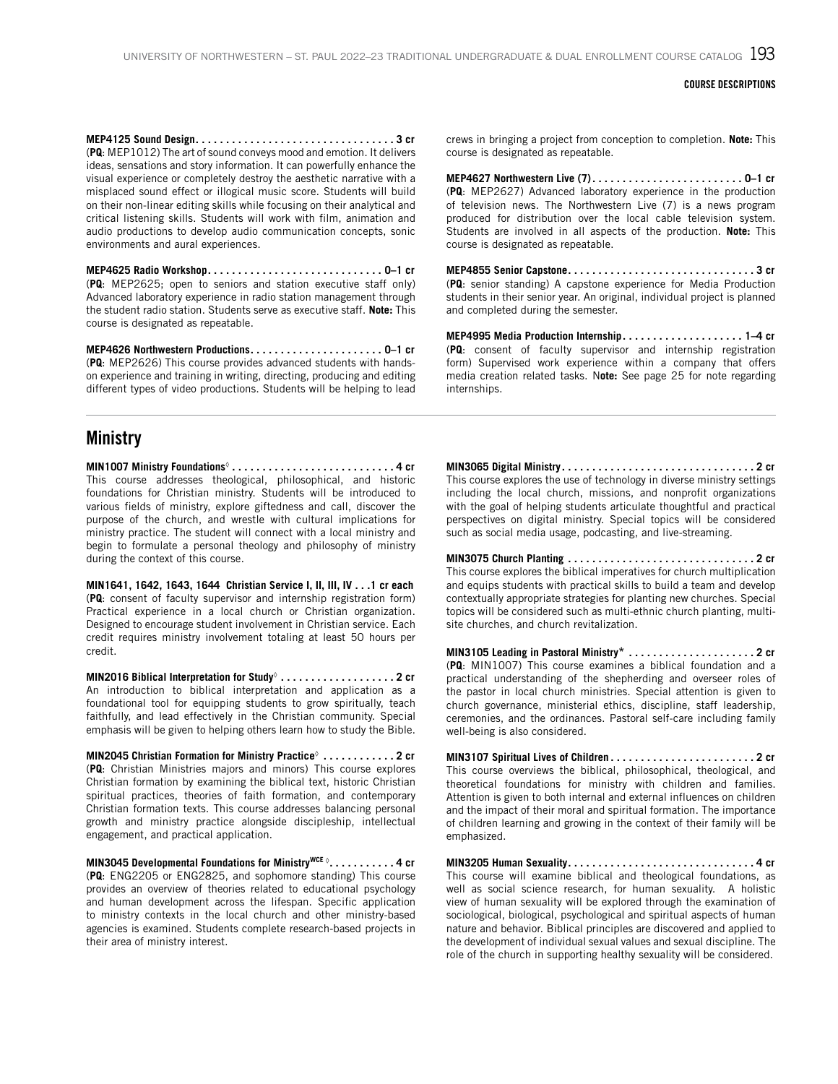**MEP4125 Sound Design. . 3 cr** (**PQ**: MEP1012) The art of sound conveys mood and emotion. It delivers ideas, sensations and story information. It can powerfully enhance the visual experience or completely destroy the aesthetic narrative with a misplaced sound effect or illogical music score. Students will build on their non-linear editing skills while focusing on their analytical and critical listening skills. Students will work with film, animation and audio productions to develop audio communication concepts, sonic environments and aural experiences.

**MEP4625 Radio Workshop. . . 0–1 cr** (**PQ**: MEP2625; open to seniors and station executive staff only) Advanced laboratory experience in radio station management through the student radio station. Students serve as executive staff. **Note:** This course is designated as repeatable.

**MEP4626 Northwestern Productions. . . 0–1 cr** (**PQ**: MEP2626) This course provides advanced students with handson experience and training in writing, directing, producing and editing different types of video productions. Students will be helping to lead

crews in bringing a project from conception to completion. **Note:** This course is designated as repeatable.

**MEP4627 Northwestern Live (7). . . 0–1 cr** (**PQ**: MEP2627) Advanced laboratory experience in the production of television news. The Northwestern Live (7) is a news program produced for distribution over the local cable television system. Students are involved in all aspects of the production. **Note:** This course is designated as repeatable.

**MEP4855 Senior Capstone.................................3 cr** (**PQ**: senior standing) A capstone experience for Media Production students in their senior year. An original, individual project is planned and completed during the semester.

**MEP4995 Media Production Internship. . . 1–4 cr** (**PQ**: consent of faculty supervisor and internship registration form) Supervised work experience within a company that offers media creation related tasks. N**ote:** See page 25 for note regarding internships.

### **Ministry**

**MIN1007 Ministry Foundations**<sup>8</sup>..................................4 cr This course addresses theological, philosophical, and historic foundations for Christian ministry. Students will be introduced to various fields of ministry, explore giftedness and call, discover the purpose of the church, and wrestle with cultural implications for ministry practice. The student will connect with a local ministry and begin to formulate a personal theology and philosophy of ministry during the context of this course.

**MIN1641, 1642, 1643, 1644 Christian Service I, II, III, IV . . .1 cr each** (**PQ**: consent of faculty supervisor and internship registration form) Practical experience in a local church or Christian organization. Designed to encourage student involvement in Christian service. Each credit requires ministry involvement totaling at least 50 hours per credit.

**MIN2016 Biblical Interpretation for Study**◊**. 2 cr** An introduction to biblical interpretation and application as a foundational tool for equipping students to grow spiritually, teach faithfully, and lead effectively in the Christian community. Special emphasis will be given to helping others learn how to study the Bible.

**MIN2045 Christian Formation for Ministry Practice<sup>◊</sup> . . . . . . . . . . . . 2 cr** (**PQ**: Christian Ministries majors and minors) This course explores Christian formation by examining the biblical text, historic Christian spiritual practices, theories of faith formation, and contemporary Christian formation texts. This course addresses balancing personal growth and ministry practice alongside discipleship, intellectual engagement, and practical application.

**MIN3045 Developmental Foundations for Ministry<sup>WCE</sup> ◊ . . . . . . . . . . 4 cr** (**PQ**: ENG2205 or ENG2825, and sophomore standing) This course provides an overview of theories related to educational psychology and human development across the lifespan. Specific application to ministry contexts in the local church and other ministry-based agencies is examined. Students complete research-based projects in their area of ministry interest.

**MIN3065 Digital Ministry. . 2 cr** This course explores the use of technology in diverse ministry settings including the local church, missions, and nonprofit organizations with the goal of helping students articulate thoughtful and practical perspectives on digital ministry. Special topics will be considered such as social media usage, podcasting, and live-streaming.

**MIN3075 Church Planting. . 2 cr** This course explores the biblical imperatives for church multiplication and equips students with practical skills to build a team and develop contextually appropriate strategies for planting new churches. Special topics will be considered such as multi-ethnic church planting, multisite churches, and church revitalization.

MIN3105 Leading in Pastoral Ministry<sup>\*</sup> ........................ 2 cr (**PQ**: MIN1007) This course examines a biblical foundation and a practical understanding of the shepherding and overseer roles of the pastor in local church ministries. Special attention is given to church governance, ministerial ethics, discipline, staff leadership, ceremonies, and the ordinances. Pastoral self-care including family well-being is also considered.

**MIN3107 Spiritual Lives of Children. . 2 cr** This course overviews the biblical, philosophical, theological, and theoretical foundations for ministry with children and families. Attention is given to both internal and external influences on children and the impact of their moral and spiritual formation. The importance of children learning and growing in the context of their family will be emphasized.

**MIN3205 Human Sexuality. . 4 cr** This course will examine biblical and theological foundations, as well as social science research, for human sexuality. A holistic view of human sexuality will be explored through the examination of sociological, biological, psychological and spiritual aspects of human nature and behavior. Biblical principles are discovered and applied to the development of individual sexual values and sexual discipline. The role of the church in supporting healthy sexuality will be considered.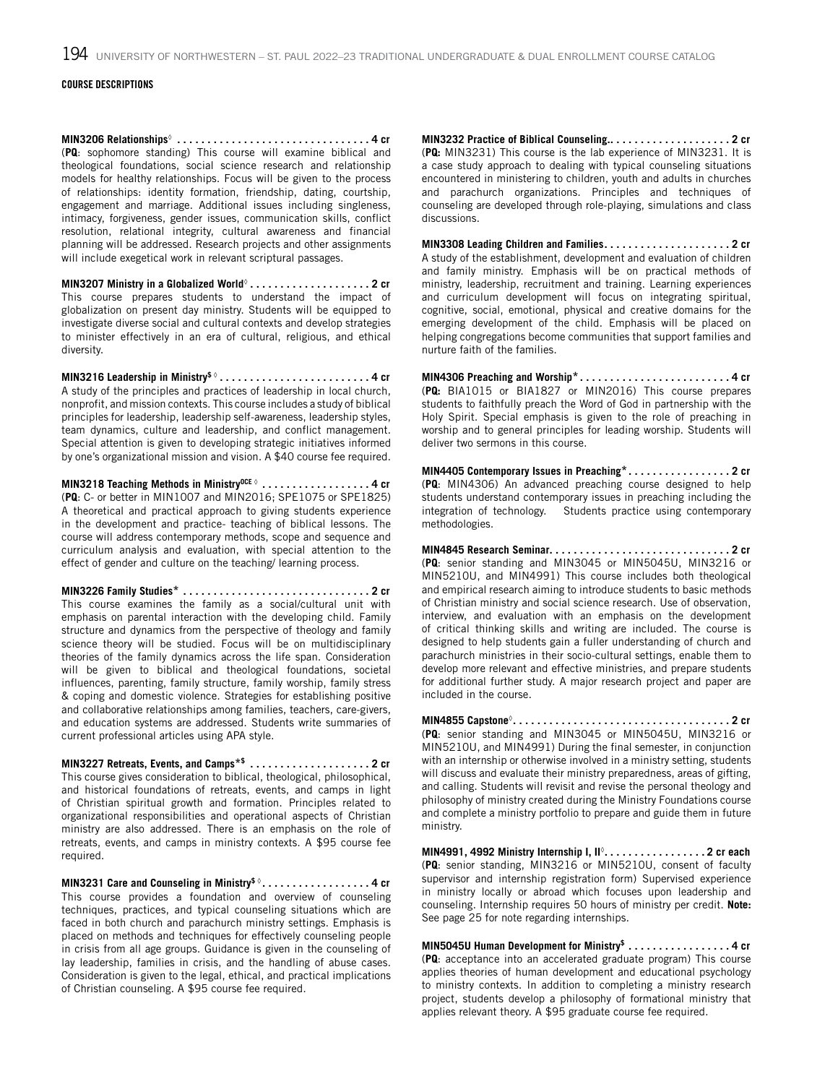**MIN3206 Relationships**◊**. 4 cr** (**PQ**: sophomore standing) This course will examine biblical and theological foundations, social science research and relationship models for healthy relationships. Focus will be given to the process of relationships: identity formation, friendship, dating, courtship, engagement and marriage. Additional issues including singleness, intimacy, forgiveness, gender issues, communication skills, conflict resolution, relational integrity, cultural awareness and financial planning will be addressed. Research projects and other assignments will include exegetical work in relevant scriptural passages.

**MIN3207 Ministry in a Globalized World**◊**. 2 cr** This course prepares students to understand the impact of globalization on present day ministry. Students will be equipped to investigate diverse social and cultural contexts and develop strategies to minister effectively in an era of cultural, religious, and ethical diversity.

**MIN3216 Leadership in Ministry<sup>\$ ◊</sup>............................4 cr** A study of the principles and practices of leadership in local church, nonprofit, and mission contexts. This course includes a study of biblical principles for leadership, leadership self-awareness, leadership styles, team dynamics, culture and leadership, and conflict management. Special attention is given to developing strategic initiatives informed by one's organizational mission and vision. A \$40 course fee required.

**MIN3218 Teaching Methods in Ministry<sup>0CE</sup> ◊ . . . . . . . . . . . . . . . . . 4 cr** (**PQ**: C- or better in MIN1007 and MIN2016; SPE1075 or SPE1825) A theoretical and practical approach to giving students experience in the development and practice- teaching of biblical lessons. The course will address contemporary methods, scope and sequence and curriculum analysis and evaluation, with special attention to the effect of gender and culture on the teaching/ learning process.

**MIN3226 Family Studies\*. . 2 cr** This course examines the family as a social/cultural unit with emphasis on parental interaction with the developing child. Family structure and dynamics from the perspective of theology and family science theory will be studied. Focus will be on multidisciplinary theories of the family dynamics across the life span. Consideration will be given to biblical and theological foundations, societal influences, parenting, family structure, family worship, family stress & coping and domestic violence. Strategies for establishing positive and collaborative relationships among families, teachers, care-givers, and education systems are addressed. Students write summaries of current professional articles using APA style.

**MIN3227 Retreats, Events, and Camps\*\$. . 2 cr** This course gives consideration to biblical, theological, philosophical, and historical foundations of retreats, events, and camps in light of Christian spiritual growth and formation. Principles related to organizational responsibilities and operational aspects of Christian ministry are also addressed. There is an emphasis on the role of retreats, events, and camps in ministry contexts. A \$95 course fee required.

**MIN3231 Care and Counseling in Ministry<sup>\$ ◊</sup>...................4 cr** This course provides a foundation and overview of counseling techniques, practices, and typical counseling situations which are faced in both church and parachurch ministry settings. Emphasis is placed on methods and techniques for effectively counseling people in crisis from all age groups. Guidance is given in the counseling of lay leadership, families in crisis, and the handling of abuse cases. Consideration is given to the legal, ethical, and practical implications of Christian counseling. A \$95 course fee required.

**MIN3232 Practice of Biblical Counseling.. . 2 cr** (**PQ:** MIN3231) This course is the lab experience of MIN3231. It is a case study approach to dealing with typical counseling situations encountered in ministering to children, youth and adults in churches and parachurch organizations. Principles and techniques of counseling are developed through role-playing, simulations and class discussions.

**MIN3308 Leading Children and Families......................... 2 cr** A study of the establishment, development and evaluation of children and family ministry. Emphasis will be on practical methods of ministry, leadership, recruitment and training. Learning experiences and curriculum development will focus on integrating spiritual, cognitive, social, emotional, physical and creative domains for the emerging development of the child. Emphasis will be placed on helping congregations become communities that support families and nurture faith of the families.

**MIN4306 Preaching and Worship\*.............................4 cr** (**PQ:** BIA1015 or BIA1827 or MIN2016) This course prepares students to faithfully preach the Word of God in partnership with the Holy Spirit. Special emphasis is given to the role of preaching in worship and to general principles for leading worship. Students will deliver two sermons in this course.

MIN4405 Contemporary Issues in Preaching\*................2 cr (**PQ**: MIN4306) An advanced preaching course designed to help students understand contemporary issues in preaching including the integration of technology. Students practice using contemporary methodologies.

**MIN4845 Research Seminar. . 2 cr** (**PQ**: senior standing and MIN3045 or MIN5045U, MIN3216 or MIN5210U, and MIN4991) This course includes both theological and empirical research aiming to introduce students to basic methods of Christian ministry and social science research. Use of observation, interview, and evaluation with an emphasis on the development of critical thinking skills and writing are included. The course is designed to help students gain a fuller understanding of church and parachurch ministries in their socio-cultural settings, enable them to develop more relevant and effective ministries, and prepare students for additional further study. A major research project and paper are included in the course.

**MIN4855 Capstone**◊**. 2 cr** (**PQ**: senior standing and MIN3045 or MIN5045U, MIN3216 or MIN5210U, and MIN4991) During the final semester, in conjunction with an internship or otherwise involved in a ministry setting, students will discuss and evaluate their ministry preparedness, areas of gifting, and calling. Students will revisit and revise the personal theology and philosophy of ministry created during the Ministry Foundations course and complete a ministry portfolio to prepare and guide them in future ministry.

**MIN4991, 4992 Ministry Internship I, II**◊**.. . 2 cr each** (**PQ**: senior standing, MIN3216 or MIN5210U, consent of faculty supervisor and internship registration form) Supervised experience in ministry locally or abroad which focuses upon leadership and counseling. Internship requires 50 hours of ministry per credit. **Note:**  See page 25 for note regarding internships.

**MIN5045U Human Development for Ministry<sup>\$</sup> .................4 cr** (**PQ**: acceptance into an accelerated graduate program) This course applies theories of human development and educational psychology to ministry contexts. In addition to completing a ministry research project, students develop a philosophy of formational ministry that applies relevant theory. A \$95 graduate course fee required.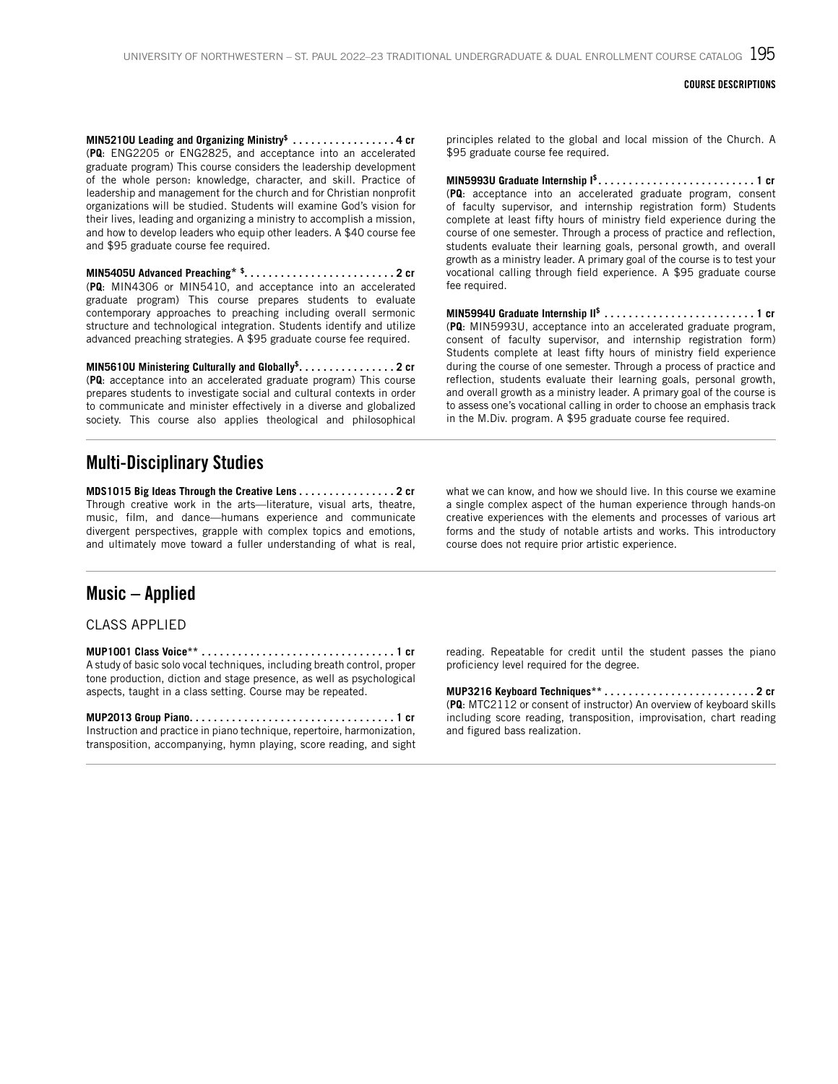**MIN5210U Leading and Organizing Ministry<sup>\$</sup> ..................4 cr** (**PQ**: ENG2205 or ENG2825, and acceptance into an accelerated graduate program) This course considers the leadership development of the whole person: knowledge, character, and skill. Practice of leadership and management for the church and for Christian nonprofit organizations will be studied. Students will examine God's vision for their lives, leading and organizing a ministry to accomplish a mission, and how to develop leaders who equip other leaders. A \$40 course fee and \$95 graduate course fee required.

**MIN5405U Advanced Preaching\* \$ . . . . . . . . . . . . . . . . . . . . . . . . . 2 cr** (**PQ**: MIN4306 or MIN5410, and acceptance into an accelerated graduate program) This course prepares students to evaluate contemporary approaches to preaching including overall sermonic structure and technological integration. Students identify and utilize advanced preaching strategies. A \$95 graduate course fee required.

**MIN5610U Ministering Culturally and Globally\$ . 2 cr** (**PQ**: acceptance into an accelerated graduate program) This course prepares students to investigate social and cultural contexts in order to communicate and minister effectively in a diverse and globalized society. This course also applies theological and philosophical

### Multi-Disciplinary Studies

**MDS1015 Big Ideas Through the Creative Lens . . . . . . . . . . . . . . . 2 cr** Through creative work in the arts—literature, visual arts, theatre, music, film, and dance—humans experience and communicate divergent perspectives, grapple with complex topics and emotions, and ultimately move toward a fuller understanding of what is real,

### Music – Applied

CLASS APPLIED

**MUP1001 Class Voice\*\*. . 1 cr** A study of basic solo vocal techniques, including breath control, proper tone production, diction and stage presence, as well as psychological aspects, taught in a class setting. Course may be repeated.

**MUP2013 Group Piano. . 1 cr** Instruction and practice in piano technique, repertoire, harmonization, transposition, accompanying, hymn playing, score reading, and sight principles related to the global and local mission of the Church. A \$95 graduate course fee required.

**MIN5993U Graduate Internship I\$ . 1 cr** (**PQ**: acceptance into an accelerated graduate program, consent of faculty supervisor, and internship registration form) Students complete at least fifty hours of ministry field experience during the course of one semester. Through a process of practice and reflection, students evaluate their learning goals, personal growth, and overall growth as a ministry leader. A primary goal of the course is to test your vocational calling through field experience. A \$95 graduate course fee required.

**MIN5994U Graduate Internship II<sup>\$</sup> ...............................1 cr** (**PQ**: MIN5993U, acceptance into an accelerated graduate program, consent of faculty supervisor, and internship registration form) Students complete at least fifty hours of ministry field experience during the course of one semester. Through a process of practice and reflection, students evaluate their learning goals, personal growth, and overall growth as a ministry leader. A primary goal of the course is to assess one's vocational calling in order to choose an emphasis track in the M.Div. program. A \$95 graduate course fee required.

what we can know, and how we should live. In this course we examine a single complex aspect of the human experience through hands-on creative experiences with the elements and processes of various art forms and the study of notable artists and works. This introductory course does not require prior artistic experience.

reading. Repeatable for credit until the student passes the piano proficiency level required for the degree.

**MUP3216 Keyboard Techniques\*\*. . 2 cr** (**PQ**: MTC2112 or consent of instructor) An overview of keyboard skills including score reading, transposition, improvisation, chart reading and figured bass realization.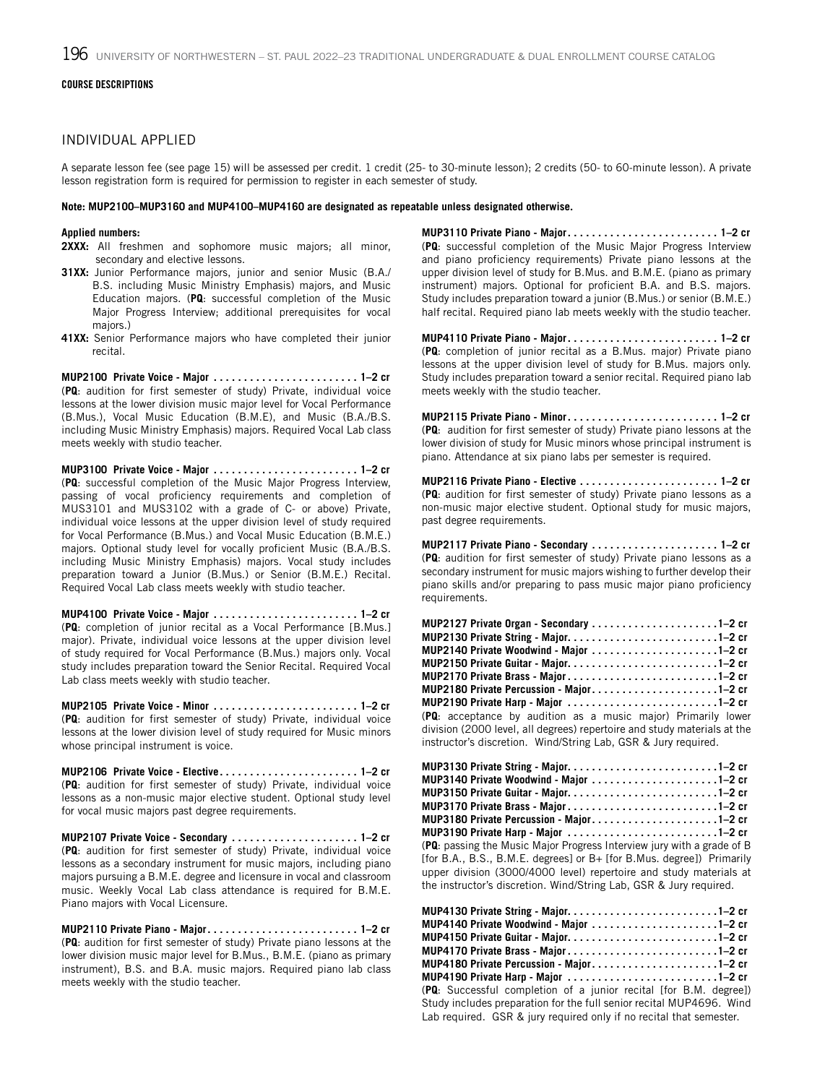### INDIVIDUAL APPLIED

A separate lesson fee (see page 15) will be assessed per credit. 1 credit (25- to 30-minute lesson); 2 credits (50- to 60-minute lesson). A private lesson registration form is required for permission to register in each semester of study.

#### **Note: MUP2100–MUP3160 and MUP4100–MUP4160 are designated as repeatable unless designated otherwise.**

#### **Applied numbers:**

- **2XXX:** All freshmen and sophomore music majors; all minor, secondary and elective lessons.
- **31XX:** Junior Performance majors, junior and senior Music (B.A./ B.S. including Music Ministry Emphasis) majors, and Music Education majors. (**PQ**: successful completion of the Music Major Progress Interview; additional prerequisites for vocal majors.)
- **41XX:** Senior Performance majors who have completed their junior recital.

**MUP2100 Private Voice - Major. . . 1–2 cr** (**PQ**: audition for first semester of study) Private, individual voice lessons at the lower division music major level for Vocal Performance (B.Mus.), Vocal Music Education (B.M.E), and Music (B.A./B.S. including Music Ministry Emphasis) majors. Required Vocal Lab class meets weekly with studio teacher.

**MUP3100 Private Voice - Major. . . 1–2 cr** (**PQ**: successful completion of the Music Major Progress Interview, passing of vocal proficiency requirements and completion of MUS3101 and MUS3102 with a grade of C- or above) Private, individual voice lessons at the upper division level of study required for Vocal Performance (B.Mus.) and Vocal Music Education (B.M.E.) majors. Optional study level for vocally proficient Music (B.A./B.S. including Music Ministry Emphasis) majors. Vocal study includes preparation toward a Junior (B.Mus.) or Senior (B.M.E.) Recital. Required Vocal Lab class meets weekly with studio teacher.

**MUP4100 Private Voice - Major. . . 1–2 cr** (**PQ**: completion of junior recital as a Vocal Performance [B.Mus.] major). Private, individual voice lessons at the upper division level of study required for Vocal Performance (B.Mus.) majors only. Vocal study includes preparation toward the Senior Recital. Required Vocal Lab class meets weekly with studio teacher.

**MUP2105 Private Voice - Minor. . . 1–2 cr** (**PQ**: audition for first semester of study) Private, individual voice lessons at the lower division level of study required for Music minors whose principal instrument is voice.

**MUP2106 Private Voice - Elective. . . 1–2 cr** (**PQ**: audition for first semester of study) Private, individual voice lessons as a non-music major elective student. Optional study level for vocal music majors past degree requirements.

**MUP2107 Private Voice - Secondary. . . 1–2 cr** (**PQ**: audition for first semester of study) Private, individual voice lessons as a secondary instrument for music majors, including piano majors pursuing a B.M.E. degree and licensure in vocal and classroom music. Weekly Vocal Lab class attendance is required for B.M.E. Piano majors with Vocal Licensure.

**MUP2110 Private Piano - Major. . . 1–2 cr** (**PQ**: audition for first semester of study) Private piano lessons at the lower division music major level for B.Mus., B.M.E. (piano as primary instrument), B.S. and B.A. music majors. Required piano lab class meets weekly with the studio teacher.

**MUP3110 Private Piano - Major. . . 1–2 cr** (**PQ**: successful completion of the Music Major Progress Interview and piano proficiency requirements) Private piano lessons at the upper division level of study for B.Mus. and B.M.E. (piano as primary instrument) majors. Optional for proficient B.A. and B.S. majors. Study includes preparation toward a junior (B.Mus.) or senior (B.M.E.) half recital. Required piano lab meets weekly with the studio teacher.

**MUP4110 Private Piano - Major. . . 1–2 cr** (**PQ**: completion of junior recital as a B.Mus. major) Private piano lessons at the upper division level of study for B.Mus. majors only. Study includes preparation toward a senior recital. Required piano lab meets weekly with the studio teacher.

**MUP2115 Private Piano - Minor. . . 1–2 cr** (**PQ**: audition for first semester of study) Private piano lessons at the lower division of study for Music minors whose principal instrument is piano. Attendance at six piano labs per semester is required.

**MUP2116 Private Piano - Elective. . . 1–2 cr** (**PQ**: audition for first semester of study) Private piano lessons as a non-music major elective student. Optional study for music majors, past degree requirements.

**MUP2117 Private Piano - Secondary. . . 1–2 cr** (**PQ**: audition for first semester of study) Private piano lessons as a secondary instrument for music majors wishing to further develop their piano skills and/or preparing to pass music major piano proficiency requirements.

| MUP2127 Private Organ - Secondary 1-2 cr                                 |  |
|--------------------------------------------------------------------------|--|
|                                                                          |  |
| MUP2140 Private Woodwind - Major 1-2 cr                                  |  |
|                                                                          |  |
|                                                                          |  |
| MUP2180 Private Percussion - Major1-2 cr                                 |  |
| MUP2190 Private Harp - Major 1-2 cr                                      |  |
| (PQ: acceptance by audition as a music major) Primarily lower            |  |
| division (2000 level, all degrees) repertoire and study materials at the |  |
| instructor's discretion. Wind/String Lab, GSR & Jury required.           |  |
|                                                                          |  |

| MUP3130 Private String - Major1-2 cr                                                                                                     |  |
|------------------------------------------------------------------------------------------------------------------------------------------|--|
| MUP3140 Private Woodwind - Major 1-2 cr                                                                                                  |  |
|                                                                                                                                          |  |
|                                                                                                                                          |  |
| MUP3180 Private Percussion - Major1-2 cr                                                                                                 |  |
| MUP3190 Private Harp - Major 1-2 cr                                                                                                      |  |
| (PQ: passing the Music Major Progress Interview jury with a grade of B                                                                   |  |
| [for B.A., B.S., B.M.E. degrees] or B+ [for B.Mus. degree]) Primarily                                                                    |  |
| upper division (3000/4000 level) repertoire and study materials at<br>the instructor's discretion. Wind/String Lab, GSR & Jury required. |  |
|                                                                                                                                          |  |

| MUP4140 Private Woodwind - Major 1-2 cr                              |  |
|----------------------------------------------------------------------|--|
|                                                                      |  |
|                                                                      |  |
| MUP4180 Private Percussion - Major1-2 cr                             |  |
| MUP4190 Private Harp - Major 1-2 cr                                  |  |
| (PQ: Successful completion of a junior recital [for B.M. degree])    |  |
| Study includes preparation for the full senior recital MUP4696. Wind |  |
| Lab required. GSR & jury required only if no recital that semester.  |  |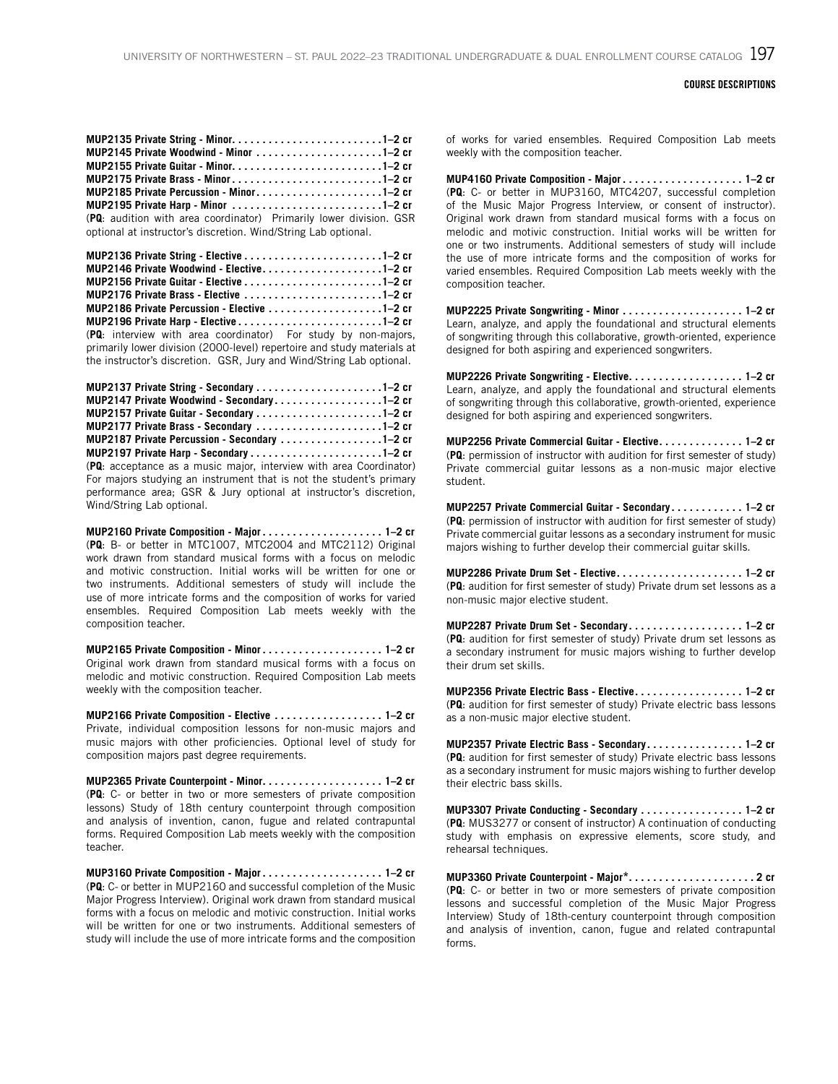| MUP2145 Private Woodwind - Minor 1-2 cr                            |  |
|--------------------------------------------------------------------|--|
|                                                                    |  |
| MUP2175 Private Brass - Minor1-2 cr                                |  |
| MUP2185 Private Percussion - Minor1-2 cr                           |  |
| MUP2195 Private Harp - Minor 1-2 cr                                |  |
| (PQ: audition with area coordinator) Primarily lower division. GSR |  |
| optional at instructor's discretion. Wind/String Lab optional.     |  |

| MUP2146 Private Woodwind - Elective1-2 cr                      |  |
|----------------------------------------------------------------|--|
|                                                                |  |
| MUP2176 Private Brass - Elective 1-2 cr                        |  |
| MUP2186 Private Percussion - Elective 1-2 cr                   |  |
|                                                                |  |
| (PQ: interview with area coordinator) For study by non-majors, |  |

primarily lower division (2000-level) repertoire and study materials at the instructor's discretion. GSR, Jury and Wind/String Lab optional.

| MUP2137 Private String - Secondary 1-2 cr                          |  |
|--------------------------------------------------------------------|--|
| MUP2147 Private Woodwind - Secondary1-2 cr                         |  |
|                                                                    |  |
| MUP2177 Private Brass - Secondary 1-2 cr                           |  |
| MUP2187 Private Percussion - Secondary 1-2 cr                      |  |
| MUP2197 Private Harp - Secondary 1-2 cr                            |  |
| (PQ: acceptance as a music major, interview with area Coordinator) |  |

For majors studying an instrument that is not the student's primary performance area; GSR & Jury optional at instructor's discretion, Wind/String Lab optional.

**MUP2160 Private Composition - Major. . . 1–2 cr** (**PQ**: B- or better in MTC1007, MTC2004 and MTC2112) Original work drawn from standard musical forms with a focus on melodic and motivic construction. Initial works will be written for one or two instruments. Additional semesters of study will include the use of more intricate forms and the composition of works for varied ensembles. Required Composition Lab meets weekly with the composition teacher.

**MUP2165 Private Composition - Minor. . . 1–2 cr** Original work drawn from standard musical forms with a focus on melodic and motivic construction. Required Composition Lab meets weekly with the composition teacher.

**MUP2166 Private Composition - Elective. . . 1–2 cr** Private, individual composition lessons for non-music majors and music majors with other proficiencies. Optional level of study for composition majors past degree requirements.

**MUP2365 Private Counterpoint - Minor. . . 1–2 cr** (**PQ**: C- or better in two or more semesters of private composition lessons) Study of 18th century counterpoint through composition and analysis of invention, canon, fugue and related contrapuntal forms. Required Composition Lab meets weekly with the composition teacher.

**MUP3160 Private Composition - Major. . . 1–2 cr** (**PQ**: C- or better in MUP2160 and successful completion of the Music Major Progress Interview). Original work drawn from standard musical forms with a focus on melodic and motivic construction. Initial works will be written for one or two instruments. Additional semesters of study will include the use of more intricate forms and the composition

of works for varied ensembles. Required Composition Lab meets weekly with the composition teacher.

**MUP4160 Private Composition - Major. . . 1–2 cr** (**PQ**: C- or better in MUP3160, MTC4207, successful completion of the Music Major Progress Interview, or consent of instructor). Original work drawn from standard musical forms with a focus on melodic and motivic construction. Initial works will be written for one or two instruments. Additional semesters of study will include the use of more intricate forms and the composition of works for varied ensembles. Required Composition Lab meets weekly with the composition teacher.

**MUP2225 Private Songwriting - Minor. . . 1–2 cr** Learn, analyze, and apply the foundational and structural elements of songwriting through this collaborative, growth-oriented, experience designed for both aspiring and experienced songwriters.

**MUP2226 Private Songwriting - Elective. . . 1–2 cr** Learn, analyze, and apply the foundational and structural elements of songwriting through this collaborative, growth-oriented, experience designed for both aspiring and experienced songwriters.

**MUP2256 Private Commercial Guitar - Elective. . . 1–2 cr** (**PQ**: permission of instructor with audition for first semester of study) Private commercial guitar lessons as a non-music major elective student.

**MUP2257 Private Commercial Guitar - Secondary. . . 1–2 cr** (**PQ**: permission of instructor with audition for first semester of study) Private commercial guitar lessons as a secondary instrument for music majors wishing to further develop their commercial guitar skills.

**MUP2286 Private Drum Set - Elective. . . 1–2 cr** (**PQ**: audition for first semester of study) Private drum set lessons as a non-music major elective student.

**MUP2287 Private Drum Set - Secondary. . . 1–2 cr** (**PQ**: audition for first semester of study) Private drum set lessons as a secondary instrument for music majors wishing to further develop their drum set skills.

**MUP2356 Private Electric Bass - Elective. . . 1–2 cr** (**PQ**: audition for first semester of study) Private electric bass lessons as a non-music major elective student.

**MUP2357 Private Electric Bass - Secondary. . . 1–2 cr** (**PQ**: audition for first semester of study) Private electric bass lessons as a secondary instrument for music majors wishing to further develop their electric bass skills.

**MUP3307 Private Conducting - Secondary. . . 1–2 cr** (**PQ**: MUS3277 or consent of instructor) A continuation of conducting study with emphasis on expressive elements, score study, and rehearsal techniques.

**MUP3360 Private Counterpoint - Major\*.......................... 2 cr** (**PQ**: C- or better in two or more semesters of private composition lessons and successful completion of the Music Major Progress Interview) Study of 18th-century counterpoint through composition and analysis of invention, canon, fugue and related contrapuntal forms.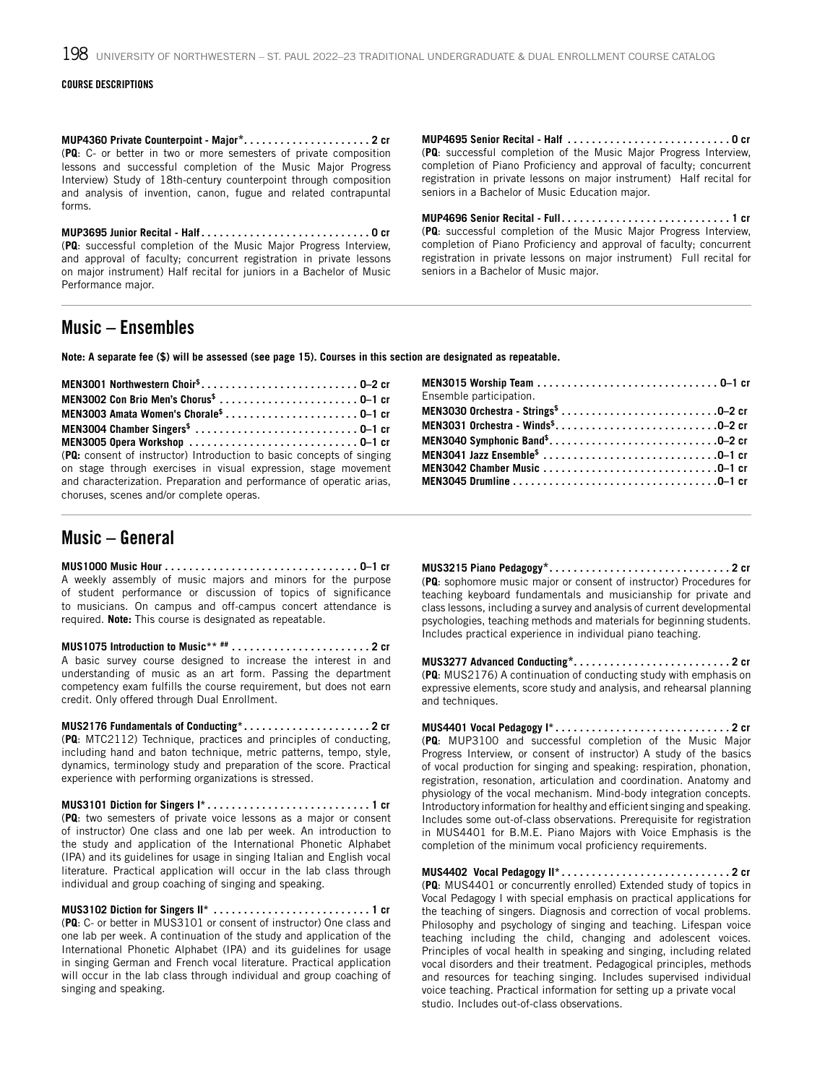198 UNIVERSITY OF NORTHWESTERN – ST. PAUL 2022–23 TRADITIONAL UNDERGRADUATE & DUAL ENROLLMENT COURSE CATALOG

#### COURSE DESCRIPTIONS

**MUP4360 Private Counterpoint - Major\*. . 2 cr**  (**PQ**: C- or better in two or more semesters of private composition lessons and successful completion of the Music Major Progress Interview) Study of 18th-century counterpoint through composition and analysis of invention, canon, fugue and related contrapuntal forms.

**MUP3695 Junior Recital - Half. . 0 cr** (**PQ**: successful completion of the Music Major Progress Interview, and approval of faculty; concurrent registration in private lessons on major instrument) Half recital for juniors in a Bachelor of Music Performance major.

**MUP4695 Senior Recital - Half ................................0 cr** (**PQ**: successful completion of the Music Major Progress Interview, completion of Piano Proficiency and approval of faculty; concurrent registration in private lessons on major instrument) Half recital for seniors in a Bachelor of Music Education major.

**MUP4696 Senior Recital - Full. . 1 cr** (**PQ**: successful completion of the Music Major Progress Interview, completion of Piano Proficiency and approval of faculty; concurrent registration in private lessons on major instrument) Full recital for seniors in a Bachelor of Music major.

### Music – Ensembles

**Note: A separate fee (\$) will be assessed (see page 15). Courses in this section are designated as repeatable.** 

| MEN3001 Northwestern Choir <sup>\$</sup> 0–2 cr                                                                                                                                     |  |
|-------------------------------------------------------------------------------------------------------------------------------------------------------------------------------------|--|
| MEN3002 Con Brio Men's Chorus <sup>\$</sup> 0–1 cr                                                                                                                                  |  |
| MEN3003 Amata Women's Chorale <sup>\$</sup> 0–1 cr                                                                                                                                  |  |
| MEN3004 Chamber Singers <sup>\$</sup> 0–1 cr                                                                                                                                        |  |
|                                                                                                                                                                                     |  |
| (PQ: consent of instructor) Introduction to basic concepts of singing                                                                                                               |  |
| on stage through exercises in visual expression, stage movement<br>and characterization. Preparation and performance of operatic arias,<br>choruses, scenes and/or complete operas. |  |

### **MEN3015 Worship Team. . . 0–1 cr** Ensemble participation. **MEN3030 Orchestra - Strings\$. . 0–2 cr MEN3031 Orchestra - Winds\$ . 0–2 cr MEN3040 Symphonic Band\$ . 0–2 cr MEN3041 Jazz Ensemble\$. . 0–1 cr MEN3042 Chamber Music. . 0–1 cr MEN3045 Drumline. . 0–1 cr**

### Music – General

**MUS1000 Music Hour. . . 0–1 cr** A weekly assembly of music majors and minors for the purpose of student performance or discussion of topics of significance to musicians. On campus and off-campus concert attendance is required. **Note:** This course is designated as repeatable.

**MUS1075 Introduction to Music\*\* ##. . 2 cr** A basic survey course designed to increase the interest in and understanding of music as an art form. Passing the department competency exam fulfills the course requirement, but does not earn credit. Only offered through Dual Enrollment.

**MUS2176 Fundamentals of Conducting\*......................... 2 cr** (**PQ**: MTC2112) Technique, practices and principles of conducting, including hand and baton technique, metric patterns, tempo, style, dynamics, terminology study and preparation of the score. Practical experience with performing organizations is stressed.

**MUS3101 Diction for Singers I\*................................. 1 cr** (**PQ**: two semesters of private voice lessons as a major or consent of instructor) One class and one lab per week. An introduction to the study and application of the International Phonetic Alphabet (IPA) and its guidelines for usage in singing Italian and English vocal literature. Practical application will occur in the lab class through individual and group coaching of singing and speaking.

**MUS3102 Diction for Singers II\*** ...............................1 cr (**PQ**: C- or better in MUS3101 or consent of instructor) One class and one lab per week. A continuation of the study and application of the International Phonetic Alphabet (IPA) and its guidelines for usage in singing German and French vocal literature. Practical application will occur in the lab class through individual and group coaching of singing and speaking.

**MUS3215 Piano Pedagogy\*. . 2 cr** (**PQ**: sophomore music major or consent of instructor) Procedures for teaching keyboard fundamentals and musicianship for private and class lessons, including a survey and analysis of current developmental psychologies, teaching methods and materials for beginning students. Includes practical experience in individual piano teaching.

**MUS3277 Advanced Conducting\*................................ 2 cr** (**PQ**: MUS2176) A continuation of conducting study with emphasis on expressive elements, score study and analysis, and rehearsal planning and techniques.

**MUS4401 Vocal Pedagogy I\*. . 2 cr** (**PQ**: MUP3100 and successful completion of the Music Major Progress Interview, or consent of instructor) A study of the basics of vocal production for singing and speaking: respiration, phonation, registration, resonation, articulation and coordination. Anatomy and physiology of the vocal mechanism. Mind-body integration concepts. Introductory information for healthy and efficient singing and speaking. Includes some out-of-class observations. Prerequisite for registration in MUS4401 for B.M.E. Piano Majors with Voice Emphasis is the completion of the minimum vocal proficiency requirements.

**MUS4402 Vocal Pedagogy II\*. . 2 cr** (**PQ**: MUS4401 or concurrently enrolled) Extended study of topics in Vocal Pedagogy I with special emphasis on practical applications for the teaching of singers. Diagnosis and correction of vocal problems. Philosophy and psychology of singing and teaching. Lifespan voice teaching including the child, changing and adolescent voices. Principles of vocal health in speaking and singing, including related vocal disorders and their treatment. Pedagogical principles, methods and resources for teaching singing. Includes supervised individual voice teaching. Practical information for setting up a private vocal studio. Includes out-of-class observations.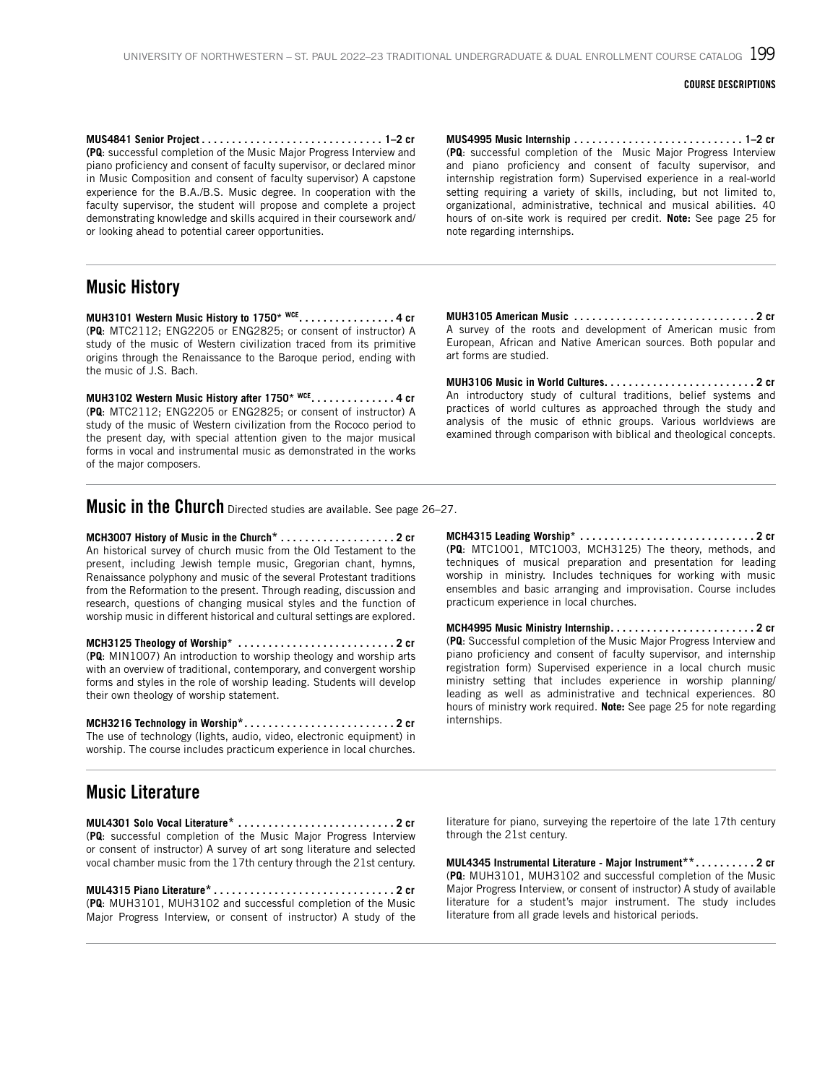**MUS4841 Senior Project. . . 1–2 cr (PQ**: successful completion of the Music Major Progress Interview and piano proficiency and consent of faculty supervisor, or declared minor in Music Composition and consent of faculty supervisor) A capstone experience for the B.A./B.S. Music degree. In cooperation with the faculty supervisor, the student will propose and complete a project demonstrating knowledge and skills acquired in their coursework and/ or looking ahead to potential career opportunities.

**MUS4995 Music Internship. . . 1–2 cr** (**PQ**: successful completion of the Music Major Progress Interview and piano proficiency and consent of faculty supervisor, and internship registration form) Supervised experience in a real-world setting requiring a variety of skills, including, but not limited to, organizational, administrative, technical and musical abilities. 40 hours of on-site work is required per credit. **Note:** See page 25 for note regarding internships.

### Music History

**MUH3101 Western Music History to 1750\* WCE. . . . . . . . . . . . . . . 4 cr** (**PQ**: MTC2112; ENG2205 or ENG2825; or consent of instructor) A study of the music of Western civilization traced from its primitive origins through the Renaissance to the Baroque period, ending with the music of J.S. Bach.

**MUH3102 Western Music History after 1750\* WCE..............4 cr** (**PQ**: MTC2112; ENG2205 or ENG2825; or consent of instructor) A study of the music of Western civilization from the Rococo period to the present day, with special attention given to the major musical forms in vocal and instrumental music as demonstrated in the works of the major composers.

**MUH3105 American Music. . 2 cr** A survey of the roots and development of American music from European, African and Native American sources. Both popular and art forms are studied.

**MUH3106 Music in World Cultures. . 2 cr** An introductory study of cultural traditions, belief systems and practices of world cultures as approached through the study and analysis of the music of ethnic groups. Various worldviews are examined through comparison with biblical and theological concepts.

Music in the Church Directed studies are available. See page 26–27.

**MCH3007 History of Music in the Church\*....................... 2 cr** An historical survey of church music from the Old Testament to the present, including Jewish temple music, Gregorian chant, hymns, Renaissance polyphony and music of the several Protestant traditions from the Reformation to the present. Through reading, discussion and research, questions of changing musical styles and the function of worship music in different historical and cultural settings are explored.

**MCH3125 Theology of Worship\*. . 2 cr** (**PQ**: MIN1007) An introduction to worship theology and worship arts with an overview of traditional, contemporary, and convergent worship forms and styles in the role of worship leading. Students will develop their own theology of worship statement.

**MCH3216 Technology in Worship\*.............................. 2 cr** The use of technology (lights, audio, video, electronic equipment) in worship. The course includes practicum experience in local churches.

**MCH4315 Leading Worship\*. . 2 cr**  (**PQ**: MTC1001, MTC1003, MCH3125) The theory, methods, and techniques of musical preparation and presentation for leading worship in ministry. Includes techniques for working with music ensembles and basic arranging and improvisation. Course includes practicum experience in local churches.

**MCH4995 Music Ministry Internship. . 2 cr**  (**PQ**: Successful completion of the Music Major Progress Interview and piano proficiency and consent of faculty supervisor, and internship registration form) Supervised experience in a local church music ministry setting that includes experience in worship planning/ leading as well as administrative and technical experiences. 80 hours of ministry work required. **Note:** See page 25 for note regarding internships.

### Music Literature

**MUL4301 Solo Vocal Literature\*. . 2 cr** (**PQ**: successful completion of the Music Major Progress Interview or consent of instructor) A survey of art song literature and selected vocal chamber music from the 17th century through the 21st century.

**MUL4315 Piano Literature\*. . 2 cr** (**PQ**: MUH3101, MUH3102 and successful completion of the Music Major Progress Interview, or consent of instructor) A study of the

literature for piano, surveying the repertoire of the late 17th century through the 21st century.

**MUL4345 Instrumental Literature - Major Instrument\*\*.........2 cr** (**PQ**: MUH3101, MUH3102 and successful completion of the Music Major Progress Interview, or consent of instructor) A study of available literature for a student's major instrument. The study includes literature from all grade levels and historical periods.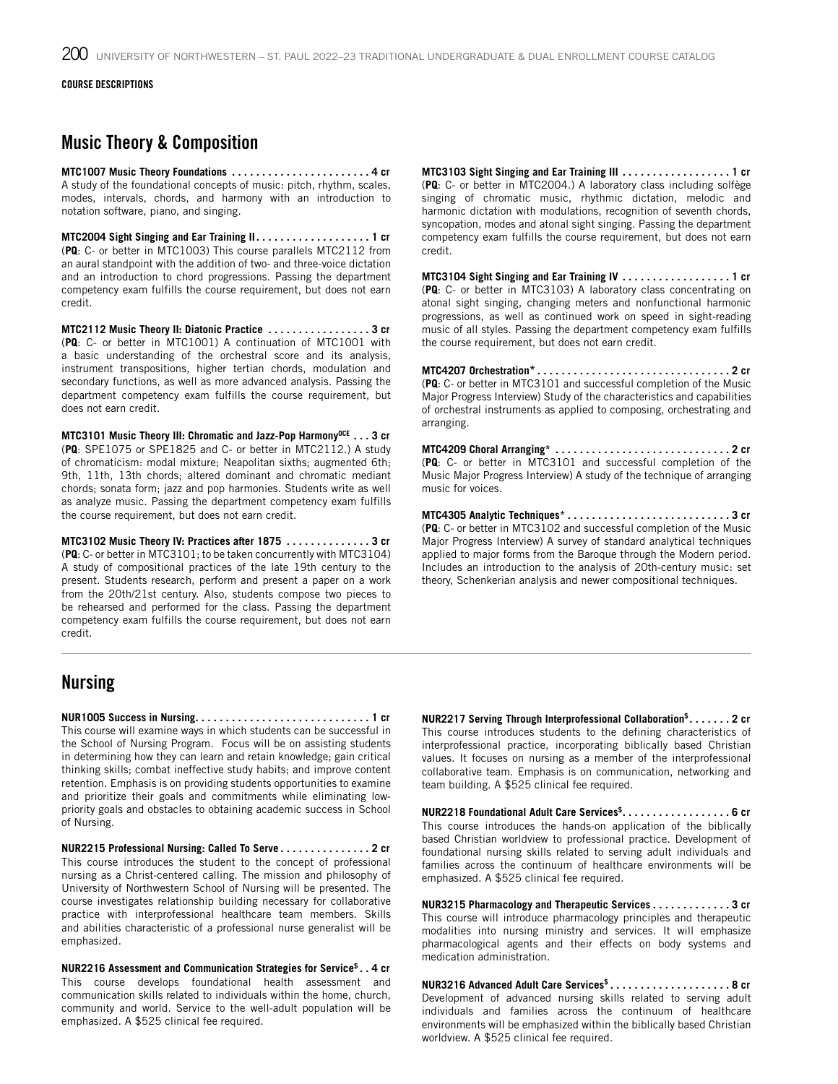### Music Theory & Composition

**MTC1007 Music Theory Foundations ......................... 4 cr** A study of the foundational concepts of music: pitch, rhythm, scales, modes, intervals, chords, and harmony with an introduction to notation software, piano, and singing.

**MTC2004 Sight Singing and Ear Training II. . 1 cr** (**PQ**: C- or better in MTC1003) This course parallels MTC2112 from an aural standpoint with the addition of two- and three-voice dictation and an introduction to chord progressions. Passing the department competency exam fulfills the course requirement, but does not earn credit.

**MTC2112 Music Theory II: Diatonic Practice ..................3 cr** (**PQ**: C- or better in MTC1001) A continuation of MTC1001 with a basic understanding of the orchestral score and its analysis, instrument transpositions, higher tertian chords, modulation and secondary functions, as well as more advanced analysis. Passing the department competency exam fulfills the course requirement, but does not earn credit.

**MTC3101 Music Theory III: Chromatic and Jazz-Pop Harmony<sup>OCE</sup>...3 cr** (**PQ**: SPE1075 or SPE1825 and C- or better in MTC2112.) A study of chromaticism: modal mixture; Neapolitan sixths; augmented 6th; 9th, 11th, 13th chords; altered dominant and chromatic mediant chords; sonata form; jazz and pop harmonies. Students write as well as analyze music. Passing the department competency exam fulfills the course requirement, but does not earn credit.

MTC3102 Music Theory IV: Practices after 1875 . . . . . . . . . . . . . 3 cr (**PQ**: C- or better in MTC3101; to be taken concurrently with MTC3104) A study of compositional practices of the late 19th century to the present. Students research, perform and present a paper on a work from the 20th/21st century. Also, students compose two pieces to be rehearsed and performed for the class. Passing the department competency exam fulfills the course requirement, but does not earn credit.

### Nursing

**NUR1005 Success in Nursing. . 1 cr** This course will examine ways in which students can be successful in the School of Nursing Program. Focus will be on assisting students in determining how they can learn and retain knowledge; gain critical thinking skills; combat ineffective study habits; and improve content retention. Emphasis is on providing students opportunities to examine and prioritize their goals and commitments while eliminating lowpriority goals and obstacles to obtaining academic success in School of Nursing.

**NUR2215 Professional Nursing: Called To Serve................ 2 cr** This course introduces the student to the concept of professional nursing as a Christ-centered calling. The mission and philosophy of University of Northwestern School of Nursing will be presented. The course investigates relationship building necessary for collaborative practice with interprofessional healthcare team members. Skills and abilities characteristic of a professional nurse generalist will be emphasized.

**NUR2216 Assessment and Communication Strategies for Service\$ . 4 cr** This course develops foundational health assessment and communication skills related to individuals within the home, church, community and world. Service to the well-adult population will be emphasized. A \$525 clinical fee required.

**MTC3103 Sight Singing and Ear Training III ................... 1 cr** (**PQ**: C- or better in MTC2004.) A laboratory class including solfège singing of chromatic music, rhythmic dictation, melodic and harmonic dictation with modulations, recognition of seventh chords, syncopation, modes and atonal sight singing. Passing the department competency exam fulfills the course requirement, but does not earn credit.

**MTC3104 Sight Singing and Ear Training IV ................... 1 cr** (**PQ**: C- or better in MTC3103) A laboratory class concentrating on atonal sight singing, changing meters and nonfunctional harmonic progressions, as well as continued work on speed in sight-reading music of all styles. Passing the department competency exam fulfills the course requirement, but does not earn credit.

**MTC4207 Orchestration\*. . 2 cr** (**PQ**: C- or better in MTC3101 and successful completion of the Music Major Progress Interview) Study of the characteristics and capabilities of orchestral instruments as applied to composing, orchestrating and arranging.

**MTC4209 Choral Arranging\*. . 2 cr** (**PQ**: C- or better in MTC3101 and successful completion of the Music Major Progress Interview) A study of the technique of arranging music for voices.

**MTC4305 Analytic Techniques** \*..............................3 cr (**PQ**: C- or better in MTC3102 and successful completion of the Music Major Progress Interview) A survey of standard analytical techniques applied to major forms from the Baroque through the Modern period. Includes an introduction to the analysis of 20th-century music: set theory, Schenkerian analysis and newer compositional techniques.

**NUR2217 Serving Through Interprofessional Collaboration\$ . 2 cr** This course introduces students to the defining characteristics of interprofessional practice, incorporating biblically based Christian values. It focuses on nursing as a member of the interprofessional collaborative team. Emphasis is on communication, networking and team building. A \$525 clinical fee required.

**NUR2218 Foundational Adult Care Services\$ . 6 cr** This course introduces the hands-on application of the biblically based Christian worldview to professional practice. Development of foundational nursing skills related to serving adult individuals and families across the continuum of healthcare environments will be emphasized. A \$525 clinical fee required.

**NUR3215 Pharmacology and Therapeutic Services . . . . . . . . . . . . 3 cr** This course will introduce pharmacology principles and therapeutic modalities into nursing ministry and services. It will emphasize pharmacological agents and their effects on body systems and medication administration.

**NUR3216 Advanced Adult Care Services\$ . 8 cr** Development of advanced nursing skills related to serving adult individuals and families across the continuum of healthcare environments will be emphasized within the biblically based Christian worldview. A \$525 clinical fee required.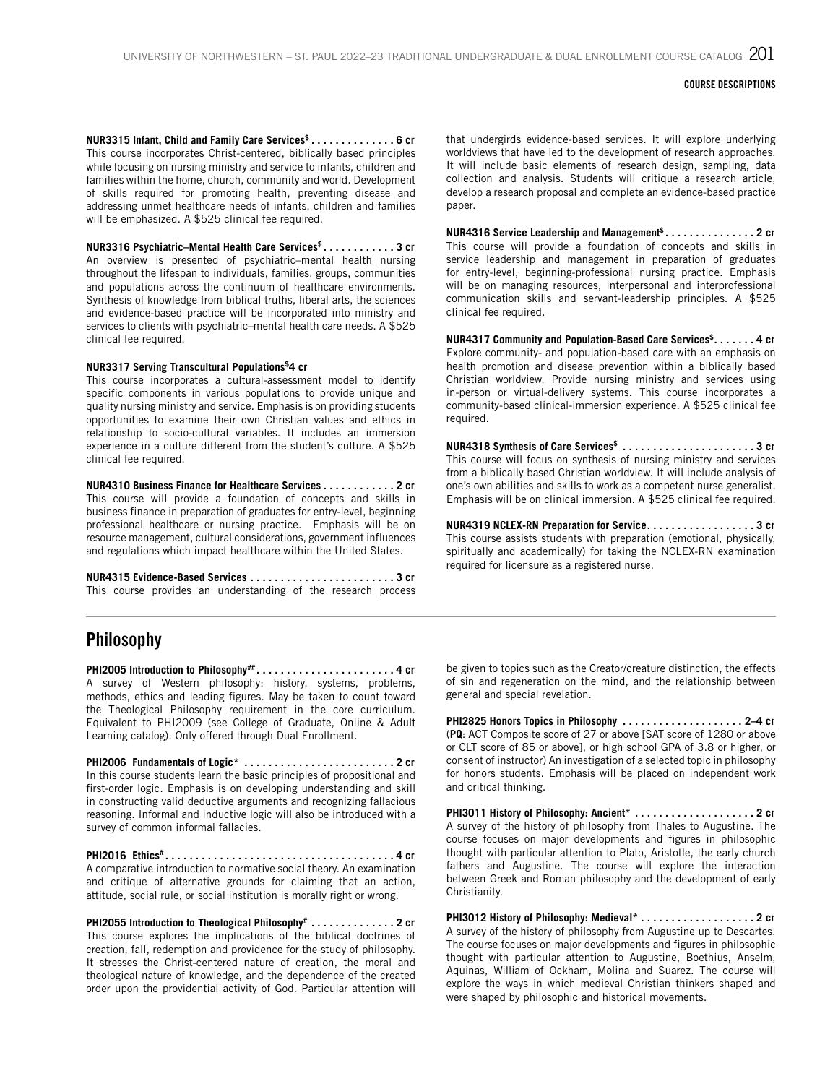<code>NUR3315</code> Infant, Child and Family Care Services $^{\$}$ .  $\ldots$   $\ldots$   $\ldots$   $\ldots$  . 6 cr This course incorporates Christ-centered, biblically based principles while focusing on nursing ministry and service to infants, children and families within the home, church, community and world. Development of skills required for promoting health, preventing disease and addressing unmet healthcare needs of infants, children and families will be emphasized. A \$525 clinical fee required.

**NUR3316 Psychiatric–Mental Health Care Services\$ . 3 cr** An overview is presented of psychiatric–mental health nursing throughout the lifespan to individuals, families, groups, communities and populations across the continuum of healthcare environments. Synthesis of knowledge from biblical truths, liberal arts, the sciences and evidence-based practice will be incorporated into ministry and services to clients with psychiatric–mental health care needs. A \$525 clinical fee required.

#### **NUR3317 Serving Transcultural Populations\$ 4 cr**

This course incorporates a cultural-assessment model to identify specific components in various populations to provide unique and quality nursing ministry and service. Emphasis is on providing students opportunities to examine their own Christian values and ethics in relationship to socio-cultural variables. It includes an immersion experience in a culture different from the student's culture. A \$525 clinical fee required.

**NUR4310 Business Finance for Healthcare Services............ 2 cr** This course will provide a foundation of concepts and skills in business finance in preparation of graduates for entry-level, beginning professional healthcare or nursing practice. Emphasis will be on resource management, cultural considerations, government influences and regulations which impact healthcare within the United States.

**NUR4315 Evidence-Based Services ...........................3 cr** This course provides an understanding of the research process

### Philosophy

**PHI2005 Introduction to Philosophy##.........................4 cr** A survey of Western philosophy: history, systems, problems, methods, ethics and leading figures. May be taken to count toward the Theological Philosophy requirement in the core curriculum. Equivalent to PHI2009 (see College of Graduate, Online & Adult Learning catalog). Only offered through Dual Enrollment.

**PHI2006 Fundamentals of Logic\*** ................................... 2 cr In this course students learn the basic principles of propositional and first-order logic. Emphasis is on developing understanding and skill in constructing valid deductive arguments and recognizing fallacious reasoning. Informal and inductive logic will also be introduced with a survey of common informal fallacies.

**PHI2016 Ethics# . 4 cr** A comparative introduction to normative social theory. An examination and critique of alternative grounds for claiming that an action, attitude, social rule, or social institution is morally right or wrong.

**PHI2055 Introduction to Theological Philosophy#** . . . . . . . . . . . . . 2 cr This course explores the implications of the biblical doctrines of creation, fall, redemption and providence for the study of philosophy. It stresses the Christ-centered nature of creation, the moral and theological nature of knowledge, and the dependence of the created order upon the providential activity of God. Particular attention will

that undergirds evidence-based services. It will explore underlying worldviews that have led to the development of research approaches. It will include basic elements of research design, sampling, data collection and analysis. Students will critique a research article, develop a research proposal and complete an evidence-based practice paper.

**NUR4316 Service Leadership and Management\$ . 2 cr** This course will provide a foundation of concepts and skills in service leadership and management in preparation of graduates for entry-level, beginning-professional nursing practice. Emphasis will be on managing resources, interpersonal and interprofessional communication skills and servant-leadership principles. A \$525 clinical fee required.

<code>NUR4317</code> Community and Population-Based Care Services<sup>\$</sup>. . . . . . . 4 cr Explore community- and population-based care with an emphasis on health promotion and disease prevention within a biblically based Christian worldview. Provide nursing ministry and services using in-person or virtual-delivery systems. This course incorporates a community-based clinical-immersion experience. A \$525 clinical fee required.

**NUR4318 Synthesis of Care Services<sup>\$</sup> .............................3 cr** This course will focus on synthesis of nursing ministry and services from a biblically based Christian worldview. It will include analysis of one's own abilities and skills to work as a competent nurse generalist. Emphasis will be on clinical immersion. A \$525 clinical fee required.

**NUR4319 NCLEX-RN Preparation for Service...................3 cr** This course assists students with preparation (emotional, physically, spiritually and academically) for taking the NCLEX-RN examination required for licensure as a registered nurse.

be given to topics such as the Creator/creature distinction, the effects of sin and regeneration on the mind, and the relationship between general and special revelation.

**PHI2825 Honors Topics in Philosophy. . . 2–4 cr** (**PQ**: ACT Composite score of 27 or above [SAT score of 1280 or above or CLT score of 85 or above], or high school GPA of 3.8 or higher, or consent of instructor) An investigation of a selected topic in philosophy for honors students. Emphasis will be placed on independent work and critical thinking.

**PHI3011 History of Philosophy: Ancient\*. . 2 cr** A survey of the history of philosophy from Thales to Augustine. The course focuses on major developments and figures in philosophic thought with particular attention to Plato, Aristotle, the early church fathers and Augustine. The course will explore the interaction between Greek and Roman philosophy and the development of early Christianity.

**PHI3012 History of Philosophy: Medieval\*.....................2 cr** A survey of the history of philosophy from Augustine up to Descartes. The course focuses on major developments and figures in philosophic thought with particular attention to Augustine, Boethius, Anselm, Aquinas, William of Ockham, Molina and Suarez. The course will explore the ways in which medieval Christian thinkers shaped and were shaped by philosophic and historical movements.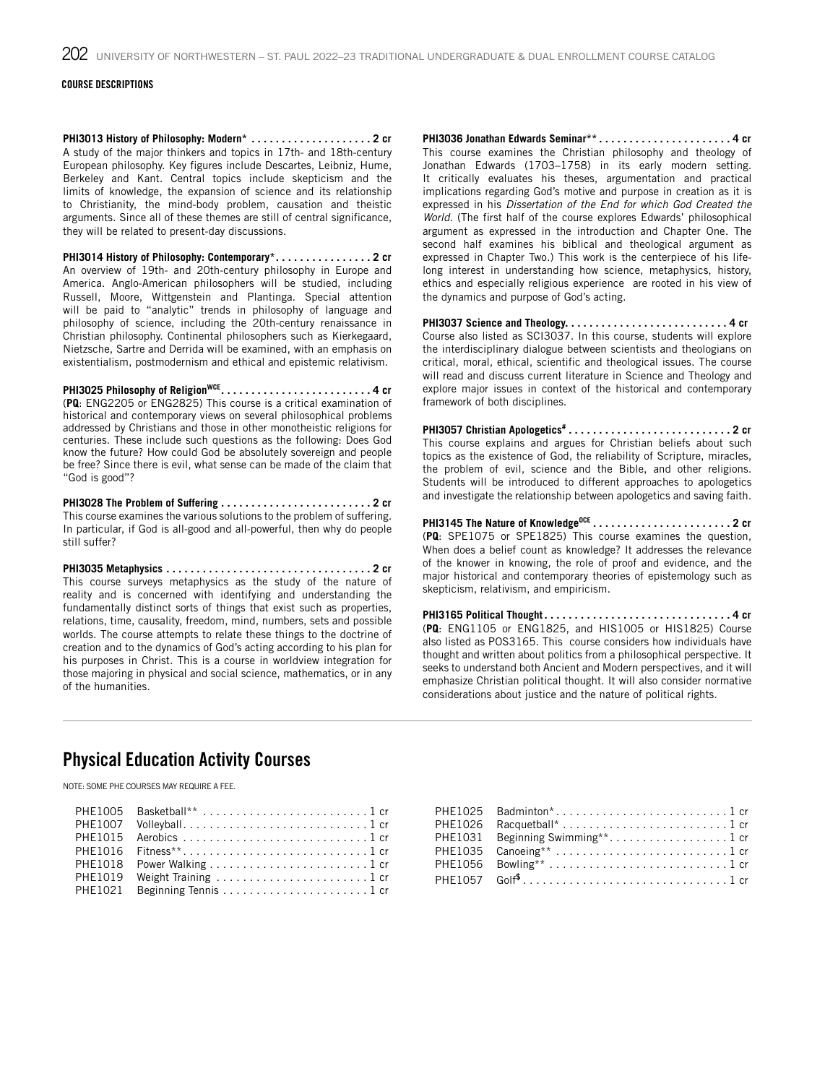PHI3013 History of Philosophy: Modern<sup>\*</sup> . . . . . . . . . . . . . . . . . . 2 cr A study of the major thinkers and topics in 17th- and 18th-century European philosophy. Key figures include Descartes, Leibniz, Hume, Berkeley and Kant. Central topics include skepticism and the limits of knowledge, the expansion of science and its relationship to Christianity, the mind-body problem, causation and theistic arguments. Since all of these themes are still of central significance, they will be related to present-day discussions.

**PHI3014 History of Philosophy: Contemporary\*................... 2 cr** An overview of 19th- and 20th-century philosophy in Europe and America. Anglo-American philosophers will be studied, including Russell, Moore, Wittgenstein and Plantinga. Special attention will be paid to "analytic" trends in philosophy of language and philosophy of science, including the 20th-century renaissance in Christian philosophy. Continental philosophers such as Kierkegaard, Nietzsche, Sartre and Derrida will be examined, with an emphasis on existentialism, postmodernism and ethical and epistemic relativism.

PHI3025 Philosophy of Religion<sup>WCE</sup>..........................4 cr

(**PQ**: ENG2205 or ENG2825) This course is a critical examination of historical and contemporary views on several philosophical problems addressed by Christians and those in other monotheistic religions for centuries. These include such questions as the following: Does God know the future? How could God be absolutely sovereign and people be free? Since there is evil, what sense can be made of the claim that "God is good"?

**PHI3028 The Problem of Suffering. . 2 cr** This course examines the various solutions to the problem of suffering. In particular, if God is all-good and all-powerful, then why do people still suffer?

**PHI3035 Metaphysics. . 2 cr** This course surveys metaphysics as the study of the nature of reality and is concerned with identifying and understanding the fundamentally distinct sorts of things that exist such as properties, relations, time, causality, freedom, mind, numbers, sets and possible worlds. The course attempts to relate these things to the doctrine of creation and to the dynamics of God's acting according to his plan for his purposes in Christ. This is a course in worldview integration for those majoring in physical and social science, mathematics, or in any of the humanities.

**PHI3036 Jonathan Edwards Seminar\*\*.......................4 cr** This course examines the Christian philosophy and theology of Jonathan Edwards (1703–1758) in its early modern setting. It critically evaluates his theses, argumentation and practical implications regarding God's motive and purpose in creation as it is expressed in his *Dissertation of the End for which God Created the World.* (The first half of the course explores Edwards' philosophical argument as expressed in the introduction and Chapter One. The second half examines his biblical and theological argument as expressed in Chapter Two.) This work is the centerpiece of his lifelong interest in understanding how science, metaphysics, history, ethics and especially religious experience are rooted in his view of the dynamics and purpose of God's acting.

**PHI3037 Science and Theology. . . . . . . . . . . . . . . . . . . . . . . . . . . 4 cr** Course also listed as SCI3037. In this course, students will explore the interdisciplinary dialogue between scientists and theologians on critical, moral, ethical, scientific and theological issues. The course will read and discuss current literature in Science and Theology and explore major issues in context of the historical and contemporary framework of both disciplines.

**PHI3057 Christian Apologetics# . 2 cr**  This course explains and argues for Christian beliefs about such topics as the existence of God, the reliability of Scripture, miracles, the problem of evil, science and the Bible, and other religions. Students will be introduced to different approaches to apologetics and investigate the relationship between apologetics and saving faith.

PHI3145 The Nature of Knowledge<sup>OCE</sup>...........................2 cr (**PQ**: SPE1075 or SPE1825) This course examines the question, When does a belief count as knowledge? It addresses the relevance of the knower in knowing, the role of proof and evidence, and the major historical and contemporary theories of epistemology such as skepticism, relativism, and empiricism.

**PHI3165 Political Thought. . 4 cr**  (**PQ**: ENG1105 or ENG1825, and HIS1005 or HIS1825) Course also listed as POS3165. This course considers how individuals have thought and written about politics from a philosophical perspective. It seeks to understand both Ancient and Modern perspectives, and it will emphasize Christian political thought. It will also consider normative considerations about justice and the nature of political rights.

### Physical Education Activity Courses

NOTE: SOME PHE COURSES MAY REQUIRE A FEE.

| PHE1007 Volleyball1 cr       |
|------------------------------|
| PHE1015 Aerobics 1 cr        |
| PHE1016 Fitness**1 cr        |
|                              |
| PHE1019 Weight Training 1 cr |
|                              |

PHE1025 Badminton\*..............................1 cr PHE1026 Racquetball\*. . 1 cr PHE1031 Beginning Swimming\*\*..................1 cr PHE1035 Canoeing\*\*. . 1 cr PHE1056 Bowling\*\*. . 1 cr PHE1057 Golf**\$** . 1 cr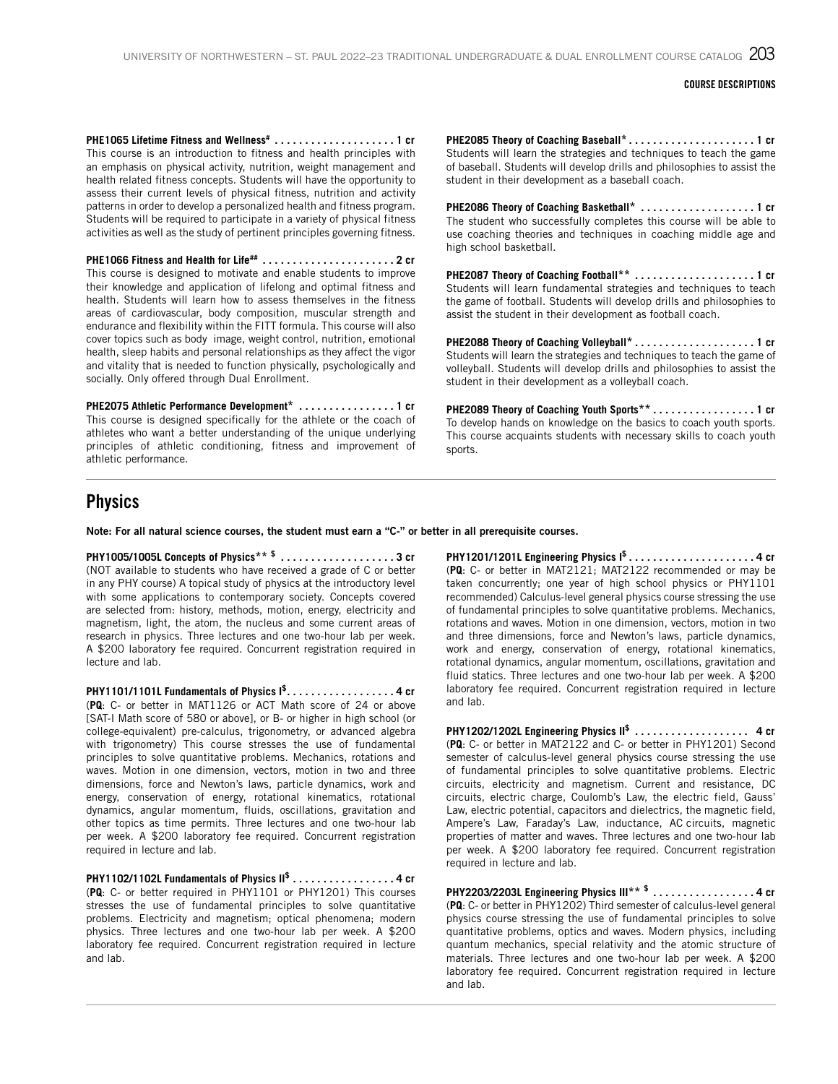PHE1065 Lifetime Fitness and Wellness<sup>#</sup> ......................1 cr This course is an introduction to fitness and health principles with an emphasis on physical activity, nutrition, weight management and health related fitness concepts. Students will have the opportunity to assess their current levels of physical fitness, nutrition and activity patterns in order to develop a personalized health and fitness program. Students will be required to participate in a variety of physical fitness activities as well as the study of pertinent principles governing fitness.

**PHE1066 Fitness and Health for Life##. . 2 cr** This course is designed to motivate and enable students to improve their knowledge and application of lifelong and optimal fitness and health. Students will learn how to assess themselves in the fitness areas of cardiovascular, body composition, muscular strength and endurance and flexibility within the FITT formula. This course will also cover topics such as body image, weight control, nutrition, emotional health, sleep habits and personal relationships as they affect the vigor and vitality that is needed to function physically, psychologically and socially. Only offered through Dual Enrollment.

PHE2075 Athletic Performance Development\* . . . . . . . . . . . . . . . 1 cr This course is designed specifically for the athlete or the coach of athletes who want a better understanding of the unique underlying principles of athletic conditioning, fitness and improvement of athletic performance.

PHE2085 Theory of Coaching Baseball\*......................1 cr Students will learn the strategies and techniques to teach the game of baseball. Students will develop drills and philosophies to assist the student in their development as a baseball coach.

**PHE2086 Theory of Coaching Basketball\*** .................... 1 cr The student who successfully completes this course will be able to use coaching theories and techniques in coaching middle age and high school basketball.

PHE2087 Theory of Coaching Football<sup>\*\*</sup> ...................... 1 cr Students will learn fundamental strategies and techniques to teach the game of football. Students will develop drills and philosophies to assist the student in their development as football coach.

PHE2088 Theory of Coaching Volleyball<sup>\*</sup>....................1 cr Students will learn the strategies and techniques to teach the game of volleyball. Students will develop drills and philosophies to assist the student in their development as a volleyball coach.

PHE2089 Theory of Coaching Youth Sports<sup>\*\*</sup>................1 cr To develop hands on knowledge on the basics to coach youth sports. This course acquaints students with necessary skills to coach youth sports.

### **Physics**

Note: For all natural science courses, the student must earn a "C-" or better in all prerequisite courses.

**PHY1005/1005L Concepts of Physics\*\* \$ ...................... 3 cr** (NOT available to students who have received a grade of C or better in any PHY course) A topical study of physics at the introductory level with some applications to contemporary society. Concepts covered are selected from: history, methods, motion, energy, electricity and magnetism, light, the atom, the nucleus and some current areas of research in physics. Three lectures and one two-hour lab per week. A \$200 laboratory fee required. Concurrent registration required in lecture and lab.

**PHY1101/1101L Fundamentals of Physics I<sup>\$</sup>....................4 cr** (**PQ**: C- or better in MAT1126 or ACT Math score of 24 or above [SAT-I Math score of 580 or above], or B- or higher in high school (or college-equivalent) pre-calculus, trigonometry, or advanced algebra with trigonometry) This course stresses the use of fundamental principles to solve quantitative problems. Mechanics, rotations and waves. Motion in one dimension, vectors, motion in two and three dimensions, force and Newton's laws, particle dynamics, work and energy, conservation of energy, rotational kinematics, rotational dynamics, angular momentum, fluids, oscillations, gravitation and other topics as time permits. Three lectures and one two-hour lab per week. A \$200 laboratory fee required. Concurrent registration required in lecture and lab.

**PHY1102/1102L Fundamentals of Physics II<sup>\$</sup> . . . . . . . . . . . . . . . . 4 cr** (**PQ**: C- or better required in PHY1101 or PHY1201) This courses stresses the use of fundamental principles to solve quantitative problems. Electricity and magnetism; optical phenomena; modern physics. Three lectures and one two-hour lab per week. A \$200 laboratory fee required. Concurrent registration required in lecture and lab.

**PHY1201/1201L Engineering Physics I\$ . 4 cr** (**PQ**: C- or better in MAT2121; MAT2122 recommended or may be taken concurrently; one year of high school physics or PHY1101 recommended) Calculus-level general physics course stressing the use of fundamental principles to solve quantitative problems. Mechanics, rotations and waves. Motion in one dimension, vectors, motion in two and three dimensions, force and Newton's laws, particle dynamics, work and energy, conservation of energy, rotational kinematics, rotational dynamics, angular momentum, oscillations, gravitation and fluid statics. Three lectures and one two-hour lab per week. A \$200 laboratory fee required. Concurrent registration required in lecture and lab.

**PHY1202/1202L Engineering Physics II<sup>\$</sup> ....................... 4 cr** (**PQ**: C- or better in MAT2122 and C- or better in PHY1201) Second semester of calculus-level general physics course stressing the use of fundamental principles to solve quantitative problems. Electric circuits, electricity and magnetism. Current and resistance, DC circuits, electric charge, Coulomb's Law, the electric field, Gauss' Law, electric potential, capacitors and dielectrics, the magnetic field, Ampere's Law, Faraday's Law, inductance, AC circuits, magnetic properties of matter and waves. Three lectures and one two-hour lab per week. A \$200 laboratory fee required. Concurrent registration required in lecture and lab.

**PHY2203/2203L Engineering Physics III\*\* \$ .................. 4 cr** (**PQ**: C- or better in PHY1202) Third semester of calculus-level general physics course stressing the use of fundamental principles to solve quantitative problems, optics and waves. Modern physics, including quantum mechanics, special relativity and the atomic structure of materials. Three lectures and one two-hour lab per week. A \$200 laboratory fee required. Concurrent registration required in lecture and lab.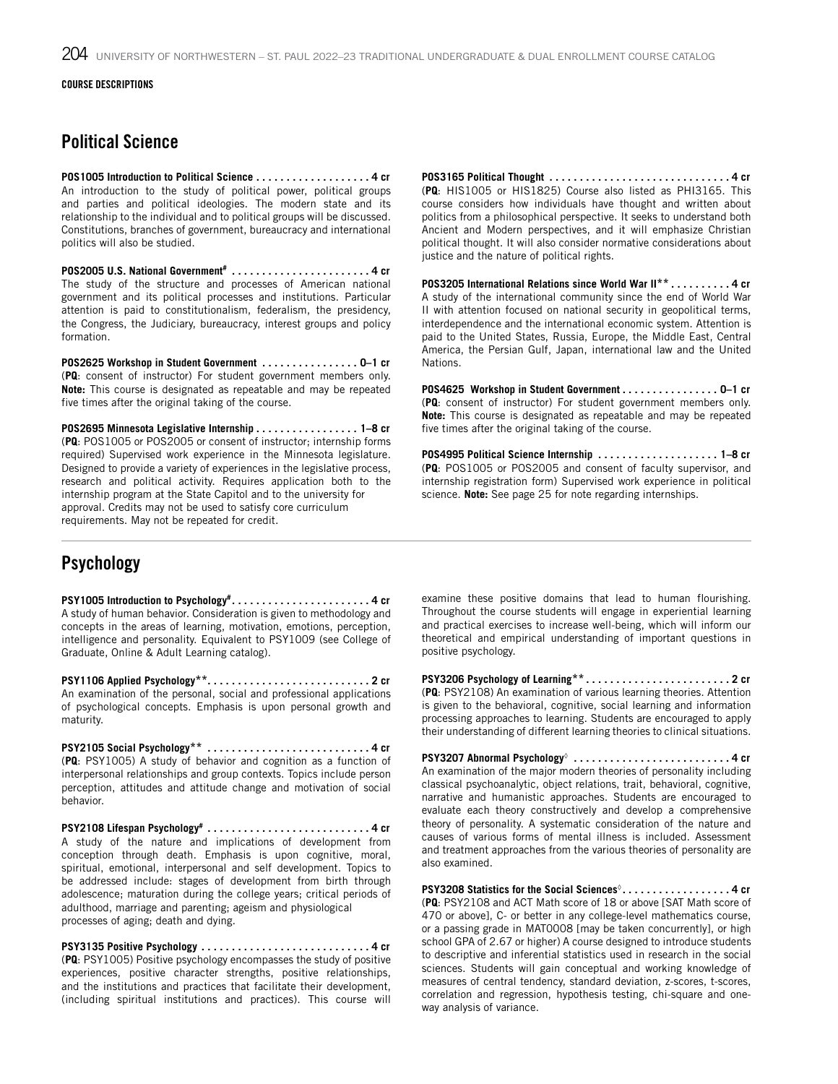### Political Science

POS1005 Introduction to Political Science . . . . . . . . . . . . . . . . . . 4 cr An introduction to the study of political power, political groups and parties and political ideologies. The modern state and its relationship to the individual and to political groups will be discussed. Constitutions, branches of government, bureaucracy and international politics will also be studied.

**POS2005 U.S. National Government#. . 4 cr** The study of the structure and processes of American national government and its political processes and institutions. Particular attention is paid to constitutionalism, federalism, the presidency, the Congress, the Judiciary, bureaucracy, interest groups and policy formation.

**POS2625 Workshop in Student Government. . . 0–1 cr** (**PQ**: consent of instructor) For student government members only. **Note:** This course is designated as repeatable and may be repeated five times after the original taking of the course.

**POS2695 Minnesota Legislative Internship. . . 1–8 cr** (**PQ**: POS1005 or POS2005 or consent of instructor; internship forms required) Supervised work experience in the Minnesota legislature. Designed to provide a variety of experiences in the legislative process, research and political activity. Requires application both to the internship program at the State Capitol and to the university for approval. Credits may not be used to satisfy core curriculum requirements. May not be repeated for credit.

# Psychology

**PSY1005 Introduction to Psychology# . 4 cr** A study of human behavior. Consideration is given to methodology and concepts in the areas of learning, motivation, emotions, perception, intelligence and personality. Equivalent to PSY1009 (see College of Graduate, Online & Adult Learning catalog).

**PSY1106 Applied Psychology\*\*. . . . . . . . . . . . . . . . . . . . . . . . . . . 2 cr** An examination of the personal, social and professional applications of psychological concepts. Emphasis is upon personal growth and maturity.

PSY2105 Social Psychology\*\* .................................4 cr (**PQ**: PSY1005) A study of behavior and cognition as a function of interpersonal relationships and group contexts. Topics include person perception, attitudes and attitude change and motivation of social behavior.

**PSY2108 Lifespan Psychology#. . 4 cr** A study of the nature and implications of development from conception through death. Emphasis is upon cognitive, moral, spiritual, emotional, interpersonal and self development. Topics to be addressed include: stages of development from birth through adolescence; maturation during the college years; critical periods of adulthood, marriage and parenting; ageism and physiological processes of aging; death and dying.

**PSY3135 Positive Psychology ................................4 cr** (**PQ**: PSY1005) Positive psychology encompasses the study of positive experiences, positive character strengths, positive relationships, and the institutions and practices that facilitate their development, (including spiritual institutions and practices). This course will **POS3165 Political Thought. . 4 cr** (**PQ**: HIS1005 or HIS1825) Course also listed as PHI3165. This course considers how individuals have thought and written about politics from a philosophical perspective. It seeks to understand both Ancient and Modern perspectives, and it will emphasize Christian political thought. It will also consider normative considerations about justice and the nature of political rights.

**POS3205 International Relations since World War II\*\*.........4 cr** A study of the international community since the end of World War II with attention focused on national security in geopolitical terms, interdependence and the international economic system. Attention is paid to the United States, Russia, Europe, the Middle East, Central America, the Persian Gulf, Japan, international law and the United Nations.

**POS4625 Workshop in Student Government. . . 0–1 cr** (**PQ**: consent of instructor) For student government members only. **Note:** This course is designated as repeatable and may be repeated five times after the original taking of the course.

**POS4995 Political Science Internship. . . 1–8 cr** (**PQ**: POS1005 or POS2005 and consent of faculty supervisor, and internship registration form) Supervised work experience in political science. **Note:** See page 25 for note regarding internships.

examine these positive domains that lead to human flourishing. Throughout the course students will engage in experiential learning and practical exercises to increase well-being, which will inform our theoretical and empirical understanding of important questions in positive psychology.

PSY3206 Psychology of Learning\*\*...............................2 cr (**PQ**: PSY2108) An examination of various learning theories. Attention is given to the behavioral, cognitive, social learning and information processing approaches to learning. Students are encouraged to apply their understanding of different learning theories to clinical situations.

PSY3207 Abnormal Psychology<sup><sup>8</sup></sup> ...............................4 cr An examination of the major modern theories of personality including classical psychoanalytic, object relations, trait, behavioral, cognitive, narrative and humanistic approaches. Students are encouraged to evaluate each theory constructively and develop a comprehensive theory of personality. A systematic consideration of the nature and causes of various forms of mental illness is included. Assessment and treatment approaches from the various theories of personality are also examined.

**PSY3208 Statistics for the Social Sciences**<sup>8</sup>...................4 cr (**PQ**: PSY2108 and ACT Math score of 18 or above [SAT Math score of 470 or above], C- or better in any college-level mathematics course, or a passing grade in MAT0008 [may be taken concurrently], or high school GPA of 2.67 or higher) A course designed to introduce students to descriptive and inferential statistics used in research in the social sciences. Students will gain conceptual and working knowledge of measures of central tendency, standard deviation, z-scores, t-scores, correlation and regression, hypothesis testing, chi-square and oneway analysis of variance.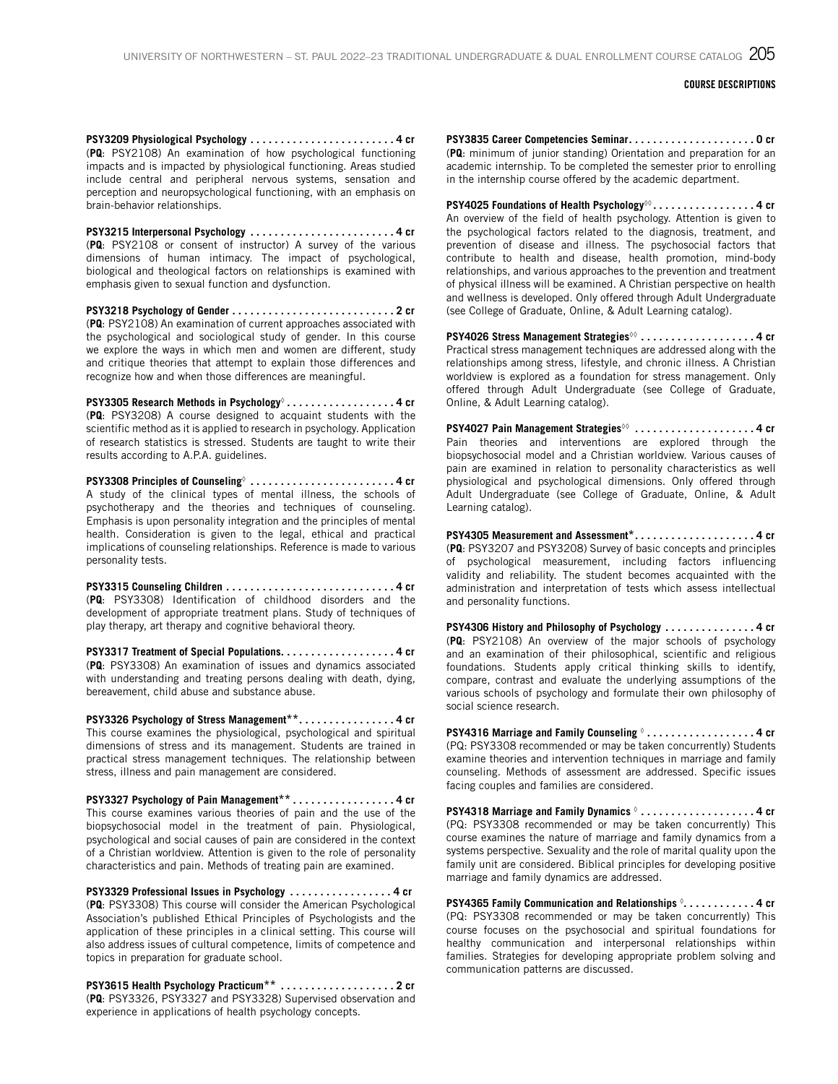**PSY3209 Physiological Psychology .............................4 cr** (**PQ**: PSY2108) An examination of how psychological functioning impacts and is impacted by physiological functioning. Areas studied include central and peripheral nervous systems, sensation and perception and neuropsychological functioning, with an emphasis on brain-behavior relationships.

PSY3215 Interpersonal Psychology ............................4 cr (**PQ**: PSY2108 or consent of instructor) A survey of the various dimensions of human intimacy. The impact of psychological, biological and theological factors on relationships is examined with emphasis given to sexual function and dysfunction.

**PSY3218 Psychology of Gender................................ 2 cr** (**PQ**: PSY2108) An examination of current approaches associated with the psychological and sociological study of gender. In this course we explore the ways in which men and women are different, study and critique theories that attempt to explain those differences and recognize how and when those differences are meaningful.

**PSY3305 Research Methods in Psychology**<sup>◊</sup> . . . . . . . . . . . . . . . . 4 cr (**PQ**: PSY3208) A course designed to acquaint students with the scientific method as it is applied to research in psychology. Application of research statistics is stressed. Students are taught to write their results according to A.P.A. guidelines.

**PSY3308 Principles of Counseling**◊**. 4 cr** A study of the clinical types of mental illness, the schools of psychotherapy and the theories and techniques of counseling. Emphasis is upon personality integration and the principles of mental health. Consideration is given to the legal, ethical and practical implications of counseling relationships. Reference is made to various personality tests.

**PSY3315 Counseling Children. . 4 cr** (**PQ**: PSY3308) Identification of childhood disorders and the development of appropriate treatment plans. Study of techniques of play therapy, art therapy and cognitive behavioral theory.

**PSY3317 Treatment of Special Populations. . . . . . . . . . . . . . . . . . 4 cr** (**PQ**: PSY3308) An examination of issues and dynamics associated with understanding and treating persons dealing with death, dying, bereavement, child abuse and substance abuse.

**PSY3326 Psychology of Stress Management\*\*.................4 cr** This course examines the physiological, psychological and spiritual dimensions of stress and its management. Students are trained in practical stress management techniques. The relationship between stress, illness and pain management are considered.

PSY3327 Psychology of Pain Management<sup>\*\*</sup>.................4 cr This course examines various theories of pain and the use of the biopsychosocial model in the treatment of pain. Physiological, psychological and social causes of pain are considered in the context of a Christian worldview. Attention is given to the role of personality characteristics and pain. Methods of treating pain are examined.

**PSY3329 Professional Issues in Psychology .................. 4 cr** (**PQ**: PSY3308) This course will consider the American Psychological Association's published Ethical Principles of Psychologists and the application of these principles in a clinical setting. This course will also address issues of cultural competence, limits of competence and topics in preparation for graduate school.

PSY3615 Health Psychology Practicum<sup>\*\*</sup> ....................... 2 cr (**PQ**: PSY3326, PSY3327 and PSY3328) Supervised observation and experience in applications of health psychology concepts.

**PSY3835 Career Competencies Seminar........................ O cr** (**PQ**: minimum of junior standing) Orientation and preparation for an academic internship. To be completed the semester prior to enrolling in the internship course offered by the academic department.

**PSY4025 Foundations of Health Psychology**<sup> $\lozenge$ </sup>.................4 cr An overview of the field of health psychology. Attention is given to the psychological factors related to the diagnosis, treatment, and prevention of disease and illness. The psychosocial factors that contribute to health and disease, health promotion, mind-body relationships, and various approaches to the prevention and treatment of physical illness will be examined. A Christian perspective on health and wellness is developed. Only offered through Adult Undergraduate (see College of Graduate, Online, & Adult Learning catalog).

**PSY4026 Stress Management Strategies**◊◊**. 4 cr** Practical stress management techniques are addressed along with the relationships among stress, lifestyle, and chronic illness. A Christian worldview is explored as a foundation for stress management. Only offered through Adult Undergraduate (see College of Graduate, Online, & Adult Learning catalog).

**PSY4027 Pain Management Strategies<sup>◊◊</sup> .....................4 cr** Pain theories and interventions are explored through the biopsychosocial model and a Christian worldview. Various causes of pain are examined in relation to personality characteristics as well physiological and psychological dimensions. Only offered through Adult Undergraduate (see College of Graduate, Online, & Adult Learning catalog).

PSY4305 Measurement and Assessment\*.....................4 cr (**PQ**: PSY3207 and PSY3208) Survey of basic concepts and principles of psychological measurement, including factors influencing validity and reliability. The student becomes acquainted with the administration and interpretation of tests which assess intellectual and personality functions.

**PSY4306 History and Philosophy of Psychology ...............4 cr** (**PQ**: PSY2108) An overview of the major schools of psychology and an examination of their philosophical, scientific and religious foundations. Students apply critical thinking skills to identify, compare, contrast and evaluate the underlying assumptions of the various schools of psychology and formulate their own philosophy of social science research.

**PSY4316 Marriage and Family Counseling**  $\circ$ **..................4 cr** (PQ: PSY3308 recommended or may be taken concurrently) Students examine theories and intervention techniques in marriage and family counseling. Methods of assessment are addressed. Specific issues facing couples and families are considered.

**PSY4318 Marriage and Family Dynamics**  $\circ$ **....................4 cr** (PQ: PSY3308 recommended or may be taken concurrently) This course examines the nature of marriage and family dynamics from a systems perspective. Sexuality and the role of marital quality upon the family unit are considered. Biblical principles for developing positive marriage and family dynamics are addressed.

**PSY4365 Family Communication and Relationships** ◊**. . . . . . . . . . . . 4 cr** (PQ: PSY3308 recommended or may be taken concurrently) This course focuses on the psychosocial and spiritual foundations for healthy communication and interpersonal relationships within families. Strategies for developing appropriate problem solving and communication patterns are discussed.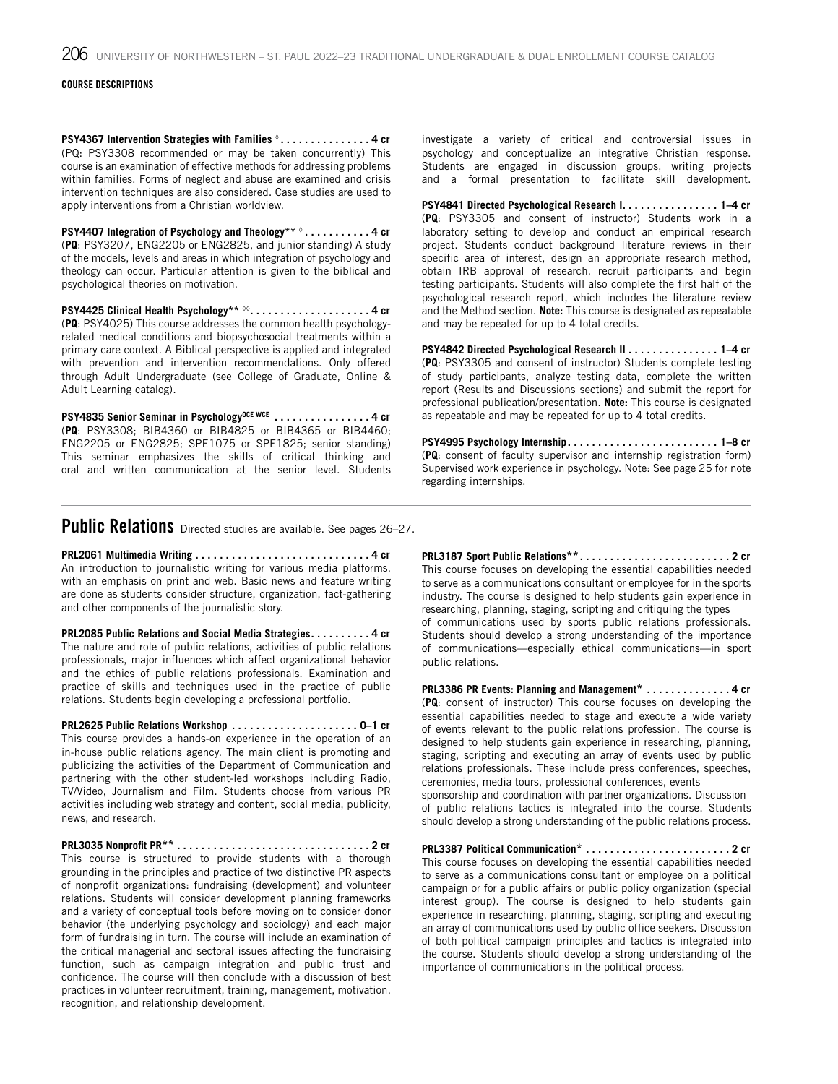**PSY4367 Intervention Strategies with Families**  $\delta$ **...............4 cr** (PQ: PSY3308 recommended or may be taken concurrently) This course is an examination of effective methods for addressing problems within families. Forms of neglect and abuse are examined and crisis intervention techniques are also considered. Case studies are used to apply interventions from a Christian worldview.

**PSY4407 Integration of Psychology and Theology**\*\*  $\degree$ ..........4 cr (**PQ**: PSY3207, ENG2205 or ENG2825, and junior standing) A study of the models, levels and areas in which integration of psychology and theology can occur. Particular attention is given to the biblical and psychological theories on motivation.

**PSY4425 Clinical Health Psychology\*\*** ◊◊**. 4 cr** (**PQ**: PSY4025) This course addresses the common health psychologyrelated medical conditions and biopsychosocial treatments within a primary care context. A Biblical perspective is applied and integrated with prevention and intervention recommendations. Only offered through Adult Undergraduate (see College of Graduate, Online & Adult Learning catalog).

PSY4835 Senior Seminar in Psychology<sup>OCE WCE</sup> ................4 cr (**PQ**: PSY3308; BIB4360 or BIB4825 or BIB4365 or BIB4460; ENG2205 or ENG2825; SPE1075 or SPE1825; senior standing) This seminar emphasizes the skills of critical thinking and oral and written communication at the senior level. Students investigate a variety of critical and controversial issues in psychology and conceptualize an integrative Christian response. Students are engaged in discussion groups, writing projects and a formal presentation to facilitate skill development.

**PSY4841 Directed Psychological Research I. . . 1–4 cr** (**PQ**: PSY3305 and consent of instructor) Students work in a laboratory setting to develop and conduct an empirical research project. Students conduct background literature reviews in their specific area of interest, design an appropriate research method, obtain IRB approval of research, recruit participants and begin testing participants. Students will also complete the first half of the psychological research report, which includes the literature review and the Method section. **Note:** This course is designated as repeatable and may be repeated for up to 4 total credits.

**PSY4842 Directed Psychological Research II. . . 1–4 cr** (**PQ**: PSY3305 and consent of instructor) Students complete testing of study participants, analyze testing data, complete the written report (Results and Discussions sections) and submit the report for professional publication/presentation. **Note:** This course is designated as repeatable and may be repeated for up to 4 total credits.

**PSY4995 Psychology Internship. . . 1–8 cr** (**PQ**: consent of faculty supervisor and internship registration form) Supervised work experience in psychology. Note: See page 25 for note regarding internships.

# Public Relations Directed studies are available. See pages 26-27.

**PRL2061 Multimedia Writing. . 4 cr** An introduction to journalistic writing for various media platforms, with an emphasis on print and web. Basic news and feature writing are done as students consider structure, organization, fact-gathering and other components of the journalistic story.

PRL2085 Public Relations and Social Media Strategies. . . . . . . . . . 4 cr The nature and role of public relations, activities of public relations professionals, major influences which affect organizational behavior and the ethics of public relations professionals. Examination and practice of skills and techniques used in the practice of public relations. Students begin developing a professional portfolio.

**PRL2625 Public Relations Workshop. . . 0–1 cr** This course provides a hands-on experience in the operation of an in-house public relations agency. The main client is promoting and publicizing the activities of the Department of Communication and partnering with the other student-led workshops including Radio, TV/Video, Journalism and Film. Students choose from various PR activities including web strategy and content, social media, publicity, news, and research.

**PRL3035 Nonprofit PR\*\*. . 2 cr** This course is structured to provide students with a thorough grounding in the principles and practice of two distinctive PR aspects of nonprofit organizations: fundraising (development) and volunteer relations. Students will consider development planning frameworks and a variety of conceptual tools before moving on to consider donor behavior (the underlying psychology and sociology) and each major form of fundraising in turn. The course will include an examination of the critical managerial and sectoral issues affecting the fundraising function, such as campaign integration and public trust and confidence. The course will then conclude with a discussion of best practices in volunteer recruitment, training, management, motivation, recognition, and relationship development.

**PRL3187 Sport Public Relations\*\*.............................. 2 cr** This course focuses on developing the essential capabilities needed to serve as a communications consultant or employee for in the sports industry. The course is designed to help students gain experience in researching, planning, staging, scripting and critiquing the types of communications used by sports public relations professionals. Students should develop a strong understanding of the importance of communications—especially ethical communications—in sport public relations.

**PRL3386 PR Events: Planning and Management\*** . . . . . . . . . . . . . 4 cr (**PQ**: consent of instructor) This course focuses on developing the essential capabilities needed to stage and execute a wide variety of events relevant to the public relations profession. The course is designed to help students gain experience in researching, planning, staging, scripting and executing an array of events used by public relations professionals. These include press conferences, speeches, ceremonies, media tours, professional conferences, events

sponsorship and coordination with partner organizations. Discussion of public relations tactics is integrated into the course. Students should develop a strong understanding of the public relations process.

**PRL3387 Political Communication\*. . 2 cr** This course focuses on developing the essential capabilities needed to serve as a communications consultant or employee on a political campaign or for a public affairs or public policy organization (special interest group). The course is designed to help students gain experience in researching, planning, staging, scripting and executing an array of communications used by public office seekers. Discussion of both political campaign principles and tactics is integrated into the course. Students should develop a strong understanding of the importance of communications in the political process.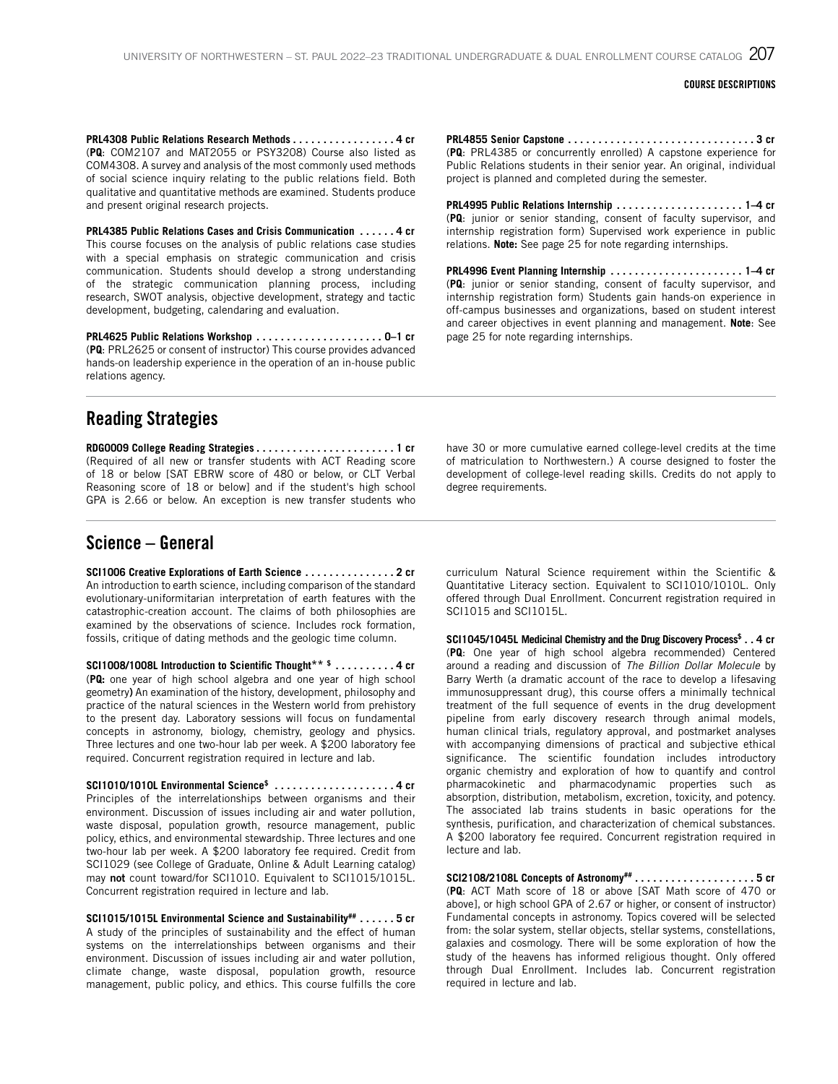**PRL4308 Public Relations Research Methods..................4 cr** (**PQ**: COM2107 and MAT2055 or PSY3208) Course also listed as COM4308. A survey and analysis of the most commonly used methods of social science inquiry relating to the public relations field. Both qualitative and quantitative methods are examined. Students produce and present original research projects.

**PRL4385 Public Relations Cases and Crisis Communication ...... 4 cr** This course focuses on the analysis of public relations case studies with a special emphasis on strategic communication and crisis communication. Students should develop a strong understanding of the strategic communication planning process, including research, SWOT analysis, objective development, strategy and tactic development, budgeting, calendaring and evaluation.

**PRL4625 Public Relations Workshop. . . 0–1 cr** (**PQ**: PRL2625 or consent of instructor) This course provides advanced hands-on leadership experience in the operation of an in-house public relations agency.

Reading Strategies

RDG0009 College Reading Strategies..........................1 cr (Required of all new or transfer students with ACT Reading score of 18 or below [SAT EBRW score of 480 or below, or CLT Verbal Reasoning score of 18 or below] and if the student's high school GPA is 2.66 or below. An exception is new transfer students who

### Science – General

**SCI1006 Creative Explorations of Earth Science................ 2 cr** An introduction to earth science, including comparison of the standard evolutionary-uniformitarian interpretation of earth features with the catastrophic-creation account. The claims of both philosophies are examined by the observations of science. Includes rock formation, fossils, critique of dating methods and the geologic time column.

SCI1008/1008L Introduction to Scientific Thought\*\* \$ . . . . . . . . . 4 cr (**PQ:** one year of high school algebra and one year of high school geometry**)** An examination of the history, development, philosophy and practice of the natural sciences in the Western world from prehistory to the present day. Laboratory sessions will focus on fundamental concepts in astronomy, biology, chemistry, geology and physics. Three lectures and one two-hour lab per week. A \$200 laboratory fee required. Concurrent registration required in lecture and lab.

**SCI1010/1010L Environmental Science**\$ .......................4 cr Principles of the interrelationships between organisms and their environment. Discussion of issues including air and water pollution, waste disposal, population growth, resource management, public policy, ethics, and environmental stewardship. Three lectures and one two-hour lab per week. A \$200 laboratory fee required. Credit from SCI1029 (see College of Graduate, Online & Adult Learning catalog) may not count toward/for SCI1010. Equivalent to SCI1015/1015L. Concurrent registration required in lecture and lab.

SCI1015/1015L Environmental Science and Sustainability<sup>##</sup> . . . . . . 5 cr A study of the principles of sustainability and the effect of human systems on the interrelationships between organisms and their environment. Discussion of issues including air and water pollution, climate change, waste disposal, population growth, resource management, public policy, and ethics. This course fulfills the core

**PRL4855 Senior Capstone. . 3 cr** (**PQ**: PRL4385 or concurrently enrolled) A capstone experience for Public Relations students in their senior year. An original, individual project is planned and completed during the semester.

**PRL4995 Public Relations Internship. . . 1–4 cr** (**PQ**: junior or senior standing, consent of faculty supervisor, and internship registration form) Supervised work experience in public relations. **Note:** See page 25 for note regarding internships.

**PRL4996 Event Planning Internship. . . 1–4 cr** (**PQ**: junior or senior standing, consent of faculty supervisor, and internship registration form) Students gain hands-on experience in off-campus businesses and organizations, based on student interest and career objectives in event planning and management. **Note**: See page 25 for note regarding internships.

have 30 or more cumulative earned college-level credits at the time of matriculation to Northwestern.) A course designed to foster the development of college-level reading skills. Credits do not apply to degree requirements.

curriculum Natural Science requirement within the Scientific & Quantitative Literacy section. Equivalent to SCI1010/1010L. Only offered through Dual Enrollment. Concurrent registration required in SCI1015 and SCI1015L.

**SCI1045/1045L Medicinal Chemistry and the Drug Discovery Process\$ . 4 cr** (**PQ**: One year of high school algebra recommended) Centered around a reading and discussion of *The Billion Dollar Molecule* by Barry Werth (a dramatic account of the race to develop a lifesaving immunosuppressant drug), this course offers a minimally technical treatment of the full sequence of events in the drug development pipeline from early discovery research through animal models, human clinical trials, regulatory approval, and postmarket analyses with accompanying dimensions of practical and subjective ethical significance. The scientific foundation includes introductory organic chemistry and exploration of how to quantify and control pharmacokinetic and pharmacodynamic properties such as absorption, distribution, metabolism, excretion, toxicity, and potency. The associated lab trains students in basic operations for the synthesis, purification, and characterization of chemical substances. A \$200 laboratory fee required. Concurrent registration required in lecture and lab.

**SCI2108/2108L Concepts of Astronomy##. . 5 cr** (**PQ**: ACT Math score of 18 or above [SAT Math score of 470 or above], or high school GPA of 2.67 or higher, or consent of instructor) Fundamental concepts in astronomy. Topics covered will be selected from: the solar system, stellar objects, stellar systems, constellations, galaxies and cosmology. There will be some exploration of how the study of the heavens has informed religious thought. Only offered through Dual Enrollment. Includes lab. Concurrent registration required in lecture and lab.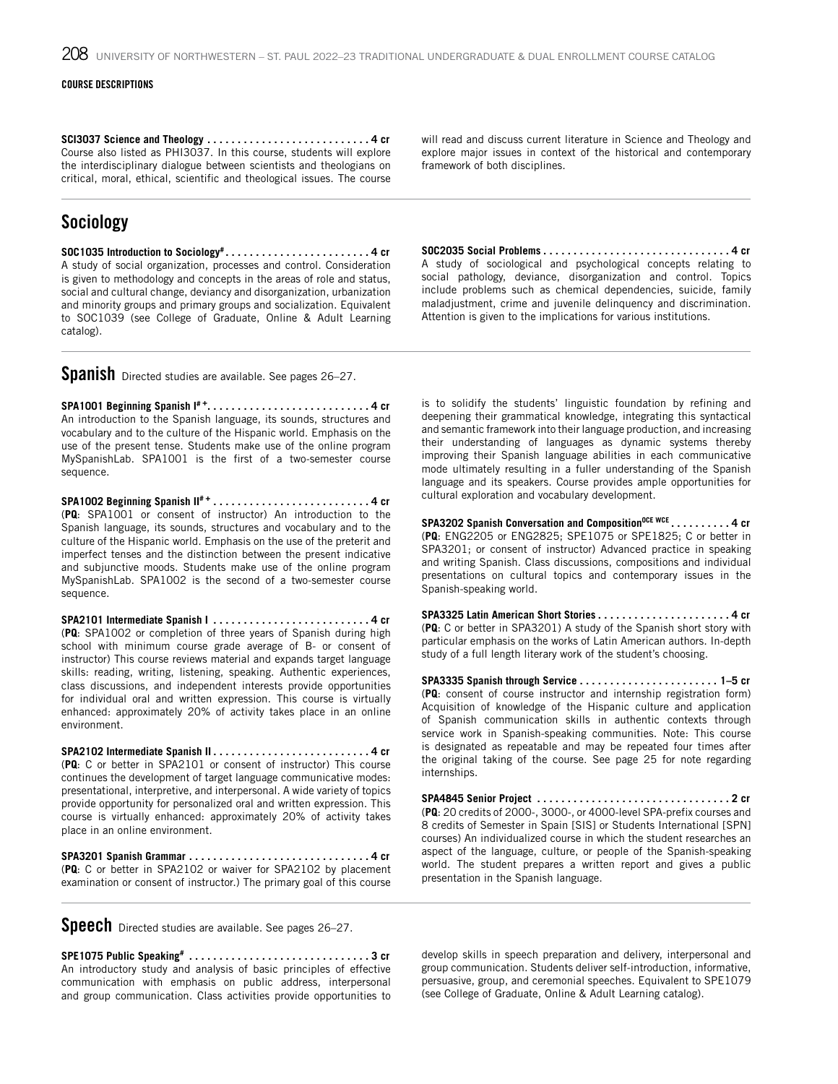**SCI3037 Science and Theology .................................4 cr** Course also listed as PHI3037. In this course, students will explore the interdisciplinary dialogue between scientists and theologians on critical, moral, ethical, scientific and theological issues. The course

### Sociology

**SOC1035 Introduction to Sociology# . 4 cr** A study of social organization, processes and control. Consideration is given to methodology and concepts in the areas of role and status, social and cultural change, deviancy and disorganization, urbanization and minority groups and primary groups and socialization. Equivalent to SOC1039 (see College of Graduate, Online & Adult Learning catalog).

SpanishDirected studies are available. See pages 26–27.

**SPA1001 Beginning Spanish I<sup>#+</sup>..............................4 cr** An introduction to the Spanish language, its sounds, structures and vocabulary and to the culture of the Hispanic world. Emphasis on the use of the present tense. Students make use of the online program MySpanishLab. SPA1001 is the first of a two-semester course sequence.

**SPA1002 Beginning Spanish II<sup>#+</sup> ............................4 cr** (**PQ**: SPA1001 or consent of instructor) An introduction to the Spanish language, its sounds, structures and vocabulary and to the culture of the Hispanic world. Emphasis on the use of the preterit and imperfect tenses and the distinction between the present indicative and subjunctive moods. Students make use of the online program MySpanishLab. SPA1002 is the second of a two-semester course sequence.

**SPA2101 Intermediate Spanish I...............................4 cr** (**PQ**: SPA1002 or completion of three years of Spanish during high school with minimum course grade average of B- or consent of instructor) This course reviews material and expands target language skills: reading, writing, listening, speaking. Authentic experiences, class discussions, and independent interests provide opportunities for individual oral and written expression. This course is virtually enhanced: approximately 20% of activity takes place in an online environment.

**SPA2102 Intermediate Spanish II. . 4 cr** (**PQ**: C or better in SPA2101 or consent of instructor) This course continues the development of target language communicative modes: presentational, interpretive, and interpersonal. A wide variety of topics provide opportunity for personalized oral and written expression. This course is virtually enhanced: approximately 20% of activity takes place in an online environment.

**SPA3201 Spanish Grammar. . 4 cr** (**PQ**: C or better in SPA2102 or waiver for SPA2102 by placement examination or consent of instructor.) The primary goal of this course

**Speech** Directed studies are available. See pages 26–27.

SPE1075 Public Speaking<sup>#</sup> ..................................3 cr An introductory study and analysis of basic principles of effective communication with emphasis on public address, interpersonal and group communication. Class activities provide opportunities to will read and discuss current literature in Science and Theology and explore major issues in context of the historical and contemporary framework of both disciplines.

**SOC2035 Social Problems. . 4 cr** A study of sociological and psychological concepts relating to social pathology, deviance, disorganization and control. Topics include problems such as chemical dependencies, suicide, family maladjustment, crime and juvenile delinquency and discrimination. Attention is given to the implications for various institutions.

is to solidify the students' linguistic foundation by refining and deepening their grammatical knowledge, integrating this syntactical and semantic framework into their language production, and increasing their understanding of languages as dynamic systems thereby improving their Spanish language abilities in each communicative mode ultimately resulting in a fuller understanding of the Spanish language and its speakers. Course provides ample opportunities for cultural exploration and vocabulary development.

**SPA3202 Spanish Conversation and Composition<sup>oce WCE</sup>.........4 cr** (**PQ**: ENG2205 or ENG2825; SPE1075 or SPE1825; C or better in SPA3201; or consent of instructor) Advanced practice in speaking and writing Spanish. Class discussions, compositions and individual presentations on cultural topics and contemporary issues in the Spanish-speaking world.

SPA3325 Latin American Short Stories........................4 cr (**PQ**: C or better in SPA3201) A study of the Spanish short story with particular emphasis on the works of Latin American authors. In-depth study of a full length literary work of the student's choosing.

**SPA3335 Spanish through Service. . . 1–5 cr** (**PQ**: consent of course instructor and internship registration form) Acquisition of knowledge of the Hispanic culture and application of Spanish communication skills in authentic contexts through service work in Spanish-speaking communities. Note: This course is designated as repeatable and may be repeated four times after the original taking of the course. See page 25 for note regarding internships.

**SPA4845 Senior Project. . 2 cr** (**PQ**: 20 credits of 2000-, 3000-, or 4000-level SPA-prefix courses and 8 credits of Semester in Spain [SIS] or Students International [SPN] courses) An individualized course in which the student researches an aspect of the language, culture, or people of the Spanish-speaking world. The student prepares a written report and gives a public presentation in the Spanish language.

develop skills in speech preparation and delivery, interpersonal and group communication. Students deliver self-introduction, informative, persuasive, group, and ceremonial speeches. Equivalent to SPE1079 (see College of Graduate, Online & Adult Learning catalog).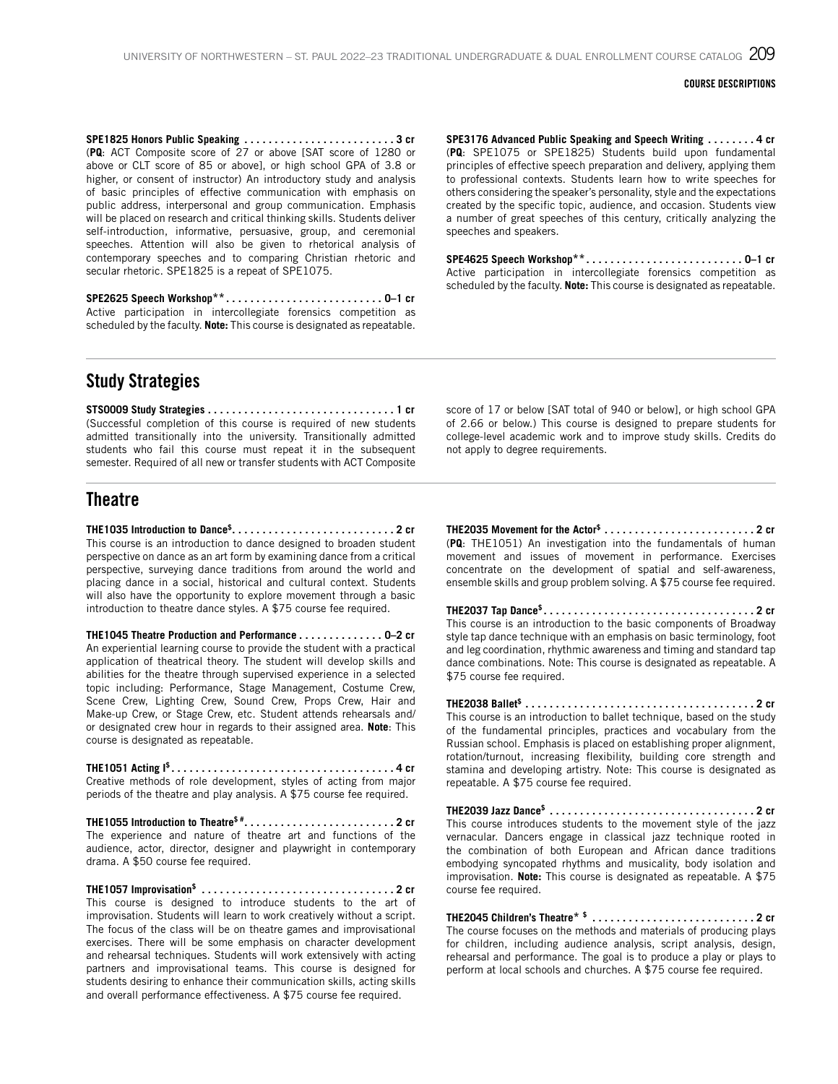### COURSE DESCRIPTIONS COURSE DESCRIPTIONS

**SPE1825 Honors Public Speaking .............................3 cr** (**PQ**: ACT Composite score of 27 or above [SAT score of 1280 or above or CLT score of 85 or above], or high school GPA of 3.8 or higher, or consent of instructor) An introductory study and analysis of basic principles of effective communication with emphasis on public address, interpersonal and group communication. Emphasis will be placed on research and critical thinking skills. Students deliver self-introduction, informative, persuasive, group, and ceremonial speeches. Attention will also be given to rhetorical analysis of contemporary speeches and to comparing Christian rhetoric and secular rhetoric. SPE1825 is a repeat of SPE1075.

**SPE2625 Speech Workshop\*\*. . 0–1 cr** Active participation in intercollegiate forensics competition as scheduled by the faculty. **Note:** This course is designated as repeatable.

**SPE3176 Advanced Public Speaking and Speech Writing ........ 4 cr** (**PQ**: SPE1075 or SPE1825) Students build upon fundamental principles of effective speech preparation and delivery, applying them to professional contexts. Students learn how to write speeches for others considering the speaker's personality, style and the expectations created by the specific topic, audience, and occasion. Students view a number of great speeches of this century, critically analyzing the speeches and speakers.

**SPE4625 Speech Workshop\*\*. . . 0–1 cr** Active participation in intercollegiate forensics competition as scheduled by the faculty. **Note:** This course is designated as repeatable.

### Study Strategies

**STS0009 Study Strategies. . 1 cr** (Successful completion of this course is required of new students admitted transitionally into the university. Transitionally admitted students who fail this course must repeat it in the subsequent semester. Required of all new or transfer students with ACT Composite

### score of 17 or below [SAT total of 940 or below], or high school GPA of 2.66 or below.) This course is designed to prepare students for college-level academic work and to improve study skills. Credits do not apply to degree requirements.

### **Theatre**

**THE1035 Introduction to Dance\$ . 2 cr**  This course is an introduction to dance designed to broaden student perspective on dance as an art form by examining dance from a critical perspective, surveying dance traditions from around the world and placing dance in a social, historical and cultural context. Students will also have the opportunity to explore movement through a basic introduction to theatre dance styles. A \$75 course fee required.

**THE1045 Theatre Production and Performance. . . 0–2 cr** An experiential learning course to provide the student with a practical application of theatrical theory. The student will develop skills and abilities for the theatre through supervised experience in a selected topic including: Performance, Stage Management, Costume Crew, Scene Crew, Lighting Crew, Sound Crew, Props Crew, Hair and Make-up Crew, or Stage Crew, etc. Student attends rehearsals and/ or designated crew hour in regards to their assigned area. **Note**: This course is designated as repeatable.

**THE1051 Acting I\$ . 4 cr** Creative methods of role development, styles of acting from major periods of the theatre and play analysis. A \$75 course fee required.

**THE1055 Introduction to Theatre\$ #. . 2 cr** The experience and nature of theatre art and functions of the audience, actor, director, designer and playwright in contemporary drama. A \$50 course fee required.

**THE1057 Improvisation\$. . 2 cr** This course is designed to introduce students to the art of improvisation. Students will learn to work creatively without a script. The focus of the class will be on theatre games and improvisational exercises. There will be some emphasis on character development and rehearsal techniques. Students will work extensively with acting partners and improvisational teams. This course is designed for students desiring to enhance their communication skills, acting skills and overall performance effectiveness. A \$75 course fee required.

**THE2035 Movement for the Actor\$. . 2 cr** (**PQ**: THE1051) An investigation into the fundamentals of human movement and issues of movement in performance. Exercises concentrate on the development of spatial and self-awareness, ensemble skills and group problem solving. A \$75 course fee required.

**THE2037 Tap Dance\$ . 2 cr**  This course is an introduction to the basic components of Broadway style tap dance technique with an emphasis on basic terminology, foot and leg coordination, rhythmic awareness and timing and standard tap dance combinations. Note: This course is designated as repeatable. A \$75 course fee required.

**THE2038 Ballet\$. . 2 cr**  This course is an introduction to ballet technique, based on the study of the fundamental principles, practices and vocabulary from the Russian school. Emphasis is placed on establishing proper alignment, rotation/turnout, increasing flexibility, building core strength and stamina and developing artistry. Note: This course is designated as repeatable. A \$75 course fee required.

**THE2039 Jazz Dance\$. . 2 cr**  This course introduces students to the movement style of the jazz vernacular. Dancers engage in classical jazz technique rooted in the combination of both European and African dance traditions embodying syncopated rhythms and musicality, body isolation and improvisation. **Note:** This course is designated as repeatable. A \$75 course fee required.

**THE2045 Children's Theatre\* \$. . 2 cr** The course focuses on the methods and materials of producing plays for children, including audience analysis, script analysis, design, rehearsal and performance. The goal is to produce a play or plays to perform at local schools and churches. A \$75 course fee required.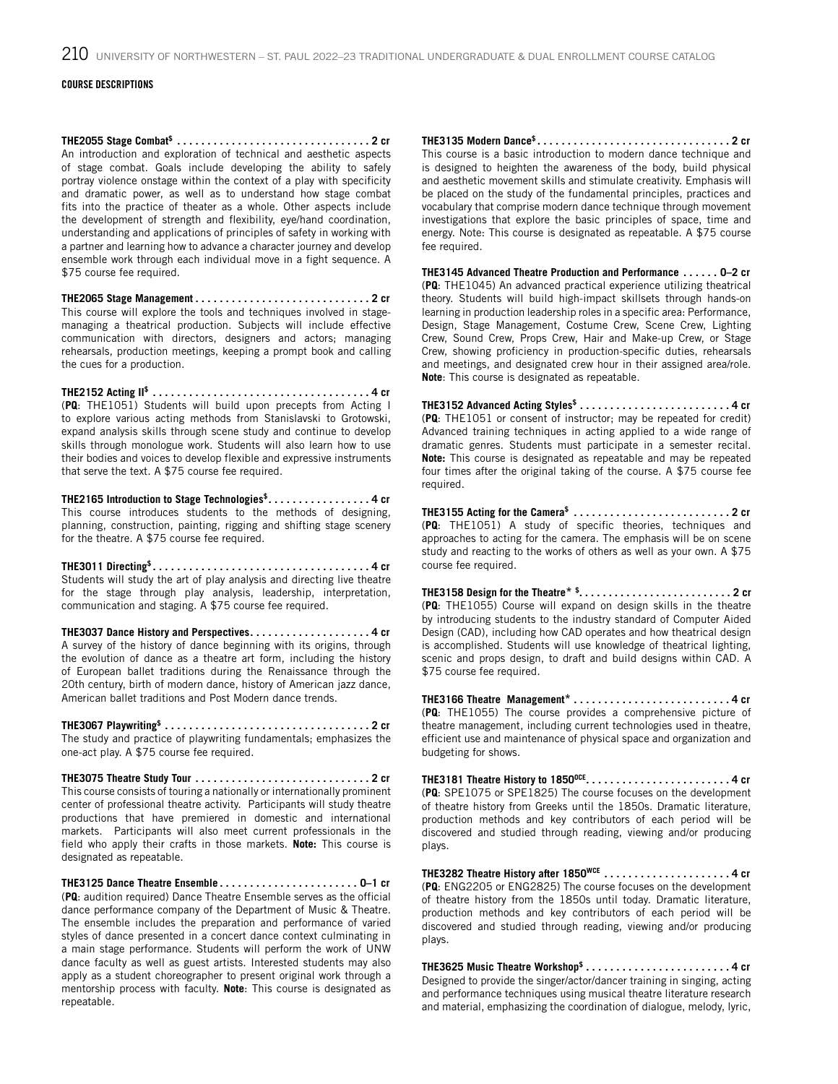**THE2055 Stage Combat\$. . 2 cr**  An introduction and exploration of technical and aesthetic aspects of stage combat. Goals include developing the ability to safely portray violence onstage within the context of a play with specificity and dramatic power, as well as to understand how stage combat fits into the practice of theater as a whole. Other aspects include the development of strength and flexibility, eye/hand coordination, understanding and applications of principles of safety in working with a partner and learning how to advance a character journey and develop ensemble work through each individual move in a fight sequence. A \$75 course fee required.

**THE2065 Stage Management. . 2 cr**  This course will explore the tools and techniques involved in stagemanaging a theatrical production. Subjects will include effective communication with directors, designers and actors; managing rehearsals, production meetings, keeping a prompt book and calling the cues for a production.

**THE2152 Acting II\$. . 4 cr** (**PQ**: THE1051) Students will build upon precepts from Acting I to explore various acting methods from Stanislavski to Grotowski, expand analysis skills through scene study and continue to develop skills through monologue work. Students will also learn how to use their bodies and voices to develop flexible and expressive instruments that serve the text. A \$75 course fee required.

**THE2165 Introduction to Stage Technologies\$ . 4 cr** This course introduces students to the methods of designing, planning, construction, painting, rigging and shifting stage scenery for the theatre. A \$75 course fee required.

**THE3011 Directing\$ . 4 cr**  Students will study the art of play analysis and directing live theatre for the stage through play analysis, leadership, interpretation, communication and staging. A \$75 course fee required.

**THE3037 Dance History and Perspectives....................4 cr** A survey of the history of dance beginning with its origins, through the evolution of dance as a theatre art form, including the history of European ballet traditions during the Renaissance through the 20th century, birth of modern dance, history of American jazz dance, American ballet traditions and Post Modern dance trends.

**THE3067 Playwriting\$. . 2 cr** The study and practice of playwriting fundamentals; emphasizes the one-act play. A \$75 course fee required.

**THE3075 Theatre Study Tour. . 2 cr** This course consists of touring a nationally or internationally prominent center of professional theatre activity. Participants will study theatre productions that have premiered in domestic and international markets. Participants will also meet current professionals in the field who apply their crafts in those markets. **Note:** This course is designated as repeatable.

**THE3125 Dance Theatre Ensemble. . . 0–1 cr** (**PQ**: audition required) Dance Theatre Ensemble serves as the official dance performance company of the Department of Music & Theatre. The ensemble includes the preparation and performance of varied styles of dance presented in a concert dance context culminating in a main stage performance. Students will perform the work of UNW dance faculty as well as guest artists. Interested students may also apply as a student choreographer to present original work through a mentorship process with faculty. **Note**: This course is designated as repeatable.

**THE3135 Modern Dance\$ . 2 cr**

This course is a basic introduction to modern dance technique and is designed to heighten the awareness of the body, build physical and aesthetic movement skills and stimulate creativity. Emphasis will be placed on the study of the fundamental principles, practices and vocabulary that comprise modern dance technique through movement investigations that explore the basic principles of space, time and energy. Note: This course is designated as repeatable. A \$75 course fee required.

**THE3145 Advanced Theatre Production and Performance. . . 0–2 cr** (**PQ**: THE1045) An advanced practical experience utilizing theatrical theory. Students will build high-impact skillsets through hands-on learning in production leadership roles in a specific area: Performance, Design, Stage Management, Costume Crew, Scene Crew, Lighting Crew, Sound Crew, Props Crew, Hair and Make-up Crew, or Stage Crew, showing proficiency in production-specific duties, rehearsals and meetings, and designated crew hour in their assigned area/role. **Note**: This course is designated as repeatable.

**THE3152 Advanced Acting Styles\$. . 4 cr** (**PQ**: THE1051 or consent of instructor; may be repeated for credit) Advanced training techniques in acting applied to a wide range of dramatic genres. Students must participate in a semester recital. **Note:** This course is designated as repeatable and may be repeated four times after the original taking of the course. A \$75 course fee required.

**THE3155 Acting for the Camera\$. . 2 cr** (**PQ**: THE1051) A study of specific theories, techniques and approaches to acting for the camera. The emphasis will be on scene study and reacting to the works of others as well as your own. A \$75 course fee required.

**THE3158 Design for the Theatre\* \$ . . . . . . . . . . . . . . . . . . . . . . . . . . 2 cr** (**PQ**: THE1055) Course will expand on design skills in the theatre by introducing students to the industry standard of Computer Aided Design (CAD), including how CAD operates and how theatrical design is accomplished. Students will use knowledge of theatrical lighting, scenic and props design, to draft and build designs within CAD. A \$75 course fee required.

**THE3166 Theatre Management\*. . 4 cr** (**PQ**: THE1055) The course provides a comprehensive picture of theatre management, including current technologies used in theatre, efficient use and maintenance of physical space and organization and budgeting for shows.

**THE3181 Theatre History to 1850<sup>oce</sup>..........................4 cr** (**PQ**: SPE1075 or SPE1825) The course focuses on the development of theatre history from Greeks until the 1850s. Dramatic literature, production methods and key contributors of each period will be discovered and studied through reading, viewing and/or producing plays.

THE3282 Theatre History after 1850<sup>WCE</sup> ......................4 cr (**PQ**: ENG2205 or ENG2825) The course focuses on the development of theatre history from the 1850s until today. Dramatic literature, production methods and key contributors of each period will be discovered and studied through reading, viewing and/or producing plays.

**THE3625 Music Theatre Workshop\$ . 4 cr**  Designed to provide the singer/actor/dancer training in singing, acting and performance techniques using musical theatre literature research and material, emphasizing the coordination of dialogue, melody, lyric,